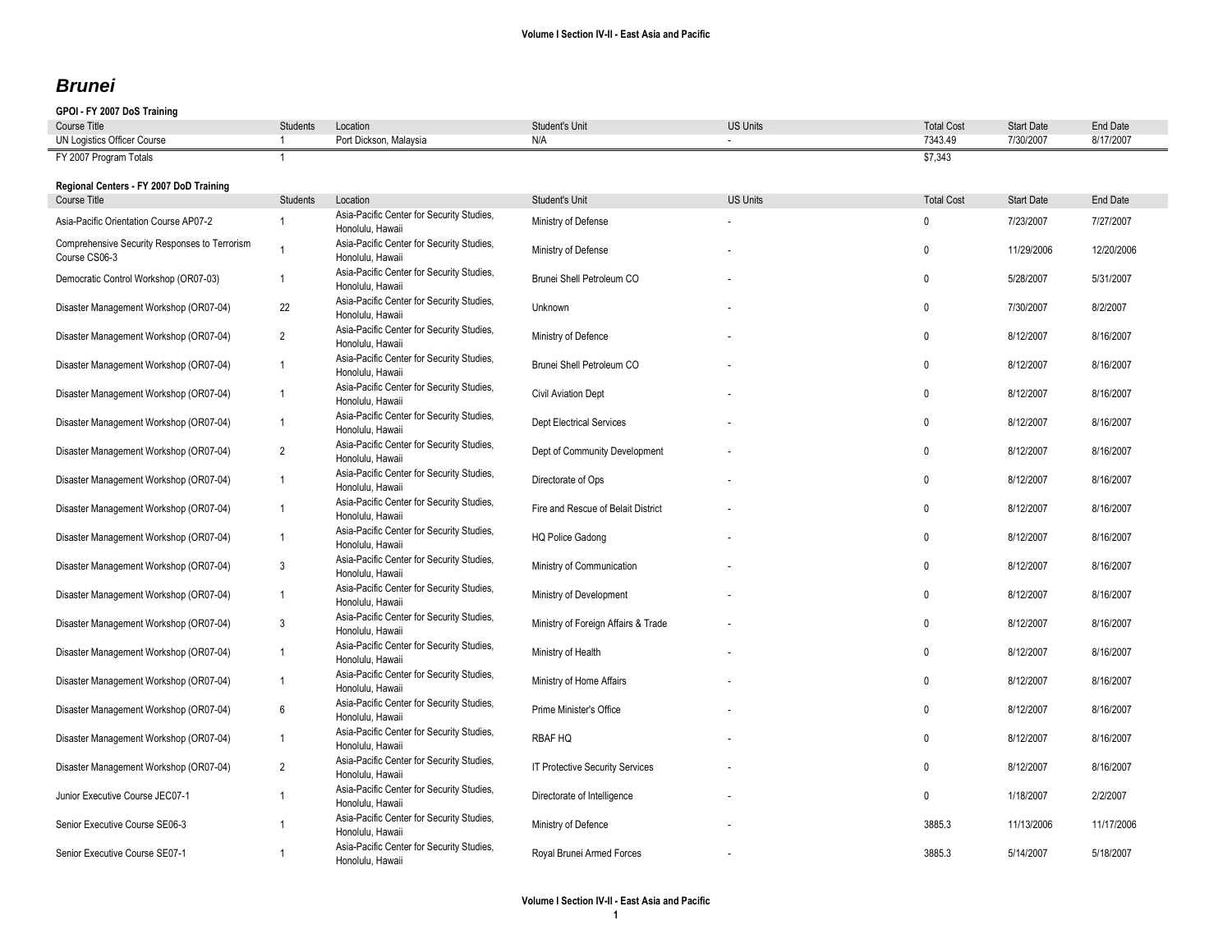## *Brunei*

### **GPOI - FY 2007 DoS Training**

| <b>Course Title</b>                                            | <b>Students</b> | Location                                                      | Student's Unit                      | <b>US Units</b> | <b>Total Cost</b> | <b>Start Date</b> | End Date   |
|----------------------------------------------------------------|-----------------|---------------------------------------------------------------|-------------------------------------|-----------------|-------------------|-------------------|------------|
| UN Logistics Officer Course                                    |                 | Port Dickson, Malaysia                                        | N/A                                 |                 | 7343.49           | 7/30/2007         | 8/17/2007  |
| FY 2007 Program Totals                                         |                 |                                                               |                                     |                 | \$7.343           |                   |            |
| Regional Centers - FY 2007 DoD Training                        |                 |                                                               |                                     |                 |                   |                   |            |
| Course Title                                                   | Students        | Location                                                      | Student's Unit                      | <b>US Units</b> | <b>Total Cost</b> | <b>Start Date</b> | End Date   |
| Asia-Pacific Orientation Course AP07-2                         | $\overline{1}$  | Asia-Pacific Center for Security Studies,<br>Honolulu, Hawaii | Ministry of Defense                 |                 | $\mathbf{0}$      | 7/23/2007         | 7/27/2007  |
| Comprehensive Security Responses to Terrorism<br>Course CS06-3 | $\mathbf{1}$    | Asia-Pacific Center for Security Studies,<br>Honolulu, Hawaii | Ministry of Defense                 |                 | $\mathbf{0}$      | 11/29/2006        | 12/20/2006 |
| Democratic Control Workshop (OR07-03)                          | $\overline{1}$  | Asia-Pacific Center for Security Studies,<br>Honolulu, Hawaii | Brunei Shell Petroleum CO           |                 | $\mathbf{0}$      | 5/28/2007         | 5/31/2007  |
| Disaster Management Workshop (OR07-04)                         | 22              | Asia-Pacific Center for Security Studies,<br>Honolulu, Hawaii | Unknown                             |                 | $\mathbf{0}$      | 7/30/2007         | 8/2/2007   |
| Disaster Management Workshop (OR07-04)                         | $\overline{2}$  | Asia-Pacific Center for Security Studies,<br>Honolulu, Hawaii | Ministry of Defence                 |                 | $\mathbf{0}$      | 8/12/2007         | 8/16/2007  |
| Disaster Management Workshop (OR07-04)                         | $\mathbf{1}$    | Asia-Pacific Center for Security Studies,<br>Honolulu, Hawaii | Brunei Shell Petroleum CO           |                 | $\mathbf{0}$      | 8/12/2007         | 8/16/2007  |
| Disaster Management Workshop (OR07-04)                         | $\mathbf{1}$    | Asia-Pacific Center for Security Studies,<br>Honolulu, Hawaii | Civil Aviation Dept                 |                 | $\mathbf 0$       | 8/12/2007         | 8/16/2007  |
| Disaster Management Workshop (OR07-04)                         | $\mathbf{1}$    | Asia-Pacific Center for Security Studies,<br>Honolulu, Hawaii | <b>Dept Electrical Services</b>     |                 | $\mathbf{0}$      | 8/12/2007         | 8/16/2007  |
| Disaster Management Workshop (OR07-04)                         | $\overline{2}$  | Asia-Pacific Center for Security Studies,<br>Honolulu, Hawaii | Dept of Community Development       |                 | $\mathbf{0}$      | 8/12/2007         | 8/16/2007  |
| Disaster Management Workshop (OR07-04)                         | $\mathbf{1}$    | Asia-Pacific Center for Security Studies,<br>Honolulu, Hawaii | Directorate of Ops                  |                 | $\mathbf{0}$      | 8/12/2007         | 8/16/2007  |
| Disaster Management Workshop (OR07-04)                         | $\mathbf{1}$    | Asia-Pacific Center for Security Studies,<br>Honolulu, Hawaii | Fire and Rescue of Belait District  |                 | $\mathbf{0}$      | 8/12/2007         | 8/16/2007  |
| Disaster Management Workshop (OR07-04)                         | $\mathbf{1}$    | Asia-Pacific Center for Security Studies,<br>Honolulu, Hawaii | <b>HQ Police Gadong</b>             |                 | $\mathbf{0}$      | 8/12/2007         | 8/16/2007  |
| Disaster Management Workshop (OR07-04)                         | 3               | Asia-Pacific Center for Security Studies,<br>Honolulu, Hawaii | Ministry of Communication           |                 | $\mathbf{0}$      | 8/12/2007         | 8/16/2007  |
| Disaster Management Workshop (OR07-04)                         | $\overline{1}$  | Asia-Pacific Center for Security Studies,<br>Honolulu, Hawaii | Ministry of Development             |                 | $\mathbf{0}$      | 8/12/2007         | 8/16/2007  |
| Disaster Management Workshop (OR07-04)                         | 3               | Asia-Pacific Center for Security Studies,<br>Honolulu, Hawaii | Ministry of Foreign Affairs & Trade |                 | $\mathbf 0$       | 8/12/2007         | 8/16/2007  |
| Disaster Management Workshop (OR07-04)                         | $\overline{1}$  | Asia-Pacific Center for Security Studies,<br>Honolulu, Hawaii | Ministry of Health                  |                 | $\mathbf{0}$      | 8/12/2007         | 8/16/2007  |
| Disaster Management Workshop (OR07-04)                         | $\mathbf{1}$    | Asia-Pacific Center for Security Studies,<br>Honolulu, Hawaii | Ministry of Home Affairs            |                 | $\mathbf{0}$      | 8/12/2007         | 8/16/2007  |
| Disaster Management Workshop (OR07-04)                         | $6\phantom{1}6$ | Asia-Pacific Center for Security Studies,<br>Honolulu, Hawaii | Prime Minister's Office             |                 | $\mathbf{0}$      | 8/12/2007         | 8/16/2007  |
| Disaster Management Workshop (OR07-04)                         | $\mathbf{1}$    | Asia-Pacific Center for Security Studies,<br>Honolulu, Hawaii | <b>RBAF HQ</b>                      |                 | $\mathbf{0}$      | 8/12/2007         | 8/16/2007  |
| Disaster Management Workshop (OR07-04)                         | $\overline{2}$  | Asia-Pacific Center for Security Studies,<br>Honolulu, Hawaii | IT Protective Security Services     |                 | $\mathbf{0}$      | 8/12/2007         | 8/16/2007  |
| Junior Executive Course JEC07-1                                | $\overline{1}$  | Asia-Pacific Center for Security Studies,<br>Honolulu, Hawaii | Directorate of Intelligence         |                 | $\mathbf{0}$      | 1/18/2007         | 2/2/2007   |
| Senior Executive Course SE06-3                                 | $\overline{1}$  | Asia-Pacific Center for Security Studies,<br>Honolulu, Hawaii | Ministry of Defence                 |                 | 3885.3            | 11/13/2006        | 11/17/2006 |
| Senior Executive Course SE07-1                                 | $\overline{1}$  | Asia-Pacific Center for Security Studies,<br>Honolulu, Hawaii | Royal Brunei Armed Forces           |                 | 3885.3            | 5/14/2007         | 5/18/2007  |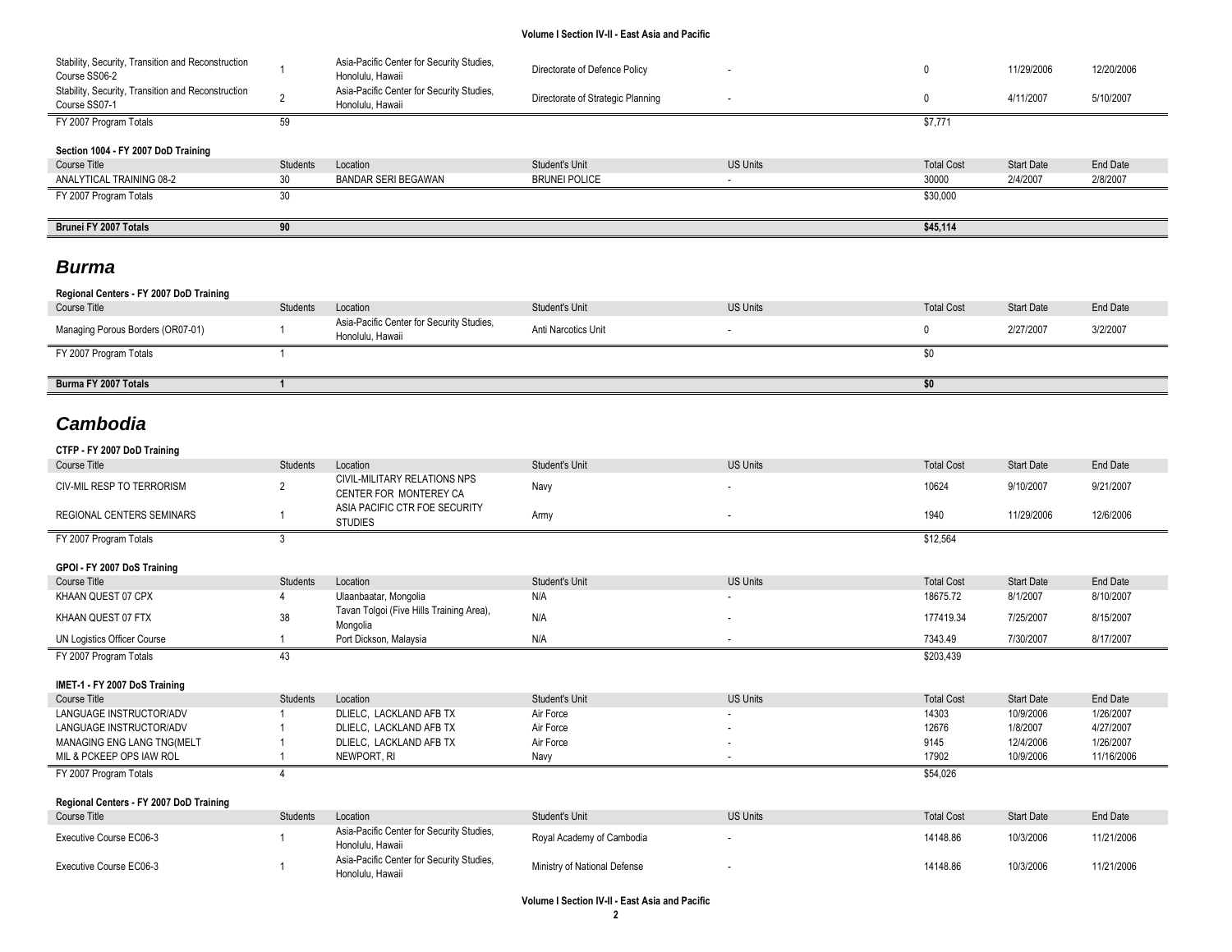| Stability, Security, Transition and Reconstruction<br>Course SS06-2 |          | Asia-Pacific Center for Security Studies,<br>Honolulu, Hawaii | Directorate of Defence Policy     |                 |                   | 11/29/2006        | 12/20/2006 |
|---------------------------------------------------------------------|----------|---------------------------------------------------------------|-----------------------------------|-----------------|-------------------|-------------------|------------|
| Stability, Security, Transition and Reconstruction<br>Course SS07-1 |          | Asia-Pacific Center for Security Studies,<br>Honolulu, Hawaii | Directorate of Strategic Planning |                 |                   | 4/11/2007         | 5/10/2007  |
| FY 2007 Program Totals                                              | 59       |                                                               |                                   |                 | \$7,771           |                   |            |
| Section 1004 - FY 2007 DoD Training                                 |          |                                                               |                                   |                 |                   |                   |            |
| Course Title                                                        | Students | Location                                                      | Student's Unit                    | <b>US Units</b> | <b>Total Cost</b> | <b>Start Date</b> | End Date   |
| ANALYTICAL TRAINING 08-2                                            | 30       | BANDAR SERI BEGAWAN                                           | <b>BRUNEI POLICE</b>              | ۰.              | 30000             | 2/4/2007          | 2/8/2007   |
| FY 2007 Program Totals                                              | 30       |                                                               |                                   |                 | \$30,000          |                   |            |
|                                                                     |          |                                                               |                                   |                 |                   |                   |            |
| Brunei FY 2007 Totals                                               | 90       |                                                               |                                   |                 | \$45,114          |                   |            |
|                                                                     |          |                                                               |                                   |                 |                   |                   |            |

## *Burma*

| Regional Centers - FY 2007 DoD Training |                 |                                                               |                     |                 |                   |                   |          |
|-----------------------------------------|-----------------|---------------------------------------------------------------|---------------------|-----------------|-------------------|-------------------|----------|
| Course Title                            | <b>Students</b> | Location                                                      | Student's Unit      | <b>US Units</b> | <b>Total Cost</b> | <b>Start Date</b> | End Date |
| Managing Porous Borders (OR07-01)       |                 | Asia-Pacific Center for Security Studies,<br>Honolulu, Hawaii | Anti Narcotics Unit |                 |                   | 2/27/2007         | 3/2/2007 |
| FY 2007 Program Totals                  |                 |                                                               |                     |                 |                   |                   |          |
|                                         |                 |                                                               |                     |                 |                   |                   |          |
| Burma FY 2007 Totals                    |                 |                                                               |                     |                 | \$0               |                   |          |

# *Cambodia*

| CTFP - FY 2007 DoD Training             |                 |                                                               |                              |                          |                   |                   |                 |
|-----------------------------------------|-----------------|---------------------------------------------------------------|------------------------------|--------------------------|-------------------|-------------------|-----------------|
| <b>Course Title</b>                     | <b>Students</b> | Location                                                      | Student's Unit               | <b>US Units</b>          | <b>Total Cost</b> | Start Date        | <b>End Date</b> |
| <b>CIV-MIL RESP TO TERRORISM</b>        | $\overline{2}$  | <b>CIVIL-MILITARY RELATIONS NPS</b><br>CENTER FOR MONTEREY CA | Navy                         | ٠                        | 10624             | 9/10/2007         | 9/21/2007       |
| <b>REGIONAL CENTERS SEMINARS</b>        |                 | ASIA PACIFIC CTR FOE SECURITY<br><b>STUDIES</b>               | Army                         | ٠                        | 1940              | 11/29/2006        | 12/6/2006       |
| FY 2007 Program Totals                  | 3               |                                                               |                              |                          | \$12,564          |                   |                 |
| GPOI - FY 2007 DoS Training             |                 |                                                               |                              |                          |                   |                   |                 |
| <b>Course Title</b>                     | Students        | Location                                                      | <b>Student's Unit</b>        | <b>US Units</b>          | <b>Total Cost</b> | <b>Start Date</b> | End Date        |
| KHAAN QUEST 07 CPX                      |                 | Ulaanbaatar, Mongolia                                         | N/A                          |                          | 18675.72          | 8/1/2007          | 8/10/2007       |
| KHAAN QUEST 07 FTX                      | 38              | Tavan Tolgoi (Five Hills Training Area),<br>Mongolia          | N/A                          | ٠                        | 177419.34         | 7/25/2007         | 8/15/2007       |
| UN Logistics Officer Course             |                 | Port Dickson, Malaysia                                        | N/A                          | ٠                        | 7343.49           | 7/30/2007         | 8/17/2007       |
| FY 2007 Program Totals                  | 43              |                                                               |                              |                          | \$203,439         |                   |                 |
| IMET-1 - FY 2007 DoS Training           |                 |                                                               |                              |                          |                   |                   |                 |
| <b>Course Title</b>                     | Students        | Location                                                      | Student's Unit               | <b>US Units</b>          | <b>Total Cost</b> | <b>Start Date</b> | End Date        |
| LANGUAGE INSTRUCTOR/ADV                 |                 | DLIELC. LACKLAND AFB TX                                       | Air Force                    |                          | 14303             | 10/9/2006         | 1/26/2007       |
| LANGUAGE INSTRUCTOR/ADV                 |                 | DLIELC. LACKLAND AFB TX                                       | Air Force                    |                          | 12676             | 1/8/2007          | 4/27/2007       |
| MANAGING ENG LANG TNG(MELT              |                 | DLIELC, LACKLAND AFB TX                                       | Air Force                    |                          | 9145              | 12/4/2006         | 1/26/2007       |
| MIL & PCKEEP OPS IAW ROL                |                 | NEWPORT, RI                                                   | Navy                         | ٠                        | 17902             | 10/9/2006         | 11/16/2006      |
| FY 2007 Program Totals                  |                 |                                                               |                              |                          | \$54,026          |                   |                 |
|                                         |                 |                                                               |                              |                          |                   |                   |                 |
| Regional Centers - FY 2007 DoD Training |                 |                                                               |                              |                          |                   |                   |                 |
| Course Title                            | <b>Students</b> | Location                                                      | Student's Unit               | <b>US Units</b>          | <b>Total Cost</b> | <b>Start Date</b> | End Date        |
| Executive Course EC06-3                 |                 | Asia-Pacific Center for Security Studies,<br>Honolulu, Hawaii | Royal Academy of Cambodia    |                          | 14148.86          | 10/3/2006         | 11/21/2006      |
| Executive Course EC06-3                 |                 | Asia-Pacific Center for Security Studies,<br>Honolulu, Hawaii | Ministry of National Defense | $\overline{\phantom{a}}$ | 14148.86          | 10/3/2006         | 11/21/2006      |
|                                         |                 |                                                               |                              |                          |                   |                   |                 |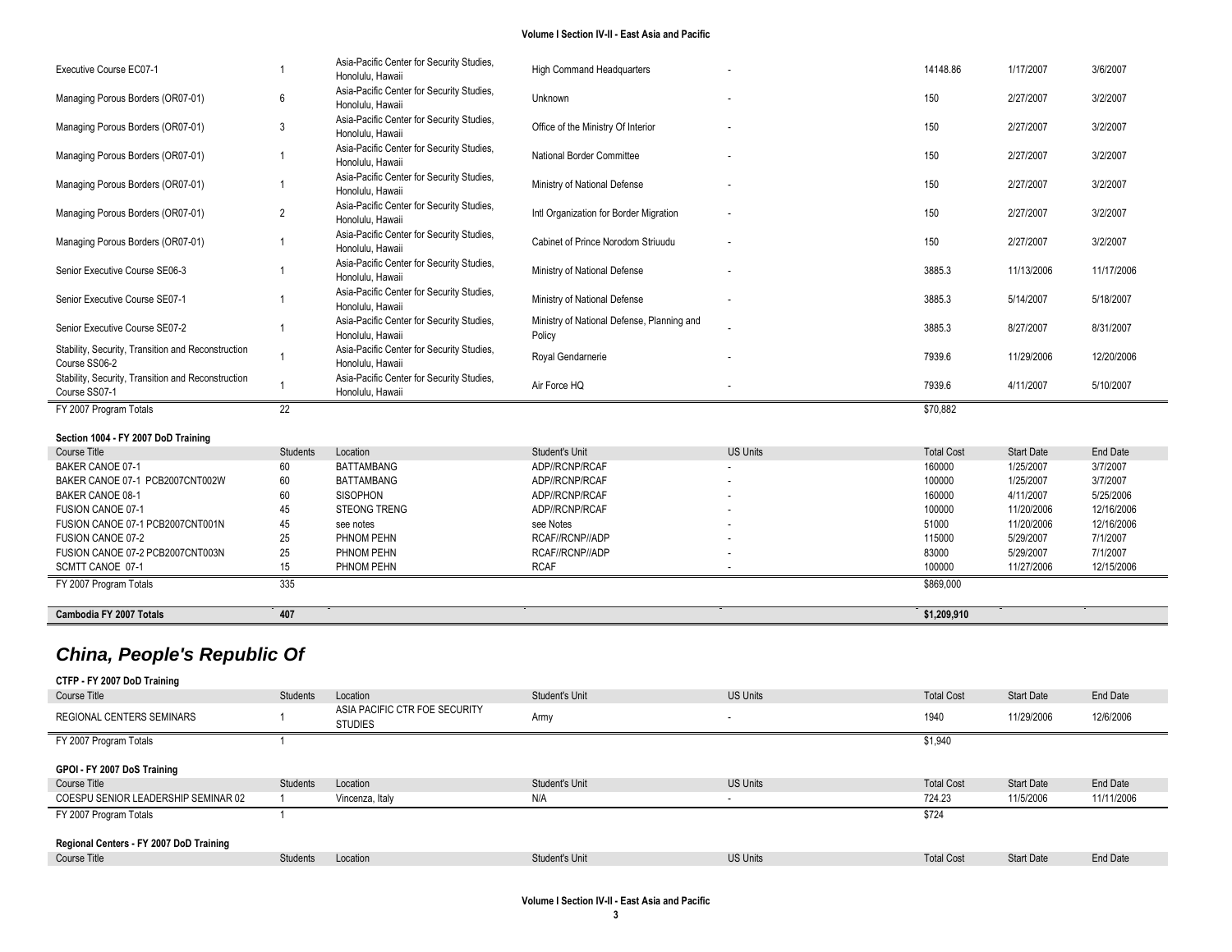| Cambodia FY 2007 Totals                                             | 407             |                                                               |                                                      |                 | \$1,209,910         |                   |                 |
|---------------------------------------------------------------------|-----------------|---------------------------------------------------------------|------------------------------------------------------|-----------------|---------------------|-------------------|-----------------|
| SCMTT CANOE 07-1<br>FY 2007 Program Totals                          | 15<br>335       | PHNOM PEHN                                                    | <b>RCAF</b>                                          |                 | 100000<br>\$869,000 | 11/27/2006        | 12/15/2006      |
| FUSION CANOE 07-2 PCB2007CNT003N                                    | 25              | PHNOM PEHN                                                    | RCAF//RCNP//ADP                                      |                 | 83000               | 5/29/2007         | 7/1/2007        |
| <b>FUSION CANOE 07-2</b>                                            | 25              | PHNOM PEHN                                                    | RCAF//RCNP//ADP                                      |                 | 115000              | 5/29/2007         | 7/1/2007        |
| FUSION CANOE 07-1 PCB2007CNT001N                                    | 45              | see notes                                                     | see Notes                                            |                 | 51000               | 11/20/2006        | 12/16/2006      |
| <b>FUSION CANOE 07-1</b>                                            | 45              | <b>STEONG TRENG</b>                                           | ADP//RCNP/RCAF                                       |                 | 100000              | 11/20/2006        | 12/16/2006      |
| <b>BAKER CANOE 08-1</b>                                             | 60              | <b>SISOPHON</b>                                               | ADP//RCNP/RCAF                                       |                 | 160000              | 4/11/2007         | 5/25/2006       |
| BAKER CANOE 07-1 PCB2007CNT002W                                     | 60              | <b>BATTAMBANG</b>                                             | ADP//RCNP/RCAF                                       |                 | 100000              | 1/25/2007         | 3/7/2007        |
| <b>BAKER CANOE 07-1</b>                                             | 60              | <b>BATTAMBANG</b>                                             | ADP//RCNP/RCAF                                       |                 | 160000              | 1/25/2007         | 3/7/2007        |
| Course Title                                                        | <b>Students</b> | Location                                                      | Student's Unit                                       | <b>US Units</b> | <b>Total Cost</b>   | <b>Start Date</b> | <b>End Date</b> |
| Section 1004 - FY 2007 DoD Training                                 |                 |                                                               |                                                      |                 |                     |                   |                 |
| FY 2007 Program Totals                                              | 22              |                                                               |                                                      |                 | \$70,882            |                   |                 |
| Course SS07-1                                                       |                 | Honolulu, Hawaii                                              | Air Force HQ                                         |                 | 7939.6              | 4/11/2007         | 5/10/2007       |
| Course SS06-2<br>Stability, Security, Transition and Reconstruction |                 | Honolulu, Hawaii<br>Asia-Pacific Center for Security Studies, |                                                      |                 |                     |                   |                 |
| Stability, Security, Transition and Reconstruction                  |                 | Asia-Pacific Center for Security Studies,                     | Royal Gendarnerie                                    |                 | 7939.6              | 11/29/2006        | 12/20/2006      |
| Senior Executive Course SE07-2                                      |                 | Asia-Pacific Center for Security Studies,<br>Honolulu, Hawaii | Ministry of National Defense, Planning and<br>Policy |                 | 3885.3              | 8/27/2007         | 8/31/2007       |
| Senior Executive Course SE07-1                                      |                 | Asia-Pacific Center for Security Studies,<br>Honolulu, Hawaii | Ministry of National Defense                         |                 | 3885.3              | 5/14/2007         | 5/18/2007       |
| Senior Executive Course SE06-3                                      |                 | Honolulu, Hawaii                                              | Ministry of National Defense                         |                 | 3885.3              | 11/13/2006        | 11/17/2006      |
| Managing Porous Borders (OR07-01)                                   |                 | Honolulu, Hawaii<br>Asia-Pacific Center for Security Studies, | Cabinet of Prince Norodom Striuudu                   |                 | 150                 | 2/27/2007         | 3/2/2007        |
| Managing Porous Borders (OR07-01)                                   | $\overline{2}$  | Honolulu, Hawaii<br>Asia-Pacific Center for Security Studies, | Intl Organization for Border Migration               |                 | 150                 | 2/27/2007         | 3/2/2007        |
| Managing Porous Borders (OR07-01)                                   |                 | Honolulu, Hawaii<br>Asia-Pacific Center for Security Studies, | Ministry of National Defense                         |                 | 150                 | 2/27/2007         | 3/2/2007        |
|                                                                     |                 | Honolulu, Hawaii<br>Asia-Pacific Center for Security Studies, |                                                      |                 |                     |                   |                 |
| Managing Porous Borders (OR07-01)                                   |                 | Honolulu, Hawaii<br>Asia-Pacific Center for Security Studies, | National Border Committee                            |                 | 150                 | 2/27/2007         | 3/2/2007        |
| Managing Porous Borders (OR07-01)                                   | 3               | Asia-Pacific Center for Security Studies,                     | Office of the Ministry Of Interior                   |                 | 150                 | 2/27/2007         | 3/2/2007        |
| Managing Porous Borders (OR07-01)                                   | 6               | Asia-Pacific Center for Security Studies,<br>Honolulu, Hawaii | Unknown                                              |                 | 150                 | 2/27/2007         | 3/2/2007        |
| Executive Course EC07-1                                             |                 | Asia-Pacific Center for Security Studies,<br>Honolulu, Hawaii | <b>High Command Headquarters</b>                     |                 | 14148.86            | 1/17/2007         | 3/6/2007        |

| Course Title                            | <b>Students</b> | Location                                        | Student's Unit | <b>US Units</b> | <b>Total Cost</b> | <b>Start Date</b> | End Date   |
|-----------------------------------------|-----------------|-------------------------------------------------|----------------|-----------------|-------------------|-------------------|------------|
| <b>REGIONAL CENTERS SEMINARS</b>        |                 | ASIA PACIFIC CTR FOE SECURITY<br><b>STUDIES</b> | Army           | . .             | 1940              | 11/29/2006        | 12/6/2006  |
| FY 2007 Program Totals                  |                 |                                                 |                |                 | \$1,940           |                   |            |
| GPOI - FY 2007 DoS Training             |                 |                                                 |                |                 |                   |                   |            |
| Course Title                            | Students        | Location                                        | Student's Unit | <b>US Units</b> | <b>Total Cost</b> | <b>Start Date</b> | End Date   |
| COESPU SENIOR LEADERSHIP SEMINAR 02     |                 |                                                 |                |                 |                   |                   | 11/11/2006 |
|                                         |                 | Vincenza, Italy                                 | N/A            |                 | 724.23            | 11/5/2006         |            |
| FY 2007 Program Totals                  |                 |                                                 |                |                 | \$724             |                   |            |
| Regional Centers - FY 2007 DoD Training |                 |                                                 |                |                 |                   |                   |            |
| Course Title                            | <b>Students</b> | Location                                        | Student's Unit | <b>US Units</b> | <b>Total Cost</b> | <b>Start Date</b> | End Date   |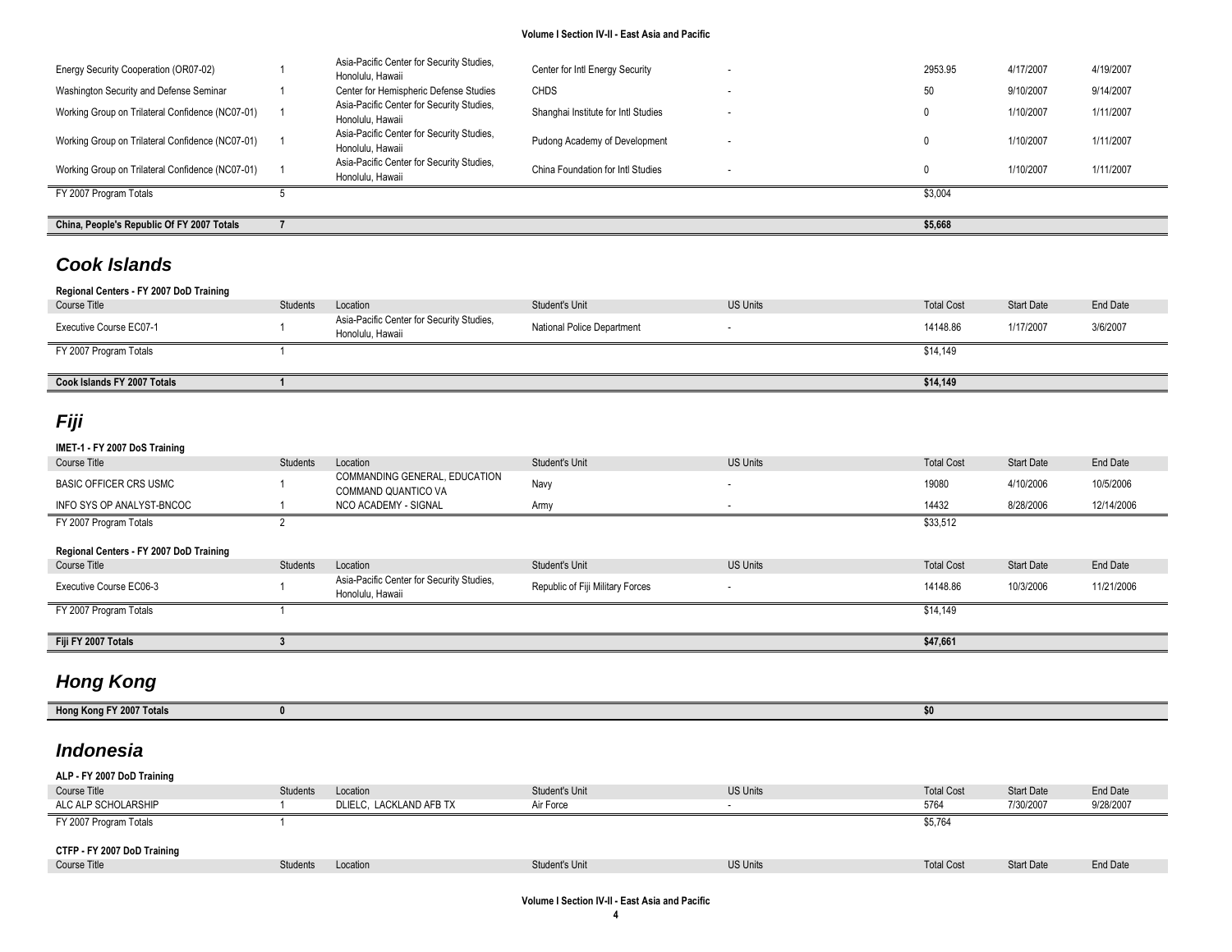| China, People's Republic Of FY 2007 Totals       |                                                               |                                     |                          | \$5,668 |           |           |
|--------------------------------------------------|---------------------------------------------------------------|-------------------------------------|--------------------------|---------|-----------|-----------|
|                                                  |                                                               |                                     |                          |         |           |           |
| FY 2007 Program Totals                           |                                                               |                                     |                          | \$3.004 |           |           |
| Working Group on Trilateral Confidence (NC07-01) | Asia-Pacific Center for Security Studies,<br>Honolulu, Hawaii | China Foundation for Intl Studies   |                          |         | 1/10/2007 | 1/11/2007 |
| Working Group on Trilateral Confidence (NC07-01) | Asia-Pacific Center for Security Studies,<br>Honolulu, Hawaii | Pudong Academy of Development       |                          |         | 1/10/2007 | 1/11/2007 |
| Working Group on Trilateral Confidence (NC07-01) | Asia-Pacific Center for Security Studies,<br>Honolulu, Hawaii | Shanghai Institute for Intl Studies | $\overline{\phantom{a}}$ |         | 1/10/2007 | 1/11/2007 |
| Washington Security and Defense Seminar          | Center for Hemispheric Defense Studies                        | <b>CHDS</b>                         |                          | 50      | 9/10/2007 | 9/14/2007 |
| Energy Security Cooperation (OR07-02)            | Asia-Pacific Center for Security Studies,<br>Honolulu, Hawaii | Center for Intl Energy Security     | ۰.                       | 2953.95 | 4/17/2007 | 4/19/2007 |

## *Cook Islands*

| Regional Centers - FY 2007 DoD Training |                 |                                                               |                            |                 |                   |                   |          |
|-----------------------------------------|-----------------|---------------------------------------------------------------|----------------------------|-----------------|-------------------|-------------------|----------|
| Course Title                            | <b>Students</b> | Location                                                      | Student's Unit             | <b>US Units</b> | <b>Total Cost</b> | <b>Start Date</b> | End Date |
| <b>Executive Course EC07-1</b>          |                 | Asia-Pacific Center for Security Studies,<br>Honolulu, Hawaii | National Police Department |                 | 14148.86          | 1/17/2007         | 3/6/2007 |
| FY 2007 Program Totals                  |                 |                                                               |                            |                 | \$14,149          |                   |          |
| Cook Islands FY 2007 Totals             |                 |                                                               |                            |                 | \$14,149          |                   |          |

# *Fiji*

## **IMET-1 - FY 2007 DoS Training** Course Title Students Students Location Students Unit Student's Unit US Units Unit US Units Total Cost Start Date End Date BASIC OFFICER CRS USMC 1 COMMANDING GENERAL, EDUCATION COMMANDING GENERAL, EDUCATION Navy Navy Research COMMAND 2006 4/10/2006 10/5/2006 10/5/2006 10/5/2006 10/5/2006 10/5/2006 10/5/2006 10/5/2006 10/5/2006 10/5/2006 10/5/2006 10/5/2006 10/5/2006 10/5/2006 10/5/2006 10/5/2006 INFO SYS OP ANALYST-BNCOC A COLOR DESCRIPTION AT A COLOR ARMY ARMY AND ARMY AND RESPONSIVE AT A SUBSEX 2006 12/14/2006 12/14/2006 FY 2007 Program Totals 2 \$33,512 **Regional Centers - FY 2007 DoD Training** Course Title Students Students Location Students Unit Student's Unit US Units Unit US Units Total Cost Start Date End Date Executive Course EC06-3 1 Asia-Pacific Center for Security Studies, المادية المستحدة بين المستحدة المستحدة المستحدة المستحدة المستحدة المستحدة المستحدة المستحدة المستحدة المستحدة<br>Honolulu, Hawaii المستحدة المستحدة المستحدة المستحدة المستحدة المستحدة المستحدة المستحدة المستحدة المستحدة الم FY 2007 Program Totals \$14,149 **Fiji FY 2007 Totals 3 \$47,661**

# *Hong Kong*

| .<br><b>Hong</b><br>otal<br>$\sim$ $\sim$ $\sim$ |  |
|--------------------------------------------------|--|
|                                                  |  |

## *Indonesia*

| ALP - FY 2007 DoD Training  |                 |                         |                |                 |                   |                   |           |
|-----------------------------|-----------------|-------------------------|----------------|-----------------|-------------------|-------------------|-----------|
| Course Title                | <b>Students</b> | Location                | Student's Unit | <b>US Units</b> | <b>Total Cost</b> | <b>Start Date</b> | End Date  |
| ALC ALP SCHOLARSHIP         |                 | DLIELC. LACKLAND AFB TX | Air Force      |                 | 5764              | 7/30/2007         | 9/28/2007 |
| FY 2007 Program Totals      |                 |                         |                |                 | \$5,764           |                   |           |
|                             |                 |                         |                |                 |                   |                   |           |
| CTFP - FY 2007 DoD Training |                 |                         |                |                 |                   |                   |           |
| Course Title                | <b>Students</b> | Location                | Student's Unit | <b>US Units</b> | <b>Total Cost</b> | <b>Start Date</b> | End Date  |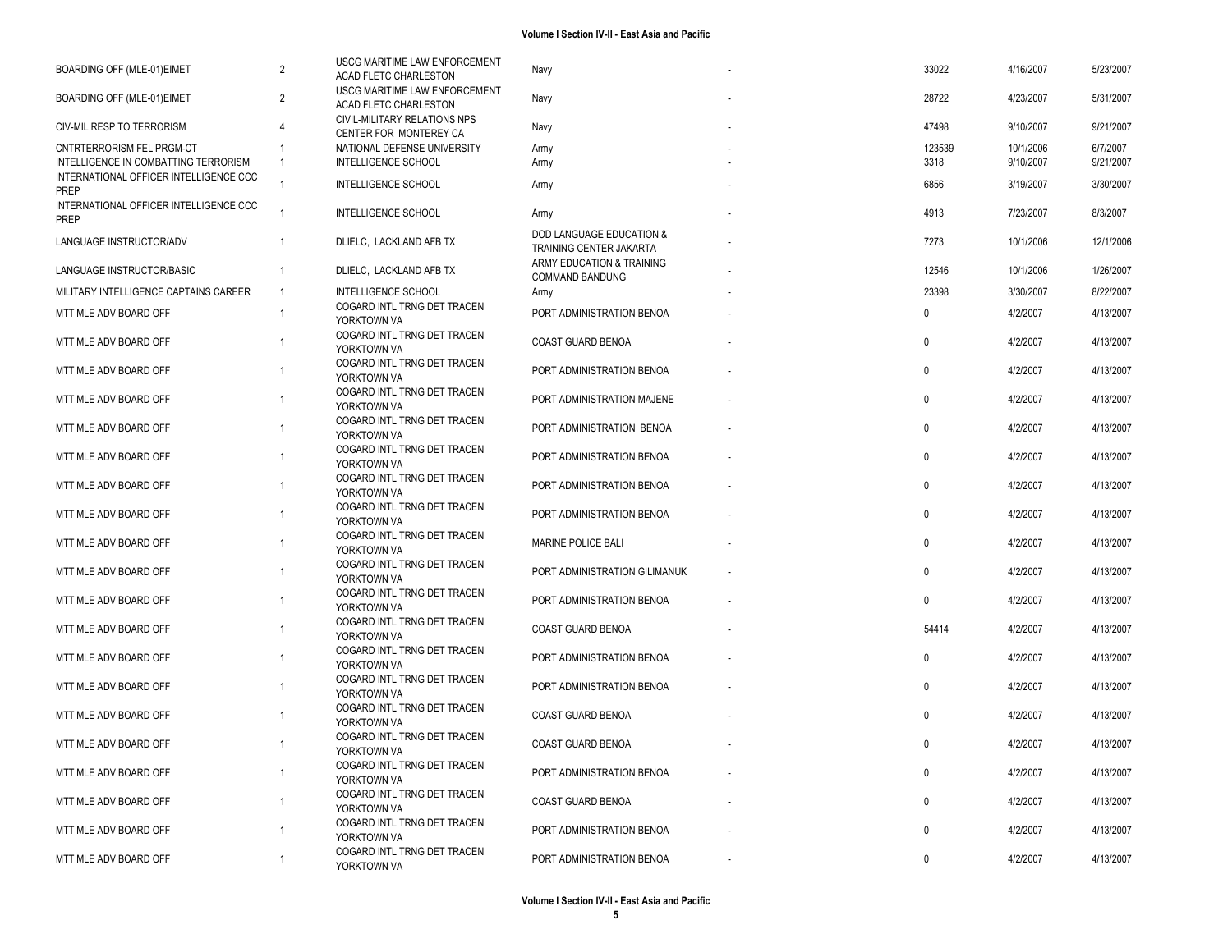| BOARDING OFF (MLE-01)EIMET                                                     | $\overline{2}$       | USCG MARITIME LAW ENFORCEMENT<br>ACAD FLETC CHARLESTON    | Navy                                                           | 33022        | 4/16/2007 | 5/23/2007 |
|--------------------------------------------------------------------------------|----------------------|-----------------------------------------------------------|----------------------------------------------------------------|--------------|-----------|-----------|
| BOARDING OFF (MLE-01)EIMET                                                     | $\overline{2}$       | USCG MARITIME LAW ENFORCEMENT<br>ACAD FLETC CHARLESTON    | Navy                                                           | 28722        | 4/23/2007 | 5/31/2007 |
| CIV-MIL RESP TO TERRORISM                                                      | 4                    | CIVIL-MILITARY RELATIONS NPS<br>CENTER FOR MONTEREY CA    | Navy                                                           | 47498        | 9/10/2007 | 9/21/2007 |
| CNTRTERRORISM FEL PRGM-CT                                                      |                      | NATIONAL DEFENSE UNIVERSITY                               | Army                                                           | 123539       | 10/1/2006 | 6/7/2007  |
| INTELLIGENCE IN COMBATTING TERRORISM<br>INTERNATIONAL OFFICER INTELLIGENCE CCC | $\overline{1}$       | <b>INTELLIGENCE SCHOOL</b>                                | Army                                                           | 3318         | 9/10/2007 | 9/21/2007 |
| PREP                                                                           |                      | INTELLIGENCE SCHOOL                                       | Army                                                           | 6856         | 3/19/2007 | 3/30/2007 |
| INTERNATIONAL OFFICER INTELLIGENCE CCC<br><b>PREP</b>                          | $\overline{1}$       | INTELLIGENCE SCHOOL                                       | Army                                                           | 4913         | 7/23/2007 | 8/3/2007  |
| LANGUAGE INSTRUCTOR/ADV                                                        | $\overline{1}$       | DLIELC, LACKLAND AFB TX                                   | <b>DOD LANGUAGE EDUCATION &amp;</b><br>TRAINING CENTER JAKARTA | 7273         | 10/1/2006 | 12/1/2006 |
| LANGUAGE INSTRUCTOR/BASIC                                                      | $\overline{1}$       | DLIELC, LACKLAND AFB TX                                   | ARMY EDUCATION & TRAINING<br>COMMAND BANDUNG                   | 12546        | 10/1/2006 | 1/26/2007 |
| MILITARY INTELLIGENCE CAPTAINS CAREER                                          | $\overline{1}$       | <b>INTELLIGENCE SCHOOL</b><br>COGARD INTL TRNG DET TRACEN | Army                                                           | 23398        | 3/30/2007 | 8/22/2007 |
| MTT MLE ADV BOARD OFF                                                          | $\overline{1}$       | YORKTOWN VA                                               | PORT ADMINISTRATION BENOA                                      | 0            | 4/2/2007  | 4/13/2007 |
| MTT MLE ADV BOARD OFF                                                          | -1                   | COGARD INTL TRNG DET TRACEN<br>YORKTOWN VA                | COAST GUARD BENOA                                              | 0            | 4/2/2007  | 4/13/2007 |
| MTT MLE ADV BOARD OFF                                                          | -1                   | COGARD INTL TRNG DET TRACEN<br>YORKTOWN VA                | PORT ADMINISTRATION BENOA                                      | 0            | 4/2/2007  | 4/13/2007 |
| MTT MLE ADV BOARD OFF                                                          |                      | COGARD INTL TRNG DET TRACEN<br>YORKTOWN VA                | PORT ADMINISTRATION MAJENE                                     | 0            | 4/2/2007  | 4/13/2007 |
| MTT MLE ADV BOARD OFF                                                          | -1                   | COGARD INTL TRNG DET TRACEN<br>YORKTOWN VA                | PORT ADMINISTRATION BENOA                                      | $\mathbf 0$  | 4/2/2007  | 4/13/2007 |
| MTT MLE ADV BOARD OFF                                                          | -1                   | COGARD INTL TRNG DET TRACEN<br>YORKTOWN VA                | PORT ADMINISTRATION BENOA                                      | 0            | 4/2/2007  | 4/13/2007 |
| MTT MLE ADV BOARD OFF                                                          |                      | COGARD INTL TRNG DET TRACEN<br>YORKTOWN VA                | PORT ADMINISTRATION BENOA                                      | $\mathbf 0$  | 4/2/2007  | 4/13/2007 |
| MTT MLE ADV BOARD OFF                                                          | -1                   | COGARD INTL TRNG DET TRACEN<br>YORKTOWN VA                | PORT ADMINISTRATION BENOA                                      | 0            | 4/2/2007  | 4/13/2007 |
| MTT MLE ADV BOARD OFF                                                          | 1                    | COGARD INTL TRNG DET TRACEN<br>YORKTOWN VA                | <b>MARINE POLICE BALI</b>                                      | $\mathbf 0$  | 4/2/2007  | 4/13/2007 |
| MTT MLE ADV BOARD OFF                                                          | 1                    | COGARD INTL TRNG DET TRACEN<br>YORKTOWN VA                | PORT ADMINISTRATION GILIMANUK                                  | $\mathbf 0$  | 4/2/2007  | 4/13/2007 |
| MTT MLE ADV BOARD OFF                                                          |                      | COGARD INTL TRNG DET TRACEN<br>YORKTOWN VA                | PORT ADMINISTRATION BENOA                                      | 0            | 4/2/2007  | 4/13/2007 |
| MTT MLE ADV BOARD OFF                                                          | -1                   | COGARD INTL TRNG DET TRACEN<br>YORKTOWN VA                | COAST GUARD BENOA                                              | 54414        | 4/2/2007  | 4/13/2007 |
| MTT MLE ADV BOARD OFF                                                          | $\blacktriangleleft$ | COGARD INTL TRNG DET TRACEN<br>YORKTOWN VA                | PORT ADMINISTRATION BENOA                                      | 0            | 4/2/2007  | 4/13/2007 |
| MTT MLE ADV BOARD OFF                                                          |                      | COGARD INTL TRNG DET TRACEN<br>YORKTOWN VA                | PORT ADMINISTRATION BENOA                                      | 0            | 4/2/2007  | 4/13/2007 |
| MTT MLE ADV BOARD OFF                                                          | -1                   | COGARD INTL TRNG DET TRACEN<br>YORKTOWN VA                | COAST GUARD BENOA                                              | $\pmb{0}$    | 4/2/2007  | 4/13/2007 |
| MTT MLE ADV BOARD OFF                                                          | -1                   | COGARD INTL TRNG DET TRACEN<br>YORKTOWN VA                | <b>COAST GUARD BENOA</b>                                       | $\mathbf 0$  | 4/2/2007  | 4/13/2007 |
| MTT MLE ADV BOARD OFF                                                          | 1                    | COGARD INTL TRNG DET TRACEN<br>YORKTOWN VA                | PORT ADMINISTRATION BENOA                                      | $\pmb{0}$    | 4/2/2007  | 4/13/2007 |
| MTT MLE ADV BOARD OFF                                                          |                      | COGARD INTL TRNG DET TRACEN<br>YORKTOWN VA                | <b>COAST GUARD BENOA</b>                                       | $\mathbf 0$  | 4/2/2007  | 4/13/2007 |
| MTT MLE ADV BOARD OFF                                                          | -1                   | COGARD INTL TRNG DET TRACEN<br>YORKTOWN VA                | PORT ADMINISTRATION BENOA                                      | $\mathbf{0}$ | 4/2/2007  | 4/13/2007 |
| MTT MLE ADV BOARD OFF                                                          | $\overline{1}$       | COGARD INTL TRNG DET TRACEN<br>YORKTOWN VA                | PORT ADMINISTRATION BENOA                                      | $\Omega$     | 4/2/2007  | 4/13/2007 |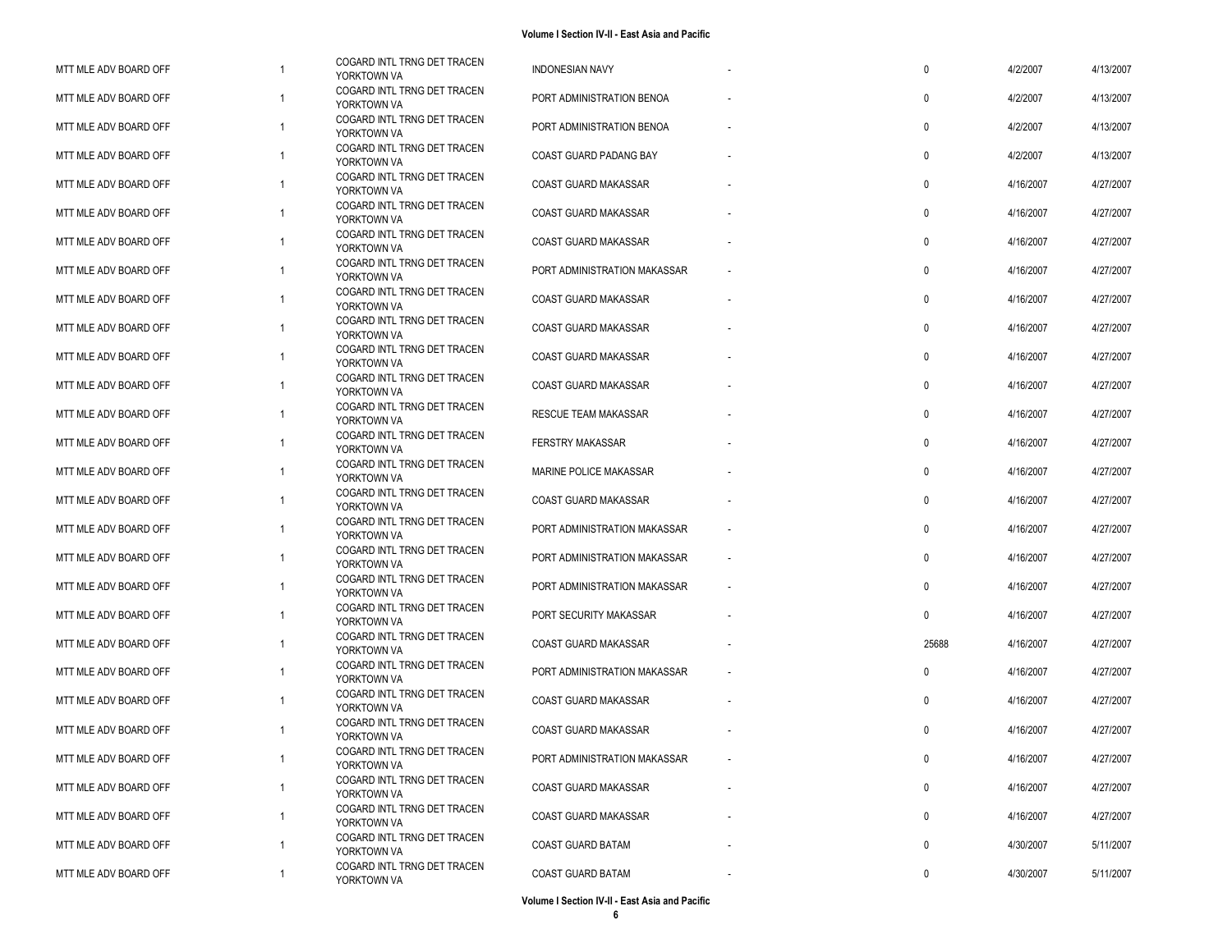| MTT MLE ADV BOARD OFF |                | COGARD INTL TRNG DET TRACEN<br>YORKTOWN VA | <b>INDONESIAN NAVY</b>       | $\mathbf 0$  | 4/2/2007  | 4/13/2007 |
|-----------------------|----------------|--------------------------------------------|------------------------------|--------------|-----------|-----------|
| MTT MLE ADV BOARD OFF | $\mathbf{1}$   | COGARD INTL TRNG DET TRACEN<br>YORKTOWN VA | PORT ADMINISTRATION BENOA    | 0            | 4/2/2007  | 4/13/2007 |
| MTT MLE ADV BOARD OFF | $\overline{1}$ | COGARD INTL TRNG DET TRACEN<br>YORKTOWN VA | PORT ADMINISTRATION BENOA    | $\mathbf{0}$ | 4/2/2007  | 4/13/2007 |
| MTT MLE ADV BOARD OFF | -1             | COGARD INTL TRNG DET TRACEN<br>YORKTOWN VA | COAST GUARD PADANG BAY       | 0            | 4/2/2007  | 4/13/2007 |
| MTT MLE ADV BOARD OFF | $\mathbf{1}$   | COGARD INTL TRNG DET TRACEN<br>YORKTOWN VA | COAST GUARD MAKASSAR         | $\mathbf{0}$ | 4/16/2007 | 4/27/2007 |
| MTT MLE ADV BOARD OFF | -1             | COGARD INTL TRNG DET TRACEN<br>YORKTOWN VA | <b>COAST GUARD MAKASSAR</b>  | $\mathbf 0$  | 4/16/2007 | 4/27/2007 |
| MTT MLE ADV BOARD OFF | $\overline{1}$ | COGARD INTL TRNG DET TRACEN<br>YORKTOWN VA | <b>COAST GUARD MAKASSAR</b>  | $\mathbf 0$  | 4/16/2007 | 4/27/2007 |
| MTT MLE ADV BOARD OFF | $\overline{1}$ | COGARD INTL TRNG DET TRACEN<br>YORKTOWN VA | PORT ADMINISTRATION MAKASSAR | $\mathbf{0}$ | 4/16/2007 | 4/27/2007 |
| MTT MLE ADV BOARD OFF | $\overline{1}$ | COGARD INTL TRNG DET TRACEN<br>YORKTOWN VA | COAST GUARD MAKASSAR         | $\mathbf 0$  | 4/16/2007 | 4/27/2007 |
| MTT MLE ADV BOARD OFF | $\mathbf{1}$   | COGARD INTL TRNG DET TRACEN<br>YORKTOWN VA | COAST GUARD MAKASSAR         | $\mathbf 0$  | 4/16/2007 | 4/27/2007 |
| MTT MLE ADV BOARD OFF | 1              | COGARD INTL TRNG DET TRACEN<br>YORKTOWN VA | COAST GUARD MAKASSAR         | $\mathbf{0}$ | 4/16/2007 | 4/27/2007 |
| MTT MLE ADV BOARD OFF | $\overline{1}$ | COGARD INTL TRNG DET TRACEN<br>YORKTOWN VA | <b>COAST GUARD MAKASSAR</b>  | $\mathbf 0$  | 4/16/2007 | 4/27/2007 |
| MTT MLE ADV BOARD OFF | $\mathbf{1}$   | COGARD INTL TRNG DET TRACEN<br>YORKTOWN VA | RESCUE TEAM MAKASSAR         | $\mathbf 0$  | 4/16/2007 | 4/27/2007 |
| MTT MLE ADV BOARD OFF | $\mathbf{1}$   | COGARD INTL TRNG DET TRACEN<br>YORKTOWN VA | <b>FERSTRY MAKASSAR</b>      | $\mathbf{0}$ | 4/16/2007 | 4/27/2007 |
| MTT MLE ADV BOARD OFF | $\overline{1}$ | COGARD INTL TRNG DET TRACEN<br>YORKTOWN VA | MARINE POLICE MAKASSAR       | 0            | 4/16/2007 | 4/27/2007 |
| MTT MLE ADV BOARD OFF | -1             | COGARD INTL TRNG DET TRACEN<br>YORKTOWN VA | COAST GUARD MAKASSAR         | 0            | 4/16/2007 | 4/27/2007 |
| MTT MLE ADV BOARD OFF | 1              | COGARD INTL TRNG DET TRACEN<br>YORKTOWN VA | PORT ADMINISTRATION MAKASSAR | $\mathbf{0}$ | 4/16/2007 | 4/27/2007 |
| MTT MLE ADV BOARD OFF | $\overline{1}$ | COGARD INTL TRNG DET TRACEN<br>YORKTOWN VA | PORT ADMINISTRATION MAKASSAR | 0            | 4/16/2007 | 4/27/2007 |
| MTT MLE ADV BOARD OFF | -1             | COGARD INTL TRNG DET TRACEN<br>YORKTOWN VA | PORT ADMINISTRATION MAKASSAR | $\mathbf 0$  | 4/16/2007 | 4/27/2007 |
| MTT MLE ADV BOARD OFF | $\mathbf{1}$   | COGARD INTL TRNG DET TRACEN<br>YORKTOWN VA | PORT SECURITY MAKASSAR       | $\mathbf{0}$ | 4/16/2007 | 4/27/2007 |
| MTT MLE ADV BOARD OFF | $\overline{1}$ | COGARD INTL TRNG DET TRACEN<br>YORKTOWN VA | COAST GUARD MAKASSAR         | 25688        | 4/16/2007 | 4/27/2007 |
| MTT MLE ADV BOARD OFF | $\overline{1}$ | COGARD INTL TRNG DET TRACEN<br>YORKTOWN VA | PORT ADMINISTRATION MAKASSAR | $\mathbf{0}$ | 4/16/2007 | 4/27/2007 |
| MTT MLE ADV BOARD OFF | $\mathbf{1}$   | COGARD INTL TRNG DET TRACEN<br>YORKTOWN VA | COAST GUARD MAKASSAR         | $\mathbf{0}$ | 4/16/2007 | 4/27/2007 |
| MTT MLE ADV BOARD OFF | -1             | COGARD INTL TRNG DET TRACEN<br>YORKTOWN VA | COAST GUARD MAKASSAR         | $\Omega$     | 4/16/2007 | 4/27/2007 |
| MTT MLE ADV BOARD OFF | $\mathbf{1}$   | COGARD INTL TRNG DET TRACEN<br>YORKTOWN VA | PORT ADMINISTRATION MAKASSAR | 0            | 4/16/2007 | 4/27/2007 |
| MTT MLE ADV BOARD OFF | $\mathbf{1}$   | COGARD INTL TRNG DET TRACEN<br>YORKTOWN VA | COAST GUARD MAKASSAR         | 0            | 4/16/2007 | 4/27/2007 |
| MTT MLE ADV BOARD OFF | $\mathbf{1}$   | COGARD INTL TRNG DET TRACEN<br>YORKTOWN VA | COAST GUARD MAKASSAR         | 0            | 4/16/2007 | 4/27/2007 |
| MTT MLE ADV BOARD OFF | $\mathbf{1}$   | COGARD INTL TRNG DET TRACEN<br>YORKTOWN VA | <b>COAST GUARD BATAM</b>     | 0            | 4/30/2007 | 5/11/2007 |
| MTT MLE ADV BOARD OFF | -1             | COGARD INTL TRNG DET TRACEN<br>YORKTOWN VA | COAST GUARD BATAM            | 0            | 4/30/2007 | 5/11/2007 |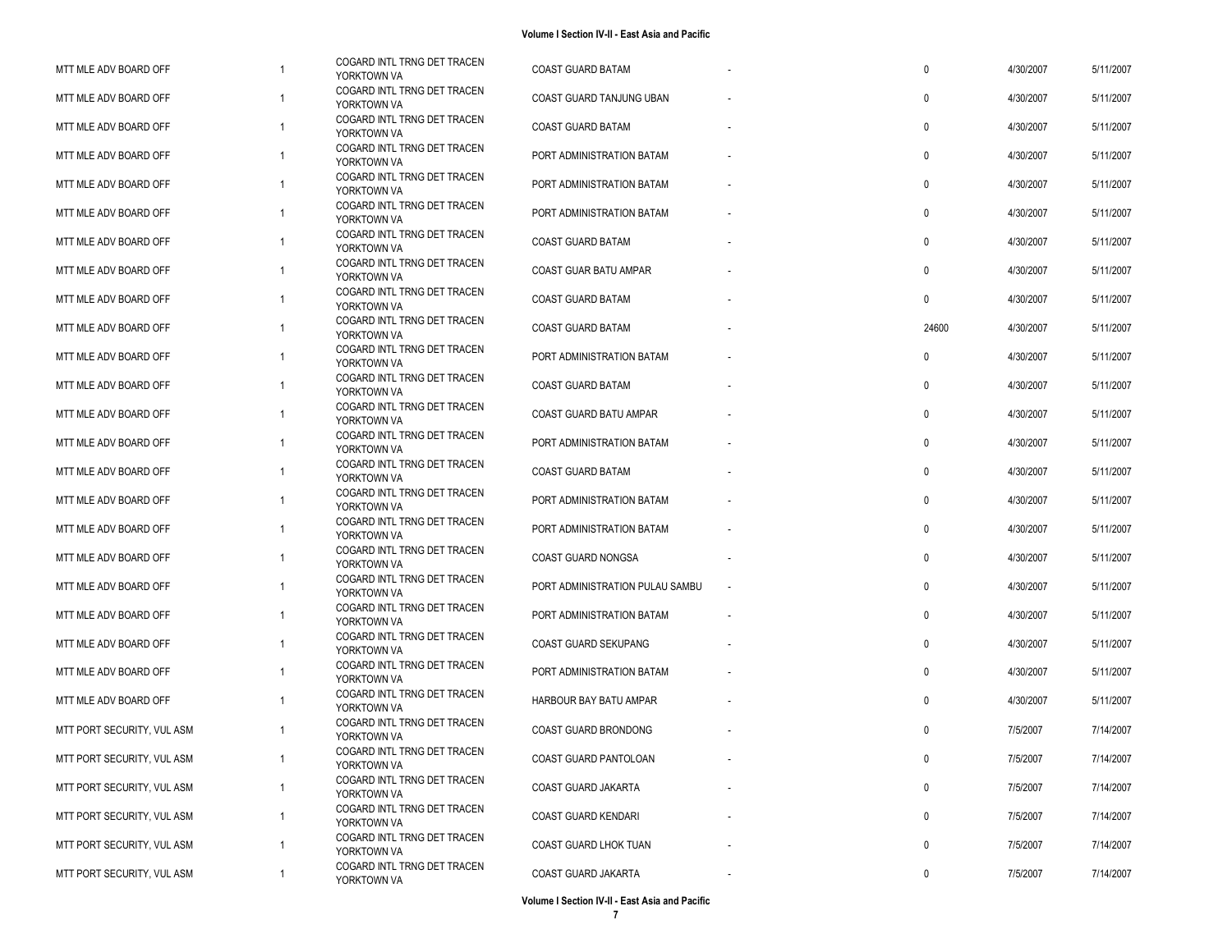| MTT MLE ADV BOARD OFF      | $\mathbf{1}$   | COGARD INTL TRNG DET TRACEN<br>YORKTOWN VA | <b>COAST GUARD BATAM</b>        | 0            | 4/30/2007 | 5/11/2007 |
|----------------------------|----------------|--------------------------------------------|---------------------------------|--------------|-----------|-----------|
| MTT MLE ADV BOARD OFF      | -1             | COGARD INTL TRNG DET TRACEN<br>YORKTOWN VA | COAST GUARD TANJUNG UBAN        | $\mathbf{0}$ | 4/30/2007 | 5/11/2007 |
| MTT MLE ADV BOARD OFF      | $\overline{1}$ | COGARD INTL TRNG DET TRACEN<br>YORKTOWN VA | <b>COAST GUARD BATAM</b>        | $\mathbf{0}$ | 4/30/2007 | 5/11/2007 |
| MTT MLE ADV BOARD OFF      | -1             | COGARD INTL TRNG DET TRACEN<br>YORKTOWN VA | PORT ADMINISTRATION BATAM       | $\mathbf{0}$ | 4/30/2007 | 5/11/2007 |
| MTT MLE ADV BOARD OFF      | $\overline{1}$ | COGARD INTL TRNG DET TRACEN<br>YORKTOWN VA | PORT ADMINISTRATION BATAM       | $\mathbf{0}$ | 4/30/2007 | 5/11/2007 |
| MTT MLE ADV BOARD OFF      | $\overline{1}$ | COGARD INTL TRNG DET TRACEN<br>YORKTOWN VA | PORT ADMINISTRATION BATAM       | $\mathbf{0}$ | 4/30/2007 | 5/11/2007 |
| MTT MLE ADV BOARD OFF      | $\mathbf{1}$   | COGARD INTL TRNG DET TRACEN<br>YORKTOWN VA | COAST GUARD BATAM               | 0            | 4/30/2007 | 5/11/2007 |
| MTT MLE ADV BOARD OFF      | $\overline{1}$ | COGARD INTL TRNG DET TRACEN<br>YORKTOWN VA | COAST GUAR BATU AMPAR           | 0            | 4/30/2007 | 5/11/2007 |
| MTT MLE ADV BOARD OFF      | $\overline{1}$ | COGARD INTL TRNG DET TRACEN<br>YORKTOWN VA | COAST GUARD BATAM               | $\mathbf{0}$ | 4/30/2007 | 5/11/2007 |
| MTT MLE ADV BOARD OFF      | $\overline{1}$ | COGARD INTL TRNG DET TRACEN<br>YORKTOWN VA | <b>COAST GUARD BATAM</b>        | 24600        | 4/30/2007 | 5/11/2007 |
| MTT MLE ADV BOARD OFF      | $\overline{1}$ | COGARD INTL TRNG DET TRACEN<br>YORKTOWN VA | PORT ADMINISTRATION BATAM       | $\mathbf{0}$ | 4/30/2007 | 5/11/2007 |
| MTT MLE ADV BOARD OFF      | $\overline{1}$ | COGARD INTL TRNG DET TRACEN<br>YORKTOWN VA | <b>COAST GUARD BATAM</b>        | $\mathbf{0}$ | 4/30/2007 | 5/11/2007 |
| MTT MLE ADV BOARD OFF      | $\overline{1}$ | COGARD INTL TRNG DET TRACEN<br>YORKTOWN VA | COAST GUARD BATU AMPAR          | 0            | 4/30/2007 | 5/11/2007 |
| MTT MLE ADV BOARD OFF      | $\overline{1}$ | COGARD INTL TRNG DET TRACEN<br>YORKTOWN VA | PORT ADMINISTRATION BATAM       | 0            | 4/30/2007 | 5/11/2007 |
| MTT MLE ADV BOARD OFF      | $\overline{1}$ | COGARD INTL TRNG DET TRACEN<br>YORKTOWN VA | <b>COAST GUARD BATAM</b>        | $\mathbf{0}$ | 4/30/2007 | 5/11/2007 |
| MTT MLE ADV BOARD OFF      | $\overline{1}$ | COGARD INTL TRNG DET TRACEN<br>YORKTOWN VA | PORT ADMINISTRATION BATAM       | $\mathbf{0}$ | 4/30/2007 | 5/11/2007 |
| MTT MLE ADV BOARD OFF      | $\overline{1}$ | COGARD INTL TRNG DET TRACEN<br>YORKTOWN VA | PORT ADMINISTRATION BATAM       | $\mathbf 0$  | 4/30/2007 | 5/11/2007 |
| MTT MLE ADV BOARD OFF      | $\overline{1}$ | COGARD INTL TRNG DET TRACEN<br>YORKTOWN VA | COAST GUARD NONGSA              | 0            | 4/30/2007 | 5/11/2007 |
| MTT MLE ADV BOARD OFF      | $\overline{1}$ | COGARD INTL TRNG DET TRACEN<br>YORKTOWN VA | PORT ADMINISTRATION PULAU SAMBU | $\mathbf 0$  | 4/30/2007 | 5/11/2007 |
| MTT MLE ADV BOARD OFF      | $\overline{1}$ | COGARD INTL TRNG DET TRACEN<br>YORKTOWN VA | PORT ADMINISTRATION BATAM       | 0            | 4/30/2007 | 5/11/2007 |
| MTT MLE ADV BOARD OFF      | $\mathbf{1}$   | COGARD INTL TRNG DET TRACEN<br>YORKTOWN VA | COAST GUARD SEKUPANG            | 0            | 4/30/2007 | 5/11/2007 |
| MTT MLE ADV BOARD OFF      | $\overline{1}$ | COGARD INTL TRNG DET TRACEN<br>YORKTOWN VA | PORT ADMINISTRATION BATAM       | 0            | 4/30/2007 | 5/11/2007 |
| MTT MLE ADV BOARD OFF      | -1             | COGARD INTL TRNG DET TRACEN<br>YORKTOWN VA | HARBOUR BAY BATU AMPAR          | $\mathbf{0}$ | 4/30/2007 | 5/11/2007 |
| MTT PORT SECURITY, VUL ASM | -1             | COGARD INTL TRNG DET TRACEN<br>YORKTOWN VA | COAST GUARD BRONDONG            | $\mathbf{0}$ | 7/5/2007  | 7/14/2007 |
| MTT PORT SECURITY, VUL ASM | 1              | COGARD INTL TRNG DET TRACEN<br>YORKTOWN VA | COAST GUARD PANTOLOAN           | 0            | 7/5/2007  | 7/14/2007 |
| MTT PORT SECURITY, VUL ASM | $\mathbf{1}$   | COGARD INTL TRNG DET TRACEN<br>YORKTOWN VA | COAST GUARD JAKARTA             | 0            | 7/5/2007  | 7/14/2007 |
| MTT PORT SECURITY, VUL ASM | $\mathbf{1}$   | COGARD INTL TRNG DET TRACEN<br>YORKTOWN VA | COAST GUARD KENDARI             | $\pmb{0}$    | 7/5/2007  | 7/14/2007 |
| MTT PORT SECURITY, VUL ASM | $\overline{1}$ | COGARD INTL TRNG DET TRACEN<br>YORKTOWN VA | COAST GUARD LHOK TUAN           | 0            | 7/5/2007  | 7/14/2007 |
| MTT PORT SECURITY, VUL ASM | $\mathbf{1}$   | COGARD INTL TRNG DET TRACEN<br>YORKTOWN VA | COAST GUARD JAKARTA             | 0            | 7/5/2007  | 7/14/2007 |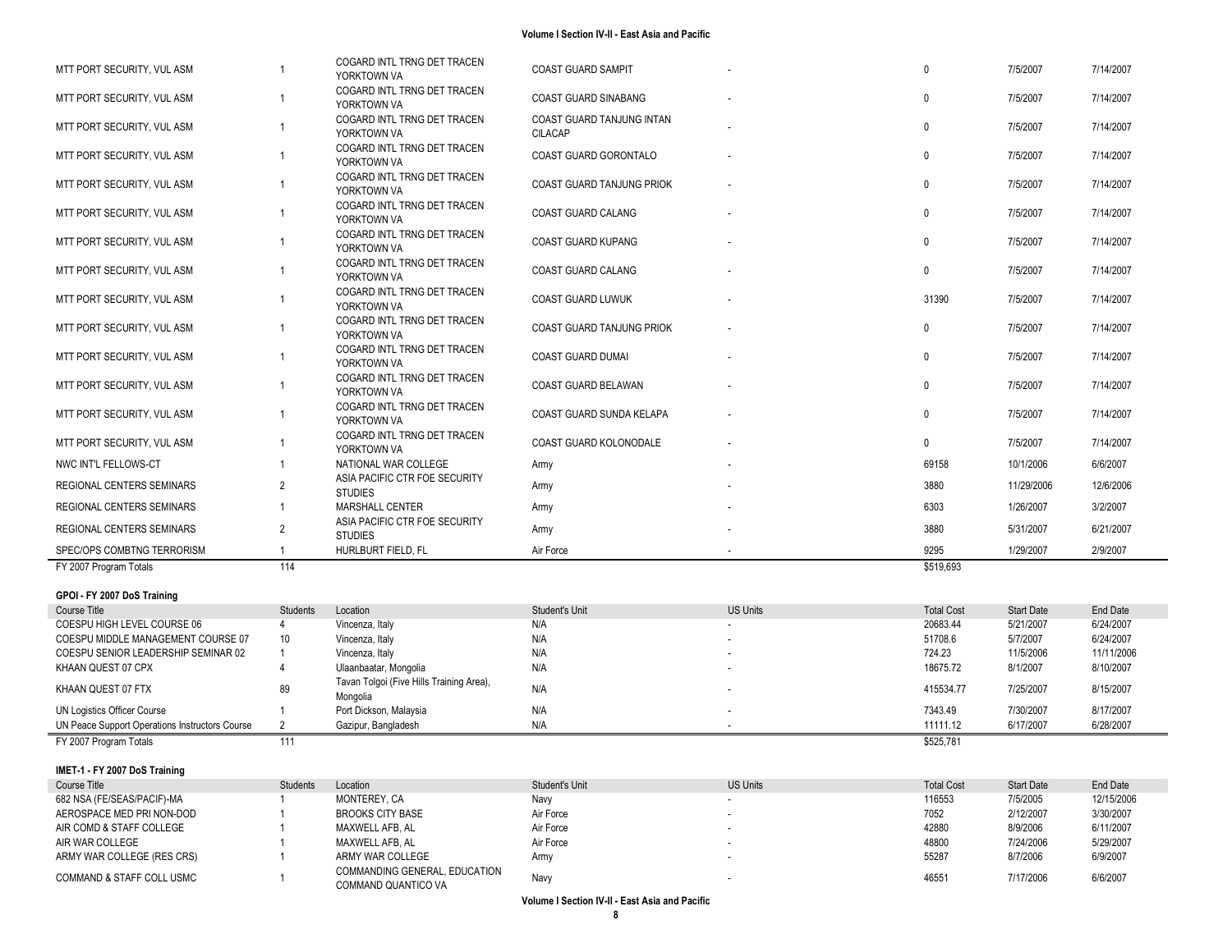| MTT PORT SECURITY, VUL ASM       |                | COGARD INTL TRNG DET TRACEN<br>YORKTOWN VA      | <b>COAST GUARD SAMPIT</b>            | $\Omega$  | 7/5/2007   | 7/14/2007 |
|----------------------------------|----------------|-------------------------------------------------|--------------------------------------|-----------|------------|-----------|
| MTT PORT SECURITY, VUL ASM       |                | COGARD INTL TRNG DET TRACEN<br>YORKTOWN VA      | <b>COAST GUARD SINABANG</b>          | $\Omega$  | 7/5/2007   | 7/14/2007 |
| MTT PORT SECURITY. VUL ASM       |                | COGARD INTL TRNG DET TRACEN<br>YORKTOWN VA      | COAST GUARD TANJUNG INTAN<br>CILACAP | $\Omega$  | 7/5/2007   | 7/14/2007 |
| MTT PORT SECURITY. VUL ASM       |                | COGARD INTL TRNG DET TRACEN<br>YORKTOWN VA      | COAST GUARD GORONTALO                | $\Omega$  | 7/5/2007   | 7/14/2007 |
| MTT PORT SECURITY, VUL ASM       |                | COGARD INTL TRNG DET TRACEN<br>YORKTOWN VA      | <b>COAST GUARD TANJUNG PRIOK</b>     | $\Omega$  | 7/5/2007   | 7/14/2007 |
| MTT PORT SECURITY. VUL ASM       |                | COGARD INTL TRNG DET TRACEN<br>YORKTOWN VA      | <b>COAST GUARD CALANG</b>            | $\Omega$  | 7/5/2007   | 7/14/2007 |
| MTT PORT SECURITY, VUL ASM       |                | COGARD INTL TRNG DET TRACEN<br>YORKTOWN VA      | <b>COAST GUARD KUPANG</b>            | $\Omega$  | 7/5/2007   | 7/14/2007 |
| MTT PORT SECURITY, VUL ASM       |                | COGARD INTL TRNG DET TRACEN<br>YORKTOWN VA      | COAST GUARD CALANG                   | $\Omega$  | 7/5/2007   | 7/14/2007 |
| MTT PORT SECURITY, VUL ASM       |                | COGARD INTL TRNG DET TRACEN<br>YORKTOWN VA      | <b>COAST GUARD LUWUK</b>             | 31390     | 7/5/2007   | 7/14/2007 |
| MTT PORT SECURITY, VUL ASM       |                | COGARD INTL TRNG DET TRACEN<br>YORKTOWN VA      | <b>COAST GUARD TANJUNG PRIOK</b>     | $\Omega$  | 7/5/2007   | 7/14/2007 |
| MTT PORT SECURITY, VUL ASM       |                | COGARD INTL TRNG DET TRACEN<br>YORKTOWN VA      | <b>COAST GUARD DUMAI</b>             | $\Omega$  | 7/5/2007   | 7/14/2007 |
| MTT PORT SECURITY, VUL ASM       |                | COGARD INTL TRNG DET TRACEN<br>YORKTOWN VA      | COAST GUARD BELAWAN                  | $\Omega$  | 7/5/2007   | 7/14/2007 |
| MTT PORT SECURITY, VUL ASM       |                | COGARD INTL TRNG DET TRACEN<br>YORKTOWN VA      | COAST GUARD SUNDA KELAPA             | $\Omega$  | 7/5/2007   | 7/14/2007 |
| MTT PORT SECURITY, VUL ASM       |                | COGARD INTL TRNG DET TRACEN<br>YORKTOWN VA      | COAST GUARD KOLONODALE               | $\Omega$  | 7/5/2007   | 7/14/2007 |
| NWC INT'L FELLOWS-CT             |                | NATIONAL WAR COLLEGE                            | Army                                 | 69158     | 10/1/2006  | 6/6/2007  |
| <b>REGIONAL CENTERS SEMINARS</b> | $\overline{2}$ | ASIA PACIFIC CTR FOE SECURITY<br><b>STUDIES</b> | Army                                 | 3880      | 11/29/2006 | 12/6/2006 |
| <b>REGIONAL CENTERS SEMINARS</b> |                | MARSHALL CENTER                                 | Army                                 | 6303      | 1/26/2007  | 3/2/2007  |
| <b>REGIONAL CENTERS SEMINARS</b> | $\overline{2}$ | ASIA PACIFIC CTR FOE SECURITY<br><b>STUDIES</b> | Army                                 | 3880      | 5/31/2007  | 6/21/2007 |
| SPEC/OPS COMBTNG TERRORISM       |                | HURLBURT FIELD. FL                              | Air Force                            | 9295      | 1/29/2007  | 2/9/2007  |
| FY 2007 Program Totals           | 114            |                                                 |                                      | \$519,693 |            |           |

#### **GPOI - FY 2007 DoS Training**

| Course Title                                   | Students        | Location                                             | Student's Unit | <b>US Units</b> | <b>Total Cost</b> | <b>Start Date</b> | End Date   |
|------------------------------------------------|-----------------|------------------------------------------------------|----------------|-----------------|-------------------|-------------------|------------|
| COESPU HIGH LEVEL COURSE 06                    |                 | Vincenza, Italy                                      | N/A            |                 | 20683.44          | 5/21/2007         | 6/24/2007  |
| COESPU MIDDLE MANAGEMENT COURSE 07             | 10 <sup>1</sup> | Vincenza, Italy                                      | N/A            |                 | 51708.6           | 5/7/2007          | 6/24/2007  |
| COESPU SENIOR LEADERSHIP SEMINAR 02            |                 | Vincenza, Italy                                      | N/A            |                 | 724.23            | 11/5/2006         | 11/11/2006 |
| KHAAN QUEST 07 CPX                             |                 | Ulaanbaatar, Mongolia                                | N/A            |                 | 18675.72          | 8/1/2007          | 8/10/2007  |
| KHAAN QUEST 07 FTX                             | 89              | Tavan Tolgoi (Five Hills Training Area),<br>Mongolia | N/A            |                 | 415534.77         | 7/25/2007         | 8/15/2007  |
| <b>UN Logistics Officer Course</b>             |                 | Port Dickson, Malaysia                               | N/A            |                 | 7343.49           | 7/30/2007         | 8/17/2007  |
| UN Peace Support Operations Instructors Course |                 | Gazipur, Bangladesh                                  | N/A            |                 | 11111.12          | 6/17/2007         | 6/28/2007  |
| FY 2007 Program Totals                         |                 |                                                      |                |                 | \$525.781         |                   |            |

### **IMET -1 - FY 2007 DoS Training**

| Course Title                         | <b>Students</b> | Location                                             | Student's Unit | <b>US Units</b> | <b>Total Cost</b> | <b>Start Date</b> | End Date   |
|--------------------------------------|-----------------|------------------------------------------------------|----------------|-----------------|-------------------|-------------------|------------|
| 682 NSA (FE/SEAS/PACIF)-MA           |                 | MONTEREY. CA                                         | Navy           |                 | 116553            | 7/5/2005          | 12/15/2006 |
| AEROSPACE MED PRI NON-DOD            |                 | <b>BROOKS CITY BASE</b>                              | Air Force      |                 | 7052              | 2/12/2007         | 3/30/2007  |
| AIR COMD & STAFF COLLEGE             |                 | MAXWELL AFB. AL                                      | Air Force      |                 | 42880             | 8/9/2006          | 6/11/2007  |
| AIR WAR COLLEGE                      |                 | MAXWELL AFB. AL                                      | Air Force      |                 | 48800             | 7/24/2006         | 5/29/2007  |
| ARMY WAR COLLEGE (RES CRS)           |                 | ARMY WAR COLLEGE                                     | <b>Arm</b>     |                 | 55287             | 8/7/2006          | 6/9/2007   |
| <b>COMMAND &amp; STAFF COLL USMC</b> |                 | COMMANDING GENERAL, EDUCATION<br>COMMAND QUANTICO VA | Navy           |                 | 46551             | 7/17/2006         | 6/6/2007   |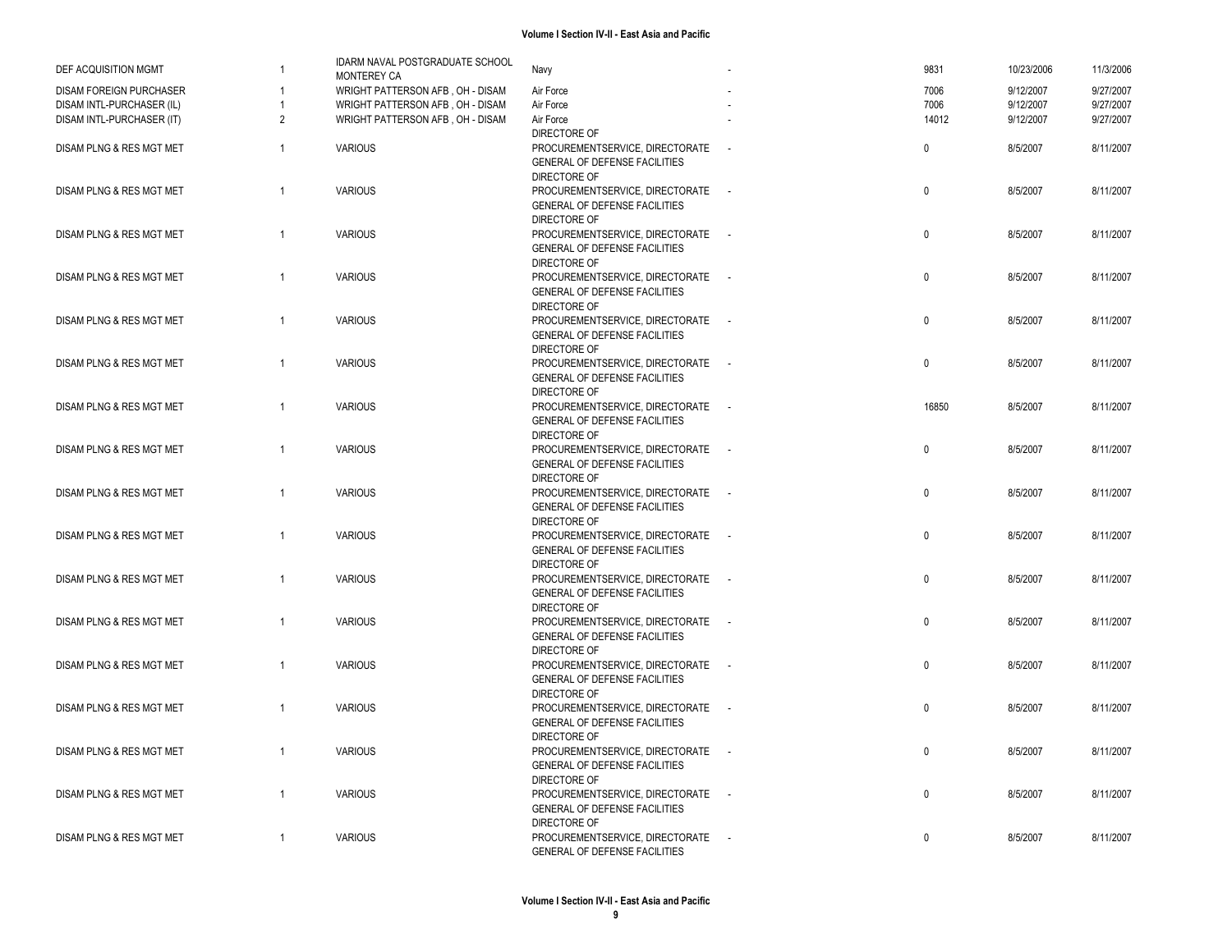| DEF ACQUISITION MGMT           | $\overline{1}$ | IDARM NAVAL POSTGRADUATE SCHOOL<br>MONTEREY CA | Navy                                 | 9831         | 10/23/2006 | 11/3/2006 |
|--------------------------------|----------------|------------------------------------------------|--------------------------------------|--------------|------------|-----------|
| <b>DISAM FOREIGN PURCHASER</b> |                | WRIGHT PATTERSON AFB, OH - DISAM               | Air Force                            | 7006         | 9/12/2007  | 9/27/2007 |
| DISAM INTL-PURCHASER (IL)      | $\overline{1}$ | WRIGHT PATTERSON AFB, OH - DISAM               | Air Force                            | 7006         | 9/12/2007  | 9/27/2007 |
|                                |                |                                                |                                      |              |            |           |
| DISAM INTL-PURCHASER (IT)      | $\overline{2}$ | WRIGHT PATTERSON AFB, OH - DISAM               | Air Force                            | 14012        | 9/12/2007  | 9/27/2007 |
|                                |                |                                                | DIRECTORE OF                         |              |            |           |
| DISAM PLNG & RES MGT MET       | $\overline{1}$ | <b>VARIOUS</b>                                 | PROCUREMENTSERVICE, DIRECTORATE      | $\pmb{0}$    | 8/5/2007   | 8/11/2007 |
|                                |                |                                                | GENERAL OF DEFENSE FACILITIES        |              |            |           |
|                                |                |                                                | DIRECTORE OF                         |              |            |           |
| DISAM PLNG & RES MGT MET       | $\overline{1}$ | <b>VARIOUS</b>                                 | PROCUREMENTSERVICE, DIRECTORATE      | $\pmb{0}$    | 8/5/2007   | 8/11/2007 |
|                                |                |                                                | GENERAL OF DEFENSE FACILITIES        |              |            |           |
|                                |                |                                                | DIRECTORE OF                         |              |            |           |
|                                | $\overline{1}$ | <b>VARIOUS</b>                                 |                                      | $\pmb{0}$    |            |           |
| DISAM PLNG & RES MGT MET       |                |                                                | PROCUREMENTSERVICE, DIRECTORATE      |              | 8/5/2007   | 8/11/2007 |
|                                |                |                                                | GENERAL OF DEFENSE FACILITIES        |              |            |           |
|                                |                |                                                | DIRECTORE OF                         |              |            |           |
| DISAM PLNG & RES MGT MET       | $\overline{1}$ | <b>VARIOUS</b>                                 | PROCUREMENTSERVICE, DIRECTORATE      | $\mathbf 0$  | 8/5/2007   | 8/11/2007 |
|                                |                |                                                | GENERAL OF DEFENSE FACILITIES        |              |            |           |
|                                |                |                                                | DIRECTORE OF                         |              |            |           |
| DISAM PLNG & RES MGT MET       | $\overline{1}$ | <b>VARIOUS</b>                                 | PROCUREMENTSERVICE, DIRECTORATE      | $\mathbf 0$  | 8/5/2007   | 8/11/2007 |
|                                |                |                                                | GENERAL OF DEFENSE FACILITIES        |              |            |           |
|                                |                |                                                | DIRECTORE OF                         |              |            |           |
| DISAM PLNG & RES MGT MET       | $\overline{1}$ | <b>VARIOUS</b>                                 | PROCUREMENTSERVICE, DIRECTORATE      | $\mathbf 0$  | 8/5/2007   | 8/11/2007 |
|                                |                |                                                |                                      |              |            |           |
|                                |                |                                                | GENERAL OF DEFENSE FACILITIES        |              |            |           |
|                                |                |                                                | DIRECTORE OF                         |              |            |           |
| DISAM PLNG & RES MGT MET       | $\overline{1}$ | <b>VARIOUS</b>                                 | PROCUREMENTSERVICE, DIRECTORATE      | 16850        | 8/5/2007   | 8/11/2007 |
|                                |                |                                                | GENERAL OF DEFENSE FACILITIES        |              |            |           |
|                                |                |                                                | DIRECTORE OF                         |              |            |           |
| DISAM PLNG & RES MGT MET       | $\overline{1}$ | <b>VARIOUS</b>                                 | PROCUREMENTSERVICE, DIRECTORATE      | 0            | 8/5/2007   | 8/11/2007 |
|                                |                |                                                | GENERAL OF DEFENSE FACILITIES        |              |            |           |
|                                |                |                                                | DIRECTORE OF                         |              |            |           |
|                                | $\overline{1}$ |                                                |                                      | $\pmb{0}$    |            |           |
| DISAM PLNG & RES MGT MET       |                | <b>VARIOUS</b>                                 | PROCUREMENTSERVICE, DIRECTORATE      |              | 8/5/2007   | 8/11/2007 |
|                                |                |                                                | GENERAL OF DEFENSE FACILITIES        |              |            |           |
|                                |                |                                                | DIRECTORE OF                         |              |            |           |
| DISAM PLNG & RES MGT MET       | $\overline{1}$ | <b>VARIOUS</b>                                 | PROCUREMENTSERVICE, DIRECTORATE      | $\mathbf 0$  | 8/5/2007   | 8/11/2007 |
|                                |                |                                                | GENERAL OF DEFENSE FACILITIES        |              |            |           |
|                                |                |                                                | DIRECTORE OF                         |              |            |           |
| DISAM PLNG & RES MGT MET       | $\overline{1}$ | <b>VARIOUS</b>                                 | PROCUREMENTSERVICE, DIRECTORATE      | $\mathbf 0$  | 8/5/2007   | 8/11/2007 |
|                                |                |                                                | GENERAL OF DEFENSE FACILITIES        |              |            |           |
|                                |                |                                                | DIRECTORE OF                         |              |            |           |
| DISAM PLNG & RES MGT MET       | $\overline{1}$ | <b>VARIOUS</b>                                 | PROCUREMENTSERVICE, DIRECTORATE      | $\mathbf 0$  | 8/5/2007   | 8/11/2007 |
|                                |                |                                                |                                      |              |            |           |
|                                |                |                                                | <b>GENERAL OF DEFENSE FACILITIES</b> |              |            |           |
|                                |                |                                                | DIRECTORE OF                         |              |            |           |
| DISAM PLNG & RES MGT MET       | $\overline{1}$ | <b>VARIOUS</b>                                 | PROCUREMENTSERVICE, DIRECTORATE      | $\mathsf{0}$ | 8/5/2007   | 8/11/2007 |
|                                |                |                                                | GENERAL OF DEFENSE FACILITIES        |              |            |           |
|                                |                |                                                | DIRECTORE OF                         |              |            |           |
| DISAM PLNG & RES MGT MET       | $\overline{1}$ | <b>VARIOUS</b>                                 | PROCUREMENTSERVICE, DIRECTORATE      | $\mathbf 0$  | 8/5/2007   | 8/11/2007 |
|                                |                |                                                | GENERAL OF DEFENSE FACILITIES        |              |            |           |
|                                |                |                                                | DIRECTORE OF                         |              |            |           |
| DISAM PLNG & RES MGT MET       | $\overline{1}$ | <b>VARIOUS</b>                                 | PROCUREMENTSERVICE, DIRECTORATE      | $\mathbf 0$  | 8/5/2007   | 8/11/2007 |
|                                |                |                                                | GENERAL OF DEFENSE FACILITIES        |              |            |           |
|                                |                |                                                |                                      |              |            |           |
|                                |                |                                                | DIRECTORE OF                         |              |            |           |
| DISAM PLNG & RES MGT MET       | $\overline{1}$ | <b>VARIOUS</b>                                 | PROCUREMENTSERVICE, DIRECTORATE      | 0            | 8/5/2007   | 8/11/2007 |
|                                |                |                                                | GENERAL OF DEFENSE FACILITIES        |              |            |           |
|                                |                |                                                | DIRECTORE OF                         |              |            |           |
| DISAM PLNG & RES MGT MET       | $\overline{1}$ | <b>VARIOUS</b>                                 | PROCUREMENTSERVICE, DIRECTORATE      | $\mathbf 0$  | 8/5/2007   | 8/11/2007 |
|                                |                |                                                | GENERAL OF DEFENSE FACILITIES        |              |            |           |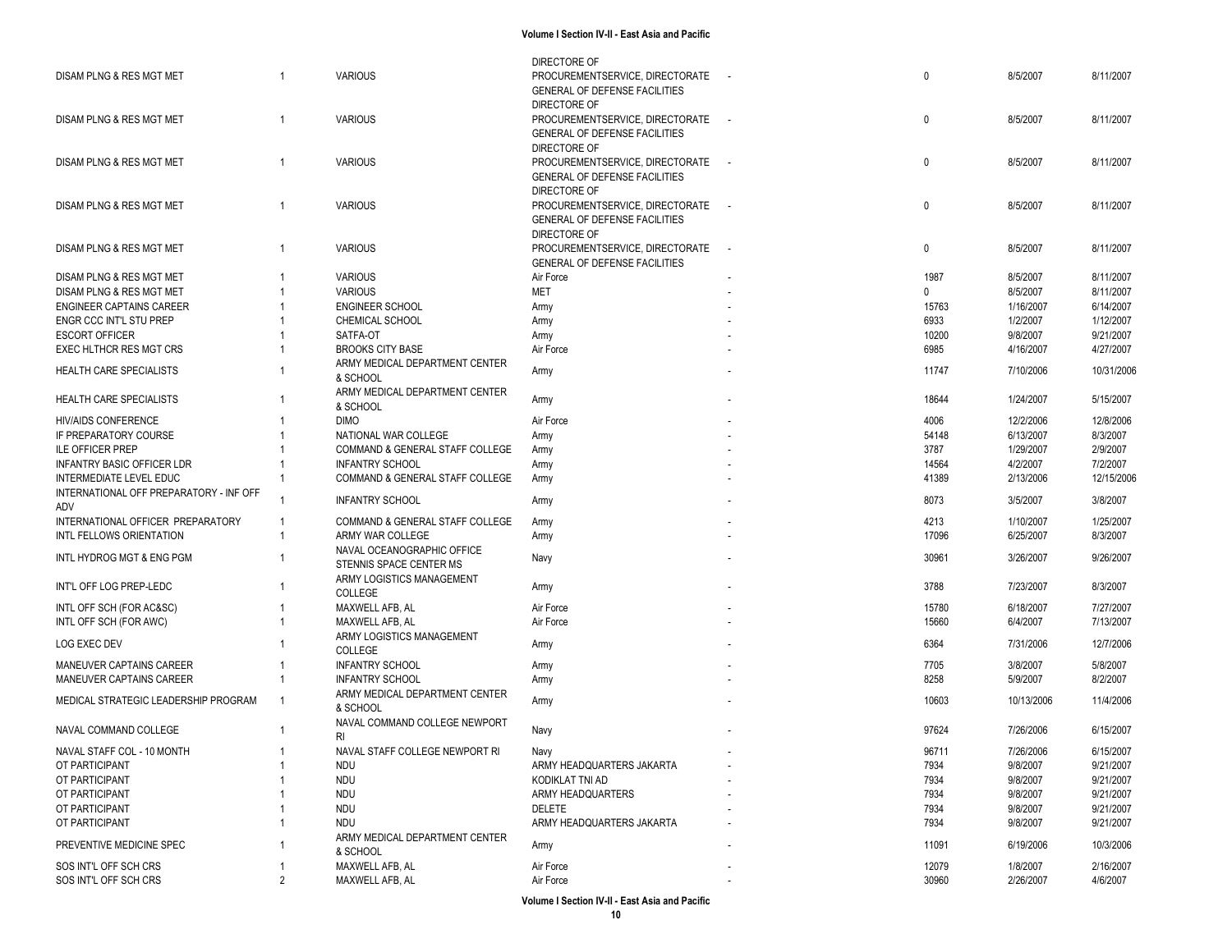|                                         |                |                                 | DIRECTORE OF                         |                          |              |            |            |
|-----------------------------------------|----------------|---------------------------------|--------------------------------------|--------------------------|--------------|------------|------------|
| DISAM PLNG & RES MGT MET                |                | <b>VARIOUS</b>                  | PROCUREMENTSERVICE, DIRECTORATE      |                          | 0            | 8/5/2007   | 8/11/2007  |
|                                         |                |                                 | GENERAL OF DEFENSE FACILITIES        |                          |              |            |            |
|                                         |                |                                 | DIRECTORE OF                         |                          |              |            |            |
|                                         |                |                                 |                                      |                          |              |            |            |
| DISAM PLNG & RES MGT MET                | $\overline{1}$ | <b>VARIOUS</b>                  | PROCUREMENTSERVICE, DIRECTORATE      |                          | $\mathbf 0$  | 8/5/2007   | 8/11/2007  |
|                                         |                |                                 | <b>GENERAL OF DEFENSE FACILITIES</b> |                          |              |            |            |
|                                         |                |                                 | DIRECTORE OF                         |                          |              |            |            |
| DISAM PLNG & RES MGT MET                | $\overline{1}$ | <b>VARIOUS</b>                  | PROCUREMENTSERVICE, DIRECTORATE      |                          | $\mathbf 0$  | 8/5/2007   | 8/11/2007  |
|                                         |                |                                 | <b>GENERAL OF DEFENSE FACILITIES</b> |                          |              |            |            |
|                                         |                |                                 |                                      |                          |              |            |            |
|                                         |                |                                 | DIRECTORE OF                         |                          |              |            |            |
| DISAM PLNG & RES MGT MET                |                | <b>VARIOUS</b>                  | PROCUREMENTSERVICE, DIRECTORATE      |                          | 0            | 8/5/2007   | 8/11/2007  |
|                                         |                |                                 | GENERAL OF DEFENSE FACILITIES        |                          |              |            |            |
|                                         |                |                                 | DIRECTORE OF                         |                          |              |            |            |
| DISAM PLNG & RES MGT MET                | $\overline{1}$ | <b>VARIOUS</b>                  | PROCUREMENTSERVICE, DIRECTORATE      | $\overline{\phantom{a}}$ | $\mathbf 0$  | 8/5/2007   | 8/11/2007  |
|                                         |                |                                 | <b>GENERAL OF DEFENSE FACILITIES</b> |                          |              |            |            |
|                                         |                |                                 |                                      |                          |              |            |            |
| DISAM PLNG & RES MGT MET                |                | <b>VARIOUS</b>                  | Air Force                            |                          | 1987         | 8/5/2007   | 8/11/2007  |
| DISAM PLNG & RES MGT MET                |                | <b>VARIOUS</b>                  | <b>MET</b>                           |                          | $\mathbf{0}$ | 8/5/2007   | 8/11/2007  |
| <b>ENGINEER CAPTAINS CAREER</b>         |                | <b>ENGINEER SCHOOL</b>          | Army                                 |                          | 15763        | 1/16/2007  | 6/14/2007  |
| ENGR CCC INT'L STU PREP                 |                | CHEMICAL SCHOOL                 | Army                                 |                          | 6933         | 1/2/2007   | 1/12/2007  |
| <b>ESCORT OFFICER</b>                   |                | SATFA-OT                        | Army                                 |                          | 10200        | 9/8/2007   | 9/21/2007  |
|                                         |                |                                 |                                      |                          |              |            |            |
| EXEC HLTHCR RES MGT CRS                 |                | <b>BROOKS CITY BASE</b>         | Air Force                            |                          | 6985         | 4/16/2007  | 4/27/2007  |
| <b>HEALTH CARE SPECIALISTS</b>          |                | ARMY MEDICAL DEPARTMENT CENTER  | Army                                 |                          | 11747        | 7/10/2006  | 10/31/2006 |
|                                         |                | & SCHOOL                        |                                      |                          |              |            |            |
|                                         |                | ARMY MEDICAL DEPARTMENT CENTER  |                                      |                          |              |            |            |
| HEALTH CARE SPECIALISTS                 |                | & SCHOOL                        | Army                                 |                          | 18644        | 1/24/2007  | 5/15/2007  |
|                                         |                | <b>DIMO</b>                     |                                      |                          | 4006         | 12/2/2006  | 12/8/2006  |
| <b>HIV/AIDS CONFERENCE</b>              |                |                                 | Air Force                            |                          |              |            |            |
| IF PREPARATORY COURSE                   |                | NATIONAL WAR COLLEGE            | Army                                 |                          | 54148        | 6/13/2007  | 8/3/2007   |
| <b>ILE OFFICER PREP</b>                 |                | COMMAND & GENERAL STAFF COLLEGE | Army                                 |                          | 3787         | 1/29/2007  | 2/9/2007   |
| <b>INFANTRY BASIC OFFICER LDR</b>       |                | <b>INFANTRY SCHOOL</b>          | Army                                 |                          | 14564        | 4/2/2007   | 7/2/2007   |
| INTERMEDIATE LEVEL EDUC                 |                | COMMAND & GENERAL STAFF COLLEGE | Army                                 |                          | 41389        | 2/13/2006  | 12/15/2006 |
| INTERNATIONAL OFF PREPARATORY - INF OFF |                |                                 |                                      |                          |              |            |            |
|                                         |                | <b>INFANTRY SCHOOL</b>          | Army                                 |                          | 8073         | 3/5/2007   | 3/8/2007   |
| ADV                                     |                |                                 |                                      |                          |              |            |            |
| INTERNATIONAL OFFICER PREPARATORY       | -1             | COMMAND & GENERAL STAFF COLLEGE | Army                                 |                          | 4213         | 1/10/2007  | 1/25/2007  |
| INTL FELLOWS ORIENTATION                |                | ARMY WAR COLLEGE                | Army                                 |                          | 17096        | 6/25/2007  | 8/3/2007   |
|                                         |                | NAVAL OCEANOGRAPHIC OFFICE      |                                      |                          |              |            |            |
| INTL HYDROG MGT & ENG PGM               |                | STENNIS SPACE CENTER MS         | Navy                                 |                          | 30961        | 3/26/2007  | 9/26/2007  |
|                                         |                | ARMY LOGISTICS MANAGEMENT       |                                      |                          |              |            |            |
| INT'L OFF LOG PREP-LEDC                 |                | COLLEGE                         | Army                                 |                          | 3788         | 7/23/2007  | 8/3/2007   |
|                                         |                |                                 |                                      |                          |              |            |            |
| INTL OFF SCH (FOR AC&SC)                |                | MAXWELL AFB, AL                 | Air Force                            |                          | 15780        | 6/18/2007  | 7/27/2007  |
| INTL OFF SCH (FOR AWC)                  |                | MAXWELL AFB, AL                 | Air Force                            |                          | 15660        | 6/4/2007   | 7/13/2007  |
|                                         |                | ARMY LOGISTICS MANAGEMENT       |                                      |                          |              |            |            |
| LOG EXEC DEV                            |                | COLLEGE                         | Army                                 |                          | 6364         | 7/31/2006  | 12/7/2006  |
| MANEUVER CAPTAINS CAREER                |                | <b>INFANTRY SCHOOL</b>          | Army                                 |                          | 7705         | 3/8/2007   | 5/8/2007   |
| MANEUVER CAPTAINS CAREER                |                | <b>INFANTRY SCHOOL</b>          |                                      |                          | 8258         | 5/9/2007   | 8/2/2007   |
|                                         |                |                                 | Army                                 |                          |              |            |            |
| MEDICAL STRATEGIC LEADERSHIP PROGRAM    | $\overline{1}$ | ARMY MEDICAL DEPARTMENT CENTER  | Army                                 |                          | 10603        | 10/13/2006 | 11/4/2006  |
|                                         |                | & SCHOOL                        |                                      |                          |              |            |            |
|                                         |                | NAVAL COMMAND COLLEGE NEWPORT   |                                      |                          |              |            |            |
| NAVAL COMMAND COLLEGE                   |                | RI                              | Navy                                 |                          | 97624        | 7/26/2006  | 6/15/2007  |
| NAVAL STAFF COL - 10 MONTH              |                | NAVAL STAFF COLLEGE NEWPORT RI  |                                      |                          | 96711        | 7/26/2006  | 6/15/2007  |
|                                         |                |                                 | Navy                                 |                          |              |            |            |
| OT PARTICIPANT                          |                | <b>NDU</b>                      | ARMY HEADQUARTERS JAKARTA            |                          | 7934         | 9/8/2007   | 9/21/2007  |
| OT PARTICIPANT                          |                | <b>NDU</b>                      | KODIKLAT TNI AD                      |                          | 7934         | 9/8/2007   | 9/21/2007  |
| OT PARTICIPANT                          |                | <b>NDU</b>                      | ARMY HEADQUARTERS                    |                          | 7934         | 9/8/2007   | 9/21/2007  |
| OT PARTICIPANT                          |                | <b>NDU</b>                      | DELETE                               |                          | 7934         | 9/8/2007   | 9/21/2007  |
| OT PARTICIPANT                          |                | <b>NDU</b>                      | ARMY HEADQUARTERS JAKARTA            |                          | 7934         | 9/8/2007   | 9/21/2007  |
|                                         |                |                                 |                                      |                          |              |            |            |
| PREVENTIVE MEDICINE SPEC                |                | ARMY MEDICAL DEPARTMENT CENTER  | Army                                 |                          | 11091        | 6/19/2006  | 10/3/2006  |
|                                         |                | & SCHOOL                        |                                      |                          |              |            |            |
| SOS INT'L OFF SCH CRS                   |                | MAXWELL AFB, AL                 | Air Force                            |                          | 12079        | 1/8/2007   | 2/16/2007  |
| SOS INT'L OFF SCH CRS                   | 2              | MAXWELL AFB, AL                 | Air Force                            |                          | 30960        | 2/26/2007  | 4/6/2007   |
|                                         |                |                                 |                                      |                          |              |            |            |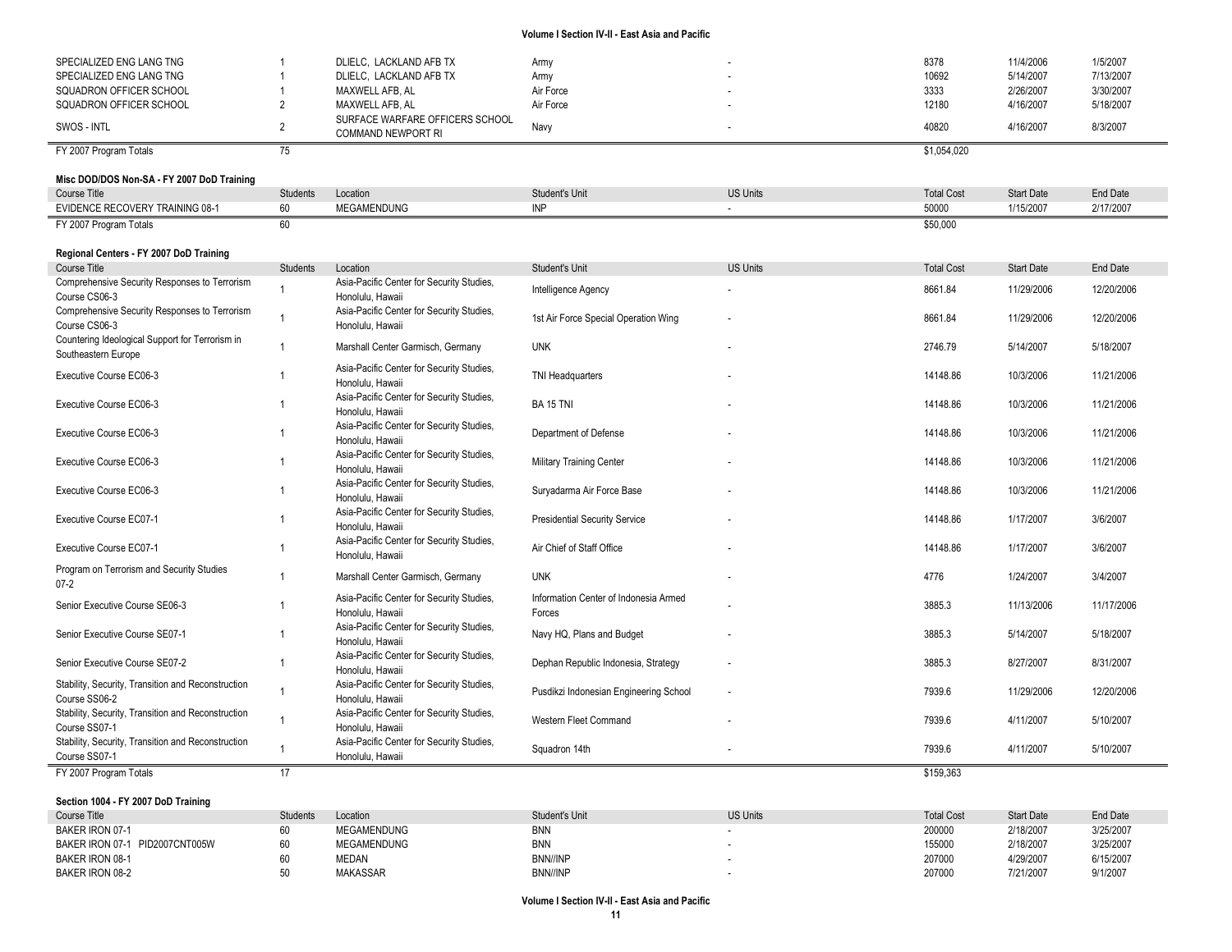| SPECIALIZED ENG LANG TNG | DLIELC. LACKLAND AFB TX                               | Army      | 8378        | 11/4/2006 | 1/5/2007  |
|--------------------------|-------------------------------------------------------|-----------|-------------|-----------|-----------|
| SPECIALIZED ENG LANG TNG | DLIELC. LACKLAND AFB TX                               | Army      | 10692       | 5/14/2007 | 7/13/2007 |
| SQUADRON OFFICER SCHOOL  | MAXWELL AFB. AL                                       | Air Force | 3333        | 2/26/2007 | 3/30/2007 |
| SQUADRON OFFICER SCHOOL  | MAXWELL AFB. AL                                       | Air Force | 12180       | 4/16/2007 | 5/18/2007 |
| SWOS - INTL              | SURFACE WARFARE OFFICERS SCHOOL<br>COMMAND NEWPORT RI | Navy      | 40820       | 4/16/2007 | 8/3/2007  |
| FY 2007 Program Totals   |                                                       |           | \$1.054.020 |           |           |

## **Misc DOD/DOS Non-SA - FY 2007 DoD Training**

| <b>Course Title</b>                    | Students | Location<br>.      | Student's Unit | <b>US Units</b> | <b>Total Cost</b> | <b>Start Date</b> | <b>End Date</b> |
|----------------------------------------|----------|--------------------|----------------|-----------------|-------------------|-------------------|-----------------|
| <b>EVIDENCE RECOVERY TRAINING 08-1</b> |          | <b>MEGAMENDUNG</b> |                |                 | 50000             | 1/15/2007         | 2/17/2007       |
| FY 2007 Program Totals                 |          |                    |                |                 | \$50,000          |                   |                 |

### **Regional Centers - FY 2007 DoD Training**

| Course Title                                                           | <b>Students</b> | Location                                                      | Student's Unit                                  | <b>US Units</b> | <b>Total Cost</b> | <b>Start Date</b> | End Date   |
|------------------------------------------------------------------------|-----------------|---------------------------------------------------------------|-------------------------------------------------|-----------------|-------------------|-------------------|------------|
| Comprehensive Security Responses to Terrorism<br>Course CS06-3         |                 | Asia-Pacific Center for Security Studies,<br>Honolulu, Hawaii | Intelligence Agency                             |                 | 8661.84           | 11/29/2006        | 12/20/2006 |
| Comprehensive Security Responses to Terrorism<br>Course CS06-3         |                 | Asia-Pacific Center for Security Studies,<br>Honolulu, Hawaii | 1st Air Force Special Operation Wing            |                 | 8661.84           | 11/29/2006        | 12/20/2006 |
| Countering Ideological Support for Terrorism in<br>Southeastern Europe |                 | Marshall Center Garmisch, Germany                             | <b>UNK</b>                                      |                 | 2746.79           | 5/14/2007         | 5/18/2007  |
| Executive Course EC06-3                                                |                 | Asia-Pacific Center for Security Studies,<br>Honolulu, Hawaii | <b>TNI Headquarters</b>                         |                 | 14148.86          | 10/3/2006         | 11/21/2006 |
| Executive Course EC06-3                                                |                 | Asia-Pacific Center for Security Studies,<br>Honolulu, Hawaii | <b>BA 15 TNI</b>                                |                 | 14148.86          | 10/3/2006         | 11/21/2006 |
| Executive Course EC06-3                                                |                 | Asia-Pacific Center for Security Studies,<br>Honolulu, Hawaii | Department of Defense                           |                 | 14148.86          | 10/3/2006         | 11/21/2006 |
| Executive Course EC06-3                                                |                 | Asia-Pacific Center for Security Studies,<br>Honolulu, Hawaii | <b>Military Training Center</b>                 |                 | 14148.86          | 10/3/2006         | 11/21/2006 |
| Executive Course EC06-3                                                |                 | Asia-Pacific Center for Security Studies,<br>Honolulu, Hawaii | Suryadarma Air Force Base                       |                 | 14148.86          | 10/3/2006         | 11/21/2006 |
| <b>Executive Course EC07-1</b>                                         |                 | Asia-Pacific Center for Security Studies,<br>Honolulu. Hawaii | <b>Presidential Security Service</b>            |                 | 14148.86          | 1/17/2007         | 3/6/2007   |
| Executive Course EC07-1                                                |                 | Asia-Pacific Center for Security Studies,<br>Honolulu, Hawaii | Air Chief of Staff Office                       |                 | 14148.86          | 1/17/2007         | 3/6/2007   |
| Program on Terrorism and Security Studies<br>$07 - 2$                  |                 | Marshall Center Garmisch, Germany                             | <b>UNK</b>                                      |                 | 4776              | 1/24/2007         | 3/4/2007   |
| Senior Executive Course SE06-3                                         |                 | Asia-Pacific Center for Security Studies,<br>Honolulu, Hawaii | Information Center of Indonesia Armed<br>Forces |                 | 3885.3            | 11/13/2006        | 11/17/2006 |
| Senior Executive Course SE07-1                                         |                 | Asia-Pacific Center for Security Studies,<br>Honolulu, Hawaii | Navy HQ, Plans and Budget                       |                 | 3885.3            | 5/14/2007         | 5/18/2007  |
| Senior Executive Course SE07-2                                         |                 | Asia-Pacific Center for Security Studies,<br>Honolulu, Hawaii | Dephan Republic Indonesia, Strategy             |                 | 3885.3            | 8/27/2007         | 8/31/2007  |
| Stability, Security, Transition and Reconstruction<br>Course SS06-2    |                 | Asia-Pacific Center for Security Studies,<br>Honolulu, Hawaii | Pusdikzi Indonesian Engineering School          | $\sim$          | 7939.6            | 11/29/2006        | 12/20/2006 |
| Stability, Security, Transition and Reconstruction<br>Course SS07-1    |                 | Asia-Pacific Center for Security Studies,<br>Honolulu, Hawaii | Western Fleet Command                           |                 | 7939.6            | 4/11/2007         | 5/10/2007  |
| Stability, Security, Transition and Reconstruction<br>Course SS07-1    |                 | Asia-Pacific Center for Security Studies,<br>Honolulu, Hawaii | Squadron 14th                                   |                 | 7939.6            | 4/11/2007         | 5/10/2007  |
| FY 2007 Program Totals                                                 | 17              |                                                               |                                                 |                 | \$159,363         |                   |            |

### **Section 1004 - FY 2007 DoD Training**

| Course Title                      | <b>Students</b> | Location           | Student's Unit  | <b>US Units</b> | <b>Total Cost</b> | <b>Start Date</b> | End Date  |
|-----------------------------------|-----------------|--------------------|-----------------|-----------------|-------------------|-------------------|-----------|
| BAKER IRON 07-1                   |                 | <b>MEGAMENDUNG</b> | <b>BNN</b>      |                 | 200000            | 2/18/2007         | 3/25/2007 |
| PID2007CNT005W<br>BAKER IRON 07-1 |                 | <b>MEGAMENDUNG</b> | <b>BNN</b>      |                 | 155000            | 2/18/2007         | 3/25/2007 |
| BAKER IRON 08-1                   |                 | MEDAN              | BNN//INP        |                 | 207000            | 4/29/2007         | 6/15/2007 |
| BAKER IRON 08-2                   |                 | <b>MAKASSAR</b>    | <b>BNN//INP</b> |                 | 207000            | 7/21/2007         | 9/1/2007  |
|                                   |                 |                    |                 |                 |                   |                   |           |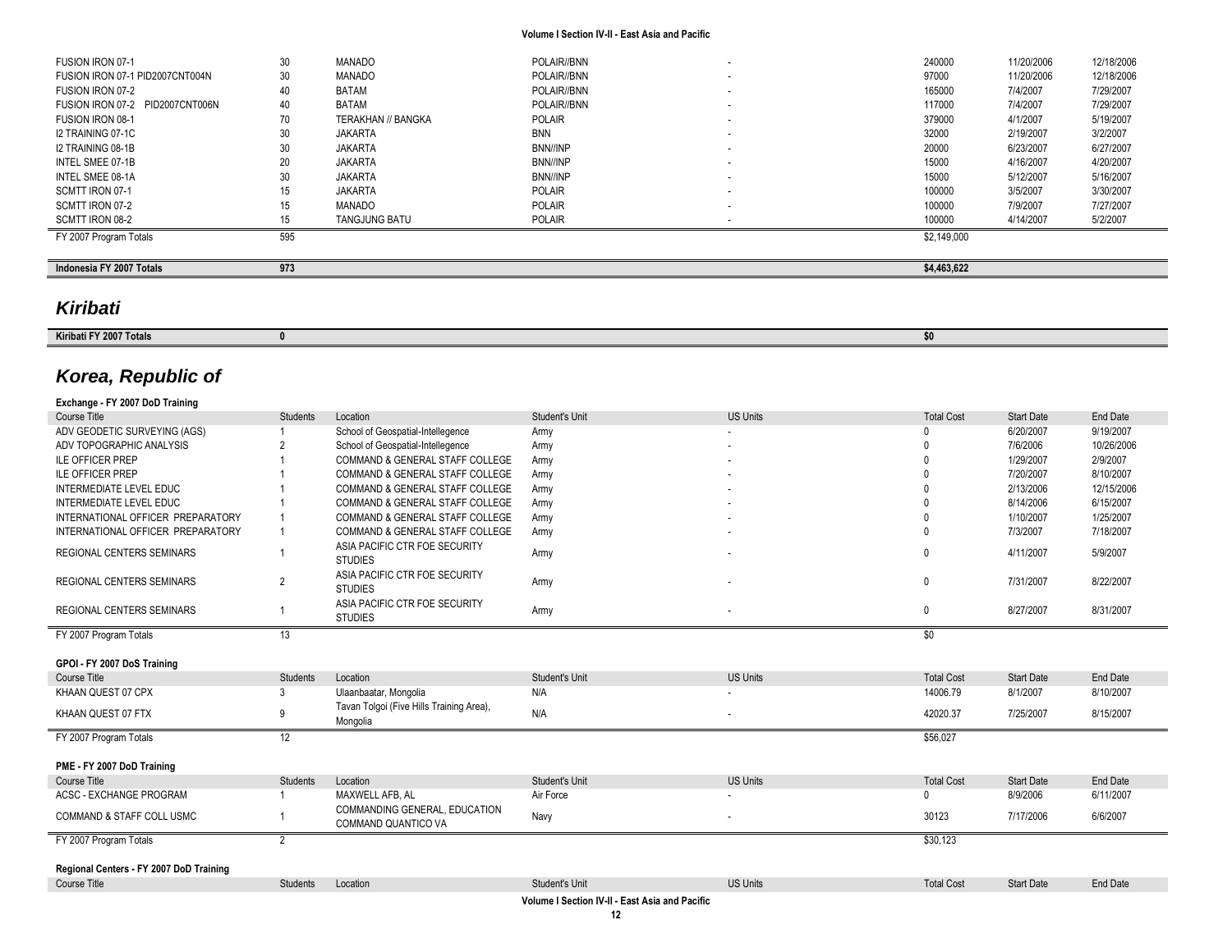| Indonesia FY 2007 Totals        | 973 |                      |               | \$4,463,622 |            |            |
|---------------------------------|-----|----------------------|---------------|-------------|------------|------------|
|                                 |     |                      |               |             |            |            |
| FY 2007 Program Totals          | 595 |                      |               | \$2,149,000 |            |            |
| SCMTT IRON 08-2                 |     | <b>TANGJUNG BATU</b> | POLAIR        | 100000      | 4/14/2007  | 5/2/2007   |
| SCMTT IRON 07-2                 | 15  | MANADO               | <b>POLAIR</b> | 100000      | 7/9/2007   | 7/27/2007  |
| SCMTT IRON 07-1                 |     | <b>JAKARTA</b>       | <b>POLAIR</b> | 100000      | 3/5/2007   | 3/30/2007  |
| INTEL SMEE 08-1A                | 30  | <b>JAKARTA</b>       | BNN//INP      | 15000       | 5/12/2007  | 5/16/2007  |
| INTEL SMEE 07-1B                | 20  | <b>JAKARTA</b>       | BNN//INP      | 15000       | 4/16/2007  | 4/20/2007  |
| I2 TRAINING 08-1B               | 30  | JAKARTA              | BNN//INP      | 20000       | 6/23/2007  | 6/27/2007  |
| I2 TRAINING 07-1C               | 30  | JAKARTA              | <b>BNN</b>    | 32000       | 2/19/2007  | 3/2/2007   |
| FUSION IRON 08-1                | 70  | TERAKHAN // BANGKA   | <b>POLAIR</b> | 379000      | 4/1/2007   | 5/19/2007  |
| FUSION IRON 07-2 PID2007CNT006N | 40  | <b>BATAM</b>         | POLAIR//BNN   | 117000      | 7/4/2007   | 7/29/2007  |
| FUSION IRON 07-2                |     | <b>BATAM</b>         | POLAIR//BNN   | 165000      | 7/4/2007   | 7/29/2007  |
| FUSION IRON 07-1 PID2007CNT004N | 30  | MANADO               | POLAIR//BNN   | 97000       | 11/20/2006 | 12/18/2006 |
| FUSION IRON 07-1                | 30  | <b>MANADO</b>        | POLAIR//BNN   | 240000      | 11/20/2006 | 12/18/2006 |
|                                 |     |                      |               |             |            |            |

# *Kiribati*

| Kiribati<br>יוגזה ו |  |  |  |  |
|---------------------|--|--|--|--|
|                     |  |  |  |  |

## *Korea, Republic of*

| Exchange - FY 2007 DoD Training                                |                 |                                                      |                       |                 |                   |                   |                 |
|----------------------------------------------------------------|-----------------|------------------------------------------------------|-----------------------|-----------------|-------------------|-------------------|-----------------|
| Course Title                                                   | <b>Students</b> | Location                                             | Student's Unit        | <b>US Units</b> | <b>Total Cost</b> | <b>Start Date</b> | End Date        |
| ADV GEODETIC SURVEYING (AGS)                                   |                 | School of Geospatial-Intellegence                    | Army                  |                 |                   | 6/20/2007         | 9/19/2007       |
| ADV TOPOGRAPHIC ANALYSIS                                       |                 | School of Geospatial-Intellegence                    | Army                  |                 |                   | 7/6/2006          | 10/26/2006      |
| <b>ILE OFFICER PREP</b>                                        |                 | COMMAND & GENERAL STAFF COLLEGE                      | Army                  |                 |                   | 1/29/2007         | 2/9/2007        |
| <b>ILE OFFICER PREP</b>                                        |                 | COMMAND & GENERAL STAFF COLLEGE                      | Army                  |                 |                   | 7/20/2007         | 8/10/2007       |
| INTERMEDIATE LEVEL EDUC                                        |                 | <b>COMMAND &amp; GENERAL STAFF COLLEGE</b>           | Army                  |                 |                   | 2/13/2006         | 12/15/2006      |
| INTERMEDIATE LEVEL EDUC                                        |                 | <b>COMMAND &amp; GENERAL STAFF COLLEGE</b>           | Army                  |                 |                   | 8/14/2006         | 6/15/2007       |
| INTERNATIONAL OFFICER PREPARATORY                              |                 | COMMAND & GENERAL STAFF COLLEGE                      | Army                  |                 |                   | 1/10/2007         | 1/25/2007       |
| INTERNATIONAL OFFICER PREPARATORY                              |                 | <b>COMMAND &amp; GENERAL STAFF COLLEGE</b>           | Army                  |                 |                   | 7/3/2007          | 7/18/2007       |
| <b>REGIONAL CENTERS SEMINARS</b>                               |                 | ASIA PACIFIC CTR FOE SECURITY<br><b>STUDIES</b>      | Army                  |                 |                   | 4/11/2007         | 5/9/2007        |
| <b>REGIONAL CENTERS SEMINARS</b>                               | $\overline{2}$  | ASIA PACIFIC CTR FOE SECURITY<br><b>STUDIES</b>      | Army                  |                 | $\Omega$          | 7/31/2007         | 8/22/2007       |
| <b>REGIONAL CENTERS SEMINARS</b>                               |                 | ASIA PACIFIC CTR FOE SECURITY<br><b>STUDIES</b>      | Army                  |                 | 0                 | 8/27/2007         | 8/31/2007       |
| FY 2007 Program Totals                                         | 13              |                                                      |                       |                 | \$0               |                   |                 |
|                                                                |                 |                                                      |                       |                 |                   |                   |                 |
| GPOI - FY 2007 DoS Training                                    |                 |                                                      |                       |                 |                   |                   |                 |
| Course Title                                                   | Students        | Location                                             | Student's Unit        | <b>US Units</b> | <b>Total Cost</b> | <b>Start Date</b> | End Date        |
| KHAAN QUEST 07 CPX                                             | 3               | Ulaanbaatar, Mongolia                                | N/A                   |                 | 14006.79          | 8/1/2007          | 8/10/2007       |
| KHAAN QUEST 07 FTX                                             | 9               | Tavan Tolgoi (Five Hills Training Area),<br>Mongolia | N/A                   |                 | 42020.37          | 7/25/2007         | 8/15/2007       |
| FY 2007 Program Totals                                         | 12              |                                                      |                       |                 | \$56,027          |                   |                 |
| PME - FY 2007 DoD Training                                     |                 |                                                      |                       |                 |                   |                   |                 |
| Course Title                                                   | <b>Students</b> | Location                                             | Student's Unit        | <b>US Units</b> | <b>Total Cost</b> | <b>Start Date</b> | <b>End Date</b> |
| ACSC - EXCHANGE PROGRAM                                        |                 | MAXWELL AFB. AL                                      | Air Force             |                 | <sup>0</sup>      | 8/9/2006          | 6/11/2007       |
| <b>COMMAND &amp; STAFF COLL USMC</b>                           |                 | COMMANDING GENERAL, EDUCATION<br>COMMAND QUANTICO VA | Navy                  |                 | 30123             | 7/17/2006         | 6/6/2007        |
| FY 2007 Program Totals                                         | 2               |                                                      |                       |                 | \$30,123          |                   |                 |
|                                                                |                 |                                                      |                       |                 |                   |                   |                 |
| Regional Centers - FY 2007 DoD Training<br><b>Course Title</b> | <b>Students</b> | Location                                             | <b>Student's Unit</b> | <b>US Units</b> | <b>Total Cost</b> | <b>Start Date</b> | <b>End Date</b> |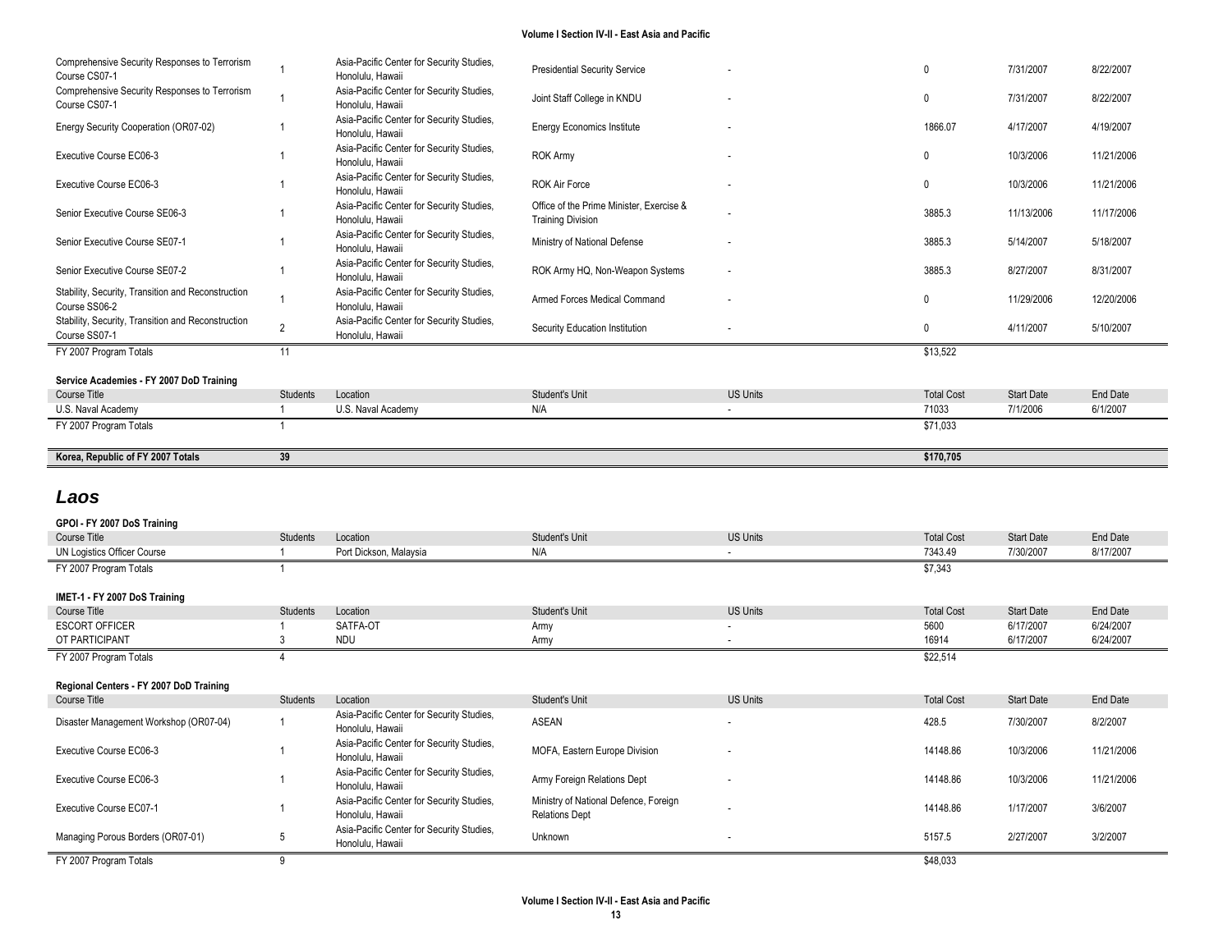| Comprehensive Security Responses to Terrorism<br>Course CS07-1 |                          | Asia-Pacific Center for Security Studies,<br>Honolulu, Hawaii | <b>Presidential Security Service</b>                     |                 | $\mathbf{0}$                 | 7/31/2007                      | 8/22/2007             |
|----------------------------------------------------------------|--------------------------|---------------------------------------------------------------|----------------------------------------------------------|-----------------|------------------------------|--------------------------------|-----------------------|
| Comprehensive Security Responses to Terrorism<br>Course CS07-1 | $\mathbf{1}$             | Asia-Pacific Center for Security Studies,<br>Honolulu, Hawaii | Joint Staff College in KNDU                              |                 | $\mathbf{0}$                 | 7/31/2007                      | 8/22/2007             |
| Energy Security Cooperation (OR07-02)                          | $\mathbf{1}$             | Asia-Pacific Center for Security Studies,<br>Honolulu, Hawaii | <b>Energy Economics Institute</b>                        |                 | 1866.07                      | 4/17/2007                      | 4/19/2007             |
| Executive Course EC06-3                                        | $\overline{1}$           | Asia-Pacific Center for Security Studies,<br>Honolulu, Hawaii | <b>ROK Army</b>                                          |                 | $\mathbf{0}$                 | 10/3/2006                      | 11/21/2006            |
| Executive Course EC06-3                                        | 1                        | Asia-Pacific Center for Security Studies,<br>Honolulu, Hawaii | <b>ROK Air Force</b>                                     |                 | $\mathbf{0}$                 | 10/3/2006                      | 11/21/2006            |
| Senior Executive Course SE06-3                                 | $\overline{1}$           | Asia-Pacific Center for Security Studies,                     | Office of the Prime Minister, Exercise &                 |                 | 3885.3                       | 11/13/2006                     | 11/17/2006            |
| Senior Executive Course SE07-1                                 | $\mathbf 1$              | Honolulu, Hawaii<br>Asia-Pacific Center for Security Studies, | <b>Training Division</b><br>Ministry of National Defense |                 | 3885.3                       | 5/14/2007                      | 5/18/2007             |
| Senior Executive Course SE07-2                                 | $\overline{1}$           | Honolulu, Hawaii<br>Asia-Pacific Center for Security Studies, | ROK Army HQ, Non-Weapon Systems                          |                 | 3885.3                       | 8/27/2007                      | 8/31/2007             |
| Stability, Security, Transition and Reconstruction             |                          | Honolulu, Hawaii<br>Asia-Pacific Center for Security Studies, |                                                          |                 |                              |                                |                       |
| Course SS06-2                                                  | $\mathbf{1}$             | Honolulu, Hawaii                                              | Armed Forces Medical Command                             |                 | $\mathbf{0}$                 | 11/29/2006                     | 12/20/2006            |
| Stability, Security, Transition and Reconstruction             | $\overline{2}$           | Asia-Pacific Center for Security Studies,                     | Security Education Institution                           |                 | $\mathbf{0}$                 | 4/11/2007                      | 5/10/2007             |
| Course SS07-1                                                  |                          | Honolulu, Hawaii                                              |                                                          |                 |                              |                                |                       |
| FY 2007 Program Totals                                         | 11                       |                                                               |                                                          |                 | \$13,522                     |                                |                       |
|                                                                |                          |                                                               |                                                          |                 |                              |                                |                       |
| Service Academies - FY 2007 DoD Training                       |                          |                                                               |                                                          |                 |                              |                                |                       |
| Course Title                                                   | Students                 | Location                                                      | Student's Unit                                           | <b>US Units</b> | <b>Total Cost</b>            | <b>Start Date</b>              | End Date              |
| U.S. Naval Academy                                             | $\mathbf{1}$             | U.S. Naval Academy                                            | N/A                                                      | $\blacksquare$  | 71033                        | 7/1/2006                       | 6/1/2007              |
| FY 2007 Program Totals                                         | $\mathbf{1}$             |                                                               |                                                          |                 | \$71,033                     |                                |                       |
|                                                                |                          |                                                               |                                                          |                 |                              |                                |                       |
| Korea, Republic of FY 2007 Totals                              | 39                       |                                                               |                                                          |                 | \$170,705                    |                                |                       |
|                                                                |                          |                                                               |                                                          |                 |                              |                                |                       |
| Laos                                                           |                          |                                                               |                                                          |                 |                              |                                |                       |
|                                                                |                          |                                                               |                                                          |                 |                              |                                |                       |
| GPOI - FY 2007 DoS Training<br><b>Course Title</b>             |                          |                                                               |                                                          | <b>US Units</b> |                              |                                |                       |
| UN Logistics Officer Course                                    | Students<br>$\mathbf{1}$ | Location<br>Port Dickson, Malaysia                            | Student's Unit<br>N/A                                    |                 | <b>Total Cost</b><br>7343.49 | <b>Start Date</b><br>7/30/2007 | End Date<br>8/17/2007 |
|                                                                | $\mathbf{1}$             |                                                               |                                                          |                 |                              |                                |                       |
| FY 2007 Program Totals                                         |                          |                                                               |                                                          |                 | \$7,343                      |                                |                       |
| IMET-1 - FY 2007 DoS Training                                  |                          |                                                               |                                                          |                 |                              |                                |                       |
| Course Title                                                   | Students                 | Location                                                      | Student's Unit                                           | <b>US Units</b> | <b>Total Cost</b>            | <b>Start Date</b>              | End Date              |
| <b>ESCORT OFFICER</b>                                          | $\overline{1}$           | SATFA-OT                                                      | Army                                                     |                 | 5600                         | 6/17/2007                      | 6/24/2007             |
| OT PARTICIPANT                                                 | 3                        | <b>NDU</b>                                                    | Army                                                     |                 | 16914                        | 6/17/2007                      | 6/24/2007             |
| FY 2007 Program Totals                                         | 4                        |                                                               |                                                          |                 | \$22,514                     |                                |                       |
|                                                                |                          |                                                               |                                                          |                 |                              |                                |                       |
| Regional Centers - FY 2007 DoD Training                        |                          |                                                               |                                                          |                 |                              |                                |                       |
| Course Title                                                   | Students                 | Location                                                      | Student's Unit                                           | <b>US Units</b> | <b>Total Cost</b>            | <b>Start Date</b>              | <b>End Date</b>       |
| Disaster Management Workshop (OR07-04)                         | $\mathbf{1}$             | Asia-Pacific Center for Security Studies,<br>Honolulu, Hawaii | <b>ASEAN</b>                                             |                 | 428.5                        | 7/30/2007                      | 8/2/2007              |
| Executive Course EC06-3                                        | $\mathbf 1$              | Asia-Pacific Center for Security Studies,<br>Honolulu, Hawaii | MOFA, Eastern Europe Division                            |                 | 14148.86                     | 10/3/2006                      | 11/21/2006            |
| Executive Course EC06-3                                        | $\mathbf 1$              | Asia-Pacific Center for Security Studies,<br>Honolulu, Hawaii | Army Foreign Relations Dept                              |                 | 14148.86                     | 10/3/2006                      | 11/21/2006            |

FY 2007 Program Totals 9 \$48,033

Managing Porous Borders (OR07-01) 5

المادي المستقدر المستقدر المستقدر المستقدر المستقدر المستقدر المستقدر المستقدر المستقدر المستقدر المستقدر المستقدر<br>Honolulu, Hawaii و المستقدر المستقدر المستقدر المستقدر المستقدر المستقدر المستقدر المستقدر المستقدر المستق

Asia-Pacific Center for Security Studies,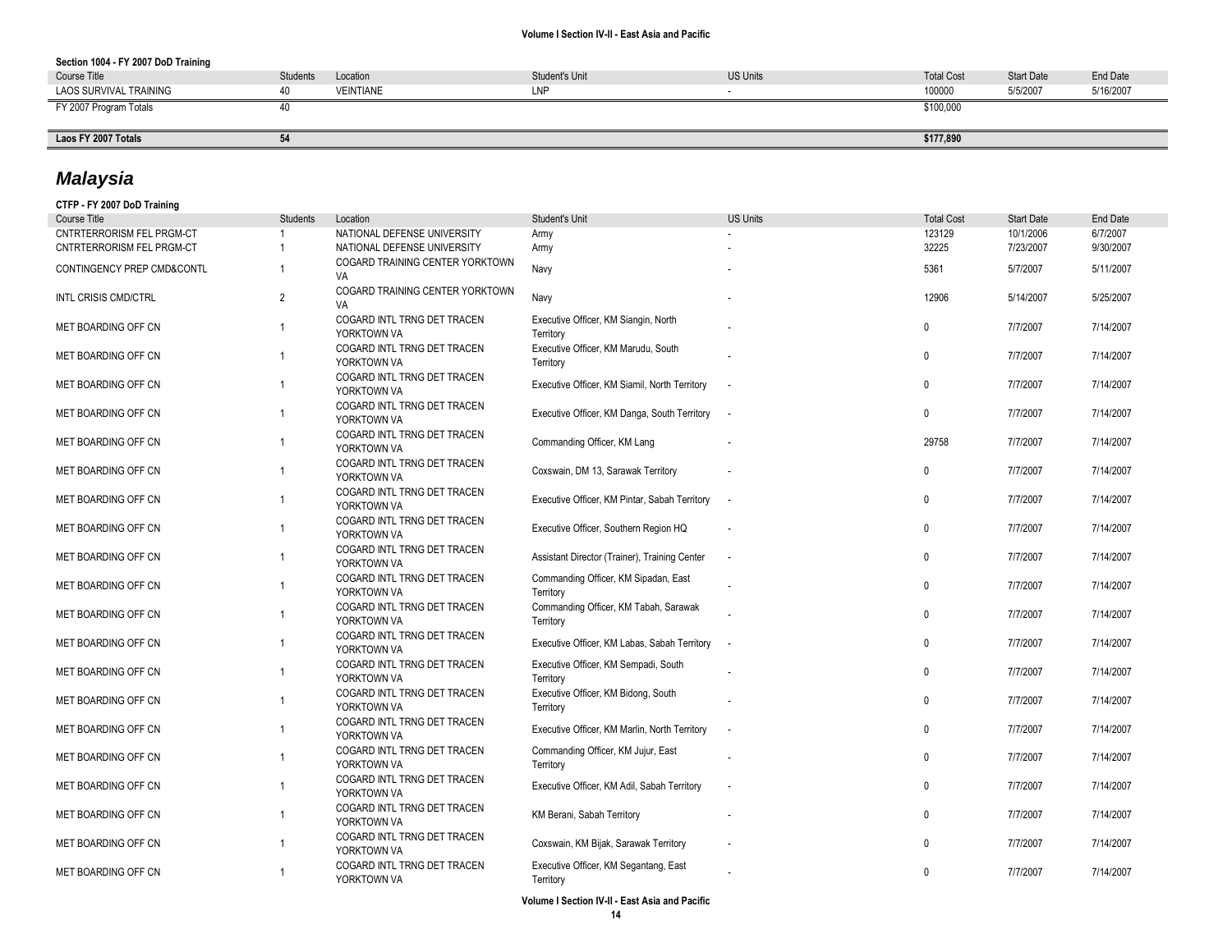### **Section 1004 - FY 2007 DoD Training**

| Course Title           | <b>Students</b> | Location         | Student's Unit | <b>US Units</b> | <b>Total Cost</b> | <b>Start Date</b> | End Date  |
|------------------------|-----------------|------------------|----------------|-----------------|-------------------|-------------------|-----------|
| LAOS SURVIVAL TRAINING |                 | <b>VEINTIANE</b> | LNP            |                 | 100000            | 5/5/2007          | 5/16/2007 |
| FY 2007 Program Totals |                 |                  |                |                 | \$100,000         |                   |           |
|                        |                 |                  |                |                 |                   |                   |           |
| Laos FY 2007 Totals    | 51<br>◡         |                  |                |                 | \$177,890         |                   |           |

# *Malaysia*

| CTFP - FY 2007 DoD Training      |                 |                                            |                                                    |                          |                   |                   |                 |
|----------------------------------|-----------------|--------------------------------------------|----------------------------------------------------|--------------------------|-------------------|-------------------|-----------------|
| Course Title                     | <b>Students</b> | Location                                   | Student's Unit                                     | <b>US Units</b>          | <b>Total Cost</b> | <b>Start Date</b> | <b>End Date</b> |
| <b>CNTRTERRORISM FEL PRGM-CT</b> |                 | NATIONAL DEFENSE UNIVERSITY                | Army                                               |                          | 123129            | 10/1/2006         | 6/7/2007        |
| CNTRTERRORISM FEL PRGM-CT        | $\overline{1}$  | NATIONAL DEFENSE UNIVERSITY                | Army                                               |                          | 32225             | 7/23/2007         | 9/30/2007       |
| CONTINGENCY PREP CMD&CONTL       | $\overline{1}$  | COGARD TRAINING CENTER YORKTOWN<br>VA      | Navy                                               |                          | 5361              | 5/7/2007          | 5/11/2007       |
| <b>INTL CRISIS CMD/CTRL</b>      | 2               | COGARD TRAINING CENTER YORKTOWN<br>VA      | Navy                                               |                          | 12906             | 5/14/2007         | 5/25/2007       |
| MET BOARDING OFF CN              | $\overline{1}$  | COGARD INTL TRNG DET TRACEN<br>YORKTOWN VA | Executive Officer, KM Siangin, North<br>Territory  |                          | $\Omega$          | 7/7/2007          | 7/14/2007       |
| MET BOARDING OFF CN              | $\overline{1}$  | COGARD INTL TRNG DET TRACEN<br>YORKTOWN VA | Executive Officer, KM Marudu, South<br>Territory   |                          | $\mathbf{0}$      | 7/7/2007          | 7/14/2007       |
| MET BOARDING OFF CN              | $\overline{1}$  | COGARD INTL TRNG DET TRACEN<br>YORKTOWN VA | Executive Officer, KM Siamil, North Territory      |                          | $\mathbf{0}$      | 7/7/2007          | 7/14/2007       |
| MET BOARDING OFF CN              | $\overline{1}$  | COGARD INTL TRNG DET TRACEN<br>YORKTOWN VA | Executive Officer, KM Danga, South Territory       | $\sim$                   | $\mathbf 0$       | 7/7/2007          | 7/14/2007       |
| MET BOARDING OFF CN              | $\overline{1}$  | COGARD INTL TRNG DET TRACEN<br>YORKTOWN VA | Commanding Officer, KM Lang                        |                          | 29758             | 7/7/2007          | 7/14/2007       |
| MET BOARDING OFF CN              | $\overline{1}$  | COGARD INTL TRNG DET TRACEN<br>YORKTOWN VA | Coxswain, DM 13, Sarawak Territory                 |                          | $\mathbf{0}$      | 7/7/2007          | 7/14/2007       |
| MET BOARDING OFF CN              | $\overline{1}$  | COGARD INTL TRNG DET TRACEN<br>YORKTOWN VA | Executive Officer, KM Pintar, Sabah Territory      | $\overline{\phantom{a}}$ | $\mathbf{0}$      | 7/7/2007          | 7/14/2007       |
| MET BOARDING OFF CN              | $\overline{1}$  | COGARD INTL TRNG DET TRACEN<br>YORKTOWN VA | Executive Officer, Southern Region HQ              | $\sim$                   | $\Omega$          | 7/7/2007          | 7/14/2007       |
| MET BOARDING OFF CN              | $\overline{1}$  | COGARD INTL TRNG DET TRACEN<br>YORKTOWN VA | Assistant Director (Trainer), Training Center      |                          | $\mathbf{0}$      | 7/7/2007          | 7/14/2007       |
| MET BOARDING OFF CN              | $\overline{1}$  | COGARD INTL TRNG DET TRACEN<br>YORKTOWN VA | Commanding Officer, KM Sipadan, East<br>Territory  |                          | $\mathbf 0$       | 7/7/2007          | 7/14/2007       |
| MET BOARDING OFF CN              | $\overline{1}$  | COGARD INTL TRNG DET TRACEN<br>YORKTOWN VA | Commanding Officer, KM Tabah, Sarawak<br>Territory |                          | $\Omega$          | 7/7/2007          | 7/14/2007       |
| MET BOARDING OFF CN              | $\overline{1}$  | COGARD INTL TRNG DET TRACEN<br>YORKTOWN VA | Executive Officer, KM Labas, Sabah Territory       | $\sim$                   | $\mathbf{0}$      | 7/7/2007          | 7/14/2007       |
| MET BOARDING OFF CN              | $\overline{1}$  | COGARD INTL TRNG DET TRACEN<br>YORKTOWN VA | Executive Officer, KM Sempadi, South<br>Territory  |                          | $\Omega$          | 7/7/2007          | 7/14/2007       |
| MET BOARDING OFF CN              | $\overline{1}$  | COGARD INTL TRNG DET TRACEN<br>YORKTOWN VA | Executive Officer, KM Bidong, South<br>Territory   |                          | $\mathbf 0$       | 7/7/2007          | 7/14/2007       |
| MET BOARDING OFF CN              | $\overline{1}$  | COGARD INTL TRNG DET TRACEN<br>YORKTOWN VA | Executive Officer, KM Marlin, North Territory      |                          | $\mathbf{0}$      | 7/7/2007          | 7/14/2007       |
| MET BOARDING OFF CN              | $\overline{1}$  | COGARD INTL TRNG DET TRACEN<br>YORKTOWN VA | Commanding Officer, KM Jujur, East<br>Territory    |                          | $\mathbf{0}$      | 7/7/2007          | 7/14/2007       |
| MET BOARDING OFF CN              | $\overline{1}$  | COGARD INTL TRNG DET TRACEN<br>YORKTOWN VA | Executive Officer, KM Adil, Sabah Territory        |                          | $\Omega$          | 7/7/2007          | 7/14/2007       |
| MET BOARDING OFF CN              | $\overline{1}$  | COGARD INTL TRNG DET TRACEN<br>YORKTOWN VA | KM Berani, Sabah Territory                         |                          | $\mathbf{0}$      | 7/7/2007          | 7/14/2007       |
| MET BOARDING OFF CN              | $\overline{1}$  | COGARD INTL TRNG DET TRACEN<br>YORKTOWN VA | Coxswain, KM Bijak, Sarawak Territory              |                          | 0                 | 7/7/2007          | 7/14/2007       |
| MET BOARDING OFF CN              | $\overline{1}$  | COGARD INTL TRNG DET TRACEN<br>YORKTOWN VA | Executive Officer, KM Segantang, East<br>Territory |                          | $\mathbf{0}$      | 7/7/2007          | 7/14/2007       |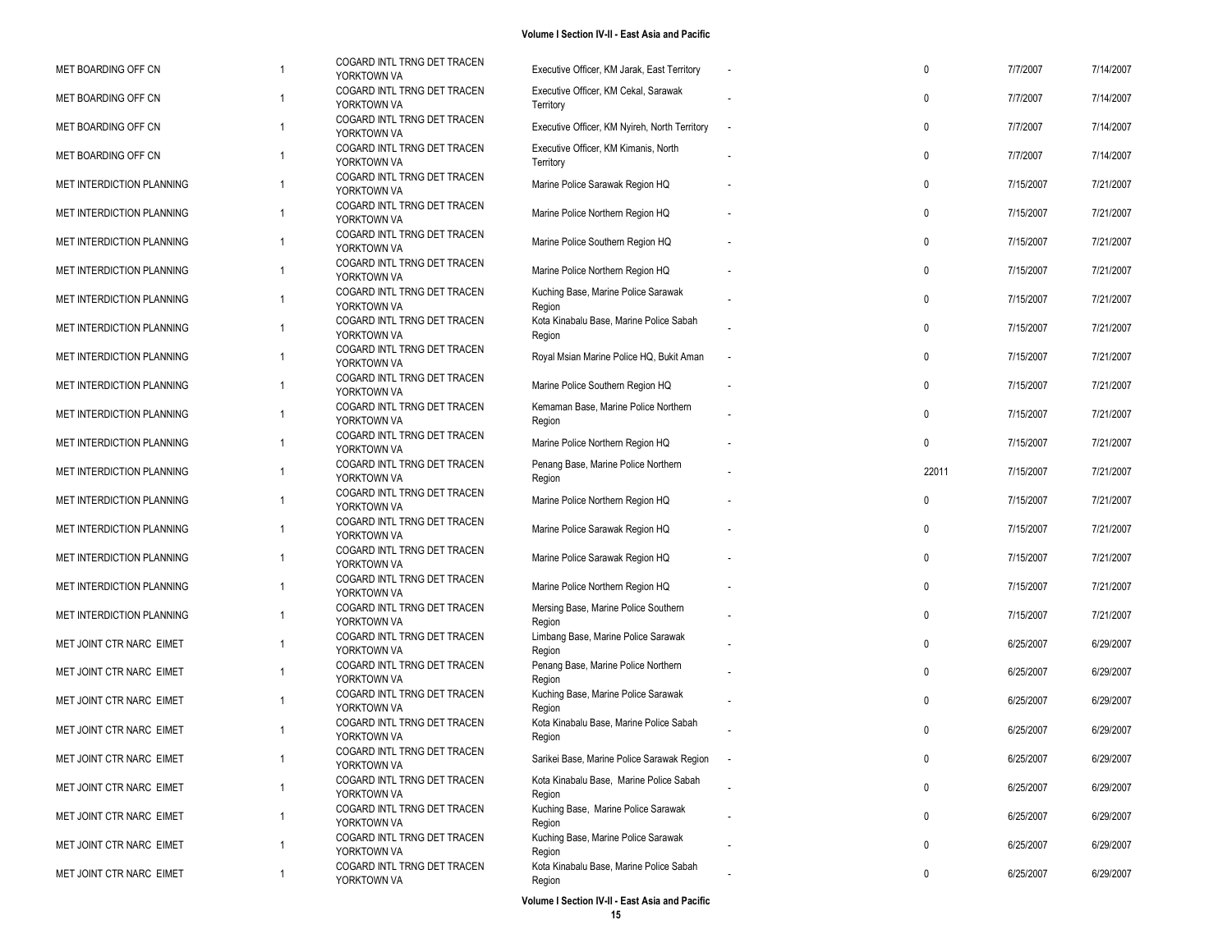| MET BOARDING OFF CN       |   | COGARD INTL TRNG DET TRACEN<br>YORKTOWN VA | Executive Officer, KM Jarak, East Territory       | $\mathbf 0$  | 7/7/2007  | 7/14/2007 |
|---------------------------|---|--------------------------------------------|---------------------------------------------------|--------------|-----------|-----------|
| MET BOARDING OFF CN       |   | COGARD INTL TRNG DET TRACEN<br>YORKTOWN VA | Executive Officer, KM Cekal, Sarawak<br>Territory | $\mathbf 0$  | 7/7/2007  | 7/14/2007 |
| MET BOARDING OFF CN       | 1 | COGARD INTL TRNG DET TRACEN<br>YORKTOWN VA | Executive Officer, KM Nyireh, North Territory     | $\mathbf 0$  | 7/7/2007  | 7/14/2007 |
| MET BOARDING OFF CN       |   | COGARD INTL TRNG DET TRACEN<br>YORKTOWN VA | Executive Officer, KM Kimanis, North<br>Territory | 0            | 7/7/2007  | 7/14/2007 |
| MET INTERDICTION PLANNING |   | COGARD INTL TRNG DET TRACEN<br>YORKTOWN VA | Marine Police Sarawak Region HQ                   | $\mathbf 0$  | 7/15/2007 | 7/21/2007 |
| MET INTERDICTION PLANNING | 1 | COGARD INTL TRNG DET TRACEN<br>YORKTOWN VA | Marine Police Northern Region HQ                  | $\mathbf 0$  | 7/15/2007 | 7/21/2007 |
| MET INTERDICTION PLANNING |   | COGARD INTL TRNG DET TRACEN<br>YORKTOWN VA | Marine Police Southern Region HQ                  | $\mathbf 0$  | 7/15/2007 | 7/21/2007 |
| MET INTERDICTION PLANNING | 1 | COGARD INTL TRNG DET TRACEN<br>YORKTOWN VA | Marine Police Northern Region HQ                  | 0            | 7/15/2007 | 7/21/2007 |
| MET INTERDICTION PLANNING | 1 | COGARD INTL TRNG DET TRACEN<br>YORKTOWN VA | Kuching Base, Marine Police Sarawak<br>Region     | $\mathbf 0$  | 7/15/2007 | 7/21/2007 |
| MET INTERDICTION PLANNING |   | COGARD INTL TRNG DET TRACEN<br>YORKTOWN VA | Kota Kinabalu Base, Marine Police Sabah<br>Region | $\mathbf 0$  | 7/15/2007 | 7/21/2007 |
| MET INTERDICTION PLANNING |   | COGARD INTL TRNG DET TRACEN<br>YORKTOWN VA | Royal Msian Marine Police HQ, Bukit Aman          | 0            | 7/15/2007 | 7/21/2007 |
| MET INTERDICTION PLANNING | 1 | COGARD INTL TRNG DET TRACEN<br>YORKTOWN VA | Marine Police Southern Region HQ                  | $\mathbf 0$  | 7/15/2007 | 7/21/2007 |
| MET INTERDICTION PLANNING | 1 | COGARD INTL TRNG DET TRACEN<br>YORKTOWN VA | Kemaman Base, Marine Police Northern<br>Region    | $\mathbf 0$  | 7/15/2007 | 7/21/2007 |
| MET INTERDICTION PLANNING |   | COGARD INTL TRNG DET TRACEN<br>YORKTOWN VA | Marine Police Northern Region HQ                  | $\mathbf 0$  | 7/15/2007 | 7/21/2007 |
| MET INTERDICTION PLANNING | 1 | COGARD INTL TRNG DET TRACEN<br>YORKTOWN VA | Penang Base, Marine Police Northern<br>Region     | 22011        | 7/15/2007 | 7/21/2007 |
| MET INTERDICTION PLANNING |   | COGARD INTL TRNG DET TRACEN<br>YORKTOWN VA | Marine Police Northern Region HQ                  | $\mathbf{0}$ | 7/15/2007 | 7/21/2007 |
| MET INTERDICTION PLANNING |   | COGARD INTL TRNG DET TRACEN<br>YORKTOWN VA | Marine Police Sarawak Region HQ                   | $\mathbf 0$  | 7/15/2007 | 7/21/2007 |
| MET INTERDICTION PLANNING | 1 | COGARD INTL TRNG DET TRACEN<br>YORKTOWN VA | Marine Police Sarawak Region HQ                   | $\mathbf 0$  | 7/15/2007 | 7/21/2007 |
| MET INTERDICTION PLANNING |   | COGARD INTL TRNG DET TRACEN<br>YORKTOWN VA | Marine Police Northern Region HQ                  | $\mathbf 0$  | 7/15/2007 | 7/21/2007 |
| MET INTERDICTION PLANNING |   | COGARD INTL TRNG DET TRACEN<br>YORKTOWN VA | Mersing Base, Marine Police Southern<br>Region    | 0            | 7/15/2007 | 7/21/2007 |
| MET JOINT CTR NARC EIMET  | 1 | COGARD INTL TRNG DET TRACEN<br>YORKTOWN VA | Limbang Base, Marine Police Sarawak<br>Region     | $\mathbf 0$  | 6/25/2007 | 6/29/2007 |
| MET JOINT CTR NARC EIMET  | 1 | COGARD INTL TRNG DET TRACEN<br>YORKTOWN VA | Penang Base, Marine Police Northern<br>Region     | $\mathbf 0$  | 6/25/2007 | 6/29/2007 |
| MET JOINT CTR NARC EIMET  |   | COGARD INTL TRNG DET TRACEN<br>YORKTOWN VA | Kuching Base, Marine Police Sarawak<br>Region     | $\mathbf 0$  | 6/25/2007 | 6/29/2007 |
| MET JOINT CTR NARC EIMET  | 1 | COGARD INTL TRNG DET TRACEN<br>YORKTOWN VA | Kota Kinabalu Base, Marine Police Sabah<br>Region | 0            | 6/25/2007 | 6/29/2007 |
| MET JOINT CTR NARC EIMET  | 1 | COGARD INTL TRNG DET TRACEN<br>YORKTOWN VA | Sarikei Base, Marine Police Sarawak Region        | $\mathbf 0$  | 6/25/2007 | 6/29/2007 |
| MET JOINT CTR NARC EIMET  |   | COGARD INTL TRNG DET TRACEN<br>YORKTOWN VA | Kota Kinabalu Base, Marine Police Sabah<br>Region | 0            | 6/25/2007 | 6/29/2007 |
| MET JOINT CTR NARC EIMET  | 1 | COGARD INTL TRNG DET TRACEN<br>YORKTOWN VA | Kuching Base, Marine Police Sarawak<br>Region     | 0            | 6/25/2007 | 6/29/2007 |
| MET JOINT CTR NARC EIMET  |   | COGARD INTL TRNG DET TRACEN<br>YORKTOWN VA | Kuching Base, Marine Police Sarawak<br>Region     | 0            | 6/25/2007 | 6/29/2007 |
| MET JOINT CTR NARC EIMET  | 1 | COGARD INTL TRNG DET TRACEN<br>YORKTOWN VA | Kota Kinabalu Base, Marine Police Sabah<br>Region | 0            | 6/25/2007 | 6/29/2007 |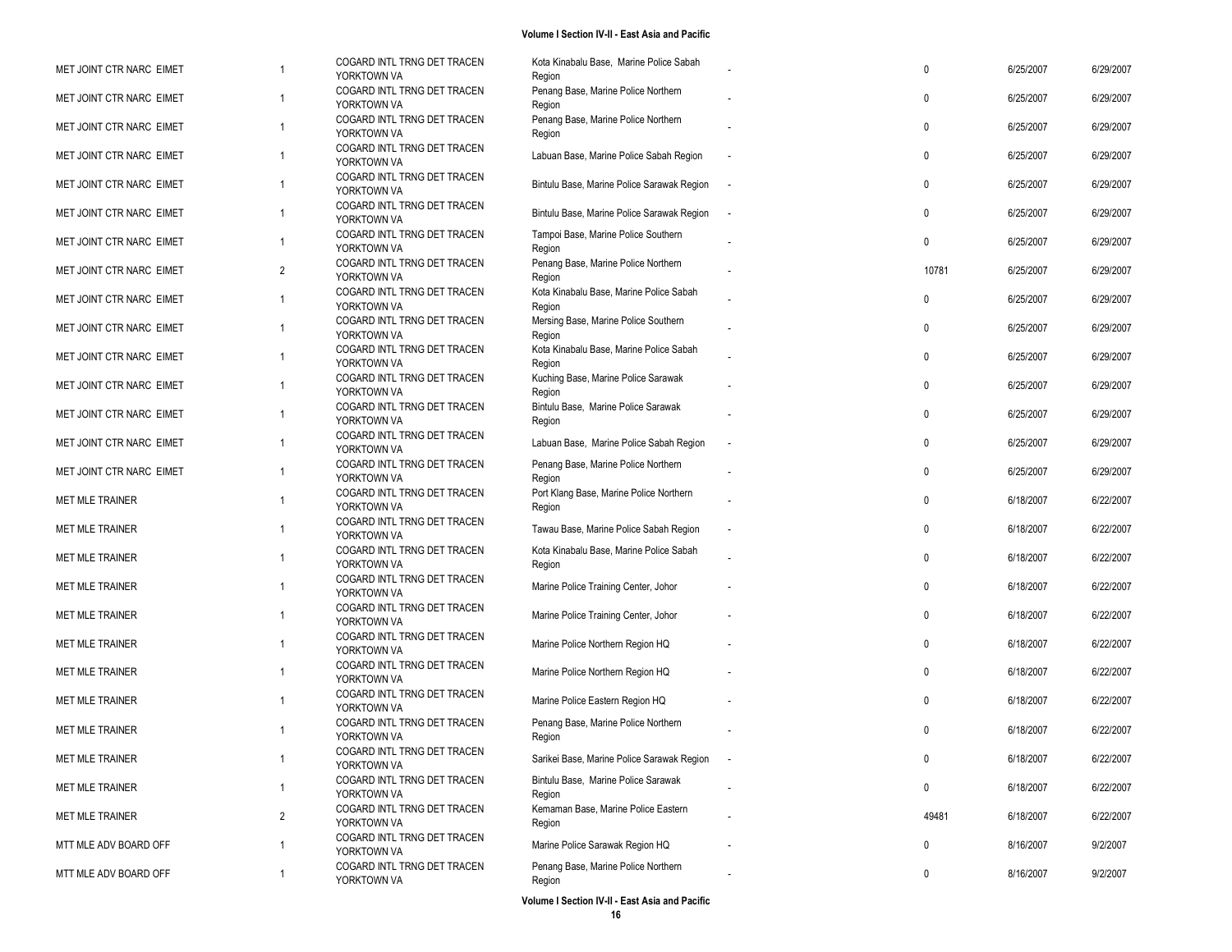| MET JOINT CTR NARC EIMET |                | COGARD INTL TRNG DET TRACEN<br>YORKTOWN VA | Kota Kinabalu Base, Marine Police Sabah<br>Region       | $\mathbf 0$  | 6/25/2007 | 6/29/2007 |
|--------------------------|----------------|--------------------------------------------|---------------------------------------------------------|--------------|-----------|-----------|
| MET JOINT CTR NARC EIMET | 1              | COGARD INTL TRNG DET TRACEN<br>YORKTOWN VA | Penang Base, Marine Police Northern                     | $\mathbf{0}$ | 6/25/2007 | 6/29/2007 |
| MET JOINT CTR NARC EIMET | 1              | COGARD INTL TRNG DET TRACEN<br>YORKTOWN VA | Region<br>Penang Base, Marine Police Northern<br>Region | $\mathbf 0$  | 6/25/2007 | 6/29/2007 |
| MET JOINT CTR NARC EIMET | 1              | COGARD INTL TRNG DET TRACEN<br>YORKTOWN VA | Labuan Base, Marine Police Sabah Region                 | $\mathbf 0$  | 6/25/2007 | 6/29/2007 |
| MET JOINT CTR NARC EIMET | 1              | COGARD INTL TRNG DET TRACEN<br>YORKTOWN VA | Bintulu Base, Marine Police Sarawak Region              | $\mathbf 0$  | 6/25/2007 | 6/29/2007 |
| MET JOINT CTR NARC EIMET | 1              | COGARD INTL TRNG DET TRACEN<br>YORKTOWN VA | Bintulu Base, Marine Police Sarawak Region              | $\mathbf 0$  | 6/25/2007 | 6/29/2007 |
| MET JOINT CTR NARC EIMET | 1              | COGARD INTL TRNG DET TRACEN<br>YORKTOWN VA | Tampoi Base, Marine Police Southern<br>Region           | $\mathbf 0$  | 6/25/2007 | 6/29/2007 |
| MET JOINT CTR NARC EIMET | 2              | COGARD INTL TRNG DET TRACEN<br>YORKTOWN VA | Penang Base, Marine Police Northern<br>Region           | 10781        | 6/25/2007 | 6/29/2007 |
| MET JOINT CTR NARC EIMET | 1              | COGARD INTL TRNG DET TRACEN<br>YORKTOWN VA | Kota Kinabalu Base, Marine Police Sabah<br>Region       | $\mathbf{0}$ | 6/25/2007 | 6/29/2007 |
| MET JOINT CTR NARC EIMET | 1              | COGARD INTL TRNG DET TRACEN<br>YORKTOWN VA | Mersing Base, Marine Police Southern<br>Region          | 0            | 6/25/2007 | 6/29/2007 |
| MET JOINT CTR NARC EIMET | 1              | COGARD INTL TRNG DET TRACEN<br>YORKTOWN VA | Kota Kinabalu Base, Marine Police Sabah<br>Region       | $\mathbf 0$  | 6/25/2007 | 6/29/2007 |
| MET JOINT CTR NARC EIMET | 1              | COGARD INTL TRNG DET TRACEN<br>YORKTOWN VA | Kuching Base, Marine Police Sarawak<br>Region           | $\mathbf 0$  | 6/25/2007 | 6/29/2007 |
| MET JOINT CTR NARC EIMET | 1              | COGARD INTL TRNG DET TRACEN<br>YORKTOWN VA | Bintulu Base, Marine Police Sarawak<br>Region           | $\mathbf 0$  | 6/25/2007 | 6/29/2007 |
| MET JOINT CTR NARC EIMET | 1              | COGARD INTL TRNG DET TRACEN<br>YORKTOWN VA | Labuan Base, Marine Police Sabah Region                 | 0            | 6/25/2007 | 6/29/2007 |
| MET JOINT CTR NARC EIMET | 1              | COGARD INTL TRNG DET TRACEN<br>YORKTOWN VA | Penang Base, Marine Police Northern<br>Region           | $\mathbf 0$  | 6/25/2007 | 6/29/2007 |
| <b>MET MLE TRAINER</b>   | 1              | COGARD INTL TRNG DET TRACEN<br>YORKTOWN VA | Port Klang Base, Marine Police Northern<br>Region       | $\mathbf 0$  | 6/18/2007 | 6/22/2007 |
| MET MLE TRAINER          | 1              | COGARD INTL TRNG DET TRACEN<br>YORKTOWN VA | Tawau Base, Marine Police Sabah Region                  | $\mathbf 0$  | 6/18/2007 | 6/22/2007 |
| <b>MET MLE TRAINER</b>   | 1              | COGARD INTL TRNG DET TRACEN<br>YORKTOWN VA | Kota Kinabalu Base, Marine Police Sabah<br>Region       | $\mathbf 0$  | 6/18/2007 | 6/22/2007 |
| <b>MET MLE TRAINER</b>   | 1              | COGARD INTL TRNG DET TRACEN<br>YORKTOWN VA | Marine Police Training Center, Johor                    | $\mathbf 0$  | 6/18/2007 | 6/22/2007 |
| MET MLE TRAINER          | 1              | COGARD INTL TRNG DET TRACEN<br>YORKTOWN VA | Marine Police Training Center, Johor                    | 0            | 6/18/2007 | 6/22/2007 |
| <b>MET MLE TRAINER</b>   | 1              | COGARD INTL TRNG DET TRACEN<br>YORKTOWN VA | Marine Police Northern Region HQ                        | 0            | 6/18/2007 | 6/22/2007 |
| <b>MET MLE TRAINER</b>   | 1              | COGARD INTL TRNG DET TRACEN<br>YORKTOWN VA | Marine Police Northern Region HQ                        | $\mathbf 0$  | 6/18/2007 | 6/22/2007 |
| <b>MET MLE TRAINER</b>   | 1              | COGARD INTL TRNG DET TRACEN<br>YORKTOWN VA | Marine Police Eastern Region HQ                         | $\mathbf 0$  | 6/18/2007 | 6/22/2007 |
| <b>MET MLE TRAINER</b>   | 1              | COGARD INTL TRNG DET TRACEN<br>YORKTOWN VA | Penang Base, Marine Police Northern<br>Region           | $\mathbf{0}$ | 6/18/2007 | 6/22/2007 |
| MET MLE TRAINER          |                | COGARD INTL TRNG DET TRACEN<br>YORKTOWN VA | Sarikei Base, Marine Police Sarawak Region              | $\mathbf 0$  | 6/18/2007 | 6/22/2007 |
| MET MLE TRAINER          | $\mathbf{1}$   | COGARD INTL TRNG DET TRACEN<br>YORKTOWN VA | Bintulu Base, Marine Police Sarawak<br>Region           | $\mathbf 0$  | 6/18/2007 | 6/22/2007 |
| <b>MET MLE TRAINER</b>   | $\overline{2}$ | COGARD INTL TRNG DET TRACEN<br>YORKTOWN VA | Kemaman Base, Marine Police Eastern<br>Region           | 49481        | 6/18/2007 | 6/22/2007 |
| MTT MLE ADV BOARD OFF    | $\mathbf{1}$   | COGARD INTL TRNG DET TRACEN<br>YORKTOWN VA | Marine Police Sarawak Region HQ                         | 0            | 8/16/2007 | 9/2/2007  |
| MTT MLE ADV BOARD OFF    | 1              | COGARD INTL TRNG DET TRACEN<br>YORKTOWN VA | Penang Base, Marine Police Northern<br>Region           | 0            | 8/16/2007 | 9/2/2007  |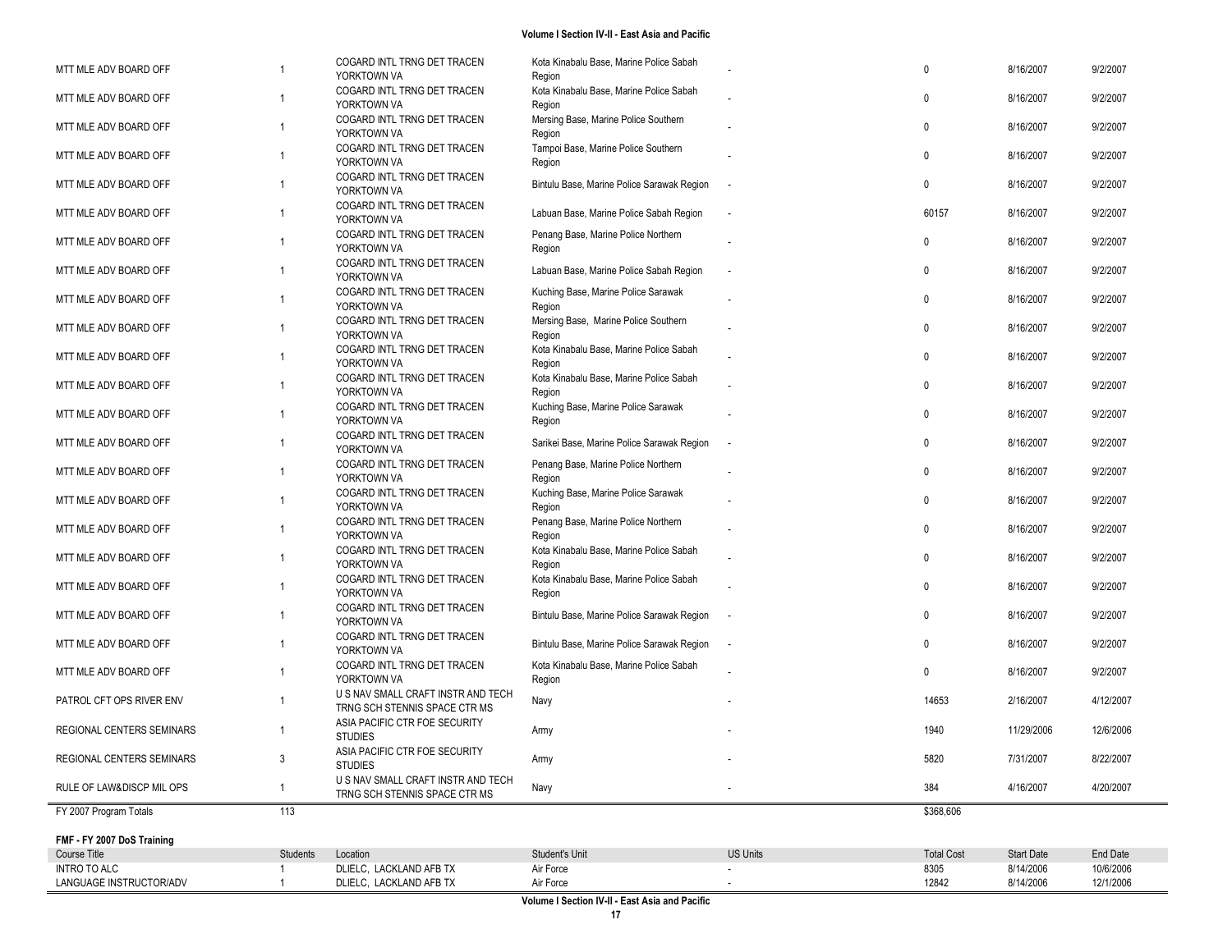| MTT MLE ADV BOARD OFF      |                 | COGARD INTL TRNG DET TRACEN                       | Kota Kinabalu Base, Marine Police Sabah           |                          | 0                 | 8/16/2007         | 9/2/2007  |
|----------------------------|-----------------|---------------------------------------------------|---------------------------------------------------|--------------------------|-------------------|-------------------|-----------|
|                            |                 | YORKTOWN VA                                       | Region                                            |                          |                   |                   |           |
| MTT MLE ADV BOARD OFF      | $\overline{1}$  | COGARD INTL TRNG DET TRACEN                       | Kota Kinabalu Base, Marine Police Sabah           |                          | $\mathbf{0}$      | 8/16/2007         | 9/2/2007  |
|                            |                 | YORKTOWN VA                                       | Region                                            |                          |                   |                   |           |
| MTT MLE ADV BOARD OFF      | $\overline{1}$  | COGARD INTL TRNG DET TRACEN<br>YORKTOWN VA        | Mersing Base, Marine Police Southern<br>Region    |                          | $\mathbf{0}$      | 8/16/2007         | 9/2/2007  |
|                            |                 | COGARD INTL TRNG DET TRACEN                       | Tampoi Base, Marine Police Southern               |                          |                   |                   |           |
| MTT MLE ADV BOARD OFF      | -1              | YORKTOWN VA                                       | Region                                            |                          | $\mathbf{0}$      | 8/16/2007         | 9/2/2007  |
|                            |                 | COGARD INTL TRNG DET TRACEN                       |                                                   |                          |                   |                   |           |
| MTT MLE ADV BOARD OFF      | -1              | YORKTOWN VA                                       | Bintulu Base, Marine Police Sarawak Region        |                          | $\mathbf{0}$      | 8/16/2007         | 9/2/2007  |
|                            |                 | COGARD INTL TRNG DET TRACEN                       |                                                   |                          |                   |                   |           |
| MTT MLE ADV BOARD OFF      | -1              | YORKTOWN VA                                       | Labuan Base, Marine Police Sabah Region           | $\overline{\phantom{a}}$ | 60157             | 8/16/2007         | 9/2/2007  |
| MTT MLE ADV BOARD OFF      | -1              | COGARD INTL TRNG DET TRACEN                       | Penang Base, Marine Police Northern               |                          | 0                 | 8/16/2007         | 9/2/2007  |
|                            |                 | YORKTOWN VA                                       | Region                                            |                          |                   |                   |           |
| MTT MLE ADV BOARD OFF      | -1              | COGARD INTL TRNG DET TRACEN                       | Labuan Base, Marine Police Sabah Region           | $\overline{\phantom{a}}$ | 0                 | 8/16/2007         | 9/2/2007  |
|                            |                 | YORKTOWN VA                                       |                                                   |                          |                   |                   |           |
| MTT MLE ADV BOARD OFF      | $\overline{1}$  | COGARD INTL TRNG DET TRACEN<br>YORKTOWN VA        | Kuching Base, Marine Police Sarawak<br>Region     |                          | $\mathbf{0}$      | 8/16/2007         | 9/2/2007  |
|                            |                 | COGARD INTL TRNG DET TRACEN                       | Mersing Base, Marine Police Southern              |                          |                   |                   |           |
| MTT MLE ADV BOARD OFF      | -1              | YORKTOWN VA                                       | Region                                            |                          | $\mathbf{0}$      | 8/16/2007         | 9/2/2007  |
|                            |                 | COGARD INTL TRNG DET TRACEN                       | Kota Kinabalu Base, Marine Police Sabah           |                          |                   |                   |           |
| MTT MLE ADV BOARD OFF      | -1              | YORKTOWN VA                                       | Region                                            |                          | $\mathbf{0}$      | 8/16/2007         | 9/2/2007  |
| MTT MLE ADV BOARD OFF      | -1              | COGARD INTL TRNG DET TRACEN                       | Kota Kinabalu Base, Marine Police Sabah           |                          | $\mathbf 0$       | 8/16/2007         | 9/2/2007  |
|                            |                 | YORKTOWN VA                                       | Region                                            |                          |                   |                   |           |
| MTT MLE ADV BOARD OFF      | -1              | COGARD INTL TRNG DET TRACEN                       | Kuching Base, Marine Police Sarawak               |                          | 0                 | 8/16/2007         | 9/2/2007  |
|                            |                 | YORKTOWN VA<br>COGARD INTL TRNG DET TRACEN        | Region                                            |                          |                   |                   |           |
| MTT MLE ADV BOARD OFF      | -1              | YORKTOWN VA                                       | Sarikei Base, Marine Police Sarawak Region        | $\sim$                   | 0                 | 8/16/2007         | 9/2/2007  |
|                            |                 | COGARD INTL TRNG DET TRACEN                       | Penang Base, Marine Police Northern               |                          |                   |                   |           |
| MTT MLE ADV BOARD OFF      | $\overline{1}$  | YORKTOWN VA                                       | Region                                            |                          | $\mathbf{0}$      | 8/16/2007         | 9/2/2007  |
| MTT MLE ADV BOARD OFF      | -1              | COGARD INTL TRNG DET TRACEN                       | Kuching Base, Marine Police Sarawak               |                          | $\mathbf{0}$      | 8/16/2007         | 9/2/2007  |
|                            |                 | YORKTOWN VA                                       | Region                                            |                          |                   |                   |           |
| MTT MLE ADV BOARD OFF      | -1              | COGARD INTL TRNG DET TRACEN                       | Penang Base, Marine Police Northern               |                          | $\Omega$          | 8/16/2007         | 9/2/2007  |
|                            |                 | YORKTOWN VA                                       | Region                                            |                          |                   |                   |           |
| MTT MLE ADV BOARD OFF      | -1              | COGARD INTL TRNG DET TRACEN<br>YORKTOWN VA        | Kota Kinabalu Base, Marine Police Sabah<br>Region |                          | $\mathbf{0}$      | 8/16/2007         | 9/2/2007  |
|                            |                 | COGARD INTL TRNG DET TRACEN                       | Kota Kinabalu Base, Marine Police Sabah           |                          |                   |                   |           |
| MTT MLE ADV BOARD OFF      | -1              | YORKTOWN VA                                       | Region                                            |                          | $\mathbf{0}$      | 8/16/2007         | 9/2/2007  |
|                            |                 | COGARD INTL TRNG DET TRACEN                       |                                                   |                          |                   |                   |           |
| MTT MLE ADV BOARD OFF      | -1              | YORKTOWN VA                                       | Bintulu Base, Marine Police Sarawak Region        |                          | 0                 | 8/16/2007         | 9/2/2007  |
| MTT MLE ADV BOARD OFF      | $\overline{1}$  | COGARD INTL TRNG DET TRACEN                       | Bintulu Base, Marine Police Sarawak Region        | $\overline{\phantom{a}}$ | $\mathbf{0}$      | 8/16/2007         | 9/2/2007  |
|                            |                 | YORKTOWN VA                                       |                                                   |                          |                   |                   |           |
| MTT MLE ADV BOARD OFF      | $\overline{1}$  | COGARD INTL TRNG DET TRACEN                       | Kota Kinabalu Base, Marine Police Sabah           |                          | $\mathbf{0}$      | 8/16/2007         | 9/2/2007  |
|                            |                 | YORKTOWN VA<br>U S NAV SMALL CRAFT INSTR AND TECH | Region                                            |                          |                   |                   |           |
| PATROL CFT OPS RIVER ENV   | -1              | TRNG SCH STENNIS SPACE CTR MS                     | Navy                                              |                          | 14653             | 2/16/2007         | 4/12/2007 |
|                            |                 | ASIA PACIFIC CTR FOE SECURITY                     |                                                   |                          |                   |                   |           |
| REGIONAL CENTERS SEMINARS  |                 | <b>STUDIES</b>                                    | Army                                              |                          | 1940              | 11/29/2006        | 12/6/2006 |
| REGIONAL CENTERS SEMINARS  | 3               | ASIA PACIFIC CTR FOE SECURITY                     | Army                                              |                          | 5820              | 7/31/2007         | 8/22/2007 |
|                            |                 | <b>STUDIES</b>                                    |                                                   |                          |                   |                   |           |
| RULE OF LAW&DISCP MIL OPS  | -1              | U S NAV SMALL CRAFT INSTR AND TECH                | Navy                                              |                          | 384               | 4/16/2007         | 4/20/2007 |
| FY 2007 Program Totals     | 113             | TRNG SCH STENNIS SPACE CTR MS                     |                                                   |                          | \$368,606         |                   |           |
|                            |                 |                                                   |                                                   |                          |                   |                   |           |
| FMF - FY 2007 DoS Training |                 |                                                   |                                                   |                          |                   |                   |           |
| Course Title               | <b>Students</b> | Location                                          | Student's Unit                                    | <b>US Units</b>          | <b>Total Cost</b> | <b>Start Date</b> | End Date  |
| <b>INTRO TO ALC</b>        |                 | DLIELC, LACKLAND AFB TX                           | Air Force                                         |                          | 8305              | 8/14/2006         | 10/6/2006 |
| LANGUAGE INSTRUCTOR/ADV    |                 | DLIELC, LACKLAND AFB TX                           | Air Force                                         |                          | 12842             | 8/14/2006         | 12/1/2006 |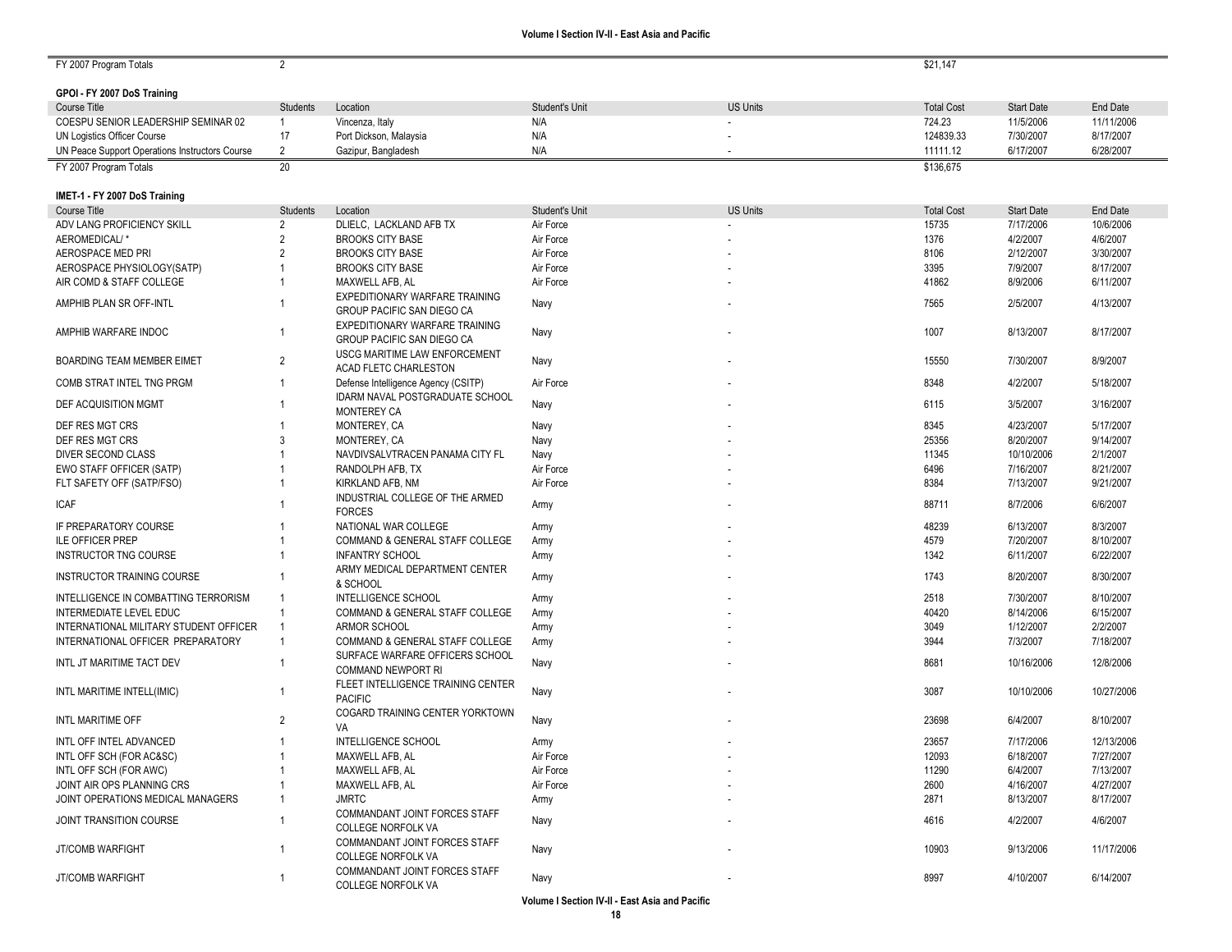$\sim$ 

| FY 2007 Program Totals                         | $\overline{2}$  |                                     |                        |                 | \$21,147          |                   |                 |
|------------------------------------------------|-----------------|-------------------------------------|------------------------|-----------------|-------------------|-------------------|-----------------|
|                                                |                 |                                     |                        |                 |                   |                   |                 |
| GPOI - FY 2007 DoS Training                    |                 |                                     |                        |                 |                   |                   |                 |
| Course Title                                   | <b>Students</b> | Location                            | Student's Unit         | <b>US Units</b> | <b>Total Cost</b> | <b>Start Date</b> | <b>End Date</b> |
| COESPU SENIOR LEADERSHIP SEMINAR 02            | $\mathbf{1}$    | Vincenza, Italy                     | N/A                    |                 | 724.23            | 11/5/2006         | 11/11/2006      |
| UN Logistics Officer Course                    | 17              | Port Dickson, Malaysia              | N/A                    |                 | 124839.33         | 7/30/2007         | 8/17/2007       |
| UN Peace Support Operations Instructors Course | 2               | Gazipur, Bangladesh                 | N/A                    |                 | 11111.12          | 6/17/2007         | 6/28/2007       |
| FY 2007 Program Totals                         | 20              |                                     |                        |                 | \$136,675         |                   |                 |
|                                                |                 |                                     |                        |                 |                   |                   |                 |
| IMET-1 - FY 2007 DoS Training                  |                 |                                     |                        |                 |                   |                   |                 |
| Course Title                                   | <b>Students</b> | Location                            | Student's Unit         | <b>US Units</b> | <b>Total Cost</b> | <b>Start Date</b> | <b>End Date</b> |
| ADV LANG PROFICIENCY SKILL                     | $\overline{2}$  | DLIELC, LACKLAND AFB TX             |                        |                 | 15735             | 7/17/2006         | 10/6/2006       |
| AEROMEDICAL/*                                  | $\overline{2}$  | <b>BROOKS CITY BASE</b>             | Air Force<br>Air Force |                 | 1376              | 4/2/2007          | 4/6/2007        |
|                                                | $\overline{2}$  | <b>BROOKS CITY BASE</b>             |                        |                 |                   |                   |                 |
| AEROSPACE MED PRI                              |                 |                                     | Air Force              |                 | 8106              | 2/12/2007         | 3/30/2007       |
| AEROSPACE PHYSIOLOGY(SATP)                     |                 | <b>BROOKS CITY BASE</b>             | Air Force              |                 | 3395              | 7/9/2007          | 8/17/2007       |
| AIR COMD & STAFF COLLEGE                       |                 | MAXWELL AFB, AL                     | Air Force              |                 | 41862             | 8/9/2006          | 6/11/2007       |
| AMPHIB PLAN SR OFF-INTL                        | -1              | EXPEDITIONARY WARFARE TRAINING      | Navy                   |                 | 7565              | 2/5/2007          | 4/13/2007       |
|                                                |                 | GROUP PACIFIC SAN DIEGO CA          |                        |                 |                   |                   |                 |
| AMPHIB WARFARE INDOC                           | $\mathbf 1$     | EXPEDITIONARY WARFARE TRAINING      | Navy                   |                 | 1007              | 8/13/2007         | 8/17/2007       |
|                                                |                 | GROUP PACIFIC SAN DIEGO CA          |                        |                 |                   |                   |                 |
| BOARDING TEAM MEMBER EIMET                     | $\overline{2}$  | USCG MARITIME LAW ENFORCEMENT       | Navy                   |                 | 15550             | 7/30/2007         | 8/9/2007        |
|                                                |                 | ACAD FLETC CHARLESTON               |                        |                 |                   |                   |                 |
| COMB STRAT INTEL TNG PRGM                      | $\mathbf 1$     | Defense Intelligence Agency (CSITP) | Air Force              |                 | 8348              | 4/2/2007          | 5/18/2007       |
| DEF ACQUISITION MGMT                           |                 | IDARM NAVAL POSTGRADUATE SCHOOL     | Navy                   |                 | 6115              | 3/5/2007          | 3/16/2007       |
|                                                |                 | <b>MONTEREY CA</b>                  |                        |                 |                   |                   |                 |
| DEF RES MGT CRS                                |                 | MONTEREY, CA                        | Navy                   |                 | 8345              | 4/23/2007         | 5/17/2007       |
| DEF RES MGT CRS                                | 3               | MONTEREY, CA                        | Navy                   |                 | 25356             | 8/20/2007         | 9/14/2007       |
| DIVER SECOND CLASS                             |                 | NAVDIVSALVTRACEN PANAMA CITY FL     | Navy                   |                 | 11345             | 10/10/2006        | 2/1/2007        |
| EWO STAFF OFFICER (SATP)                       |                 | RANDOLPH AFB, TX                    | Air Force              |                 | 6496              | 7/16/2007         | 8/21/2007       |
| FLT SAFETY OFF (SATP/FSO)                      |                 | KIRKLAND AFB, NM                    | Air Force              |                 | 8384              | 7/13/2007         | 9/21/2007       |
| <b>ICAF</b>                                    |                 | INDUSTRIAL COLLEGE OF THE ARMED     | Army                   |                 | 88711             | 8/7/2006          | 6/6/2007        |
|                                                |                 | <b>FORCES</b>                       |                        |                 |                   |                   |                 |
| IF PREPARATORY COURSE                          |                 | NATIONAL WAR COLLEGE                | Army                   |                 | 48239             | 6/13/2007         | 8/3/2007        |
| <b>ILE OFFICER PREP</b>                        |                 | COMMAND & GENERAL STAFF COLLEGE     | Army                   |                 | 4579              | 7/20/2007         | 8/10/2007       |
| <b>INSTRUCTOR TNG COURSE</b>                   | -1              | <b>INFANTRY SCHOOL</b>              | Army                   |                 | 1342              | 6/11/2007         | 6/22/2007       |
| <b>INSTRUCTOR TRAINING COURSE</b>              |                 | ARMY MEDICAL DEPARTMENT CENTER      |                        |                 | 1743              | 8/20/2007         | 8/30/2007       |
|                                                |                 | & SCHOOL                            | Army                   |                 |                   |                   |                 |
| INTELLIGENCE IN COMBATTING TERRORISM           | $\overline{1}$  | <b>INTELLIGENCE SCHOOL</b>          | Army                   |                 | 2518              | 7/30/2007         | 8/10/2007       |
| INTERMEDIATE LEVEL EDUC                        | $\mathbf{1}$    | COMMAND & GENERAL STAFF COLLEGE     | Army                   |                 | 40420             | 8/14/2006         | 6/15/2007       |
| INTERNATIONAL MILITARY STUDENT OFFICER         | $\mathbf 1$     | ARMOR SCHOOL                        | Army                   |                 | 3049              | 1/12/2007         | 2/2/2007        |
| INTERNATIONAL OFFICER PREPARATORY              | $\overline{1}$  | COMMAND & GENERAL STAFF COLLEGE     | Army                   |                 | 3944              | 7/3/2007          | 7/18/2007       |
|                                                |                 | SURFACE WARFARE OFFICERS SCHOOL     |                        |                 |                   |                   |                 |
| INTL JT MARITIME TACT DEV                      | -1              | <b>COMMAND NEWPORT RI</b>           | Navy                   |                 | 8681              | 10/16/2006        | 12/8/2006       |
|                                                |                 | FLEET INTELLIGENCE TRAINING CENTER  |                        |                 |                   |                   |                 |
| INTL MARITIME INTELL(IMIC)                     | -1              | <b>PACIFIC</b>                      | Navy                   |                 | 3087              | 10/10/2006        | 10/27/2006      |
|                                                |                 | COGARD TRAINING CENTER YORKTOWN     |                        |                 |                   |                   |                 |
| INTL MARITIME OFF                              | $\overline{2}$  | VA                                  | Navy                   |                 | 23698             | 6/4/2007          | 8/10/2007       |
| INTL OFF INTEL ADVANCED                        | $\mathbf{1}$    | <b>INTELLIGENCE SCHOOL</b>          | Army                   |                 | 23657             | 7/17/2006         | 12/13/2006      |
| INTL OFF SCH (FOR AC&SC)                       |                 | MAXWELL AFB, AL                     | Air Force              |                 | 12093             | 6/18/2007         | 7/27/2007       |
| INTL OFF SCH (FOR AWC)                         |                 | MAXWELL AFB, AL                     | Air Force              |                 | 11290             | 6/4/2007          | 7/13/2007       |
| JOINT AIR OPS PLANNING CRS                     |                 | MAXWELL AFB, AL                     | Air Force              |                 | 2600              | 4/16/2007         | 4/27/2007       |
| JOINT OPERATIONS MEDICAL MANAGERS              | $\mathbf{1}$    | <b>JMRTC</b>                        |                        |                 | 2871              | 8/13/2007         | 8/17/2007       |
|                                                |                 | COMMANDANT JOINT FORCES STAFF       | Army                   |                 |                   |                   |                 |
| JOINT TRANSITION COURSE                        | -1              | COLLEGE NORFOLK VA                  | Navy                   |                 | 4616              | 4/2/2007          | 4/6/2007        |
|                                                |                 |                                     |                        |                 |                   |                   |                 |
| <b>JT/COMB WARFIGHT</b>                        | $\mathbf{1}$    | COMMANDANT JOINT FORCES STAFF       | Navy                   |                 | 10903             | 9/13/2006         | 11/17/2006      |
|                                                |                 | COLLEGE NORFOLK VA                  |                        |                 |                   |                   |                 |
| <b>JT/COMB WARFIGHT</b>                        | $\mathbf{1}$    | COMMANDANT JOINT FORCES STAFF       | Navy                   |                 | 8997              | 4/10/2007         | 6/14/2007       |
|                                                |                 | COLLEGE NORFOLK VA                  |                        |                 |                   |                   |                 |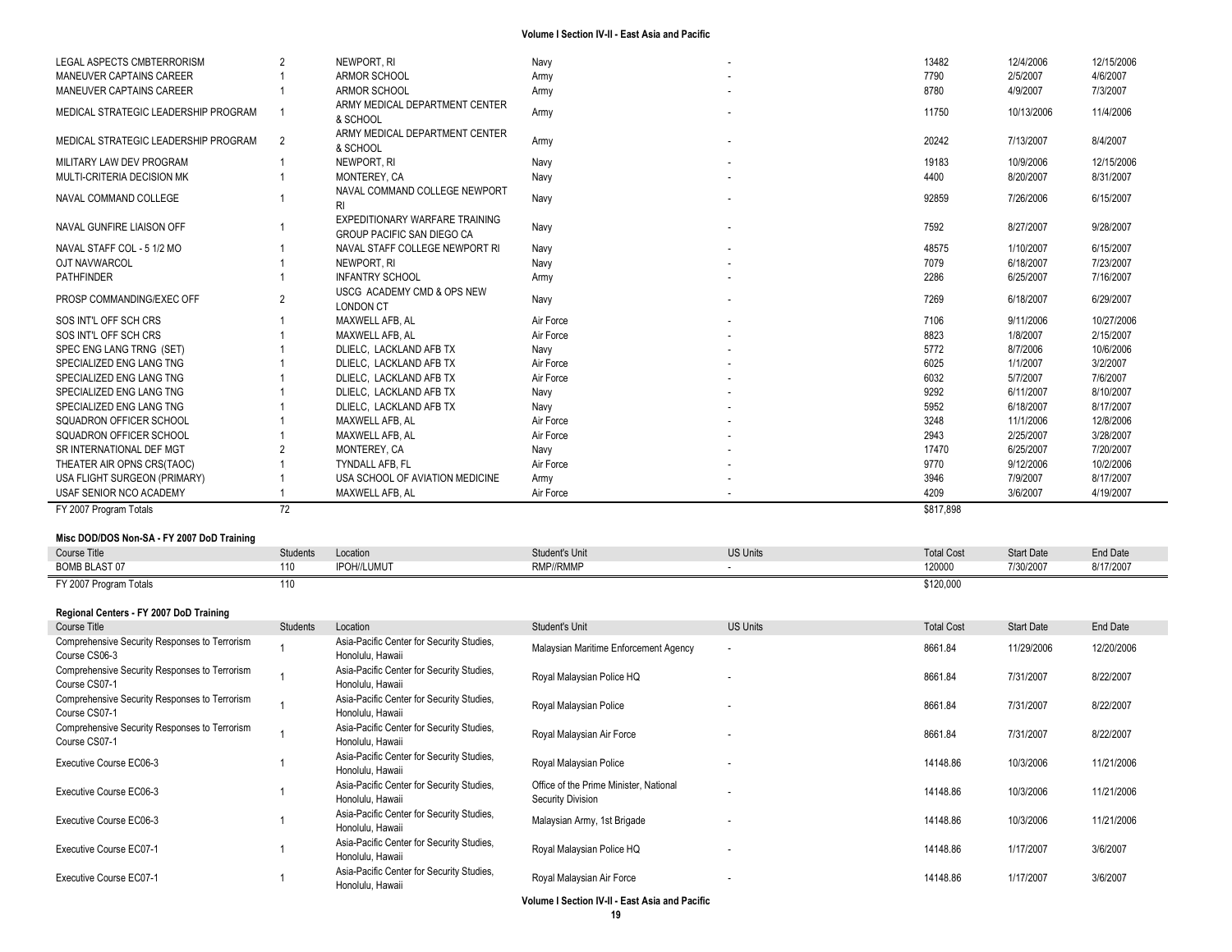| LEGAL ASPECTS CMBTERRORISM           |                | NEWPORT, RI                                                         | Navy      | 13482     | 12/4/2006  | 12/15/2006 |
|--------------------------------------|----------------|---------------------------------------------------------------------|-----------|-----------|------------|------------|
| <b>MANEUVER CAPTAINS CAREER</b>      |                | <b>ARMOR SCHOOL</b>                                                 | Army      | 7790      | 2/5/2007   | 4/6/2007   |
| MANEUVER CAPTAINS CAREER             |                | ARMOR SCHOOL                                                        | Army      | 8780      | 4/9/2007   | 7/3/2007   |
| MEDICAL STRATEGIC LEADERSHIP PROGRAM |                | ARMY MEDICAL DEPARTMENT CENTER<br>& SCHOOL                          | Army      | 11750     | 10/13/2006 | 11/4/2006  |
| MEDICAL STRATEGIC LEADERSHIP PROGRAM | $\overline{2}$ | ARMY MEDICAL DEPARTMENT CENTER<br>& SCHOOL                          | Army      | 20242     | 7/13/2007  | 8/4/2007   |
| MILITARY LAW DEV PROGRAM             |                | NEWPORT, RI                                                         | Navy      | 19183     | 10/9/2006  | 12/15/2006 |
| MULTI-CRITERIA DECISION MK           |                | MONTEREY, CA                                                        | Navy      | 4400      | 8/20/2007  | 8/31/2007  |
| NAVAL COMMAND COLLEGE                |                | NAVAL COMMAND COLLEGE NEWPORT<br>RI                                 | Navy      | 92859     | 7/26/2006  | 6/15/2007  |
| NAVAL GUNFIRE LIAISON OFF            |                | EXPEDITIONARY WARFARE TRAINING<br><b>GROUP PACIFIC SAN DIEGO CA</b> | Navy      | 7592      | 8/27/2007  | 9/28/2007  |
| NAVAL STAFF COL - 5 1/2 MO           |                | NAVAL STAFF COLLEGE NEWPORT RI                                      | Navy      | 48575     | 1/10/2007  | 6/15/2007  |
| OJT NAVWARCOL                        |                | NEWPORT, RI                                                         | Navy      | 7079      | 6/18/2007  | 7/23/2007  |
| PATHFINDER                           |                | <b>INFANTRY SCHOOL</b>                                              | Army      | 2286      | 6/25/2007  | 7/16/2007  |
| PROSP COMMANDING/EXEC OFF            | $\overline{2}$ | USCG ACADEMY CMD & OPS NEW<br><b>LONDON CT</b>                      | Navy      | 7269      | 6/18/2007  | 6/29/2007  |
| SOS INT'L OFF SCH CRS                |                | MAXWELL AFB, AL                                                     | Air Force | 7106      | 9/11/2006  | 10/27/2006 |
| SOS INT'L OFF SCH CRS                |                | MAXWELL AFB. AL                                                     | Air Force | 8823      | 1/8/2007   | 2/15/2007  |
| SPEC ENG LANG TRNG (SET)             |                | DLIELC, LACKLAND AFB TX                                             | Navy      | 5772      | 8/7/2006   | 10/6/2006  |
| SPECIALIZED ENG LANG TNG             |                | DLIELC. LACKLAND AFB TX                                             | Air Force | 6025      | 1/1/2007   | 3/2/2007   |
| SPECIALIZED ENG LANG TNG             |                | DLIELC. LACKLAND AFB TX                                             | Air Force | 6032      | 5/7/2007   | 7/6/2007   |
| SPECIALIZED ENG LANG TNG             |                | DLIELC, LACKLAND AFB TX                                             | Navy      | 9292      | 6/11/2007  | 8/10/2007  |
| SPECIALIZED ENG LANG TNG             |                | DLIELC, LACKLAND AFB TX                                             | Navy      | 5952      | 6/18/2007  | 8/17/2007  |
| SQUADRON OFFICER SCHOOL              |                | MAXWELL AFB, AL                                                     | Air Force | 3248      | 11/1/2006  | 12/8/2006  |
| SQUADRON OFFICER SCHOOL              |                | MAXWELL AFB. AL                                                     | Air Force | 2943      | 2/25/2007  | 3/28/2007  |
| SR INTERNATIONAL DEF MGT             |                | MONTEREY, CA                                                        | Navy      | 17470     | 6/25/2007  | 7/20/2007  |
| THEATER AIR OPNS CRS(TAOC)           |                | <b>TYNDALL AFB. FL</b>                                              | Air Force | 9770      | 9/12/2006  | 10/2/2006  |
| USA FLIGHT SURGEON (PRIMARY)         |                | USA SCHOOL OF AVIATION MEDICINE                                     | Army      | 3946      | 7/9/2007   | 8/17/2007  |
| USAF SENIOR NCO ACADEMY              |                | MAXWELL AFB. AL                                                     | Air Force | 4209      | 3/6/2007   | 4/19/2007  |
| FY 2007 Program Totals               | 72             |                                                                     |           | \$817,898 |            |            |

### **Misc DOD/DOS Non -SA - FY 2007 DoD Training**

| <b>Course Title</b>                    | <b>Students</b> | Location         | Student's Unit | <b>US Units</b> | <b>Total Cost</b>   | <b>Start Date</b> | <b>End Date</b> |
|----------------------------------------|-----------------|------------------|----------------|-----------------|---------------------|-------------------|-----------------|
| <b>BOMB BLAST 07</b>                   | 110             | <b>OH//LUMUT</b> | RMP//RMMP      |                 | 120000              | 7/30/2007         | 8/17/2007       |
| FY 2007 Program<br>∵ Totals<br>⊺ ∠∪∪ r | 110             |                  |                |                 | 300.000<br>NIZU,UUL |                   |                 |

### **Regional Centers - FY 2007 DoD Training**

| Course Title                                                   | Students | Location                                                      | Student's Unit                                              | <b>US Units</b>          | <b>Total Cost</b> | <b>Start Date</b> | End Date   |
|----------------------------------------------------------------|----------|---------------------------------------------------------------|-------------------------------------------------------------|--------------------------|-------------------|-------------------|------------|
| Comprehensive Security Responses to Terrorism<br>Course CS06-3 |          | Asia-Pacific Center for Security Studies,<br>Honolulu, Hawaii | Malaysian Maritime Enforcement Agency                       | $\overline{\phantom{a}}$ | 8661.84           | 11/29/2006        | 12/20/2006 |
| Comprehensive Security Responses to Terrorism<br>Course CS07-1 |          | Asia-Pacific Center for Security Studies,<br>Honolulu. Hawaii | Royal Malaysian Police HQ                                   |                          | 8661.84           | 7/31/2007         | 8/22/2007  |
| Comprehensive Security Responses to Terrorism<br>Course CS07-1 |          | Asia-Pacific Center for Security Studies,<br>Honolulu, Hawaii | Royal Malaysian Police                                      |                          | 8661.84           | 7/31/2007         | 8/22/2007  |
| Comprehensive Security Responses to Terrorism<br>Course CS07-1 |          | Asia-Pacific Center for Security Studies,<br>Honolulu, Hawaii | Royal Malaysian Air Force                                   |                          | 8661.84           | 7/31/2007         | 8/22/2007  |
| Executive Course EC06-3                                        |          | Asia-Pacific Center for Security Studies,<br>Honolulu, Hawaii | Royal Malaysian Police                                      |                          | 14148.86          | 10/3/2006         | 11/21/2006 |
| Executive Course EC06-3                                        |          | Asia-Pacific Center for Security Studies,<br>Honolulu. Hawaii | Office of the Prime Minister, National<br>Security Division |                          | 14148.86          | 10/3/2006         | 11/21/2006 |
| Executive Course EC06-3                                        |          | Asia-Pacific Center for Security Studies,<br>Honolulu, Hawaii | Malaysian Army, 1st Brigade                                 |                          | 14148.86          | 10/3/2006         | 11/21/2006 |
| Executive Course EC07-1                                        |          | Asia-Pacific Center for Security Studies,<br>Honolulu, Hawaii | Royal Malaysian Police HQ                                   |                          | 14148.86          | 1/17/2007         | 3/6/2007   |
| <b>Executive Course EC07-1</b>                                 |          | Asia-Pacific Center for Security Studies,<br>Honolulu, Hawaii | Royal Malaysian Air Force                                   |                          | 14148.86          | 1/17/2007         | 3/6/2007   |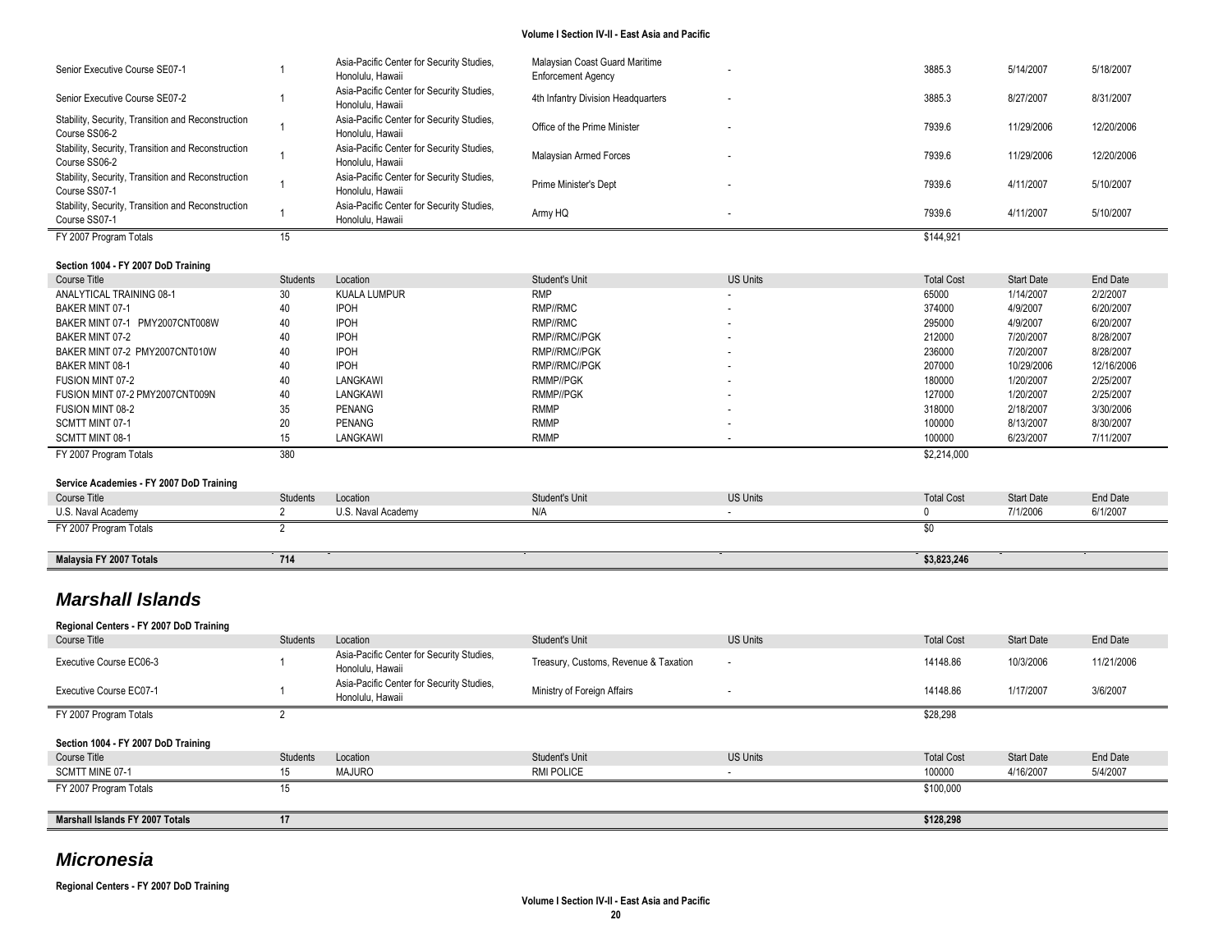| Senior Executive Course SE07-1                                      |                | Asia-Pacific Center for Security Studies,<br>Honolulu. Hawaii | Malaysian Coast Guard Maritime<br><b>Enforcement Agency</b> |                 | 3885.3            | 5/14/2007         | 5/18/2007  |
|---------------------------------------------------------------------|----------------|---------------------------------------------------------------|-------------------------------------------------------------|-----------------|-------------------|-------------------|------------|
| Senior Executive Course SE07-2                                      |                | Asia-Pacific Center for Security Studies,<br>Honolulu, Hawaii | 4th Infantry Division Headquarters                          |                 | 3885.3            | 8/27/2007         | 8/31/2007  |
| Stability, Security, Transition and Reconstruction<br>Course SS06-2 |                | Asia-Pacific Center for Security Studies,<br>Honolulu, Hawaii | Office of the Prime Minister                                |                 | 7939.6            | 11/29/2006        | 12/20/2006 |
| Stability, Security, Transition and Reconstruction<br>Course SS06-2 |                | Asia-Pacific Center for Security Studies,<br>Honolulu, Hawaii | Malaysian Armed Forces                                      |                 | 7939.6            | 11/29/2006        | 12/20/2006 |
| Stability, Security, Transition and Reconstruction<br>Course SS07-1 |                | Asia-Pacific Center for Security Studies,<br>Honolulu, Hawaii | Prime Minister's Dept                                       |                 | 7939.6            | 4/11/2007         | 5/10/2007  |
| Stability, Security, Transition and Reconstruction<br>Course SS07-1 |                | Asia-Pacific Center for Security Studies,<br>Honolulu, Hawaii | Army HQ                                                     |                 | 7939.6            | 4/11/2007         | 5/10/2007  |
| FY 2007 Program Totals                                              | 15             |                                                               |                                                             |                 | \$144,921         |                   |            |
| Section 1004 - FY 2007 DoD Training                                 |                |                                                               |                                                             |                 |                   |                   |            |
| Course Title                                                        | Students       | Location                                                      | Student's Unit                                              | <b>US Units</b> | <b>Total Cost</b> | <b>Start Date</b> | End Date   |
| ANALYTICAL TRAINING 08-1                                            | 30             | <b>KUALA LUMPUR</b>                                           | <b>RMP</b>                                                  |                 | 65000             | 1/14/2007         | 2/2/2007   |
| <b>BAKER MINT 07-1</b>                                              | 40             | <b>IPOH</b>                                                   | RMP//RMC                                                    |                 | 374000            | 4/9/2007          | 6/20/2007  |
| BAKER MINT 07-1 PMY2007CNT008W                                      | 40             | <b>IPOH</b>                                                   | RMP//RMC                                                    |                 | 295000            | 4/9/2007          | 6/20/2007  |
| <b>BAKER MINT 07-2</b>                                              | 40             | <b>IPOH</b>                                                   | RMP//RMC//PGK                                               |                 | 212000            | 7/20/2007         | 8/28/2007  |
| BAKER MINT 07-2 PMY2007CNT010W                                      | 40             | <b>IPOH</b>                                                   | RMP//RMC//PGK                                               |                 | 236000            | 7/20/2007         | 8/28/2007  |
| BAKER MINT 08-1                                                     | 40             | <b>IPOH</b>                                                   | RMP//RMC//PGK                                               |                 | 207000            | 10/29/2006        | 12/16/2006 |
| FUSION MINT 07-2                                                    | 40             | LANGKAWI                                                      | <b>RMMP//PGK</b>                                            |                 | 180000            | 1/20/2007         | 2/25/2007  |
| FUSION MINT 07-2 PMY2007CNT009N                                     | 40             | LANGKAWI                                                      | RMMP//PGK                                                   |                 | 127000            | 1/20/2007         | 2/25/2007  |
| FUSION MINT 08-2                                                    | 35             | <b>PENANG</b>                                                 | <b>RMMP</b>                                                 |                 | 318000            | 2/18/2007         | 3/30/2006  |
| SCMTT MINT 07-1                                                     | 20             | PENANG                                                        | <b>RMMP</b>                                                 |                 | 100000            | 8/13/2007         | 8/30/2007  |
| SCMTT MINT 08-1                                                     | 15             | LANGKAWI                                                      | <b>RMMP</b>                                                 |                 | 100000            | 6/23/2007         | 7/11/2007  |
| FY 2007 Program Totals                                              | 380            |                                                               |                                                             |                 | \$2,214,000       |                   |            |
| Service Academies - FY 2007 DoD Training                            |                |                                                               |                                                             |                 |                   |                   |            |
| Course Title                                                        | Students       | Location                                                      | Student's Unit                                              | <b>US Units</b> | <b>Total Cost</b> | <b>Start Date</b> | End Date   |
| U.S. Naval Academy                                                  | $\overline{2}$ | U.S. Naval Academy                                            | N/A                                                         |                 | 0                 | 7/1/2006          | 6/1/2007   |
| FY 2007 Program Totals                                              | $\overline{2}$ |                                                               |                                                             |                 | $\$0$             |                   |            |
| Malaysia FY 2007 Totals                                             | 714            |                                                               |                                                             |                 | \$3,823,246       |                   |            |
|                                                                     |                |                                                               |                                                             |                 |                   |                   |            |

# *Marshall Islands*

| Regional Centers - FY 2007 DoD Training |                 |                                                               |                                       |                          |                   |                   |            |
|-----------------------------------------|-----------------|---------------------------------------------------------------|---------------------------------------|--------------------------|-------------------|-------------------|------------|
| Course Title                            | Students        | Location                                                      | Student's Unit                        | <b>US Units</b>          | <b>Total Cost</b> | <b>Start Date</b> | End Date   |
| Executive Course EC06-3                 |                 | Asia-Pacific Center for Security Studies,<br>Honolulu, Hawaii | Treasury, Customs, Revenue & Taxation | $\overline{\phantom{a}}$ | 14148.86          | 10/3/2006         | 11/21/2006 |
| Executive Course EC07-1                 |                 | Asia-Pacific Center for Security Studies,<br>Honolulu, Hawaii | Ministry of Foreign Affairs           | ۰.                       | 14148.86          | 1/17/2007         | 3/6/2007   |
| FY 2007 Program Totals                  |                 |                                                               |                                       |                          | \$28,298          |                   |            |
| Section 1004 - FY 2007 DoD Training     |                 |                                                               |                                       |                          |                   |                   |            |
| Course Title                            | <b>Students</b> | Location                                                      | Student's Unit                        | <b>US Units</b>          | <b>Total Cost</b> | <b>Start Date</b> | End Date   |
| SCMTT MINE 07-1                         | 15              | MAJURO                                                        | RMI POLICE                            |                          | 100000            | 4/16/2007         | 5/4/2007   |
| FY 2007 Program Totals                  | 15              |                                                               |                                       |                          | \$100,000         |                   |            |
| Marshall Islands FY 2007 Totals         | 17              |                                                               |                                       |                          | \$128,298         |                   |            |

# *Micronesia*

**Regional Centers - FY 2007 DoD Training**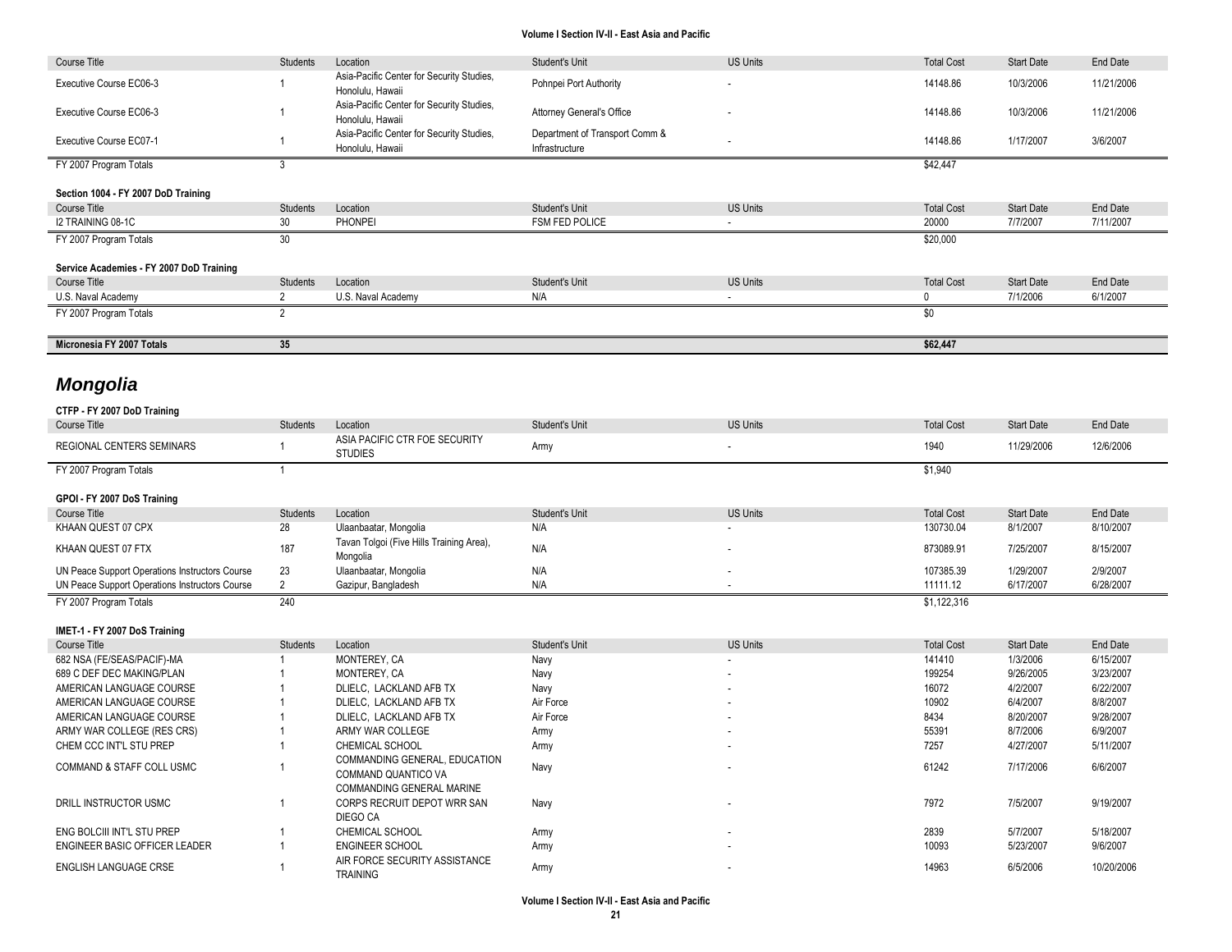| Course Title                                             | Students        | Location                                                      | Student's Unit                                   | <b>US Units</b>          | <b>Total Cost</b> | <b>Start Date</b> | End Date   |
|----------------------------------------------------------|-----------------|---------------------------------------------------------------|--------------------------------------------------|--------------------------|-------------------|-------------------|------------|
| Executive Course EC06-3                                  |                 | Asia-Pacific Center for Security Studies,<br>Honolulu, Hawaii | Pohnpei Port Authority                           |                          | 14148.86          | 10/3/2006         | 11/21/2006 |
| Executive Course EC06-3                                  |                 | Asia-Pacific Center for Security Studies,<br>Honolulu. Hawaii | Attorney General's Office                        |                          | 14148.86          | 10/3/2006         | 11/21/2006 |
| Executive Course EC07-1                                  |                 | Asia-Pacific Center for Security Studies,<br>Honolulu. Hawaii | Department of Transport Comm &<br>Infrastructure |                          | 14148.86          | 1/17/2007         | 3/6/2007   |
| FY 2007 Program Totals                                   | 3               |                                                               |                                                  |                          | \$42,447          |                   |            |
| Section 1004 - FY 2007 DoD Training                      |                 |                                                               |                                                  |                          |                   |                   |            |
| Course Title                                             | Students        | Location                                                      | Student's Unit                                   | <b>US Units</b>          | <b>Total Cost</b> | <b>Start Date</b> | End Date   |
| I2 TRAINING 08-1C                                        | 30              | <b>PHONPEI</b>                                                | <b>FSM FED POLICE</b>                            |                          | 20000             | 7/7/2007          | 7/11/2007  |
| FY 2007 Program Totals                                   | 30              |                                                               |                                                  |                          | \$20,000          |                   |            |
|                                                          |                 |                                                               |                                                  |                          |                   |                   |            |
| Service Academies - FY 2007 DoD Training<br>Course Title | <b>Students</b> | Location                                                      | Student's Unit                                   | <b>US Units</b>          | <b>Total Cost</b> | <b>Start Date</b> | End Date   |
| U.S. Naval Academy                                       | 2               | U.S. Naval Academy                                            | N/A                                              |                          | $\mathbf 0$       | 7/1/2006          | 6/1/2007   |
| FY 2007 Program Totals                                   | $\overline{2}$  |                                                               |                                                  |                          | \$0               |                   |            |
|                                                          |                 |                                                               |                                                  |                          |                   |                   |            |
|                                                          |                 |                                                               |                                                  |                          |                   |                   |            |
| Micronesia FY 2007 Totals                                | 35              |                                                               |                                                  |                          | \$62,447          |                   |            |
|                                                          |                 |                                                               |                                                  |                          |                   |                   |            |
| <b>Mongolia</b>                                          |                 |                                                               |                                                  |                          |                   |                   |            |
|                                                          |                 |                                                               |                                                  |                          |                   |                   |            |
| CTFP - FY 2007 DoD Training<br>Course Title              | Students        | Location                                                      | Student's Unit                                   | <b>US Units</b>          | <b>Total Cost</b> | <b>Start Date</b> | End Date   |
| REGIONAL CENTERS SEMINARS                                |                 | ASIA PACIFIC CTR FOE SECURITY                                 | Army                                             | $\overline{\phantom{a}}$ | 1940              | 11/29/2006        | 12/6/2006  |
| FY 2007 Program Totals                                   | $\overline{1}$  | <b>STUDIES</b>                                                |                                                  |                          | \$1,940           |                   |            |
|                                                          |                 |                                                               |                                                  |                          |                   |                   |            |
| GPOI - FY 2007 DoS Training<br>Course Title              | <b>Students</b> | Location                                                      | Student's Unit                                   | <b>US Units</b>          | <b>Total Cost</b> | <b>Start Date</b> | End Date   |
| KHAAN QUEST 07 CPX                                       | 28              | Ulaanbaatar, Mongolia                                         | N/A                                              |                          | 130730.04         | 8/1/2007          | 8/10/2007  |
| KHAAN QUEST 07 FTX                                       | 187             | Tavan Tolgoi (Five Hills Training Area),<br>Mongolia          | N/A                                              |                          | 873089.91         | 7/25/2007         | 8/15/2007  |
| UN Peace Support Operations Instructors Course           | 23              | Ulaanbaatar, Mongolia                                         | N/A                                              |                          | 107385.39         | 1/29/2007         | 2/9/2007   |
| UN Peace Support Operations Instructors Course           | $\overline{2}$  | Gazipur, Bangladesh                                           | N/A                                              |                          | 11111.12          | 6/17/2007         | 6/28/2007  |

**IMET-1 - FY 2007 DoS Training**

| Course Title                  | Students | Location                                                             | Student's Unit | <b>US Units</b> | <b>Total Cost</b> | <b>Start Date</b> | End Date   |
|-------------------------------|----------|----------------------------------------------------------------------|----------------|-----------------|-------------------|-------------------|------------|
| 682 NSA (FE/SEAS/PACIF)-MA    |          | MONTEREY, CA                                                         | Navy           | $\sim$          | 141410            | 1/3/2006          | 6/15/2007  |
| 689 C DEF DEC MAKING/PLAN     |          | MONTEREY, CA                                                         | Navy           | $\sim$          | 199254            | 9/26/2005         | 3/23/2007  |
| AMERICAN LANGUAGE COURSE      |          | DLIELC. LACKLAND AFB TX                                              | Navy           | $\sim$          | 16072             | 4/2/2007          | 6/22/2007  |
| AMERICAN LANGUAGE COURSE      |          | DLIELC. LACKLAND AFB TX                                              | Air Force      |                 | 10902             | 6/4/2007          | 8/8/2007   |
| AMERICAN LANGUAGE COURSE      |          | DLIELC. LACKLAND AFB TX                                              | Air Force      |                 | 8434              | 8/20/2007         | 9/28/2007  |
| ARMY WAR COLLEGE (RES CRS)    |          | ARMY WAR COLLEGE                                                     | Army           | $\sim$          | 55391             | 8/7/2006          | 6/9/2007   |
| CHEM CCC INT'L STU PREP       |          | <b>CHEMICAL SCHOOL</b>                                               | Army           |                 | 7257              | 4/27/2007         | 5/11/2007  |
| COMMAND & STAFF COLL USMC     |          | COMMANDING GENERAL, EDUCATION<br>COMMAND QUANTICO VA                 | Navy           |                 | 61242             | 7/17/2006         | 6/6/2007   |
| DRILL INSTRUCTOR USMC         |          | COMMANDING GENERAL MARINE<br>CORPS RECRUIT DEPOT WRR SAN<br>DIEGO CA | Navy           |                 | 7972              | 7/5/2007          | 9/19/2007  |
| ENG BOLCIII INT'L STU PREP    |          | CHEMICAL SCHOOL                                                      | Army           | $\sim$          | 2839              | 5/7/2007          | 5/18/2007  |
| ENGINEER BASIC OFFICER LEADER |          | <b>ENGINEER SCHOOL</b>                                               | Army           | $\sim$          | 10093             | 5/23/2007         | 9/6/2007   |
| ENGLISH LANGUAGE CRSE         |          | AIR FORCE SECURITY ASSISTANCE<br><b>TRAINING</b>                     | Army           |                 | 14963             | 6/5/2006          | 10/20/2006 |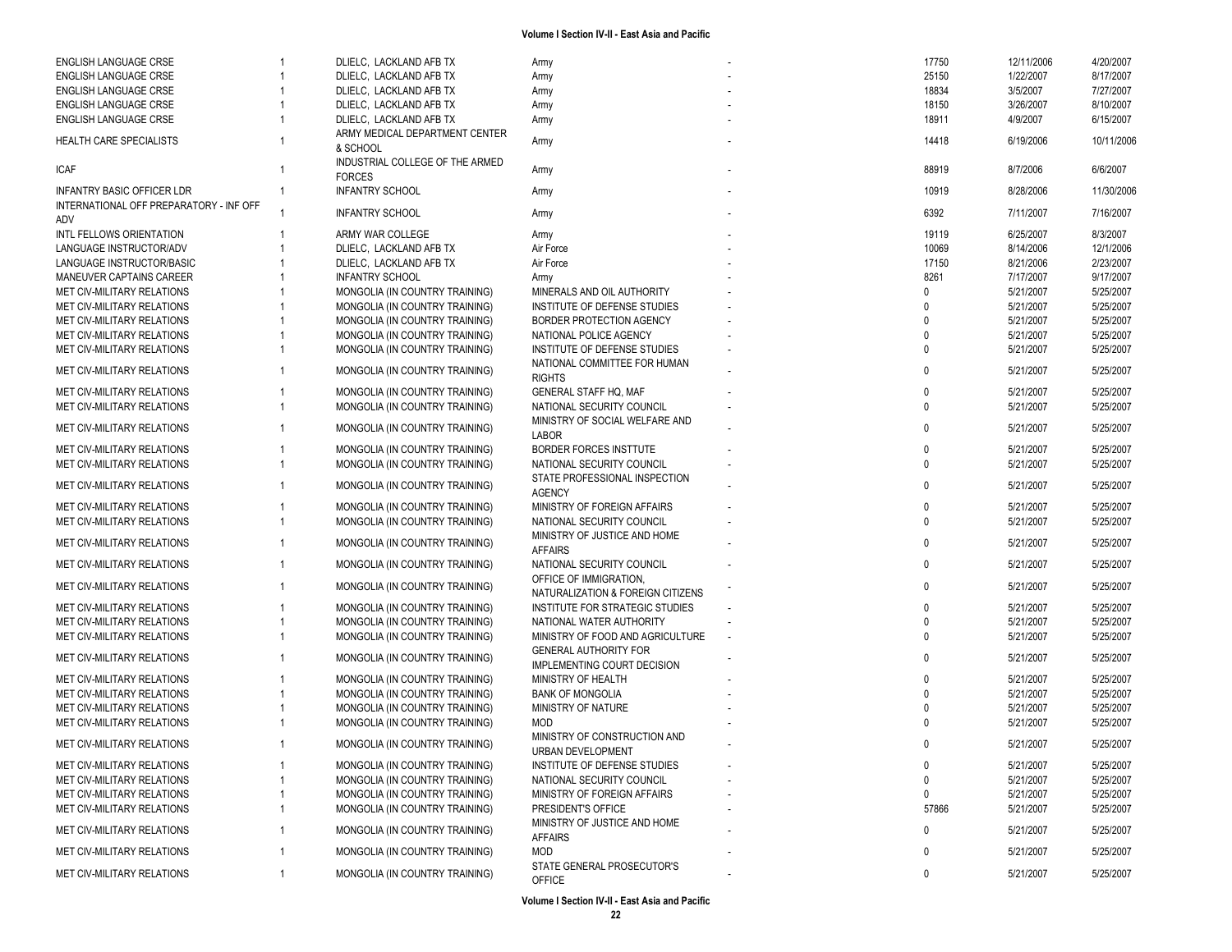| <b>ENGLISH LANGUAGE CRSE</b>                   |    | DLIELC, LACKLAND AFB TX                     | Army                                                        | 17750        | 12/11/2006 | 4/20/2007  |
|------------------------------------------------|----|---------------------------------------------|-------------------------------------------------------------|--------------|------------|------------|
| <b>ENGLISH LANGUAGE CRSE</b>                   |    | DLIELC, LACKLAND AFB TX                     | Army                                                        | 25150        | 1/22/2007  | 8/17/2007  |
| <b>ENGLISH LANGUAGE CRSE</b>                   |    | DLIELC, LACKLAND AFB TX                     | Army                                                        | 18834        | 3/5/2007   | 7/27/2007  |
| <b>ENGLISH LANGUAGE CRSE</b>                   |    | DLIELC, LACKLAND AFB TX                     | Army                                                        | 18150        | 3/26/2007  | 8/10/2007  |
| ENGLISH LANGUAGE CRSE                          |    | DLIELC, LACKLAND AFB TX                     | Army                                                        | 18911        | 4/9/2007   | 6/15/2007  |
| HEALTH CARE SPECIALISTS                        |    | ARMY MEDICAL DEPARTMENT CENTER              | Army                                                        | 14418        | 6/19/2006  | 10/11/2006 |
|                                                |    | & SCHOOL<br>INDUSTRIAL COLLEGE OF THE ARMED |                                                             |              |            |            |
| ICAF                                           |    | <b>FORCES</b>                               | Army                                                        | 88919        | 8/7/2006   | 6/6/2007   |
| <b>INFANTRY BASIC OFFICER LDR</b>              |    | <b>INFANTRY SCHOOL</b>                      | Army                                                        | 10919        | 8/28/2006  | 11/30/2006 |
| INTERNATIONAL OFF PREPARATORY - INF OFF<br>ADV |    | <b>INFANTRY SCHOOL</b>                      | Army                                                        | 6392         | 7/11/2007  | 7/16/2007  |
| INTL FELLOWS ORIENTATION                       |    | ARMY WAR COLLEGE                            | Army                                                        | 19119        | 6/25/2007  | 8/3/2007   |
| LANGUAGE INSTRUCTOR/ADV                        |    | DLIELC, LACKLAND AFB TX                     | Air Force                                                   | 10069        | 8/14/2006  | 12/1/2006  |
| LANGUAGE INSTRUCTOR/BASIC                      |    | DLIELC, LACKLAND AFB TX                     | Air Force                                                   | 17150        | 8/21/2006  | 2/23/2007  |
| MANEUVER CAPTAINS CAREER                       |    | <b>INFANTRY SCHOOL</b>                      | Army                                                        | 8261         | 7/17/2007  | 9/17/2007  |
| MET CIV-MILITARY RELATIONS                     |    | MONGOLIA (IN COUNTRY TRAINING)              | MINERALS AND OIL AUTHORITY                                  |              | 5/21/2007  | 5/25/2007  |
| MET CIV-MILITARY RELATIONS                     |    | MONGOLIA (IN COUNTRY TRAINING)              | INSTITUTE OF DEFENSE STUDIES                                |              | 5/21/2007  | 5/25/2007  |
| MET CIV-MILITARY RELATIONS                     |    | MONGOLIA (IN COUNTRY TRAINING)              | BORDER PROTECTION AGENCY                                    |              | 5/21/2007  | 5/25/2007  |
| MET CIV-MILITARY RELATIONS                     |    | MONGOLIA (IN COUNTRY TRAINING)              | NATIONAL POLICE AGENCY                                      | <sup>n</sup> | 5/21/2007  | 5/25/2007  |
| MET CIV-MILITARY RELATIONS                     |    | MONGOLIA (IN COUNTRY TRAINING)              | INSTITUTE OF DEFENSE STUDIES                                | $\Omega$     | 5/21/2007  | 5/25/2007  |
|                                                |    |                                             |                                                             |              |            |            |
| MET CIV-MILITARY RELATIONS                     |    | MONGOLIA (IN COUNTRY TRAINING)              | NATIONAL COMMITTEE FOR HUMAN<br><b>RIGHTS</b>               | $\Omega$     | 5/21/2007  | 5/25/2007  |
| MET CIV-MILITARY RELATIONS                     |    | MONGOLIA (IN COUNTRY TRAINING)              | <b>GENERAL STAFF HQ. MAF</b>                                | $\mathbf{0}$ | 5/21/2007  | 5/25/2007  |
| MET CIV-MILITARY RELATIONS                     |    | MONGOLIA (IN COUNTRY TRAINING)              | NATIONAL SECURITY COUNCIL                                   | $\Omega$     | 5/21/2007  | 5/25/2007  |
|                                                |    |                                             | MINISTRY OF SOCIAL WELFARE AND                              |              |            |            |
| MET CIV-MILITARY RELATIONS                     |    | MONGOLIA (IN COUNTRY TRAINING)              | <b>LABOR</b>                                                | $\Omega$     | 5/21/2007  | 5/25/2007  |
| MET CIV-MILITARY RELATIONS                     |    | MONGOLIA (IN COUNTRY TRAINING)              | <b>BORDER FORCES INSTTUTE</b>                               | $\mathbf{0}$ | 5/21/2007  | 5/25/2007  |
| MET CIV-MILITARY RELATIONS                     |    | MONGOLIA (IN COUNTRY TRAINING)              | NATIONAL SECURITY COUNCIL                                   | $\mathbf{0}$ | 5/21/2007  | 5/25/2007  |
| MET CIV-MILITARY RELATIONS                     |    | MONGOLIA (IN COUNTRY TRAINING)              | STATE PROFESSIONAL INSPECTION<br><b>AGENCY</b>              | $\Omega$     | 5/21/2007  | 5/25/2007  |
| MET CIV-MILITARY RELATIONS                     |    | MONGOLIA (IN COUNTRY TRAINING)              | MINISTRY OF FOREIGN AFFAIRS                                 | $\Omega$     | 5/21/2007  | 5/25/2007  |
| MET CIV-MILITARY RELATIONS                     |    |                                             | NATIONAL SECURITY COUNCIL                                   | $\Omega$     | 5/21/2007  | 5/25/2007  |
|                                                |    | MONGOLIA (IN COUNTRY TRAINING)              |                                                             |              |            |            |
| MET CIV-MILITARY RELATIONS                     |    | MONGOLIA (IN COUNTRY TRAINING)              | MINISTRY OF JUSTICE AND HOME<br><b>AFFAIRS</b>              | $\Omega$     | 5/21/2007  | 5/25/2007  |
| MET CIV-MILITARY RELATIONS                     |    | MONGOLIA (IN COUNTRY TRAINING)              | NATIONAL SECURITY COUNCIL                                   | $\Omega$     | 5/21/2007  | 5/25/2007  |
| MET CIV-MILITARY RELATIONS                     |    | MONGOLIA (IN COUNTRY TRAINING)              | OFFICE OF IMMIGRATION.<br>NATURALIZATION & FOREIGN CITIZENS | <sup>n</sup> | 5/21/2007  | 5/25/2007  |
| MET CIV-MILITARY RELATIONS                     |    | MONGOLIA (IN COUNTRY TRAINING)              | INSTITUTE FOR STRATEGIC STUDIES                             |              | 5/21/2007  | 5/25/2007  |
| MET CIV-MILITARY RELATIONS                     |    | MONGOLIA (IN COUNTRY TRAINING)              | NATIONAL WATER AUTHORITY                                    |              | 5/21/2007  | 5/25/2007  |
| MET CIV-MILITARY RELATIONS                     |    | MONGOLIA (IN COUNTRY TRAINING)              | MINISTRY OF FOOD AND AGRICULTURE                            | $\Omega$     | 5/21/2007  | 5/25/2007  |
| MET CIV-MILITARY RELATIONS                     |    | MONGOLIA (IN COUNTRY TRAINING)              | <b>GENERAL AUTHORITY FOR</b>                                | $\Omega$     | 5/21/2007  | 5/25/2007  |
|                                                |    |                                             | <b>IMPLEMENTING COURT DECISION</b>                          |              |            |            |
| MET CIV-MILITARY RELATIONS                     |    | MONGOLIA (IN COUNTRY TRAINING)              | MINISTRY OF HEALTH                                          |              | 5/21/2007  | 5/25/2007  |
| MET CIV-MILITARY RELATIONS                     |    | MONGOLIA (IN COUNTRY TRAINING)              | <b>BANK OF MONGOLIA</b>                                     | $\Omega$     | 5/21/2007  | 5/25/2007  |
| MET CIV-MILITARY RELATIONS                     |    | MONGOLIA (IN COUNTRY TRAINING)              | MINISTRY OF NATURE                                          |              | 5/21/2007  | 5/25/2007  |
| MET CIV-MILITARY RELATIONS                     |    | MONGOLIA (IN COUNTRY TRAINING)              | MOD                                                         |              | 5/21/2007  | 5/25/2007  |
| MET CIV-MILITARY RELATIONS                     |    | MONGOLIA (IN COUNTRY TRAINING)              | MINISTRY OF CONSTRUCTION AND<br>URBAN DEVELOPMENT           | $\Omega$     | 5/21/2007  | 5/25/2007  |
| MET CIV-MILITARY RELATIONS                     |    | MONGOLIA (IN COUNTRY TRAINING)              | INSTITUTE OF DEFENSE STUDIES                                | 0            | 5/21/2007  | 5/25/2007  |
| MET CIV-MILITARY RELATIONS                     |    | MONGOLIA (IN COUNTRY TRAINING)              | NATIONAL SECURITY COUNCIL                                   | $\mathbf{0}$ | 5/21/2007  | 5/25/2007  |
| MET CIV-MILITARY RELATIONS                     |    | MONGOLIA (IN COUNTRY TRAINING)              | MINISTRY OF FOREIGN AFFAIRS                                 | 0            | 5/21/2007  | 5/25/2007  |
| MET CIV-MILITARY RELATIONS                     |    | MONGOLIA (IN COUNTRY TRAINING)              | PRESIDENT'S OFFICE                                          | 57866        | 5/21/2007  | 5/25/2007  |
|                                                |    |                                             | MINISTRY OF JUSTICE AND HOME                                |              |            |            |
| MET CIV-MILITARY RELATIONS                     |    | MONGOLIA (IN COUNTRY TRAINING)              | <b>AFFAIRS</b>                                              | 0            | 5/21/2007  | 5/25/2007  |
| MET CIV-MILITARY RELATIONS                     |    | MONGOLIA (IN COUNTRY TRAINING)              | MOD                                                         | 0            | 5/21/2007  | 5/25/2007  |
| MET CIV-MILITARY RELATIONS                     | -1 | MONGOLIA (IN COUNTRY TRAINING)              | STATE GENERAL PROSECUTOR'S<br><b>OFFICE</b>                 | 0            | 5/21/2007  | 5/25/2007  |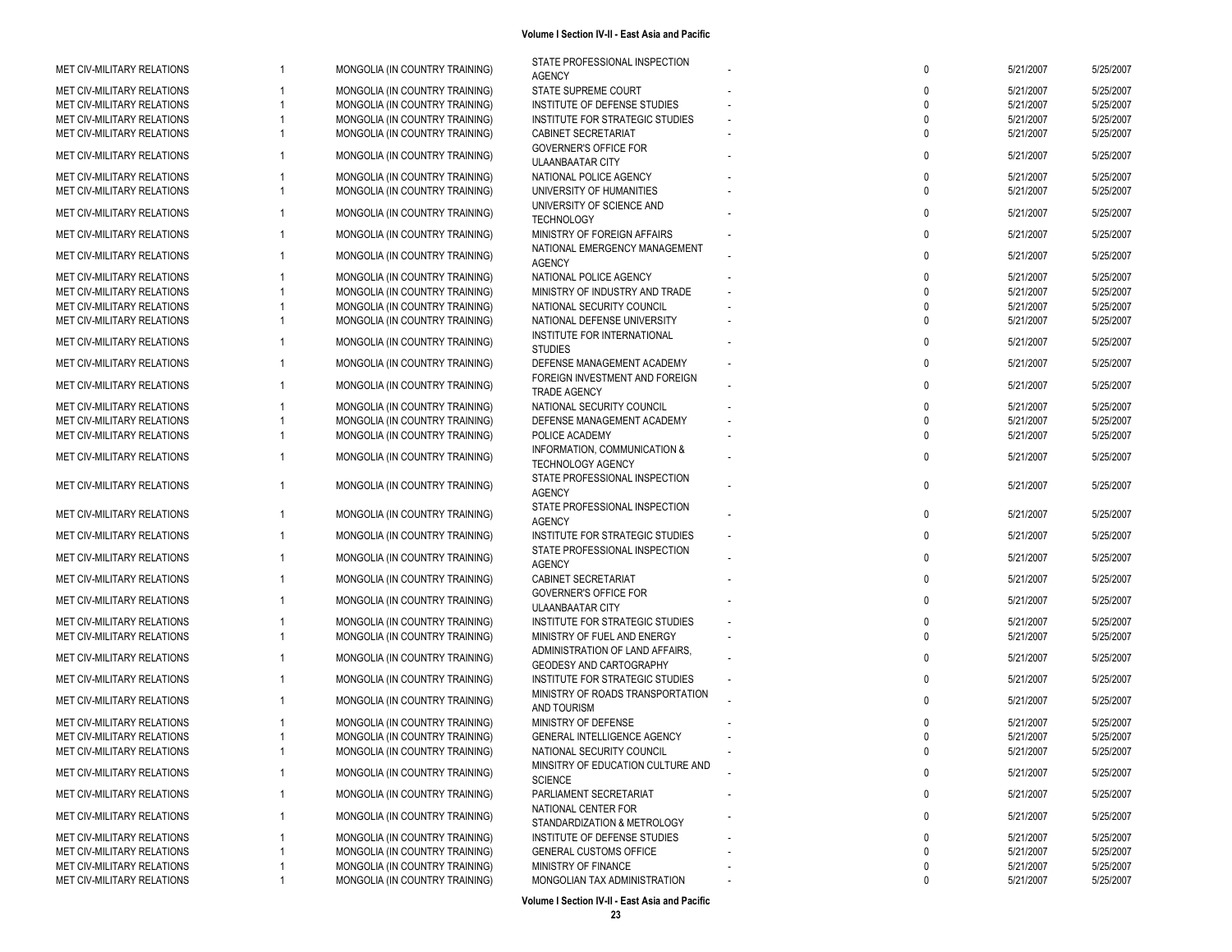| MET CIV-MILITARY RELATIONS        |                | MONGOLIA (IN COUNTRY TRAINING) | STATE PROFESSIONAL INSPECTION<br><b>AGENCY</b>             | $\mathbf{0}$ | 5/21/2007 | 5/25/2007 |
|-----------------------------------|----------------|--------------------------------|------------------------------------------------------------|--------------|-----------|-----------|
| MET CIV-MILITARY RELATIONS        |                | MONGOLIA (IN COUNTRY TRAINING) | STATE SUPREME COURT                                        |              | 5/21/2007 | 5/25/2007 |
| <b>MET CIV-MILITARY RELATIONS</b> |                | MONGOLIA (IN COUNTRY TRAINING) | INSTITUTE OF DEFENSE STUDIES                               |              | 5/21/2007 | 5/25/2007 |
| <b>MET CIV-MILITARY RELATIONS</b> |                | MONGOLIA (IN COUNTRY TRAINING) | INSTITUTE FOR STRATEGIC STUDIES                            |              | 5/21/2007 | 5/25/2007 |
| MET CIV-MILITARY RELATIONS        |                | MONGOLIA (IN COUNTRY TRAINING) | CABINET SECRETARIAT                                        |              | 5/21/2007 | 5/25/2007 |
|                                   |                |                                | <b>GOVERNER'S OFFICE FOR</b>                               |              |           |           |
| MET CIV-MILITARY RELATIONS        |                | MONGOLIA (IN COUNTRY TRAINING) | <b>ULAANBAATAR CITY</b>                                    |              | 5/21/2007 | 5/25/2007 |
| MET CIV-MILITARY RELATIONS        |                | MONGOLIA (IN COUNTRY TRAINING) | NATIONAL POLICE AGENCY                                     |              | 5/21/2007 | 5/25/2007 |
| MET CIV-MILITARY RELATIONS        |                | MONGOLIA (IN COUNTRY TRAINING) | UNIVERSITY OF HUMANITIES                                   |              | 5/21/2007 | 5/25/2007 |
| MET CIV-MILITARY RELATIONS        |                | MONGOLIA (IN COUNTRY TRAINING) | UNIVERSITY OF SCIENCE AND<br><b>TECHNOLOGY</b>             |              | 5/21/2007 | 5/25/2007 |
| MET CIV-MILITARY RELATIONS        |                | MONGOLIA (IN COUNTRY TRAINING) | MINISTRY OF FOREIGN AFFAIRS                                |              | 5/21/2007 | 5/25/2007 |
| MET CIV-MILITARY RELATIONS        |                | MONGOLIA (IN COUNTRY TRAINING) | NATIONAL EMERGENCY MANAGEMENT<br><b>AGENCY</b>             |              | 5/21/2007 | 5/25/2007 |
| <b>MET CIV-MILITARY RELATIONS</b> |                | MONGOLIA (IN COUNTRY TRAINING) | NATIONAL POLICE AGENCY                                     |              | 5/21/2007 | 5/25/2007 |
| MET CIV-MILITARY RELATIONS        |                | MONGOLIA (IN COUNTRY TRAINING) | MINISTRY OF INDUSTRY AND TRADE                             |              | 5/21/2007 | 5/25/2007 |
| <b>MET CIV-MILITARY RELATIONS</b> |                | MONGOLIA (IN COUNTRY TRAINING) | NATIONAL SECURITY COUNCIL                                  |              | 5/21/2007 | 5/25/2007 |
| MET CIV-MILITARY RELATIONS        |                | MONGOLIA (IN COUNTRY TRAINING) | NATIONAL DEFENSE UNIVERSITY                                |              | 5/21/2007 | 5/25/2007 |
|                                   |                |                                | INSTITUTE FOR INTERNATIONAL                                |              |           |           |
| MET CIV-MILITARY RELATIONS        |                | MONGOLIA (IN COUNTRY TRAINING) | <b>STUDIES</b>                                             |              | 5/21/2007 | 5/25/2007 |
| MET CIV-MILITARY RELATIONS        |                | MONGOLIA (IN COUNTRY TRAINING) | DEFENSE MANAGEMENT ACADEMY                                 |              | 5/21/2007 | 5/25/2007 |
| MET CIV-MILITARY RELATIONS        |                | MONGOLIA (IN COUNTRY TRAINING) | FOREIGN INVESTMENT AND FOREIGN<br>TRADE AGENCY             |              | 5/21/2007 | 5/25/2007 |
| MET CIV-MILITARY RELATIONS        |                | MONGOLIA (IN COUNTRY TRAINING) | NATIONAL SECURITY COUNCIL                                  |              | 5/21/2007 | 5/25/2007 |
| <b>MET CIV-MILITARY RELATIONS</b> |                | MONGOLIA (IN COUNTRY TRAINING) | DEFENSE MANAGEMENT ACADEMY                                 |              | 5/21/2007 | 5/25/2007 |
| MET CIV-MILITARY RELATIONS        |                | MONGOLIA (IN COUNTRY TRAINING) | POLICE ACADEMY                                             |              | 5/21/2007 | 5/25/2007 |
|                                   |                |                                | INFORMATION, COMMUNICATION &                               |              |           |           |
| MET CIV-MILITARY RELATIONS        |                | MONGOLIA (IN COUNTRY TRAINING) | TECHNOLOGY AGENCY                                          |              | 5/21/2007 | 5/25/2007 |
| MET CIV-MILITARY RELATIONS        |                | MONGOLIA (IN COUNTRY TRAINING) | STATE PROFESSIONAL INSPECTION<br><b>AGENCY</b>             | $\mathbf 0$  | 5/21/2007 | 5/25/2007 |
| MET CIV-MILITARY RELATIONS        |                | MONGOLIA (IN COUNTRY TRAINING) | STATE PROFESSIONAL INSPECTION                              | $\Omega$     | 5/21/2007 | 5/25/2007 |
| MET CIV-MILITARY RELATIONS        |                | MONGOLIA (IN COUNTRY TRAINING) | <b>AGENCY</b><br>INSTITUTE FOR STRATEGIC STUDIES           |              | 5/21/2007 | 5/25/2007 |
| MET CIV-MILITARY RELATIONS        |                | MONGOLIA (IN COUNTRY TRAINING) | STATE PROFESSIONAL INSPECTION                              |              | 5/21/2007 | 5/25/2007 |
| MET CIV-MILITARY RELATIONS        |                | MONGOLIA (IN COUNTRY TRAINING) | <b>AGENCY</b><br>CABINET SECRETARIAT                       |              | 5/21/2007 | 5/25/2007 |
| MET CIV-MILITARY RELATIONS        |                | MONGOLIA (IN COUNTRY TRAINING) | <b>GOVERNER'S OFFICE FOR</b>                               |              | 5/21/2007 | 5/25/2007 |
|                                   |                |                                | ULAANBAATAR CITY                                           |              |           |           |
| MET CIV-MILITARY RELATIONS        |                | MONGOLIA (IN COUNTRY TRAINING) | INSTITUTE FOR STRATEGIC STUDIES                            |              | 5/21/2007 | 5/25/2007 |
| MET CIV-MILITARY RELATIONS        |                | MONGOLIA (IN COUNTRY TRAINING) | MINISTRY OF FUEL AND ENERGY                                |              | 5/21/2007 | 5/25/2007 |
| MET CIV-MILITARY RELATIONS        |                | MONGOLIA (IN COUNTRY TRAINING) | ADMINISTRATION OF LAND AFFAIRS.<br>GEODESY AND CARTOGRAPHY | $\Omega$     | 5/21/2007 | 5/25/2007 |
| MET CIV-MILITARY RELATIONS        |                | MONGOLIA (IN COUNTRY TRAINING) | INSTITUTE FOR STRATEGIC STUDIES                            |              | 5/21/2007 | 5/25/2007 |
| <b>MET CIV-MILITARY RELATIONS</b> |                | MONGOLIA (IN COUNTRY TRAINING) | MINISTRY OF ROADS TRANSPORTATION<br>AND TOURISM            |              | 5/21/2007 | 5/25/2007 |
| MET CIV-MILITARY RELATIONS        |                | MONGOLIA (IN COUNTRY TRAINING) | MINISTRY OF DEFENSE                                        |              | 5/21/2007 | 5/25/2007 |
| MET CIV-MILITARY RELATIONS        |                | MONGOLIA (IN COUNTRY TRAINING) | GENERAL INTELLIGENCE AGENCY                                |              | 5/21/2007 | 5/25/2007 |
| MET CIV-MILITARY RELATIONS        |                | MONGOLIA (IN COUNTRY TRAINING) | NATIONAL SECURITY COUNCIL                                  |              | 5/21/2007 | 5/25/2007 |
|                                   | $\overline{1}$ |                                | MINSITRY OF EDUCATION CULTURE AND                          | 0            | 5/21/2007 | 5/25/2007 |
| MET CIV-MILITARY RELATIONS        |                | MONGOLIA (IN COUNTRY TRAINING) | <b>SCIENCE</b>                                             |              |           |           |
| MET CIV-MILITARY RELATIONS        |                | MONGOLIA (IN COUNTRY TRAINING) | PARLIAMENT SECRETARIAT<br>NATIONAL CENTER FOR              | $\Omega$     | 5/21/2007 | 5/25/2007 |
| MET CIV-MILITARY RELATIONS        |                | MONGOLIA (IN COUNTRY TRAINING) | STANDARDIZATION & METROLOGY                                | 0            | 5/21/2007 | 5/25/2007 |
| MET CIV-MILITARY RELATIONS        |                | MONGOLIA (IN COUNTRY TRAINING) | INSTITUTE OF DEFENSE STUDIES                               | $\Omega$     | 5/21/2007 | 5/25/2007 |
| MET CIV-MILITARY RELATIONS        |                | MONGOLIA (IN COUNTRY TRAINING) | <b>GENERAL CUSTOMS OFFICE</b>                              |              | 5/21/2007 | 5/25/2007 |
| MET CIV-MILITARY RELATIONS        |                | MONGOLIA (IN COUNTRY TRAINING) | MINISTRY OF FINANCE                                        |              | 5/21/2007 | 5/25/2007 |
| MET CIV-MILITARY RELATIONS        |                | MONGOLIA (IN COUNTRY TRAINING) | MONGOLIAN TAX ADMINISTRATION                               |              | 5/21/2007 | 5/25/2007 |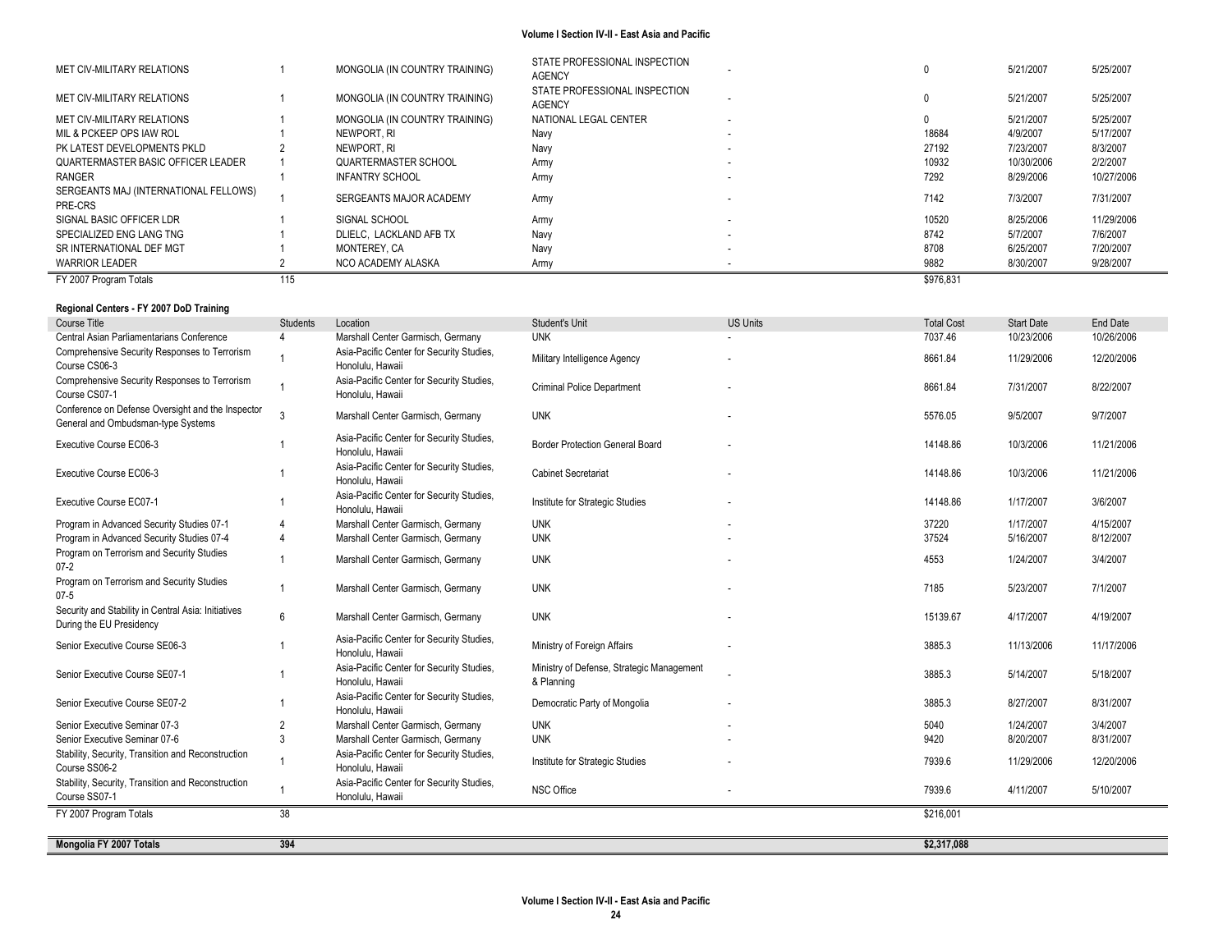| FY 2007 Program Totals                           | 115 |                                |                                                |                          | \$976,831 |            |            |
|--------------------------------------------------|-----|--------------------------------|------------------------------------------------|--------------------------|-----------|------------|------------|
| <b>WARRIOR LEADER</b>                            |     | NCO ACADEMY ALASKA             | Army                                           |                          | 9882      | 8/30/2007  | 9/28/2007  |
| SR INTERNATIONAL DEF MGT                         |     | MONTEREY, CA                   | Navy                                           | $\overline{\phantom{a}}$ | 8708      | 6/25/2007  | 7/20/2007  |
| SPECIALIZED ENG LANG TNG                         |     | DLIELC. LACKLAND AFB TX        | Navy                                           | $\overline{\phantom{a}}$ | 8742      | 5/7/2007   | 7/6/2007   |
| SIGNAL BASIC OFFICER LDR                         |     | SIGNAL SCHOOL                  | Army                                           |                          | 10520     | 8/25/2006  | 11/29/2006 |
| SERGEANTS MAJ (INTERNATIONAL FELLOWS)<br>PRE-CRS |     | SERGEANTS MAJOR ACADEMY        | Army                                           |                          | 7142      | 7/3/2007   | 7/31/2007  |
| RANGER                                           |     | <b>INFANTRY SCHOOL</b>         | Army                                           |                          | 7292      | 8/29/2006  | 10/27/2006 |
| QUARTERMASTER BASIC OFFICER LEADER               |     | QUARTERMASTER SCHOOL           | Army                                           | $\overline{\phantom{a}}$ | 10932     | 10/30/2006 | 2/2/2007   |
| PK LATEST DEVELOPMENTS PKLD                      |     | NEWPORT. RI                    | Navy                                           |                          | 27192     | 7/23/2007  | 8/3/2007   |
| MIL & PCKEEP OPS IAW ROL                         |     | NEWPORT. RI                    | Navv                                           |                          | 18684     | 4/9/2007   | 5/17/2007  |
| MET CIV-MILITARY RELATIONS                       |     | MONGOLIA (IN COUNTRY TRAINING) | NATIONAL LEGAL CENTER                          | $\overline{\phantom{a}}$ |           | 5/21/2007  | 5/25/2007  |
| MET CIV-MILITARY RELATIONS                       |     | MONGOLIA (IN COUNTRY TRAINING) | STATE PROFESSIONAL INSPECTION<br><b>AGENCY</b> |                          |           | 5/21/2007  | 5/25/2007  |
| MET CIV-MILITARY RELATIONS                       |     | MONGOLIA (IN COUNTRY TRAINING) | STATE PROFESSIONAL INSPECTION<br><b>AGENCY</b> |                          |           | 5/21/2007  | 5/25/2007  |

### **Regional Centers - FY 2007 DoD Training**

| Course Title                                                                            | <b>Students</b> | Location                                                      | Student's Unit                                          | <b>US Units</b> | <b>Total Cost</b> | <b>Start Date</b> | End Date   |
|-----------------------------------------------------------------------------------------|-----------------|---------------------------------------------------------------|---------------------------------------------------------|-----------------|-------------------|-------------------|------------|
| Central Asian Parliamentarians Conference                                               |                 | Marshall Center Garmisch, Germany                             | <b>UNK</b>                                              |                 | 7037.46           | 10/23/2006        | 10/26/2006 |
| Comprehensive Security Responses to Terrorism<br>Course CS06-3                          |                 | Asia-Pacific Center for Security Studies,<br>Honolulu. Hawaii | Military Intelligence Agency                            |                 | 8661.84           | 11/29/2006        | 12/20/2006 |
| Comprehensive Security Responses to Terrorism<br>Course CS07-1                          |                 | Asia-Pacific Center for Security Studies,<br>Honolulu, Hawaii | <b>Criminal Police Department</b>                       |                 | 8661.84           | 7/31/2007         | 8/22/2007  |
| Conference on Defense Oversight and the Inspector<br>General and Ombudsman-type Systems | 3               | Marshall Center Garmisch, Germany                             | <b>UNK</b>                                              |                 | 5576.05           | 9/5/2007          | 9/7/2007   |
| Executive Course EC06-3                                                                 |                 | Asia-Pacific Center for Security Studies,<br>Honolulu, Hawaii | <b>Border Protection General Board</b>                  |                 | 14148.86          | 10/3/2006         | 11/21/2006 |
| Executive Course EC06-3                                                                 |                 | Asia-Pacific Center for Security Studies,<br>Honolulu, Hawaii | <b>Cabinet Secretariat</b>                              |                 | 14148.86          | 10/3/2006         | 11/21/2006 |
| Executive Course EC07-1                                                                 |                 | Asia-Pacific Center for Security Studies,<br>Honolulu, Hawaii | Institute for Strategic Studies                         |                 | 14148.86          | 1/17/2007         | 3/6/2007   |
| Program in Advanced Security Studies 07-1                                               |                 | Marshall Center Garmisch, Germany                             | <b>UNK</b>                                              |                 | 37220             | 1/17/2007         | 4/15/2007  |
| Program in Advanced Security Studies 07-4                                               |                 | Marshall Center Garmisch, Germany                             | <b>UNK</b>                                              |                 | 37524             | 5/16/2007         | 8/12/2007  |
| Program on Terrorism and Security Studies<br>$07 - 2$                                   |                 | Marshall Center Garmisch, Germany                             | <b>UNK</b>                                              |                 | 4553              | 1/24/2007         | 3/4/2007   |
| Program on Terrorism and Security Studies<br>$07 - 5$                                   |                 | Marshall Center Garmisch, Germany                             | <b>UNK</b>                                              |                 | 7185              | 5/23/2007         | 7/1/2007   |
| Security and Stability in Central Asia: Initiatives<br>During the EU Presidency         | 6               | Marshall Center Garmisch, Germany                             | <b>UNK</b>                                              |                 | 15139.67          | 4/17/2007         | 4/19/2007  |
| Senior Executive Course SE06-3                                                          |                 | Asia-Pacific Center for Security Studies,<br>Honolulu, Hawaii | Ministry of Foreign Affairs                             |                 | 3885.3            | 11/13/2006        | 11/17/2006 |
| Senior Executive Course SE07-1                                                          |                 | Asia-Pacific Center for Security Studies,<br>Honolulu. Hawaii | Ministry of Defense, Strategic Management<br>& Planning |                 | 3885.3            | 5/14/2007         | 5/18/2007  |
| Senior Executive Course SE07-2                                                          |                 | Asia-Pacific Center for Security Studies,<br>Honolulu, Hawaii | Democratic Party of Mongolia                            |                 | 3885.3            | 8/27/2007         | 8/31/2007  |
| Senior Executive Seminar 07-3                                                           | $\overline{2}$  | Marshall Center Garmisch, Germany                             | <b>UNK</b>                                              |                 | 5040              | 1/24/2007         | 3/4/2007   |
| Senior Executive Seminar 07-6                                                           | $\mathcal{R}$   | Marshall Center Garmisch, Germany                             | <b>UNK</b>                                              |                 | 9420              | 8/20/2007         | 8/31/2007  |
| Stability, Security, Transition and Reconstruction<br>Course SS06-2                     |                 | Asia-Pacific Center for Security Studies,<br>Honolulu, Hawaii | Institute for Strategic Studies                         |                 | 7939.6            | 11/29/2006        | 12/20/2006 |
| Stability, Security, Transition and Reconstruction<br>Course SS07-1                     |                 | Asia-Pacific Center for Security Studies,<br>Honolulu, Hawaii | <b>NSC Office</b>                                       |                 | 7939.6            | 4/11/2007         | 5/10/2007  |
| FY 2007 Program Totals                                                                  | 38              |                                                               |                                                         |                 | \$216,001         |                   |            |
|                                                                                         |                 |                                                               |                                                         |                 |                   |                   |            |
| Mongolia FY 2007 Totals                                                                 | 394             |                                                               |                                                         |                 | \$2,317,088       |                   |            |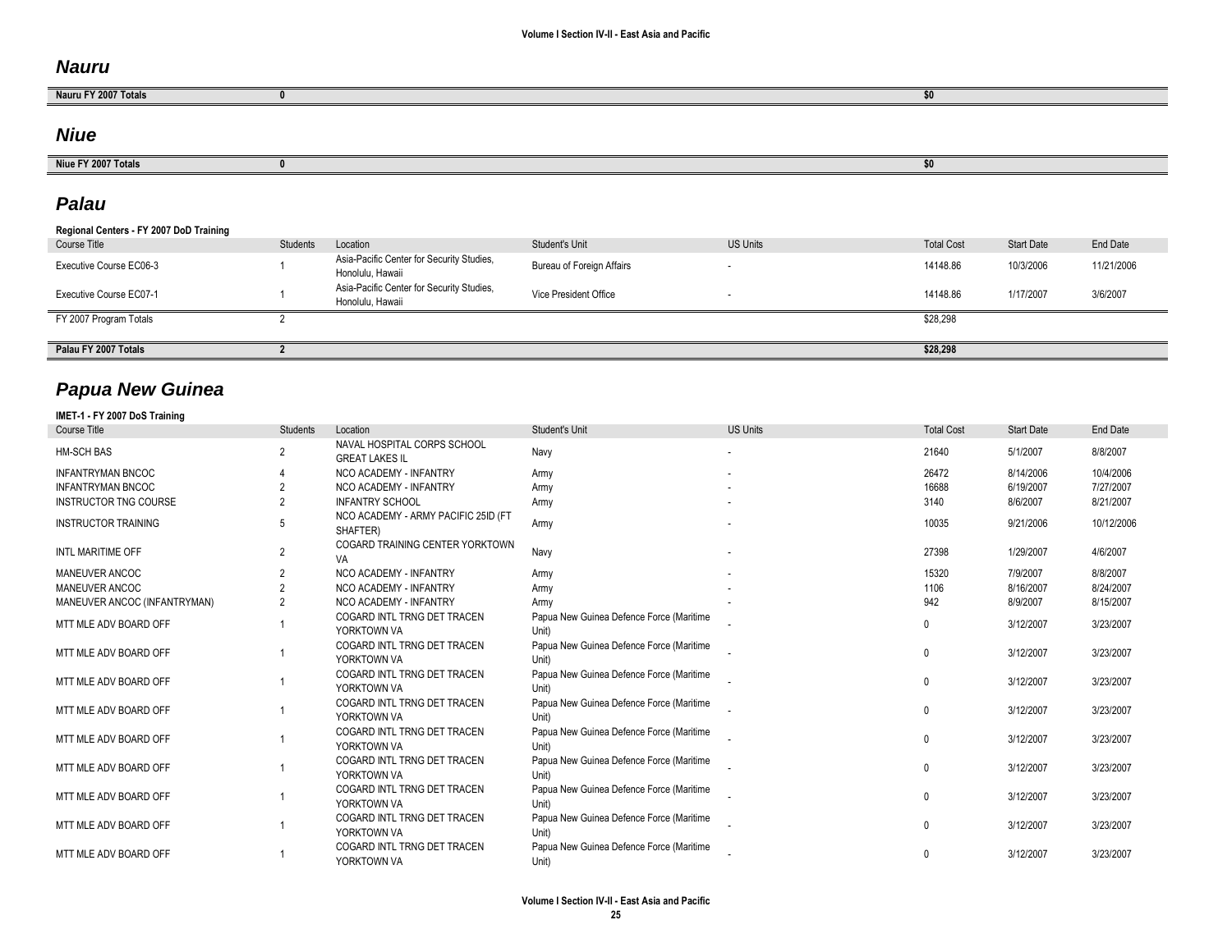## *Nauru*

| Nauru FY 2007 Totals |  |
|----------------------|--|
|                      |  |

## *Niue*

| <b>Niue</b><br>zuu/lotal |  |
|--------------------------|--|

# *Palau*

| Regional Centers - FY 2007 DoD Training |                 |                                                               |                           |                 |                   |                   |            |
|-----------------------------------------|-----------------|---------------------------------------------------------------|---------------------------|-----------------|-------------------|-------------------|------------|
| Course Title                            | <b>Students</b> | Location                                                      | Student's Unit            | <b>US Units</b> | <b>Total Cost</b> | <b>Start Date</b> | End Date   |
| Executive Course EC06-3                 |                 | Asia-Pacific Center for Security Studies,<br>Honolulu, Hawaii | Bureau of Foreign Affairs |                 | 14148.86          | 10/3/2006         | 11/21/2006 |
| Executive Course EC07-1                 |                 | Asia-Pacific Center for Security Studies,<br>Honolulu, Hawaii | Vice President Office     |                 | 14148.86          | 1/17/2007         | 3/6/2007   |
| FY 2007 Program Totals                  |                 |                                                               |                           |                 | \$28,298          |                   |            |
| Palau FY 2007 Totals                    |                 |                                                               |                           |                 | \$28,298          |                   |            |

# *Papua New Guinea*

| <b>Course Title</b>          | <b>Students</b> | Location                                             | Student's Unit                                    | <b>US Units</b> | <b>Total Cost</b> | <b>Start Date</b> | End Date   |
|------------------------------|-----------------|------------------------------------------------------|---------------------------------------------------|-----------------|-------------------|-------------------|------------|
| <b>HM-SCH BAS</b>            | $\overline{2}$  | NAVAL HOSPITAL CORPS SCHOOL<br><b>GREAT LAKES IL</b> | Navy                                              |                 | 21640             | 5/1/2007          | 8/8/2007   |
| <b>INFANTRYMAN BNCOC</b>     |                 | NCO ACADEMY - INFANTRY                               | Army                                              |                 | 26472             | 8/14/2006         | 10/4/2006  |
| <b>INFANTRYMAN BNCOC</b>     |                 | NCO ACADEMY - INFANTRY                               | Army                                              |                 | 16688             | 6/19/2007         | 7/27/2007  |
| <b>INSTRUCTOR TNG COURSE</b> |                 | <b>INFANTRY SCHOOL</b>                               | Army                                              |                 | 3140              | 8/6/2007          | 8/21/2007  |
| <b>INSTRUCTOR TRAINING</b>   | 5               | NCO ACADEMY - ARMY PACIFIC 25ID (FT<br>SHAFTER)      | Army                                              |                 | 10035             | 9/21/2006         | 10/12/2006 |
| <b>INTL MARITIME OFF</b>     | $\overline{2}$  | COGARD TRAINING CENTER YORKTOWN<br>VA                | Navy                                              |                 | 27398             | 1/29/2007         | 4/6/2007   |
| MANEUVER ANCOC               | $\overline{2}$  | NCO ACADEMY - INFANTRY                               | Army                                              |                 | 15320             | 7/9/2007          | 8/8/2007   |
| MANEUVER ANCOC               |                 | NCO ACADEMY - INFANTRY                               | Army                                              |                 | 1106              | 8/16/2007         | 8/24/2007  |
| MANEUVER ANCOC (INFANTRYMAN) | $\overline{2}$  | NCO ACADEMY - INFANTRY                               | Army                                              |                 | 942               | 8/9/2007          | 8/15/2007  |
| MTT MLE ADV BOARD OFF        |                 | COGARD INTL TRNG DET TRACEN<br>YORKTOWN VA           | Papua New Guinea Defence Force (Maritime<br>Unit) |                 |                   | 3/12/2007         | 3/23/2007  |
| MTT MLE ADV BOARD OFF        |                 | COGARD INTL TRNG DET TRACEN<br>YORKTOWN VA           | Papua New Guinea Defence Force (Maritime<br>Unit) |                 | $\mathbf{0}$      | 3/12/2007         | 3/23/2007  |
| MTT MLE ADV BOARD OFF        |                 | COGARD INTL TRNG DET TRACEN<br>YORKTOWN VA           | Papua New Guinea Defence Force (Maritime<br>Unit) |                 | 0                 | 3/12/2007         | 3/23/2007  |
| MTT MLE ADV BOARD OFF        |                 | COGARD INTL TRNG DET TRACEN<br>YORKTOWN VA           | Papua New Guinea Defence Force (Maritime<br>Unit) |                 | 0                 | 3/12/2007         | 3/23/2007  |
| MTT MLE ADV BOARD OFF        |                 | COGARD INTL TRNG DET TRACEN<br>YORKTOWN VA           | Papua New Guinea Defence Force (Maritime<br>Unit) |                 | 0                 | 3/12/2007         | 3/23/2007  |
| MTT MLE ADV BOARD OFF        |                 | COGARD INTL TRNG DET TRACEN<br>YORKTOWN VA           | Papua New Guinea Defence Force (Maritime<br>Unit) |                 | 0                 | 3/12/2007         | 3/23/2007  |
| MTT MLE ADV BOARD OFF        |                 | COGARD INTL TRNG DET TRACEN<br>YORKTOWN VA           | Papua New Guinea Defence Force (Maritime<br>Unit) |                 | 0                 | 3/12/2007         | 3/23/2007  |
| MTT MLE ADV BOARD OFF        |                 | COGARD INTL TRNG DET TRACEN<br>YORKTOWN VA           | Papua New Guinea Defence Force (Maritime<br>Unit) |                 | 0                 | 3/12/2007         | 3/23/2007  |
| MTT MLE ADV BOARD OFF        |                 | COGARD INTL TRNG DET TRACEN<br>YORKTOWN VA           | Papua New Guinea Defence Force (Maritime<br>Unit) |                 | $\Omega$          | 3/12/2007         | 3/23/2007  |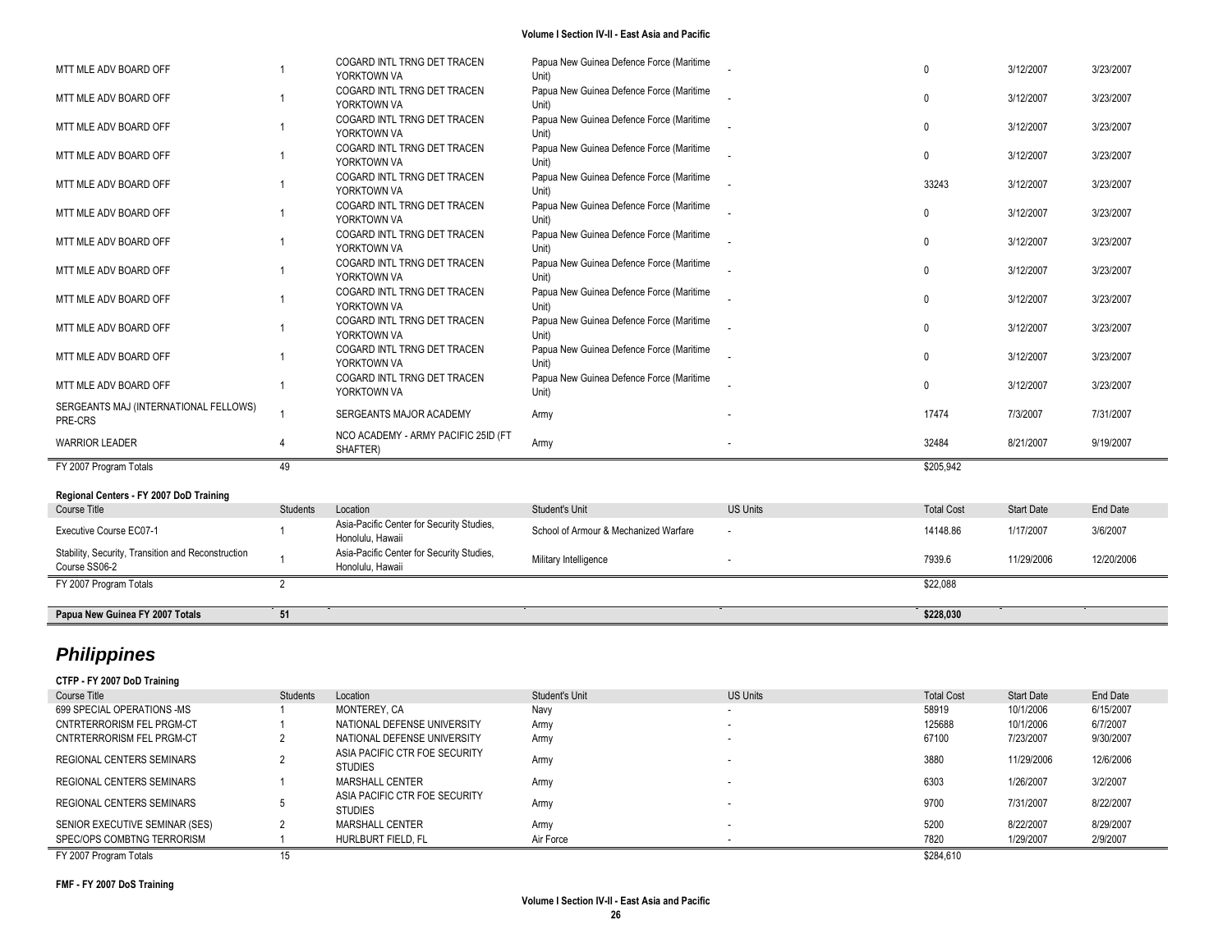| MTT MLE ADV BOARD OFF                                               |                | COGARD INTL TRNG DET TRACEN<br>YORKTOWN VA                    | Papua New Guinea Defence Force (Maritime<br>Unit) |                          | $\mathbf{0}$      | 3/12/2007         | 3/23/2007  |
|---------------------------------------------------------------------|----------------|---------------------------------------------------------------|---------------------------------------------------|--------------------------|-------------------|-------------------|------------|
| MTT MLE ADV BOARD OFF                                               |                | COGARD INTL TRNG DET TRACEN<br>YORKTOWN VA                    | Papua New Guinea Defence Force (Maritime<br>Unit) |                          | $\Omega$          | 3/12/2007         | 3/23/2007  |
| MTT MLE ADV BOARD OFF                                               |                | COGARD INTL TRNG DET TRACEN<br>YORKTOWN VA                    | Papua New Guinea Defence Force (Maritime<br>Unit) |                          | $\mathbf{0}$      | 3/12/2007         | 3/23/2007  |
| MTT MLE ADV BOARD OFF                                               | $\overline{1}$ | COGARD INTL TRNG DET TRACEN<br>YORKTOWN VA                    | Papua New Guinea Defence Force (Maritime<br>Unit) |                          | $\mathbf 0$       | 3/12/2007         | 3/23/2007  |
| MTT MLE ADV BOARD OFF                                               |                | COGARD INTL TRNG DET TRACEN<br>YORKTOWN VA                    | Papua New Guinea Defence Force (Maritime<br>Unit) |                          | 33243             | 3/12/2007         | 3/23/2007  |
| MTT MLE ADV BOARD OFF                                               |                | COGARD INTL TRNG DET TRACEN<br>YORKTOWN VA                    | Papua New Guinea Defence Force (Maritime<br>Unit) |                          | $\Omega$          | 3/12/2007         | 3/23/2007  |
| MTT MLE ADV BOARD OFF                                               |                | COGARD INTL TRNG DET TRACEN<br>YORKTOWN VA                    | Papua New Guinea Defence Force (Maritime<br>Unit) |                          | $\mathbf{0}$      | 3/12/2007         | 3/23/2007  |
| MTT MLE ADV BOARD OFF                                               |                | COGARD INTL TRNG DET TRACEN<br>YORKTOWN VA                    | Papua New Guinea Defence Force (Maritime<br>Unit) |                          | $\Omega$          | 3/12/2007         | 3/23/2007  |
| MTT MLE ADV BOARD OFF                                               |                | COGARD INTL TRNG DET TRACEN<br>YORKTOWN VA                    | Papua New Guinea Defence Force (Maritime<br>Unit) |                          | $\mathbf{0}$      | 3/12/2007         | 3/23/2007  |
| MTT MLE ADV BOARD OFF                                               |                | COGARD INTL TRNG DET TRACEN<br>YORKTOWN VA                    | Papua New Guinea Defence Force (Maritime<br>Unit) |                          | $\Omega$          | 3/12/2007         | 3/23/2007  |
| MTT MLE ADV BOARD OFF                                               |                | COGARD INTL TRNG DET TRACEN<br>YORKTOWN VA                    | Papua New Guinea Defence Force (Maritime<br>Unit) |                          | $\Omega$          | 3/12/2007         | 3/23/2007  |
| MTT MLE ADV BOARD OFF                                               | -1             | COGARD INTL TRNG DET TRACEN<br>YORKTOWN VA                    | Papua New Guinea Defence Force (Maritime<br>Unit) |                          | $\Omega$          | 3/12/2007         | 3/23/2007  |
| SERGEANTS MAJ (INTERNATIONAL FELLOWS)<br>PRE-CRS                    | $\overline{1}$ | SERGEANTS MAJOR ACADEMY                                       | Army                                              |                          | 17474             | 7/3/2007          | 7/31/2007  |
| <b>WARRIOR LEADER</b>                                               |                | NCO ACADEMY - ARMY PACIFIC 25ID (FT<br>SHAFTER)               | Army                                              |                          | 32484             | 8/21/2007         | 9/19/2007  |
| FY 2007 Program Totals                                              | 49             |                                                               |                                                   |                          | \$205.942         |                   |            |
| Regional Centers - FY 2007 DoD Training                             |                |                                                               |                                                   |                          |                   |                   |            |
| Course Title                                                        | Students       | Location                                                      | Student's Unit                                    | <b>US Units</b>          | <b>Total Cost</b> | <b>Start Date</b> | End Date   |
| Executive Course EC07-1                                             |                | Asia-Pacific Center for Security Studies,<br>Honolulu, Hawaii | School of Armour & Mechanized Warfare             | $\overline{\phantom{a}}$ | 14148.86          | 1/17/2007         | 3/6/2007   |
| Stability, Security, Transition and Reconstruction<br>Course SS06-2 | -1             | Asia-Pacific Center for Security Studies,<br>Honolulu, Hawaii | Military Intelligence                             |                          | 7939.6            | 11/29/2006        | 12/20/2006 |
| FY 2007 Program Totals                                              | 2              |                                                               |                                                   |                          | \$22.088          |                   |            |
| Papua New Guinea FY 2007 Totals                                     | 51             |                                                               |                                                   |                          | \$228,030         |                   |            |

# *Philippines*

**CTFP - FY 2007 DoD Training** Course Title Students Students Location Students Unit Student's Unit US Units Unit US Units Total Cost Start Date End Date 699 SPECIAL OPERATIONS -MS 1 MONTEREY, CA Navy - 58919 10/1/2006 6/15/2007 CNTRTERRORISM FEL PRGM -CT 1 NATIONAL DEFENSE UNIVERSITY Army - 125688 10/1/2006 6/7/2007 CNTRTERRORISM FEL PRGM -CT 2 NATIONAL DEFENSE UNIVERSITY Army - 67100 7/23/2007 9/30/2007 REGIONAL CENTERS SEMINARS 2 ASIA PACIFIC CTR FOE SECURITY STUDIES **ARMY** STUDIES - 3880 11/29/2006 12/6/2006 REGIONAL CENTERS SEMINARS 1 MARSHALL CENTER Army - 6303 1/26/2007 3/2/2007 REGIONAL CENTERS SEMINARS 5 ASIA PACIFIC CTR FOE SECURITY STUDIES Army - 9700 7/31/2007 8/22/2007 SENIOR EXECUTIVE SEMINAR (SES) 2 MARSHALL CENTER Army - 5200 8/22/2007 8/29/2007 SPEC/OPS COMBTNG TERRORISM 1 HURLBURT FIELD, FL Air Force - 7820 1/29/2007 2/9/2007 FY 2007 Program Totals 15 \$284,610

**FMF - FY 2007 DoS Training**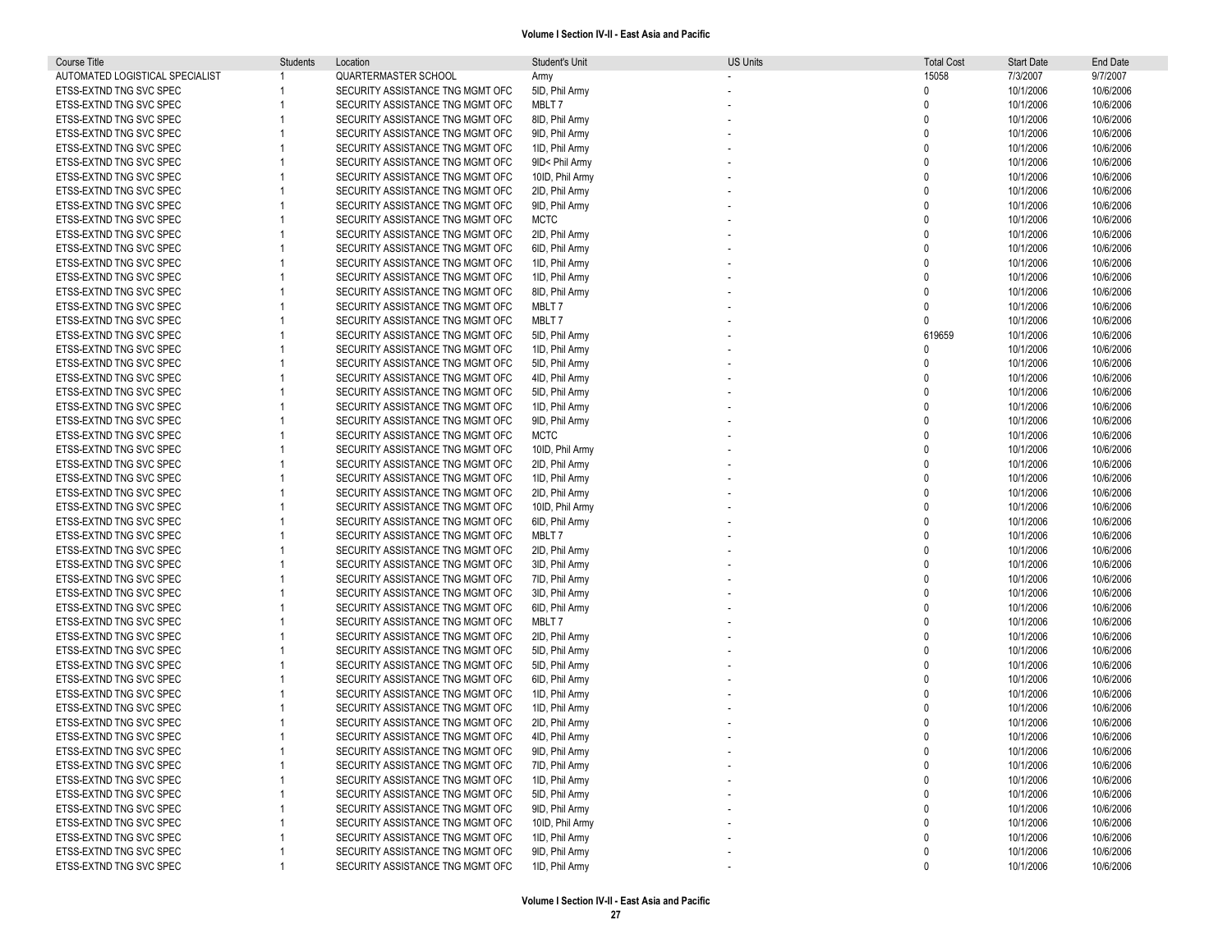| Course Title                    | Students | Location                                                             | Student's Unit                   | US Units | <b>Total Cost</b> | <b>Start Date</b>      | End Date               |
|---------------------------------|----------|----------------------------------------------------------------------|----------------------------------|----------|-------------------|------------------------|------------------------|
| AUTOMATED LOGISTICAL SPECIALIST |          | <b>QUARTERMASTER SCHOOL</b>                                          | Army                             |          | 15058             | 7/3/2007               | 9/7/2007               |
| ETSS-EXTND TNG SVC SPEC         |          | SECURITY ASSISTANCE TNG MGMT OFC                                     | 5ID, Phil Army                   |          | $\Omega$          | 10/1/2006              | 10/6/2006              |
| ETSS-EXTND TNG SVC SPEC         |          | SECURITY ASSISTANCE TNG MGMT OFC                                     | MBLT7                            |          | $\mathbf{0}$      | 10/1/2006              | 10/6/2006              |
| ETSS-EXTND TNG SVC SPEC         |          | SECURITY ASSISTANCE TNG MGMT OFC                                     | 8ID, Phil Army                   |          | $\mathbf{0}$      | 10/1/2006              | 10/6/2006              |
| ETSS-EXTND TNG SVC SPEC         |          | SECURITY ASSISTANCE TNG MGMT OFC                                     | 9ID, Phil Army                   |          | $\Omega$          | 10/1/2006              | 10/6/2006              |
| ETSS-EXTND TNG SVC SPEC         |          | SECURITY ASSISTANCE TNG MGMT OFC                                     | 1ID, Phil Army                   |          | $\Omega$          | 10/1/2006              | 10/6/2006              |
| ETSS-EXTND TNG SVC SPEC         |          | SECURITY ASSISTANCE TNG MGMT OFC                                     | 9ID< Phil Army                   |          | $\Omega$          | 10/1/2006              | 10/6/2006              |
| ETSS-EXTND TNG SVC SPEC         |          | SECURITY ASSISTANCE TNG MGMT OFC                                     | 10ID, Phil Army                  |          | $\Omega$          | 10/1/2006              | 10/6/2006              |
| ETSS-EXTND TNG SVC SPEC         |          | SECURITY ASSISTANCE TNG MGMT OFC                                     | 2ID, Phil Army                   |          | $\Omega$          | 10/1/2006              | 10/6/2006              |
| ETSS-EXTND TNG SVC SPEC         |          | SECURITY ASSISTANCE TNG MGMT OFC                                     | 9ID, Phil Army                   |          | $\Omega$          | 10/1/2006              | 10/6/2006              |
| ETSS-EXTND TNG SVC SPEC         |          | SECURITY ASSISTANCE TNG MGMT OFC                                     | <b>MCTC</b>                      |          | $\Omega$          | 10/1/2006              | 10/6/2006              |
| ETSS-EXTND TNG SVC SPEC         |          | SECURITY ASSISTANCE TNG MGMT OFC                                     | 2ID, Phil Army                   |          | $\Omega$          | 10/1/2006              | 10/6/2006              |
| ETSS-EXTND TNG SVC SPEC         |          | SECURITY ASSISTANCE TNG MGMT OFC                                     | 6ID, Phil Army                   |          | $\Omega$          | 10/1/2006              | 10/6/2006              |
| ETSS-EXTND TNG SVC SPEC         |          | SECURITY ASSISTANCE TNG MGMT OFC                                     | 1ID, Phil Army                   |          | $\Omega$          | 10/1/2006              | 10/6/2006              |
| ETSS-EXTND TNG SVC SPEC         |          | SECURITY ASSISTANCE TNG MGMT OFC                                     | 1ID, Phil Army                   |          | $\Omega$          | 10/1/2006              | 10/6/2006              |
| ETSS-EXTND TNG SVC SPEC         |          | SECURITY ASSISTANCE TNG MGMT OFC                                     | 8ID, Phil Army                   |          | $\Omega$          | 10/1/2006              | 10/6/2006              |
| ETSS-EXTND TNG SVC SPEC         |          | SECURITY ASSISTANCE TNG MGMT OFC                                     | MBLT 7                           |          | $\Omega$          | 10/1/2006              | 10/6/2006              |
| ETSS-EXTND TNG SVC SPEC         |          | SECURITY ASSISTANCE TNG MGMT OFC                                     | MBLT7                            |          | $\Omega$          | 10/1/2006              | 10/6/2006              |
| ETSS-EXTND TNG SVC SPEC         |          | SECURITY ASSISTANCE TNG MGMT OFC                                     | 5ID, Phil Army                   |          | 619659            | 10/1/2006              | 10/6/2006              |
| ETSS-EXTND TNG SVC SPEC         |          | SECURITY ASSISTANCE TNG MGMT OFC                                     | 1ID, Phil Army                   |          | $\Omega$          | 10/1/2006              | 10/6/2006              |
| ETSS-EXTND TNG SVC SPEC         |          | SECURITY ASSISTANCE TNG MGMT OFC                                     | 5ID, Phil Army                   |          | $\Omega$          | 10/1/2006              | 10/6/2006              |
| ETSS-EXTND TNG SVC SPEC         |          | SECURITY ASSISTANCE TNG MGMT OFC                                     | 4ID, Phil Army                   |          | $\Omega$          | 10/1/2006              | 10/6/2006              |
| ETSS-EXTND TNG SVC SPEC         |          | SECURITY ASSISTANCE TNG MGMT OFC                                     | 5ID, Phil Army                   |          | $\Omega$          | 10/1/2006              | 10/6/2006              |
| ETSS-EXTND TNG SVC SPEC         |          | SECURITY ASSISTANCE TNG MGMT OFC                                     | 1ID, Phil Army                   |          | $\Omega$          | 10/1/2006              | 10/6/2006              |
| ETSS-EXTND TNG SVC SPEC         |          | SECURITY ASSISTANCE TNG MGMT OFC                                     | 9ID, Phil Army                   |          |                   | 10/1/2006              | 10/6/2006              |
| ETSS-EXTND TNG SVC SPEC         |          | SECURITY ASSISTANCE TNG MGMT OFC                                     | <b>MCTC</b>                      |          | $\Omega$          | 10/1/2006              | 10/6/2006              |
| ETSS-EXTND TNG SVC SPEC         |          | SECURITY ASSISTANCE TNG MGMT OFC                                     | 10ID, Phil Army                  |          | $\Omega$          | 10/1/2006              | 10/6/2006              |
| ETSS-EXTND TNG SVC SPEC         |          | SECURITY ASSISTANCE TNG MGMT OFC                                     | 2ID, Phil Army                   |          | $\Omega$          | 10/1/2006              | 10/6/2006              |
| ETSS-EXTND TNG SVC SPEC         |          | SECURITY ASSISTANCE TNG MGMT OFC                                     | 1ID. Phil Army                   |          | $\Omega$          | 10/1/2006              | 10/6/2006              |
| ETSS-EXTND TNG SVC SPEC         |          | SECURITY ASSISTANCE TNG MGMT OFC                                     | 2ID, Phil Army                   |          | $\Omega$          | 10/1/2006              | 10/6/2006              |
| ETSS-EXTND TNG SVC SPEC         |          | SECURITY ASSISTANCE TNG MGMT OFC                                     | 10ID, Phil Army                  |          |                   | 10/1/2006              | 10/6/2006              |
| ETSS-EXTND TNG SVC SPEC         |          | SECURITY ASSISTANCE TNG MGMT OFC                                     |                                  |          | $\Omega$          | 10/1/2006              | 10/6/2006              |
| ETSS-EXTND TNG SVC SPEC         |          | SECURITY ASSISTANCE TNG MGMT OFC                                     | 6ID, Phil Army<br>MBLT7          |          | $\Omega$          | 10/1/2006              | 10/6/2006              |
| ETSS-EXTND TNG SVC SPEC         |          | SECURITY ASSISTANCE TNG MGMT OFC                                     | 2ID, Phil Army                   |          | $\Omega$          | 10/1/2006              | 10/6/2006              |
| ETSS-EXTND TNG SVC SPEC         |          | SECURITY ASSISTANCE TNG MGMT OFC                                     |                                  |          |                   | 10/1/2006              | 10/6/2006              |
| ETSS-EXTND TNG SVC SPEC         |          | SECURITY ASSISTANCE TNG MGMT OFC                                     | 3ID, Phil Army<br>7ID, Phil Army |          | $\Omega$          | 10/1/2006              | 10/6/2006              |
| ETSS-EXTND TNG SVC SPEC         |          | SECURITY ASSISTANCE TNG MGMT OFC                                     |                                  |          |                   | 10/1/2006              |                        |
| ETSS-EXTND TNG SVC SPEC         |          | SECURITY ASSISTANCE TNG MGMT OFC                                     | 3ID, Phil Army<br>6ID, Phil Army |          | $\Omega$          | 10/1/2006              | 10/6/2006<br>10/6/2006 |
| ETSS-EXTND TNG SVC SPEC         |          | SECURITY ASSISTANCE TNG MGMT OFC                                     | MBLT7                            |          | $\Omega$          | 10/1/2006              |                        |
| ETSS-EXTND TNG SVC SPEC         |          | SECURITY ASSISTANCE TNG MGMT OFC                                     | 2ID, Phil Army                   |          | $\Omega$          | 10/1/2006              | 10/6/2006<br>10/6/2006 |
| ETSS-EXTND TNG SVC SPEC         |          | SECURITY ASSISTANCE TNG MGMT OFC                                     | 5ID, Phil Army                   |          | $\Omega$          | 10/1/2006              | 10/6/2006              |
| ETSS-EXTND TNG SVC SPEC         |          | SECURITY ASSISTANCE TNG MGMT OFC                                     | 5ID, Phil Army                   |          | $\Omega$          | 10/1/2006              | 10/6/2006              |
| ETSS-EXTND TNG SVC SPEC         |          |                                                                      |                                  |          | $\Omega$          | 10/1/2006              |                        |
| ETSS-EXTND TNG SVC SPEC         |          | SECURITY ASSISTANCE TNG MGMT OFC<br>SECURITY ASSISTANCE TNG MGMT OFC | 6ID, Phil Army<br>1ID, Phil Army |          |                   | 10/1/2006              | 10/6/2006<br>10/6/2006 |
| ETSS-EXTND TNG SVC SPEC         |          | SECURITY ASSISTANCE TNG MGMT OFC                                     | 1ID, Phil Army                   |          |                   | 10/1/2006              | 10/6/2006              |
| ETSS-EXTND TNG SVC SPEC         |          | SECURITY ASSISTANCE TNG MGMT OFC                                     | 2ID, Phil Army                   |          |                   | 10/1/2006              | 10/6/2006              |
| ETSS-EXTND TNG SVC SPEC         |          | SECURITY ASSISTANCE TNG MGMT OFC                                     | 4ID, Phil Army                   |          | $\Omega$          | 10/1/2006              | 10/6/2006              |
|                                 |          |                                                                      |                                  |          |                   |                        |                        |
| ETSS-EXTND TNG SVC SPEC         |          | SECURITY ASSISTANCE TNG MGMT OFC                                     | 9ID, Phil Army                   |          | 0                 | 10/1/2006              | 10/6/2006              |
| ETSS-EXTND TNG SVC SPEC         |          | SECURITY ASSISTANCE TNG MGMT OFC                                     | 7ID, Phil Army                   |          | $\Omega$          | 10/1/2006<br>10/1/2006 | 10/6/2006              |
| ETSS-EXTND TNG SVC SPEC         |          | SECURITY ASSISTANCE TNG MGMT OFC                                     | 1ID, Phil Army                   |          |                   |                        | 10/6/2006              |
| ETSS-EXTND TNG SVC SPEC         |          | SECURITY ASSISTANCE TNG MGMT OFC                                     | 5ID, Phil Army<br>9ID, Phil Army |          |                   | 10/1/2006              | 10/6/2006              |
| ETSS-EXTND TNG SVC SPEC         |          | SECURITY ASSISTANCE TNG MGMT OFC                                     |                                  |          |                   | 10/1/2006              | 10/6/2006              |
| ETSS-EXTND TNG SVC SPEC         |          | SECURITY ASSISTANCE TNG MGMT OFC                                     | 10ID, Phil Army                  |          | $\Omega$          | 10/1/2006              | 10/6/2006              |
| ETSS-EXTND TNG SVC SPEC         |          | SECURITY ASSISTANCE TNG MGMT OFC                                     | 1ID, Phil Army                   |          | 0                 | 10/1/2006              | 10/6/2006              |
| ETSS-EXTND TNG SVC SPEC         |          | SECURITY ASSISTANCE TNG MGMT OFC                                     | 9ID, Phil Army                   |          | 0                 | 10/1/2006              | 10/6/2006              |
| ETSS-EXTND TNG SVC SPEC         |          | SECURITY ASSISTANCE TNG MGMT OFC                                     | 1ID, Phil Army                   |          | 0                 | 10/1/2006              | 10/6/2006              |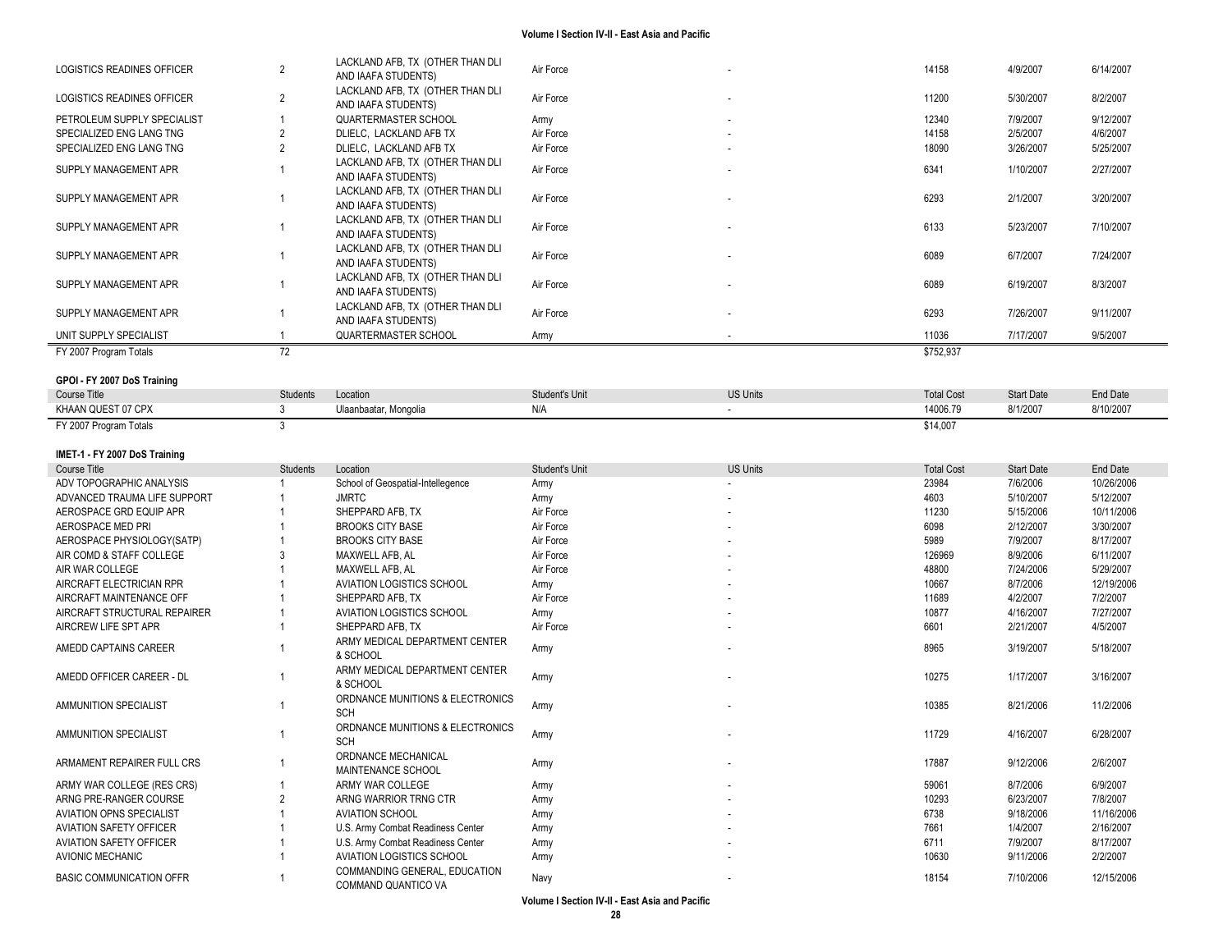| SUPPLY MANAGEMENT APR                             |    | LACKLAND AFB, TX (OTHER THAN DLI<br>AND IAAFA STUDENTS)                            | Air Force              | $\overline{\phantom{a}}$ | 6293          | 2/1/2007               | 3/20/2007              |
|---------------------------------------------------|----|------------------------------------------------------------------------------------|------------------------|--------------------------|---------------|------------------------|------------------------|
| SPECIALIZED ENG LANG TNG<br>SUPPLY MANAGEMENT APR |    | DLIELC, LACKLAND AFB TX<br>LACKLAND AFB, TX (OTHER THAN DLI<br>AND IAAFA STUDENTS) | Air Force<br>Air Force | $\sim$                   | 18090<br>6341 | 3/26/2007<br>1/10/2007 | 5/25/2007<br>2/27/2007 |
| SUPPLY MANAGEMENT APR                             |    | LACKLAND AFB, TX (OTHER THAN DLI                                                   | Air Force              |                          | 6133          | 5/23/2007              | 7/10/2007              |
|                                                   |    | AND IAAFA STUDENTS)                                                                |                        |                          |               |                        |                        |
| SUPPLY MANAGEMENT APR                             |    | LACKLAND AFB, TX (OTHER THAN DLI<br>AND IAAFA STUDENTS)                            | Air Force              | $\overline{\phantom{a}}$ | 6089          | 6/7/2007               | 7/24/2007              |
| SUPPLY MANAGEMENT APR                             |    | LACKLAND AFB, TX (OTHER THAN DLI<br>AND IAAFA STUDENTS)                            | Air Force              |                          | 6089          | 6/19/2007              | 8/3/2007               |
| SUPPLY MANAGEMENT APR                             |    | LACKLAND AFB, TX (OTHER THAN DLI<br>AND IAAFA STUDENTS)                            | Air Force              |                          | 6293          | 7/26/2007              | 9/11/2007              |
| UNIT SUPPLY SPECIALIST                            |    | QUARTERMASTER SCHOOL                                                               | Army                   |                          | 11036         | 7/17/2007              | 9/5/2007               |
| FY 2007 Program Totals                            | 72 |                                                                                    |                        |                          | \$752,937     |                        |                        |

#### **GPOI - FY 2007 DoS Training**

| Course Title           | Students | Location<br>.         | Student's Unit | <b>US Units</b> | <b>Total Cost</b> | <b>Start Date</b> | End Date  |
|------------------------|----------|-----------------------|----------------|-----------------|-------------------|-------------------|-----------|
| KHAAN QUEST 07 CPX     |          | Ulaanbaatar, Mongolia | N/A            |                 | 14006.79          | 8/1/2007          | 8/10/2007 |
| FY 2007 Program Totals |          |                       |                |                 | \$14,007          |                   |           |

#### **IMET -1 - FY 2007 DoS Training**

| Course Title                    | <b>Students</b> | Location                                             | Student's Unit | <b>US Units</b>          | <b>Total Cost</b> | <b>Start Date</b> | End Date   |
|---------------------------------|-----------------|------------------------------------------------------|----------------|--------------------------|-------------------|-------------------|------------|
| ADV TOPOGRAPHIC ANALYSIS        |                 | School of Geospatial-Intellegence                    | Army           |                          | 23984             | 7/6/2006          | 10/26/2006 |
| ADVANCED TRAUMA LIFE SUPPORT    |                 | <b>JMRTC</b>                                         | Army           | $\overline{\phantom{a}}$ | 4603              | 5/10/2007         | 5/12/2007  |
| AEROSPACE GRD EQUIP APR         |                 | SHEPPARD AFB, TX                                     | Air Force      |                          | 11230             | 5/15/2006         | 10/11/2006 |
| AEROSPACE MED PRI               |                 | <b>BROOKS CITY BASE</b>                              | Air Force      |                          | 6098              | 2/12/2007         | 3/30/2007  |
| AEROSPACE PHYSIOLOGY(SATP)      |                 | <b>BROOKS CITY BASE</b>                              | Air Force      |                          | 5989              | 7/9/2007          | 8/17/2007  |
| AIR COMD & STAFF COLLEGE        |                 | MAXWELL AFB. AL                                      | Air Force      |                          | 126969            | 8/9/2006          | 6/11/2007  |
| AIR WAR COLLEGE                 |                 | MAXWELL AFB. AL                                      | Air Force      |                          | 48800             | 7/24/2006         | 5/29/2007  |
| AIRCRAFT ELECTRICIAN RPR        |                 | <b>AVIATION LOGISTICS SCHOOL</b>                     | Army           |                          | 10667             | 8/7/2006          | 12/19/2006 |
| AIRCRAFT MAINTENANCE OFF        |                 | SHEPPARD AFB. TX                                     | Air Force      |                          | 11689             | 4/2/2007          | 7/2/2007   |
| AIRCRAFT STRUCTURAL REPAIRER    |                 | <b>AVIATION LOGISTICS SCHOOL</b>                     | Army           |                          | 10877             | 4/16/2007         | 7/27/2007  |
| AIRCREW LIFE SPT APR            |                 | SHEPPARD AFB. TX                                     | Air Force      |                          | 6601              | 2/21/2007         | 4/5/2007   |
| AMEDD CAPTAINS CAREER           |                 | ARMY MEDICAL DEPARTMENT CENTER<br>& SCHOOL           | Army           |                          | 8965              | 3/19/2007         | 5/18/2007  |
| AMEDD OFFICER CAREER - DL       |                 | ARMY MEDICAL DEPARTMENT CENTER<br>& SCHOOL           | Army           |                          | 10275             | 1/17/2007         | 3/16/2007  |
| AMMUNITION SPECIALIST           |                 | ORDNANCE MUNITIONS & ELECTRONICS<br>SCH              | Army           |                          | 10385             | 8/21/2006         | 11/2/2006  |
| AMMUNITION SPECIALIST           |                 | ORDNANCE MUNITIONS & ELECTRONICS<br>SCH              | Army           |                          | 11729             | 4/16/2007         | 6/28/2007  |
| ARMAMENT REPAIRER FULL CRS      |                 | ORDNANCE MECHANICAL<br><b>MAINTENANCE SCHOOL</b>     | Army           |                          | 17887             | 9/12/2006         | 2/6/2007   |
| ARMY WAR COLLEGE (RES CRS)      |                 | ARMY WAR COLLEGE                                     | Army           |                          | 59061             | 8/7/2006          | 6/9/2007   |
| ARNG PRE-RANGER COURSE          |                 | ARNG WARRIOR TRNG CTR                                | Army           |                          | 10293             | 6/23/2007         | 7/8/2007   |
| <b>AVIATION OPNS SPECIALIST</b> |                 | <b>AVIATION SCHOOL</b>                               | Army           |                          | 6738              | 9/18/2006         | 11/16/2006 |
| <b>AVIATION SAFETY OFFICER</b>  |                 | U.S. Army Combat Readiness Center                    | Army           |                          | 7661              | 1/4/2007          | 2/16/2007  |
| <b>AVIATION SAFETY OFFICER</b>  |                 | U.S. Army Combat Readiness Center                    | Army           |                          | 6711              | 7/9/2007          | 8/17/2007  |
| AVIONIC MECHANIC                |                 | <b>AVIATION LOGISTICS SCHOOL</b>                     | Army           |                          | 10630             | 9/11/2006         | 2/2/2007   |
| <b>BASIC COMMUNICATION OFFR</b> |                 | COMMANDING GENERAL, EDUCATION<br>COMMAND QUANTICO VA | Navy           |                          | 18154             | 7/10/2006         | 12/15/2006 |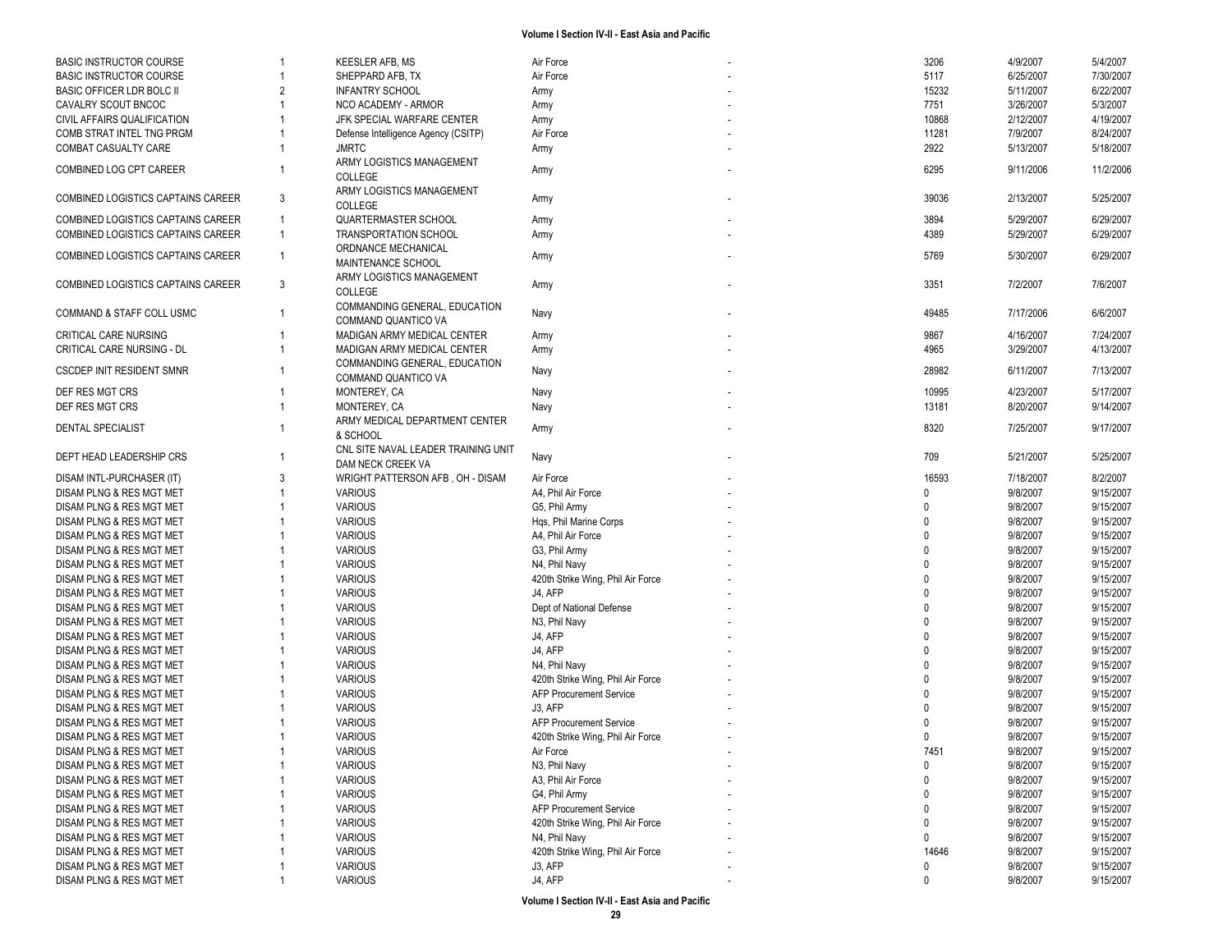| <b>BASIC INSTRUCTOR COURSE</b>     | 1              | <b>KEESLER AFB, MS</b>              | Air Force                         | 3206        | 4/9/2007  | 5/4/2007  |
|------------------------------------|----------------|-------------------------------------|-----------------------------------|-------------|-----------|-----------|
| <b>BASIC INSTRUCTOR COURSE</b>     |                | SHEPPARD AFB, TX                    | Air Force                         | 5117        | 6/25/2007 | 7/30/2007 |
| <b>BASIC OFFICER LDR BOLC II</b>   | $\overline{2}$ | <b>INFANTRY SCHOOL</b>              | Army                              | 15232       | 5/11/2007 | 6/22/2007 |
| CAVALRY SCOUT BNCOC                |                | NCO ACADEMY - ARMOR                 | Army                              | 7751        | 3/26/2007 | 5/3/2007  |
| CIVIL AFFAIRS QUALIFICATION        |                | JFK SPECIAL WARFARE CENTER          | Army                              | 10868       | 2/12/2007 | 4/19/2007 |
| COMB STRAT INTEL TNG PRGM          |                | Defense Intelligence Agency (CSITP) | Air Force                         | 11281       | 7/9/2007  | 8/24/2007 |
| <b>COMBAT CASUALTY CARE</b>        |                | <b>JMRTC</b>                        | Army                              | 2922        | 5/13/2007 | 5/18/2007 |
|                                    |                | ARMY LOGISTICS MANAGEMENT           |                                   |             |           |           |
| COMBINED LOG CPT CAREER            |                | <b>COLLEGE</b>                      | Army                              | 6295        | 9/11/2006 | 11/2/2006 |
|                                    |                |                                     |                                   |             |           |           |
| COMBINED LOGISTICS CAPTAINS CAREER | 3              | ARMY LOGISTICS MANAGEMENT           | Army                              | 39036       | 2/13/2007 | 5/25/2007 |
|                                    |                | COLLEGE                             |                                   |             |           |           |
| COMBINED LOGISTICS CAPTAINS CAREER | $\mathbf{1}$   | <b>QUARTERMASTER SCHOOL</b>         | Army                              | 3894        | 5/29/2007 | 6/29/2007 |
| COMBINED LOGISTICS CAPTAINS CAREER | $\mathbf{1}$   | TRANSPORTATION SCHOOL               | Army                              | 4389        | 5/29/2007 | 6/29/2007 |
| COMBINED LOGISTICS CAPTAINS CAREER | $\mathbf{1}$   | ORDNANCE MECHANICAL                 | Army                              | 5769        | 5/30/2007 | 6/29/2007 |
|                                    |                | MAINTENANCE SCHOOL                  |                                   |             |           |           |
| COMBINED LOGISTICS CAPTAINS CAREER | 3              | ARMY LOGISTICS MANAGEMENT           | Army                              | 3351        | 7/2/2007  | 7/6/2007  |
|                                    |                | COLLEGE                             |                                   |             |           |           |
| COMMAND & STAFF COLL USMC          | $\overline{1}$ | COMMANDING GENERAL, EDUCATION       | Navy                              | 49485       | 7/17/2006 | 6/6/2007  |
|                                    |                | COMMAND QUANTICO VA                 |                                   |             |           |           |
| CRITICAL CARE NURSING              |                | MADIGAN ARMY MEDICAL CENTER         | Army                              | 9867        | 4/16/2007 | 7/24/2007 |
| CRITICAL CARE NURSING - DL         |                | MADIGAN ARMY MEDICAL CENTER         | Army                              | 4965        | 3/29/2007 | 4/13/2007 |
|                                    |                | COMMANDING GENERAL, EDUCATION       |                                   |             |           |           |
| <b>CSCDEP INIT RESIDENT SMNR</b>   |                | COMMAND QUANTICO VA                 | Navy                              | 28982       | 6/11/2007 | 7/13/2007 |
| DEF RES MGT CRS                    |                | MONTEREY, CA                        | Navy                              | 10995       | 4/23/2007 | 5/17/2007 |
| DEF RES MGT CRS                    |                | MONTEREY, CA                        | Navy                              | 13181       | 8/20/2007 | 9/14/2007 |
|                                    |                | ARMY MEDICAL DEPARTMENT CENTER      |                                   |             |           |           |
| <b>DENTAL SPECIALIST</b>           |                | & SCHOOL                            | Army                              | 8320        | 7/25/2007 | 9/17/2007 |
|                                    |                | CNL SITE NAVAL LEADER TRAINING UNIT |                                   |             |           |           |
| DEPT HEAD LEADERSHIP CRS           |                | DAM NECK CREEK VA                   | Navy                              | 709         | 5/21/2007 | 5/25/2007 |
|                                    | 3              |                                     |                                   | 16593       |           |           |
| DISAM INTL-PURCHASER (IT)          |                | WRIGHT PATTERSON AFB, OH - DISAM    | Air Force                         | $\Omega$    | 7/18/2007 | 8/2/2007  |
| DISAM PLNG & RES MGT MET           |                | <b>VARIOUS</b>                      | A4, Phil Air Force                |             | 9/8/2007  | 9/15/2007 |
| DISAM PLNG & RES MGT MET           |                | <b>VARIOUS</b>                      | G5, Phil Army                     | $\Omega$    | 9/8/2007  | 9/15/2007 |
| DISAM PLNG & RES MGT MET           |                | <b>VARIOUS</b>                      | Has, Phil Marine Corps            | $\Omega$    | 9/8/2007  | 9/15/2007 |
| DISAM PLNG & RES MGT MET           |                | <b>VARIOUS</b>                      | A4, Phil Air Force                | $\Omega$    | 9/8/2007  | 9/15/2007 |
| DISAM PLNG & RES MGT MET           |                | <b>VARIOUS</b>                      | G3, Phil Army                     | $\Omega$    | 9/8/2007  | 9/15/2007 |
| DISAM PLNG & RES MGT MET           |                | <b>VARIOUS</b>                      | N4, Phil Navy                     | $\Omega$    | 9/8/2007  | 9/15/2007 |
| DISAM PLNG & RES MGT MET           |                | <b>VARIOUS</b>                      | 420th Strike Wing, Phil Air Force | $\Omega$    | 9/8/2007  | 9/15/2007 |
| DISAM PLNG & RES MGT MET           |                | <b>VARIOUS</b>                      | J4, AFP                           | $\Omega$    | 9/8/2007  | 9/15/2007 |
| DISAM PLNG & RES MGT MET           |                | <b>VARIOUS</b>                      | Dept of National Defense          | $\Omega$    | 9/8/2007  | 9/15/2007 |
| DISAM PLNG & RES MGT MET           |                | <b>VARIOUS</b>                      | N3, Phil Navy                     | $\Omega$    | 9/8/2007  | 9/15/2007 |
| DISAM PLNG & RES MGT MET           |                | <b>VARIOUS</b>                      | J4, AFP                           | $\Omega$    | 9/8/2007  | 9/15/2007 |
| DISAM PLNG & RES MGT MET           |                | <b>VARIOUS</b>                      | J4, AFP                           | $\Omega$    | 9/8/2007  | 9/15/2007 |
| DISAM PLNG & RES MGT MET           |                | <b>VARIOUS</b>                      | N4, Phil Navy                     | $\Omega$    | 9/8/2007  | 9/15/2007 |
| DISAM PLNG & RES MGT MET           |                | <b>VARIOUS</b>                      | 420th Strike Wing, Phil Air Force | $\Omega$    | 9/8/2007  | 9/15/2007 |
| DISAM PLNG & RES MGT MET           |                | <b>VARIOUS</b>                      | <b>AFP Procurement Service</b>    | $\Omega$    | 9/8/2007  | 9/15/2007 |
| DISAM PLNG & RES MGT MET           |                | <b>VARIOUS</b>                      | J3, AFP                           |             | 9/8/2007  | 9/15/2007 |
| DISAM PLNG & RES MGT MET           |                | <b>VARIOUS</b>                      | <b>AFP Procurement Service</b>    |             | 9/8/2007  | 9/15/2007 |
| DISAM PLNG & RES MGT MET           |                | <b>VARIOUS</b>                      | 420th Strike Wing, Phil Air Force | $\Omega$    | 9/8/2007  | 9/15/2007 |
| DISAM PLNG & RES MGT MET           |                | <b>VARIOUS</b>                      | Air Force                         | 7451        | 9/8/2007  | 9/15/2007 |
| DISAM PLNG & RES MGT MET           |                | <b>VARIOUS</b>                      | N3, Phil Navy                     | $\mathbf 0$ | 9/8/2007  | 9/15/2007 |
| DISAM PLNG & RES MGT MET           |                | <b>VARIOUS</b>                      | A3, Phil Air Force                | $\mathbf 0$ | 9/8/2007  | 9/15/2007 |
| DISAM PLNG & RES MGT MET           |                | <b>VARIOUS</b>                      | G4, Phil Army                     | $\mathbf 0$ | 9/8/2007  | 9/15/2007 |
| DISAM PLNG & RES MGT MET           |                | <b>VARIOUS</b>                      | <b>AFP Procurement Service</b>    | 0           | 9/8/2007  | 9/15/2007 |
| DISAM PLNG & RES MGT MET           |                | <b>VARIOUS</b>                      | 420th Strike Wing, Phil Air Force | 0           | 9/8/2007  | 9/15/2007 |
|                                    |                |                                     |                                   | $\mathbf 0$ |           |           |
| DISAM PLNG & RES MGT MET           |                | <b>VARIOUS</b>                      | N4, Phil Navy                     |             | 9/8/2007  | 9/15/2007 |
| DISAM PLNG & RES MGT MET           |                | <b>VARIOUS</b>                      | 420th Strike Wing, Phil Air Force | 14646       | 9/8/2007  | 9/15/2007 |
| DISAM PLNG & RES MGT MET           |                | <b>VARIOUS</b>                      | J3, AFP                           | 0           | 9/8/2007  | 9/15/2007 |
| DISAM PLNG & RES MGT MET           |                | <b>VARIOUS</b>                      | J4, AFP                           | 0           | 9/8/2007  | 9/15/2007 |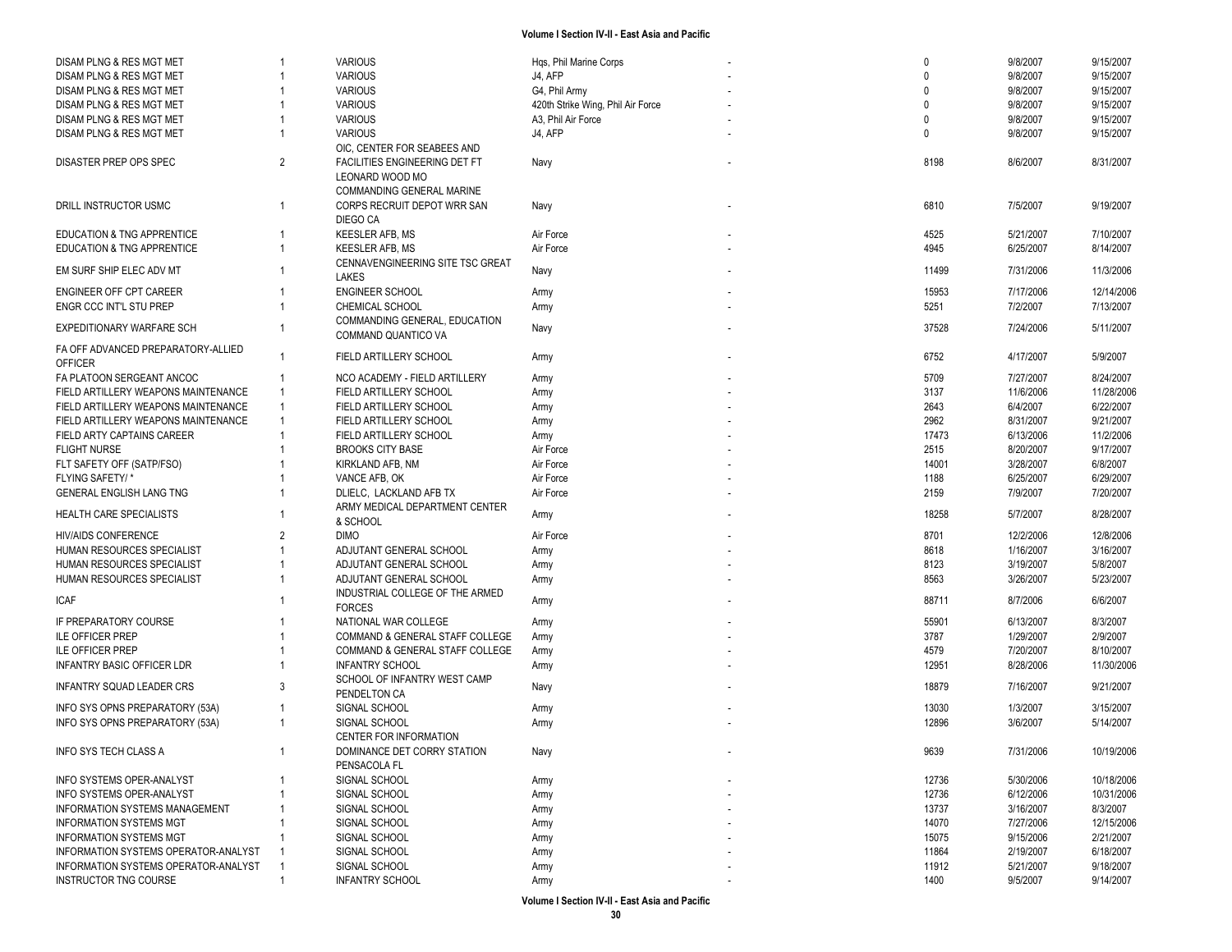| DISAM PLNG & RES MGT MET                    |                | <b>VARIOUS</b>                                   | Hqs, Phil Marine Corps            |  | $\mathbf{0}$ | 9/8/2007  | 9/15/2007  |
|---------------------------------------------|----------------|--------------------------------------------------|-----------------------------------|--|--------------|-----------|------------|
| DISAM PLNG & RES MGT MET                    |                | <b>VARIOUS</b>                                   | J4, AFP                           |  | $\Omega$     | 9/8/2007  | 9/15/2007  |
| DISAM PLNG & RES MGT MET                    |                | <b>VARIOUS</b>                                   | G4, Phil Army                     |  | $\Omega$     | 9/8/2007  | 9/15/2007  |
| DISAM PLNG & RES MGT MET                    |                | <b>VARIOUS</b>                                   | 420th Strike Wing, Phil Air Force |  | $\Omega$     | 9/8/2007  | 9/15/2007  |
| DISAM PLNG & RES MGT MET                    |                | <b>VARIOUS</b>                                   | A3, Phil Air Force                |  | $\Omega$     | 9/8/2007  | 9/15/2007  |
| DISAM PLNG & RES MGT MET                    |                | <b>VARIOUS</b><br>OIC, CENTER FOR SEABEES AND    | J4, AFP                           |  | $\Omega$     | 9/8/2007  | 9/15/2007  |
| <b>DISASTER PREP OPS SPEC</b>               | $\overline{2}$ | FACILITIES ENGINEERING DET FT<br>LEONARD WOOD MO | Navy                              |  | 8198         | 8/6/2007  | 8/31/2007  |
|                                             |                | COMMANDING GENERAL MARINE                        |                                   |  |              |           |            |
| DRILL INSTRUCTOR USMC                       |                | CORPS RECRUIT DEPOT WRR SAN<br>DIEGO CA          | Navy                              |  | 6810         | 7/5/2007  | 9/19/2007  |
| EDUCATION & TNG APPRENTICE                  |                | <b>KEESLER AFB, MS</b>                           | Air Force                         |  | 4525         | 5/21/2007 | 7/10/2007  |
| EDUCATION & TNG APPRENTICE                  |                | <b>KEESLER AFB, MS</b>                           | Air Force                         |  | 4945         | 6/25/2007 | 8/14/2007  |
| EM SURF SHIP ELEC ADV MT                    |                | CENNAVENGINEERING SITE TSC GREAT<br>LAKES        | Navy                              |  | 11499        | 7/31/2006 | 11/3/2006  |
| ENGINEER OFF CPT CAREER                     |                | <b>ENGINEER SCHOOL</b>                           | Army                              |  | 15953        | 7/17/2006 | 12/14/2006 |
| ENGR CCC INT'L STU PREP                     |                | CHEMICAL SCHOOL                                  | Army                              |  | 5251         | 7/2/2007  | 7/13/2007  |
|                                             |                | COMMANDING GENERAL, EDUCATION                    |                                   |  |              |           |            |
| EXPEDITIONARY WARFARE SCH                   |                | COMMAND QUANTICO VA                              | Navy                              |  | 37528        | 7/24/2006 | 5/11/2007  |
| FA OFF ADVANCED PREPARATORY-ALLIED          |                | FIELD ARTILLERY SCHOOL                           | Army                              |  | 6752         | 4/17/2007 | 5/9/2007   |
| <b>OFFICER</b>                              |                |                                                  |                                   |  |              |           |            |
| FA PLATOON SERGEANT ANCOC                   |                | NCO ACADEMY - FIELD ARTILLERY                    | Army                              |  | 5709         | 7/27/2007 | 8/24/2007  |
| FIELD ARTILLERY WEAPONS MAINTENANCE         |                | FIELD ARTILLERY SCHOOL                           | Army                              |  | 3137         | 11/6/2006 | 11/28/2006 |
| FIELD ARTILLERY WEAPONS MAINTENANCE         |                | FIELD ARTILLERY SCHOOL                           | Army                              |  | 2643         | 6/4/2007  | 6/22/2007  |
| FIELD ARTILLERY WEAPONS MAINTENANCE         |                | FIELD ARTILLERY SCHOOL                           | Army                              |  | 2962         | 8/31/2007 | 9/21/2007  |
| FIELD ARTY CAPTAINS CAREER                  |                | FIELD ARTILLERY SCHOOL                           | Army                              |  | 17473        | 6/13/2006 | 11/2/2006  |
| <b>FLIGHT NURSE</b>                         |                | <b>BROOKS CITY BASE</b>                          | Air Force                         |  | 2515         | 8/20/2007 | 9/17/2007  |
| FLT SAFETY OFF (SATP/FSO)                   |                | KIRKLAND AFB, NM                                 | Air Force                         |  | 14001        | 3/28/2007 | 6/8/2007   |
| FLYING SAFETY/*                             |                | VANCE AFB, OK                                    | Air Force                         |  | 1188         | 6/25/2007 | 6/29/2007  |
| GENERAL ENGLISH LANG TNG                    |                | DLIELC, LACKLAND AFB TX                          | Air Force                         |  | 2159         | 7/9/2007  | 7/20/2007  |
| HEALTH CARE SPECIALISTS                     |                | ARMY MEDICAL DEPARTMENT CENTER<br>& SCHOOL       | Army                              |  | 18258        | 5/7/2007  | 8/28/2007  |
| <b>HIV/AIDS CONFERENCE</b>                  | $\overline{2}$ | <b>DIMO</b>                                      | Air Force                         |  | 8701         | 12/2/2006 | 12/8/2006  |
|                                             |                | ADJUTANT GENERAL SCHOOL                          |                                   |  | 8618         | 1/16/2007 | 3/16/2007  |
| HUMAN RESOURCES SPECIALIST                  |                |                                                  | Army                              |  |              |           |            |
| HUMAN RESOURCES SPECIALIST                  |                | ADJUTANT GENERAL SCHOOL                          | Army                              |  | 8123         | 3/19/2007 | 5/8/2007   |
| HUMAN RESOURCES SPECIALIST                  |                | ADJUTANT GENERAL SCHOOL                          | Army                              |  | 8563         | 3/26/2007 | 5/23/2007  |
| <b>ICAF</b>                                 |                | INDUSTRIAL COLLEGE OF THE ARMED<br><b>FORCES</b> | Army                              |  | 88711        | 8/7/2006  | 6/6/2007   |
| IF PREPARATORY COURSE                       |                | NATIONAL WAR COLLEGE                             | Army                              |  | 55901        | 6/13/2007 | 8/3/2007   |
| <b>ILE OFFICER PREP</b>                     |                | COMMAND & GENERAL STAFF COLLEGE                  | Army                              |  | 3787         | 1/29/2007 | 2/9/2007   |
| <b>ILE OFFICER PREP</b>                     |                | COMMAND & GENERAL STAFF COLLEGE                  | Army                              |  | 4579         | 7/20/2007 | 8/10/2007  |
|                                             |                |                                                  |                                   |  |              |           | 11/30/2006 |
| <b>INFANTRY BASIC OFFICER LDR</b>           |                | <b>INFANTRY SCHOOL</b>                           | Army                              |  | 12951        | 8/28/2006 |            |
| INFANTRY SQUAD LEADER CRS                   | 3              | SCHOOL OF INFANTRY WEST CAMP<br>PENDELTON CA     | Navy                              |  | 18879        | 7/16/2007 | 9/21/2007  |
| INFO SYS OPNS PREPARATORY (53A)             |                | SIGNAL SCHOOL                                    | Army                              |  | 13030        | 1/3/2007  | 3/15/2007  |
| INFO SYS OPNS PREPARATORY (53A)             |                | SIGNAL SCHOOL                                    | Army                              |  | 12896        | 3/6/2007  | 5/14/2007  |
|                                             |                | <b>CENTER FOR INFORMATION</b>                    |                                   |  |              |           |            |
| INFO SYS TECH CLASS A                       |                | DOMINANCE DET CORRY STATION                      | Navy                              |  | 9639         | 7/31/2006 | 10/19/2006 |
|                                             |                | PENSACOLA FL                                     |                                   |  |              |           |            |
| <b>INFO SYSTEMS OPER-ANALYST</b>            |                | SIGNAL SCHOOL                                    |                                   |  | 12736        | 5/30/2006 | 10/18/2006 |
| INFO SYSTEMS OPER-ANALYST                   |                |                                                  | Army                              |  |              |           |            |
|                                             |                | SIGNAL SCHOOL                                    | Army                              |  | 12736        | 6/12/2006 | 10/31/2006 |
| INFORMATION SYSTEMS MANAGEMENT              |                | SIGNAL SCHOOL                                    | Army                              |  | 13737        | 3/16/2007 | 8/3/2007   |
| <b>INFORMATION SYSTEMS MGT</b>              |                | SIGNAL SCHOOL                                    | Army                              |  | 14070        | 7/27/2006 | 12/15/2006 |
| <b>INFORMATION SYSTEMS MGT</b>              |                | SIGNAL SCHOOL                                    | Army                              |  | 15075        | 9/15/2006 | 2/21/2007  |
| <b>INFORMATION SYSTEMS OPERATOR-ANALYST</b> |                | SIGNAL SCHOOL                                    | Army                              |  | 11864        | 2/19/2007 | 6/18/2007  |
| INFORMATION SYSTEMS OPERATOR-ANALYST        |                | SIGNAL SCHOOL                                    | Army                              |  | 11912        | 5/21/2007 | 9/18/2007  |
| INSTRUCTOR TNG COURSE                       |                | <b>INFANTRY SCHOOL</b>                           | Army                              |  | 1400         | 9/5/2007  | 9/14/2007  |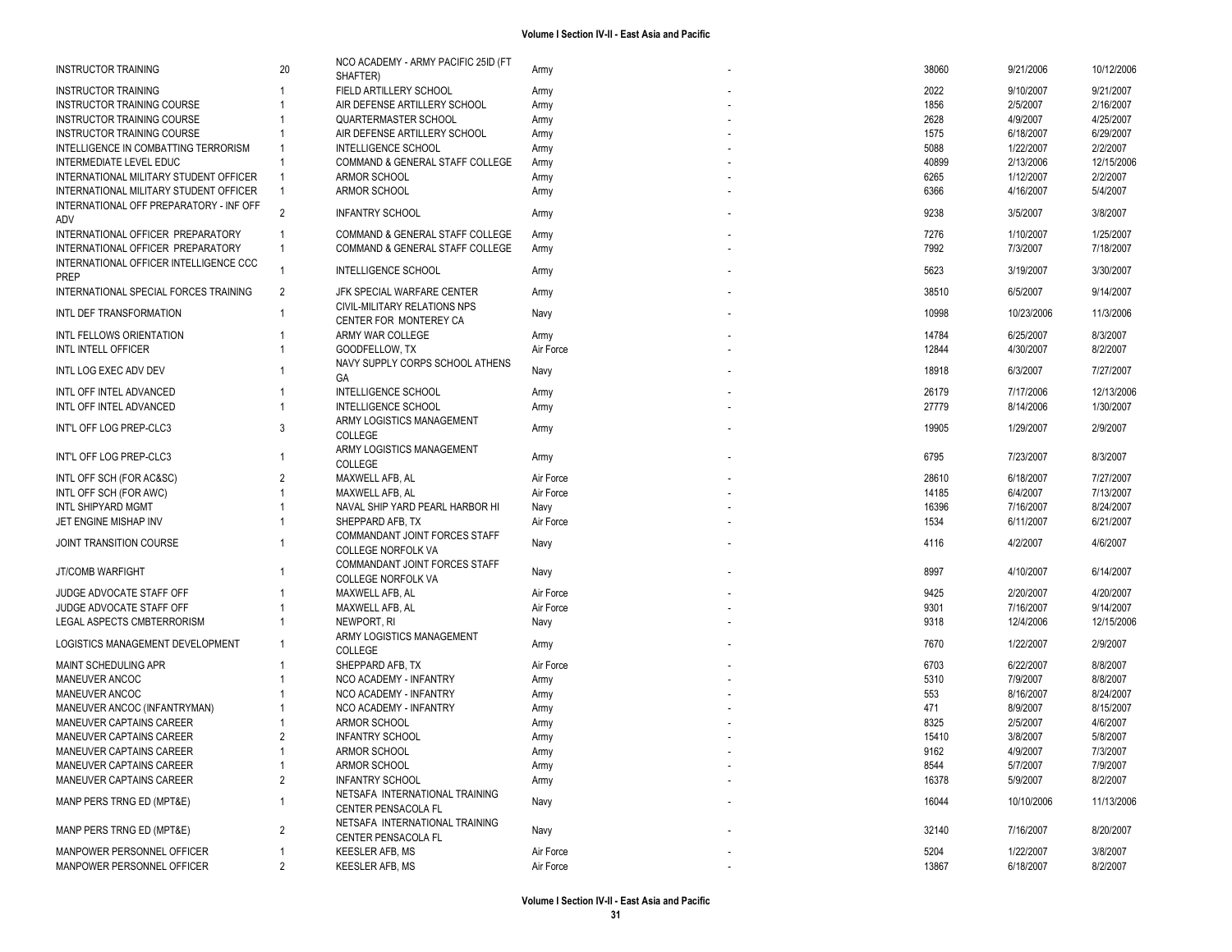| <b>INSTRUCTOR TRAINING</b>              | 20             | NCO ACADEMY - ARMY PACIFIC 25ID (FT<br>SHAFTER)       | Army      | 38060 | 9/21/2006  | 10/12/2006 |
|-----------------------------------------|----------------|-------------------------------------------------------|-----------|-------|------------|------------|
| <b>INSTRUCTOR TRAINING</b>              |                | FIELD ARTILLERY SCHOOL                                | Army      | 2022  | 9/10/2007  | 9/21/2007  |
| INSTRUCTOR TRAINING COURSE              |                | AIR DEFENSE ARTILLERY SCHOOL                          | Army      | 1856  | 2/5/2007   | 2/16/2007  |
| <b>INSTRUCTOR TRAINING COURSE</b>       |                | <b>QUARTERMASTER SCHOOL</b>                           | Army      | 2628  | 4/9/2007   | 4/25/2007  |
| <b>INSTRUCTOR TRAINING COURSE</b>       |                | AIR DEFENSE ARTILLERY SCHOOL                          | Army      | 1575  | 6/18/2007  | 6/29/2007  |
| INTELLIGENCE IN COMBATTING TERRORISM    |                | INTELLIGENCE SCHOOL                                   | Army      | 5088  | 1/22/2007  | 2/2/2007   |
| INTERMEDIATE LEVEL EDUC                 |                | COMMAND & GENERAL STAFF COLLEGE                       | Army      | 40899 | 2/13/2006  | 12/15/2006 |
| INTERNATIONAL MILITARY STUDENT OFFICER  |                | ARMOR SCHOOL                                          | Army      | 6265  | 1/12/2007  | 2/2/2007   |
| INTERNATIONAL MILITARY STUDENT OFFICER  | $\overline{1}$ | ARMOR SCHOOL                                          | Army      | 6366  | 4/16/2007  | 5/4/2007   |
| INTERNATIONAL OFF PREPARATORY - INF OFF |                |                                                       |           |       |            |            |
| ADV                                     | $\overline{2}$ | <b>INFANTRY SCHOOL</b>                                | Army      | 9238  | 3/5/2007   | 3/8/2007   |
| INTERNATIONAL OFFICER PREPARATORY       | -1             | COMMAND & GENERAL STAFF COLLEGE                       | Army      | 7276  | 1/10/2007  | 1/25/2007  |
| INTERNATIONAL OFFICER PREPARATORY       | $\overline{1}$ | COMMAND & GENERAL STAFF COLLEGE                       | Army      | 7992  | 7/3/2007   | 7/18/2007  |
| INTERNATIONAL OFFICER INTELLIGENCE CCC  |                |                                                       |           |       |            |            |
| <b>PREP</b>                             |                | INTELLIGENCE SCHOOL                                   | Army      | 5623  | 3/19/2007  | 3/30/2007  |
| INTERNATIONAL SPECIAL FORCES TRAINING   | 2              | JFK SPECIAL WARFARE CENTER                            | Army      | 38510 | 6/5/2007   | 9/14/2007  |
|                                         |                | CIVIL-MILITARY RELATIONS NPS                          |           |       |            |            |
| INTL DEF TRANSFORMATION                 |                | CENTER FOR MONTEREY CA                                | Navy      | 10998 | 10/23/2006 | 11/3/2006  |
| INTL FELLOWS ORIENTATION                |                | ARMY WAR COLLEGE                                      | Army      | 14784 | 6/25/2007  | 8/3/2007   |
| INTL INTELL OFFICER                     |                | GOODFELLOW, TX                                        | Air Force | 12844 | 4/30/2007  | 8/2/2007   |
|                                         |                | NAVY SUPPLY CORPS SCHOOL ATHENS                       |           |       |            |            |
| INTL LOG EXEC ADV DEV                   |                | GA                                                    | Navy      | 18918 | 6/3/2007   | 7/27/2007  |
| INTL OFF INTEL ADVANCED                 |                | INTELLIGENCE SCHOOL                                   | Army      | 26179 | 7/17/2006  | 12/13/2006 |
| INTL OFF INTEL ADVANCED                 |                | <b>INTELLIGENCE SCHOOL</b>                            | Army      | 27779 | 8/14/2006  | 1/30/2007  |
|                                         |                | ARMY LOGISTICS MANAGEMENT                             |           |       |            |            |
| INT'L OFF LOG PREP-CLC3                 | 3              | COLLEGE                                               | Army      | 19905 | 1/29/2007  | 2/9/2007   |
|                                         |                | ARMY LOGISTICS MANAGEMENT                             |           |       |            |            |
| INT'L OFF LOG PREP-CLC3                 |                | COLLEGE                                               | Army      | 6795  | 7/23/2007  | 8/3/2007   |
|                                         | $\overline{2}$ |                                                       | Air Force | 28610 |            | 7/27/2007  |
| INTL OFF SCH (FOR AC&SC)                |                | MAXWELL AFB, AL                                       |           | 14185 | 6/18/2007  |            |
| INTL OFF SCH (FOR AWC)                  |                | MAXWELL AFB, AL                                       | Air Force |       | 6/4/2007   | 7/13/2007  |
| <b>INTL SHIPYARD MGMT</b>               |                | NAVAL SHIP YARD PEARL HARBOR HI                       | Navy      | 16396 | 7/16/2007  | 8/24/2007  |
| JET ENGINE MISHAP INV                   |                | SHEPPARD AFB, TX                                      | Air Force | 1534  | 6/11/2007  | 6/21/2007  |
| JOINT TRANSITION COURSE                 |                | COMMANDANT JOINT FORCES STAFF                         | Navy      | 4116  | 4/2/2007   | 4/6/2007   |
|                                         |                | <b>COLLEGE NORFOLK VA</b>                             |           |       |            |            |
| JT/COMB WARFIGHT                        |                | COMMANDANT JOINT FORCES STAFF                         | Navy      | 8997  | 4/10/2007  | 6/14/2007  |
|                                         |                | <b>COLLEGE NORFOLK VA</b>                             |           |       |            |            |
| JUDGE ADVOCATE STAFF OFF                |                | MAXWELL AFB, AL                                       | Air Force | 9425  | 2/20/2007  | 4/20/2007  |
| JUDGE ADVOCATE STAFF OFF                |                | MAXWELL AFB, AL                                       | Air Force | 9301  | 7/16/2007  | 9/14/2007  |
| LEGAL ASPECTS CMBTERRORISM              |                | NEWPORT, RI                                           | Navy      | 9318  | 12/4/2006  | 12/15/2006 |
| LOGISTICS MANAGEMENT DEVELOPMENT        |                | ARMY LOGISTICS MANAGEMENT                             | Army      | 7670  | 1/22/2007  | 2/9/2007   |
|                                         |                | COLLEGE                                               |           |       |            |            |
| MAINT SCHEDULING APR                    |                | SHEPPARD AFB, TX                                      | Air Force | 6703  | 6/22/2007  | 8/8/2007   |
| MANEUVER ANCOC                          |                | NCO ACADEMY - INFANTRY                                | Army      | 5310  | 7/9/2007   | 8/8/2007   |
| MANEUVER ANCOC                          |                | NCO ACADEMY - INFANTRY                                | Army      | 553   | 8/16/2007  | 8/24/2007  |
| MANEUVER ANCOC (INFANTRYMAN)            |                | NCO ACADEMY - INFANTRY                                | Army      | 471   | 8/9/2007   | 8/15/2007  |
| MANEUVER CAPTAINS CAREER                |                | ARMOR SCHOOL                                          | Army      | 8325  | 2/5/2007   | 4/6/2007   |
| MANEUVER CAPTAINS CAREER                | 2              | <b>INFANTRY SCHOOL</b>                                | Army      | 15410 | 3/8/2007   | 5/8/2007   |
| MANEUVER CAPTAINS CAREER                |                | ARMOR SCHOOL                                          | Army      | 9162  | 4/9/2007   | 7/3/2007   |
| MANEUVER CAPTAINS CAREER                |                | ARMOR SCHOOL                                          | Army      | 8544  | 5/7/2007   | 7/9/2007   |
| MANEUVER CAPTAINS CAREER                | 2              | <b>INFANTRY SCHOOL</b>                                | Army      | 16378 | 5/9/2007   | 8/2/2007   |
| MANP PERS TRNG ED (MPT&E)               |                | NETSAFA INTERNATIONAL TRAINING<br>CENTER PENSACOLA FL | Navy      | 16044 | 10/10/2006 | 11/13/2006 |
| MANP PERS TRNG ED (MPT&E)               | 2              | NETSAFA INTERNATIONAL TRAINING                        | Navy      | 32140 | 7/16/2007  | 8/20/2007  |
|                                         |                | CENTER PENSACOLA FL                                   |           |       |            |            |
| MANPOWER PERSONNEL OFFICER              |                | KEESLER AFB, MS                                       | Air Force | 5204  | 1/22/2007  | 3/8/2007   |
| MANPOWER PERSONNEL OFFICER              | $\overline{2}$ | KEESLER AFB, MS                                       | Air Force | 13867 | 6/18/2007  | 8/2/2007   |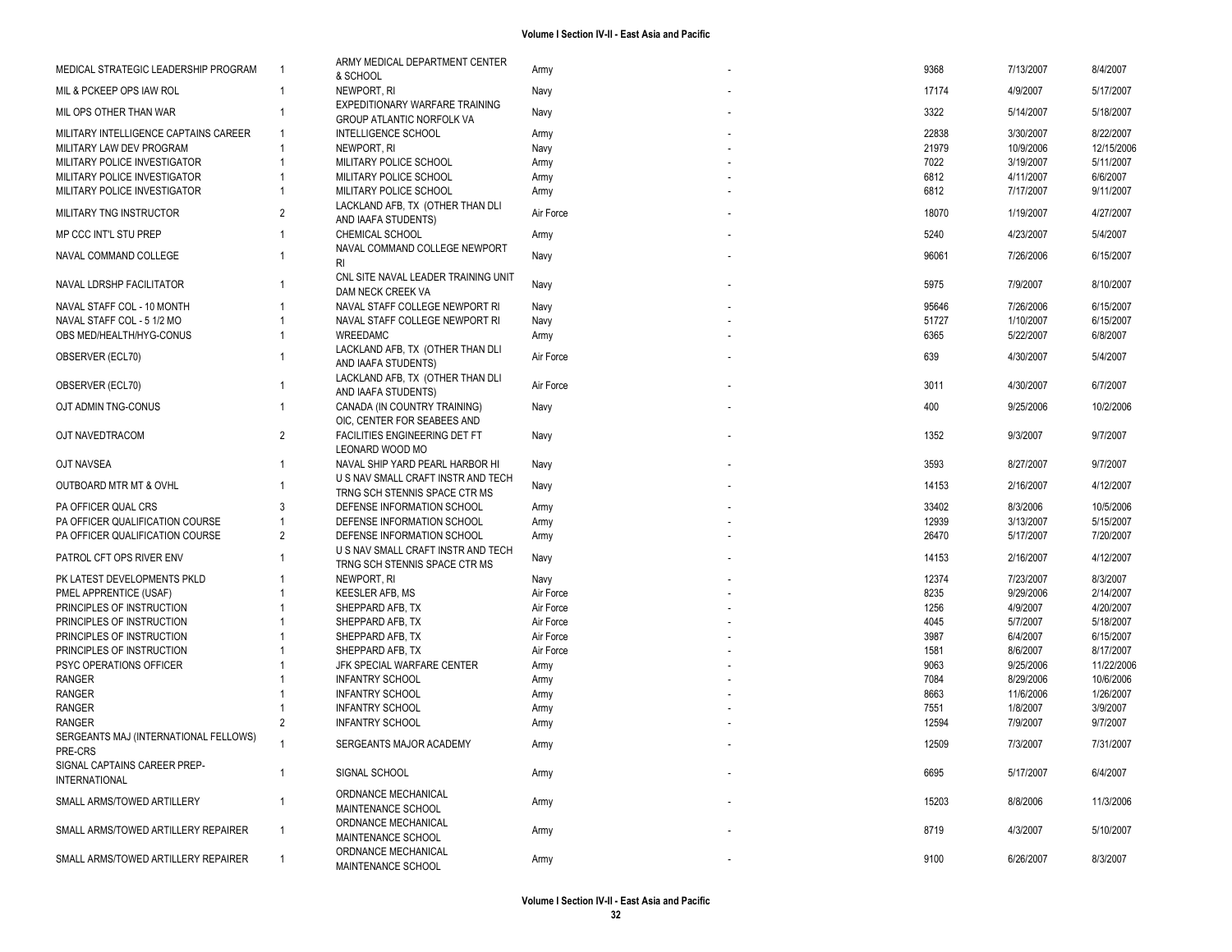| MEDICAL STRATEGIC LEADERSHIP PROGRAM                 | - 1            | ARMY MEDICAL DEPARTMENT CENTER                                     | Army      | 9368  | 7/13/2007 | 8/4/2007   |
|------------------------------------------------------|----------------|--------------------------------------------------------------------|-----------|-------|-----------|------------|
|                                                      |                | & SCHOOL                                                           |           |       |           |            |
| MIL & PCKEEP OPS IAW ROL                             | -1             | NEWPORT, RI                                                        | Navy      | 17174 | 4/9/2007  | 5/17/2007  |
| MIL OPS OTHER THAN WAR                               | $\overline{1}$ | EXPEDITIONARY WARFARE TRAINING<br><b>GROUP ATLANTIC NORFOLK VA</b> | Navy      | 3322  | 5/14/2007 | 5/18/2007  |
| MILITARY INTELLIGENCE CAPTAINS CAREER                | -1             | INTELLIGENCE SCHOOL                                                | Army      | 22838 | 3/30/2007 | 8/22/2007  |
| MILITARY LAW DEV PROGRAM                             | $\overline{1}$ | NEWPORT, RI                                                        | Navy      | 21979 | 10/9/2006 | 12/15/2006 |
| MILITARY POLICE INVESTIGATOR                         |                | MILITARY POLICE SCHOOL                                             | Army      | 7022  | 3/19/2007 | 5/11/2007  |
| MILITARY POLICE INVESTIGATOR                         |                | MILITARY POLICE SCHOOL                                             |           | 6812  |           | 6/6/2007   |
|                                                      |                |                                                                    | Army      |       | 4/11/2007 |            |
| MILITARY POLICE INVESTIGATOR                         |                | MILITARY POLICE SCHOOL                                             | Army      | 6812  | 7/17/2007 | 9/11/2007  |
| MILITARY TNG INSTRUCTOR                              | $\overline{2}$ | LACKLAND AFB, TX (OTHER THAN DLI<br>AND IAAFA STUDENTS)            | Air Force | 18070 | 1/19/2007 | 4/27/2007  |
| MP CCC INT'L STU PREP                                | -1             | CHEMICAL SCHOOL                                                    | Army      | 5240  | 4/23/2007 | 5/4/2007   |
| NAVAL COMMAND COLLEGE                                | -1             | NAVAL COMMAND COLLEGE NEWPORT<br><b>RI</b>                         | Navy      | 96061 | 7/26/2006 | 6/15/2007  |
|                                                      |                | CNL SITE NAVAL LEADER TRAINING UNIT                                |           |       |           |            |
| NAVAL LDRSHP FACILITATOR                             | -1             | DAM NECK CREEK VA                                                  | Navy      | 5975  | 7/9/2007  | 8/10/2007  |
| NAVAL STAFF COL - 10 MONTH                           | -1             | NAVAL STAFF COLLEGE NEWPORT RI                                     | Navy      | 95646 | 7/26/2006 | 6/15/2007  |
| NAVAL STAFF COL - 5 1/2 MO                           |                | NAVAL STAFF COLLEGE NEWPORT RI                                     |           | 51727 | 1/10/2007 | 6/15/2007  |
|                                                      |                |                                                                    | Navy      |       |           |            |
| OBS MED/HEALTH/HYG-CONUS                             | -1             | WREEDAMC                                                           | Army      | 6365  | 5/22/2007 | 6/8/2007   |
| OBSERVER (ECL70)                                     |                | LACKLAND AFB, TX (OTHER THAN DLI                                   | Air Force | 639   | 4/30/2007 | 5/4/2007   |
|                                                      |                | AND IAAFA STUDENTS)                                                |           |       |           |            |
|                                                      | -1             | LACKLAND AFB, TX (OTHER THAN DLI                                   |           | 3011  |           |            |
| OBSERVER (ECL70)                                     |                | AND IAAFA STUDENTS)                                                | Air Force |       | 4/30/2007 | 6/7/2007   |
| OJT ADMIN TNG-CONUS                                  | $\overline{1}$ | CANADA (IN COUNTRY TRAINING)                                       | Navy      | 400   | 9/25/2006 | 10/2/2006  |
|                                                      |                | OIC, CENTER FOR SEABEES AND                                        |           |       |           |            |
| OJT NAVEDTRACOM                                      | 2              | FACILITIES ENGINEERING DET FT                                      | Navy      | 1352  | 9/3/2007  | 9/7/2007   |
|                                                      |                | LEONARD WOOD MO                                                    |           |       |           |            |
|                                                      |                |                                                                    |           |       |           |            |
| OJT NAVSEA                                           | -1             | NAVAL SHIP YARD PEARL HARBOR HI                                    | Navy      | 3593  | 8/27/2007 | 9/7/2007   |
| <b>OUTBOARD MTR MT &amp; OVHL</b>                    | $\overline{1}$ | U S NAV SMALL CRAFT INSTR AND TECH                                 | Navy      | 14153 | 2/16/2007 | 4/12/2007  |
|                                                      |                | TRNG SCH STENNIS SPACE CTR MS                                      |           |       |           |            |
| <b>PA OFFICER QUAL CRS</b>                           | 3              | DEFENSE INFORMATION SCHOOL                                         | Army      | 33402 | 8/3/2006  | 10/5/2006  |
| PA OFFICER QUALIFICATION COURSE                      | $\overline{1}$ | DEFENSE INFORMATION SCHOOL                                         | Army      | 12939 | 3/13/2007 | 5/15/2007  |
| PA OFFICER QUALIFICATION COURSE                      | $\overline{2}$ | DEFENSE INFORMATION SCHOOL                                         | Army      | 26470 | 5/17/2007 | 7/20/2007  |
|                                                      |                | U S NAV SMALL CRAFT INSTR AND TECH                                 |           |       |           |            |
| PATROL CFT OPS RIVER ENV                             | -1             | TRNG SCH STENNIS SPACE CTR MS                                      | Navy      | 14153 | 2/16/2007 | 4/12/2007  |
| PK LATEST DEVELOPMENTS PKLD                          |                | NEWPORT, RI                                                        | Navy      | 12374 | 7/23/2007 | 8/3/2007   |
| PMEL APPRENTICE (USAF)                               |                |                                                                    |           | 8235  |           |            |
|                                                      |                | <b>KEESLER AFB, MS</b>                                             | Air Force |       | 9/29/2006 | 2/14/2007  |
| PRINCIPLES OF INSTRUCTION                            |                | SHEPPARD AFB, TX                                                   | Air Force | 1256  | 4/9/2007  | 4/20/2007  |
| PRINCIPLES OF INSTRUCTION                            |                | SHEPPARD AFB, TX                                                   | Air Force | 4045  | 5/7/2007  | 5/18/2007  |
| PRINCIPLES OF INSTRUCTION                            |                | SHEPPARD AFB, TX                                                   | Air Force | 3987  | 6/4/2007  | 6/15/2007  |
| PRINCIPLES OF INSTRUCTION                            |                | SHEPPARD AFB, TX                                                   | Air Force | 1581  | 8/6/2007  | 8/17/2007  |
| PSYC OPERATIONS OFFICER                              |                | JFK SPECIAL WARFARE CENTER                                         | Army      | 9063  | 9/25/2006 | 11/22/2006 |
| <b>RANGER</b>                                        |                | <b>INFANTRY SCHOOL</b>                                             | Army      | 7084  | 8/29/2006 | 10/6/2006  |
| RANGER                                               |                | <b>INFANTRY SCHOOL</b>                                             | Army      | 8663  | 11/6/2006 | 1/26/2007  |
| RANGER                                               |                | <b>INFANTRY SCHOOL</b>                                             | Army      | 7551  | 1/8/2007  | 3/9/2007   |
|                                                      | 2              |                                                                    |           |       |           |            |
| <b>RANGER</b>                                        |                | <b>INFANTRY SCHOOL</b>                                             | Army      | 12594 | 7/9/2007  | 9/7/2007   |
| SERGEANTS MAJ (INTERNATIONAL FELLOWS)                |                | SERGEANTS MAJOR ACADEMY                                            | Army      | 12509 | 7/3/2007  | 7/31/2007  |
| PRE-CRS                                              |                |                                                                    |           |       |           |            |
| SIGNAL CAPTAINS CAREER PREP-<br><b>INTERNATIONAL</b> | -1             | SIGNAL SCHOOL                                                      | Army      | 6695  | 5/17/2007 | 6/4/2007   |
|                                                      |                | ORDNANCE MECHANICAL                                                |           |       |           |            |
| SMALL ARMS/TOWED ARTILLERY                           | -1             | MAINTENANCE SCHOOL                                                 | Army      | 15203 | 8/8/2006  | 11/3/2006  |
|                                                      |                |                                                                    |           |       |           |            |
| SMALL ARMS/TOWED ARTILLERY REPAIRER                  | $\overline{1}$ | ORDNANCE MECHANICAL                                                | Army      | 8719  | 4/3/2007  | 5/10/2007  |
|                                                      |                | MAINTENANCE SCHOOL                                                 |           |       |           |            |
| SMALL ARMS/TOWED ARTILLERY REPAIRER                  | $\overline{1}$ | ORDNANCE MECHANICAL                                                | Army      | 9100  | 6/26/2007 | 8/3/2007   |
|                                                      |                | MAINTENANCE SCHOOL                                                 |           |       |           |            |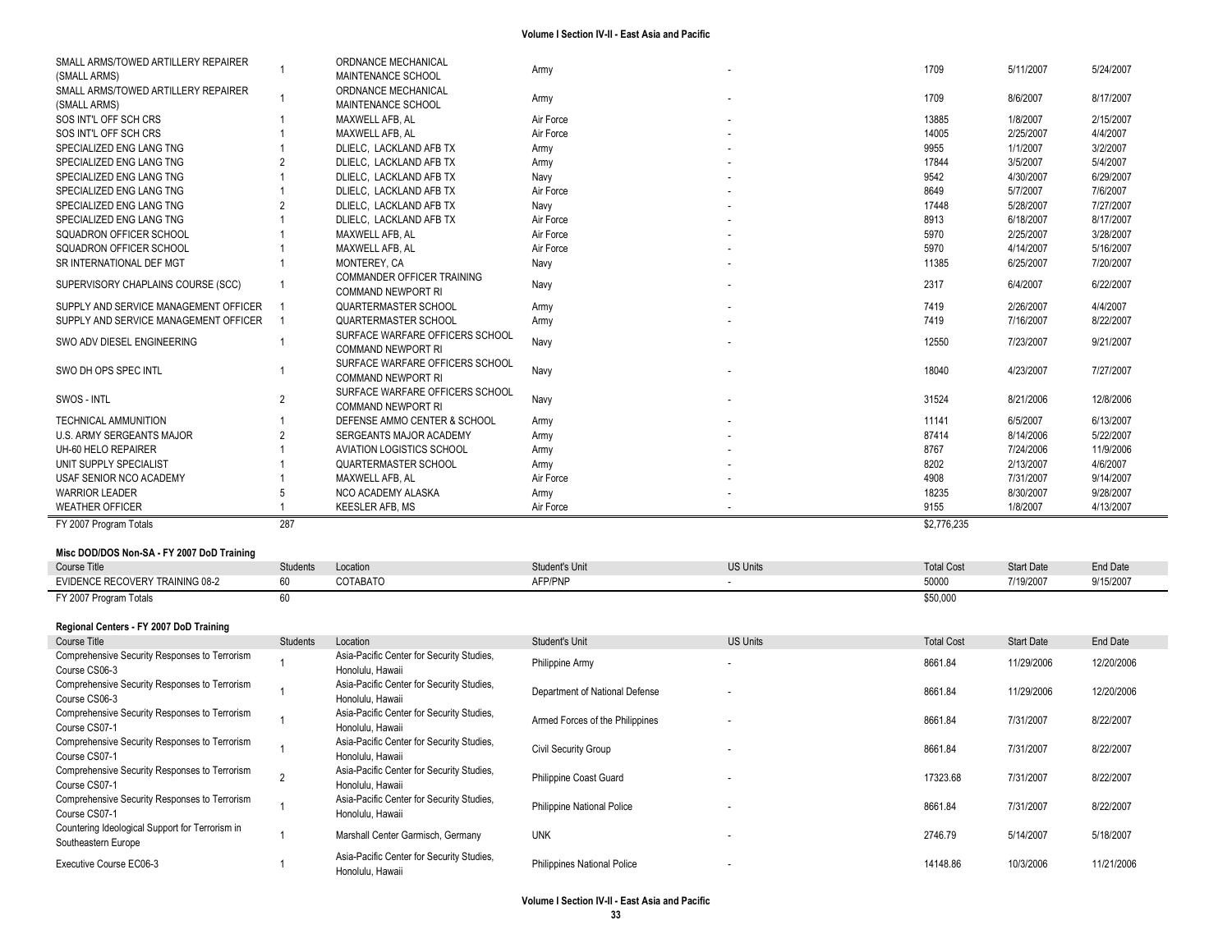| SMALL ARMS/TOWED ARTILLERY REPAIRER           | $\overline{1}$ | ORDNANCE MECHANICAL                       | Army                              |                 | 1709              | 5/11/2007         | 5/24/2007       |
|-----------------------------------------------|----------------|-------------------------------------------|-----------------------------------|-----------------|-------------------|-------------------|-----------------|
| (SMALL ARMS)                                  |                | MAINTENANCE SCHOOL                        |                                   |                 |                   |                   |                 |
| SMALL ARMS/TOWED ARTILLERY REPAIRER           | $\overline{1}$ | ORDNANCE MECHANICAL                       | Army                              |                 | 1709              | 8/6/2007          | 8/17/2007       |
| (SMALL ARMS)                                  |                | MAINTENANCE SCHOOL                        |                                   |                 |                   |                   |                 |
| SOS INT'L OFF SCH CRS                         |                | MAXWELL AFB, AL                           | Air Force                         |                 | 13885             | 1/8/2007          | 2/15/2007       |
| SOS INT'L OFF SCH CRS                         |                | MAXWELL AFB, AL                           | Air Force                         |                 | 14005             | 2/25/2007         | 4/4/2007        |
| SPECIALIZED ENG LANG TNG                      |                | DLIELC, LACKLAND AFB TX                   | Army                              |                 | 9955              | 1/1/2007          | 3/2/2007        |
| SPECIALIZED ENG LANG TNG                      |                | DLIELC, LACKLAND AFB TX                   | Army                              |                 | 17844             | 3/5/2007          | 5/4/2007        |
| SPECIALIZED ENG LANG TNG                      |                | DLIELC, LACKLAND AFB TX                   | Navy                              |                 | 9542              | 4/30/2007         | 6/29/2007       |
| SPECIALIZED ENG LANG TNG                      |                | DLIELC, LACKLAND AFB TX                   | Air Force                         |                 | 8649              | 5/7/2007          | 7/6/2007        |
| SPECIALIZED ENG LANG TNG                      |                | DLIELC, LACKLAND AFB TX                   | Navy                              |                 | 17448             | 5/28/2007         | 7/27/2007       |
| SPECIALIZED ENG LANG TNG                      |                | DLIELC, LACKLAND AFB TX                   | Air Force                         |                 | 8913              | 6/18/2007         | 8/17/2007       |
| SQUADRON OFFICER SCHOOL                       |                | MAXWELL AFB, AL                           | Air Force                         |                 | 5970              | 2/25/2007         | 3/28/2007       |
| SQUADRON OFFICER SCHOOL                       |                | MAXWELL AFB, AL                           | Air Force                         |                 | 5970              | 4/14/2007         | 5/16/2007       |
| SR INTERNATIONAL DEF MGT                      |                | MONTEREY, CA                              | Navy                              |                 | 11385             | 6/25/2007         | 7/20/2007       |
|                                               |                | COMMANDER OFFICER TRAINING                |                                   |                 |                   |                   |                 |
| SUPERVISORY CHAPLAINS COURSE (SCC)            | $\overline{1}$ | <b>COMMAND NEWPORT RI</b>                 | Navy                              |                 | 2317              | 6/4/2007          | 6/22/2007       |
| SUPPLY AND SERVICE MANAGEMENT OFFICER         | $\overline{1}$ | <b>QUARTERMASTER SCHOOL</b>               | Army                              |                 | 7419              | 2/26/2007         | 4/4/2007        |
| SUPPLY AND SERVICE MANAGEMENT OFFICER         | $\overline{1}$ | QUARTERMASTER SCHOOL                      | Army                              |                 | 7419              | 7/16/2007         | 8/22/2007       |
|                                               |                | SURFACE WARFARE OFFICERS SCHOOL           |                                   |                 |                   |                   |                 |
| SWO ADV DIESEL ENGINEERING                    | $\overline{1}$ | <b>COMMAND NEWPORT RI</b>                 | Navy                              |                 | 12550             | 7/23/2007         | 9/21/2007       |
|                                               |                |                                           |                                   |                 |                   |                   |                 |
| SWO DH OPS SPEC INTL                          | -1             | SURFACE WARFARE OFFICERS SCHOOL           | Navy                              |                 | 18040             | 4/23/2007         | 7/27/2007       |
|                                               |                | <b>COMMAND NEWPORT RI</b>                 |                                   |                 |                   |                   |                 |
| SWOS - INTL                                   | $\overline{2}$ | SURFACE WARFARE OFFICERS SCHOOL           | Navy                              |                 | 31524             | 8/21/2006         | 12/8/2006       |
|                                               |                | <b>COMMAND NEWPORT RI</b>                 |                                   |                 |                   |                   |                 |
| <b>TECHNICAL AMMUNITION</b>                   |                | DEFENSE AMMO CENTER & SCHOOL              | Army                              |                 | 11141             | 6/5/2007          | 6/13/2007       |
| U.S. ARMY SERGEANTS MAJOR                     | $\overline{2}$ | SERGEANTS MAJOR ACADEMY                   | Army                              |                 | 87414             | 8/14/2006         | 5/22/2007       |
| UH-60 HELO REPAIRER                           |                | <b>AVIATION LOGISTICS SCHOOL</b>          | Army                              |                 | 8767              | 7/24/2006         | 11/9/2006       |
| UNIT SUPPLY SPECIALIST                        |                | <b>QUARTERMASTER SCHOOL</b>               | Army                              |                 | 8202              | 2/13/2007         | 4/6/2007        |
| USAF SENIOR NCO ACADEMY                       |                | MAXWELL AFB, AL                           | Air Force                         |                 | 4908              | 7/31/2007         | 9/14/2007       |
| <b>WARRIOR LEADER</b>                         | 5              | NCO ACADEMY ALASKA                        | Army                              |                 | 18235             | 8/30/2007         | 9/28/2007       |
| <b>WEATHER OFFICER</b>                        |                | <b>KEESLER AFB, MS</b>                    | Air Force                         |                 | 9155              | 1/8/2007          | 4/13/2007       |
| FY 2007 Program Totals                        | 287            |                                           |                                   |                 | \$2,776,235       |                   |                 |
|                                               |                |                                           |                                   |                 |                   |                   |                 |
| Misc DOD/DOS Non-SA - FY 2007 DoD Training    |                |                                           |                                   |                 |                   |                   |                 |
| <b>Course Title</b>                           | Students       | Location                                  | Student's Unit                    | <b>US Units</b> | <b>Total Cost</b> | <b>Start Date</b> | <b>End Date</b> |
| EVIDENCE RECOVERY TRAINING 08-2               | 60             | COTABATO                                  | AFP/PNP                           | $\sim$          | 50000             | 7/19/2007         | 9/15/2007       |
|                                               | 60             |                                           |                                   |                 | \$50,000          |                   |                 |
| FY 2007 Program Totals                        |                |                                           |                                   |                 |                   |                   |                 |
|                                               |                |                                           |                                   |                 |                   |                   |                 |
| Regional Centers - FY 2007 DoD Training       |                |                                           |                                   |                 |                   |                   |                 |
| <b>Course Title</b>                           | Students       | Location                                  | Student's Unit                    | <b>US Units</b> | <b>Total Cost</b> | <b>Start Date</b> | <b>End Date</b> |
| Comprehensive Security Responses to Terrorism | $\overline{1}$ | Asia-Pacific Center for Security Studies, | Philippine Army                   |                 | 8661.84           | 11/29/2006        | 12/20/2006      |
| Course CS06-3                                 |                | Honolulu, Hawaii                          |                                   |                 |                   |                   |                 |
| Comprehensive Security Responses to Terrorism | $\overline{1}$ | Asia-Pacific Center for Security Studies, | Department of National Defense    |                 | 8661.84           | 11/29/2006        | 12/20/2006      |
| Course CS06-3                                 |                | Honolulu, Hawaii                          |                                   |                 |                   |                   |                 |
| Comprehensive Security Responses to Terrorism | $\overline{1}$ | Asia-Pacific Center for Security Studies, | Armed Forces of the Philippines   |                 | 8661.84           | 7/31/2007         | 8/22/2007       |
| Course CS07-1                                 |                | Honolulu, Hawaii                          |                                   |                 |                   |                   |                 |
| Comprehensive Security Responses to Terrorism | $\mathbf{1}$   | Asia-Pacific Center for Security Studies, |                                   |                 |                   |                   |                 |
| Course CS07-1                                 |                | Honolulu, Hawaii                          | Civil Security Group              |                 | 8661.84           | 7/31/2007         | 8/22/2007       |
| Comprehensive Security Responses to Terrorism |                | Asia-Pacific Center for Security Studies, |                                   |                 |                   |                   |                 |
| Course CS07-1                                 | 2              | Honolulu, Hawaii                          | Philippine Coast Guard            |                 | 17323.68          | 7/31/2007         | 8/22/2007       |
| Comprehensive Security Responses to Terrorism |                | Asia-Pacific Center for Security Studies, |                                   |                 |                   |                   |                 |
|                                               | $\overline{1}$ |                                           | <b>Philippine National Police</b> |                 | 8661.84           | 7/31/2007         | 8/22/2007       |

Southeastern Europe 1 S/14/2007 - 11 Marshall Center Garmisch, Germany UNK - 2746.79 5/14/2007 5/14/2007 5/18/2007<br>Southeastern Europe

Asia-Pacific Center for Security Studies,

Countering Ideological Support for Terrorism in

Executive Course EC06-3 1

Honolulu, Hawaii Composition of December 2006, 2010, Philippines National Police - 14148.86 10/3/2006 11/21/2006<br>Honolulu, Hawaii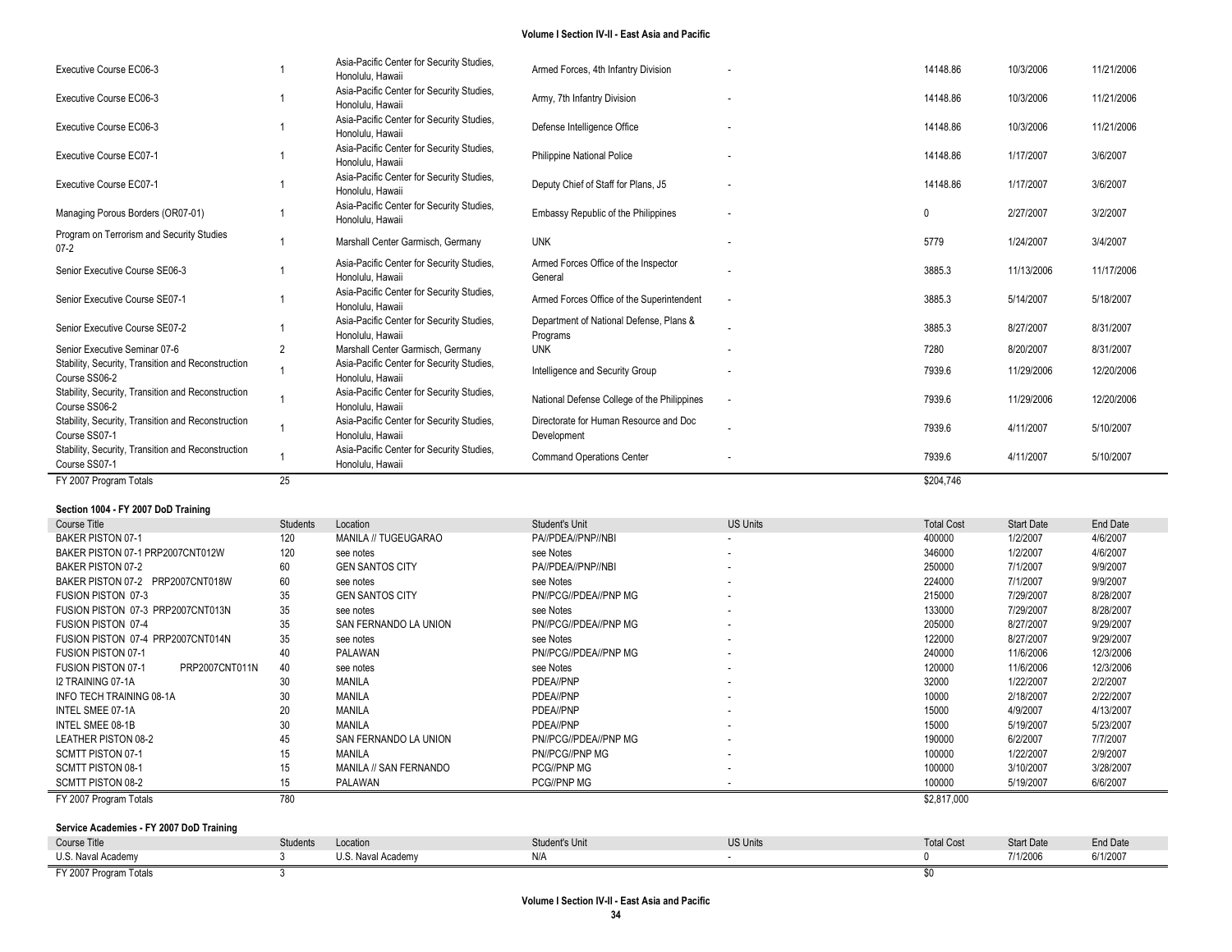| Executive Course EC06-3                                             |                | Asia-Pacific Center for Security Studies,<br>Honolulu, Hawaii | Armed Forces, 4th Infantry Division                   |                          | 14148.86  | 10/3/2006  | 11/21/2006 |
|---------------------------------------------------------------------|----------------|---------------------------------------------------------------|-------------------------------------------------------|--------------------------|-----------|------------|------------|
| Executive Course EC06-3                                             |                | Asia-Pacific Center for Security Studies,<br>Honolulu, Hawaii | Army, 7th Infantry Division                           |                          | 14148.86  | 10/3/2006  | 11/21/2006 |
| Executive Course EC06-3                                             |                | Asia-Pacific Center for Security Studies,<br>Honolulu, Hawaii | Defense Intelligence Office                           |                          | 14148.86  | 10/3/2006  | 11/21/2006 |
| Executive Course EC07-1                                             |                | Asia-Pacific Center for Security Studies,<br>Honolulu, Hawaii | <b>Philippine National Police</b>                     |                          | 14148.86  | 1/17/2007  | 3/6/2007   |
| Executive Course EC07-1                                             |                | Asia-Pacific Center for Security Studies,<br>Honolulu, Hawaii | Deputy Chief of Staff for Plans, J5                   |                          | 14148.86  | 1/17/2007  | 3/6/2007   |
| Managing Porous Borders (OR07-01)                                   |                | Asia-Pacific Center for Security Studies,<br>Honolulu, Hawaii | Embassy Republic of the Philippines                   |                          | 0         | 2/27/2007  | 3/2/2007   |
| Program on Terrorism and Security Studies<br>$07-2$                 |                | Marshall Center Garmisch, Germany                             | <b>UNK</b>                                            |                          | 5779      | 1/24/2007  | 3/4/2007   |
| Senior Executive Course SE06-3                                      |                | Asia-Pacific Center for Security Studies,<br>Honolulu, Hawaii | Armed Forces Office of the Inspector<br>General       |                          | 3885.3    | 11/13/2006 | 11/17/2006 |
| Senior Executive Course SE07-1                                      |                | Asia-Pacific Center for Security Studies,<br>Honolulu, Hawaii | Armed Forces Office of the Superintendent             | $\overline{\phantom{a}}$ | 3885.3    | 5/14/2007  | 5/18/2007  |
| Senior Executive Course SE07-2                                      |                | Asia-Pacific Center for Security Studies,<br>Honolulu, Hawaii | Department of National Defense, Plans &<br>Programs   |                          | 3885.3    | 8/27/2007  | 8/31/2007  |
| Senior Executive Seminar 07-6                                       | $\overline{2}$ | Marshall Center Garmisch, Germany                             | <b>UNK</b>                                            |                          | 7280      | 8/20/2007  | 8/31/2007  |
| Stability, Security, Transition and Reconstruction<br>Course SS06-2 |                | Asia-Pacific Center for Security Studies,<br>Honolulu, Hawaii | Intelligence and Security Group                       |                          | 7939.6    | 11/29/2006 | 12/20/2006 |
| Stability, Security, Transition and Reconstruction<br>Course SS06-2 |                | Asia-Pacific Center for Security Studies,<br>Honolulu, Hawaii | National Defense College of the Philippines           |                          | 7939.6    | 11/29/2006 | 12/20/2006 |
| Stability, Security, Transition and Reconstruction<br>Course SS07-1 |                | Asia-Pacific Center for Security Studies,<br>Honolulu, Hawaii | Directorate for Human Resource and Doc<br>Development |                          | 7939.6    | 4/11/2007  | 5/10/2007  |
| Stability, Security, Transition and Reconstruction<br>Course SS07-1 |                | Asia-Pacific Center for Security Studies,<br>Honolulu, Hawaii | <b>Command Operations Center</b>                      |                          | 7939.6    | 4/11/2007  | 5/10/2007  |
| FY 2007 Program Totals                                              | 25             |                                                               |                                                       |                          | \$204.746 |            |            |

## **Section 1004 - FY 2007 DoD Training**

| Course Title                                | Students | Location               | Student's Unit        | <b>US Units</b>          | <b>Total Cost</b> | <b>Start Date</b> | End Date  |
|---------------------------------------------|----------|------------------------|-----------------------|--------------------------|-------------------|-------------------|-----------|
| <b>BAKER PISTON 07-1</b>                    | 120      | MANILA // TUGEUGARAO   | PA//PDEA//PNP//NBI    | $\sim$                   | 400000            | 1/2/2007          | 4/6/2007  |
| BAKER PISTON 07-1 PRP2007CNT012W            | 120      | see notes              | see Notes             | ۰.                       | 346000            | 1/2/2007          | 4/6/2007  |
| BAKER PISTON 07-2                           | 60       | <b>GEN SANTOS CITY</b> | PA//PDEA//PNP//NBI    | $\sim$                   | 250000            | 7/1/2007          | 9/9/2007  |
| BAKER PISTON 07-2 PRP2007CNT018W            | 60       | see notes              | see Notes             |                          | 224000            | 7/1/2007          | 9/9/2007  |
| <b>FUSION PISTON 07-3</b>                   | 35       | <b>GEN SANTOS CITY</b> | PN//PCG//PDEA//PNP MG |                          | 215000            | 7/29/2007         | 8/28/2007 |
| FUSION PISTON 07-3 PRP2007CNT013N           | 35       | see notes              | see Notes             | $\sim$                   | 133000            | 7/29/2007         | 8/28/2007 |
| <b>FUSION PISTON 07-4</b>                   | 35       | SAN FERNANDO LA UNION  | PN//PCG//PDEA//PNP MG | ۰.                       | 205000            | 8/27/2007         | 9/29/2007 |
| FUSION PISTON 07-4 PRP2007CNT014N           | 35       | see notes              | see Notes             | ۰.                       | 122000            | 8/27/2007         | 9/29/2007 |
| <b>FUSION PISTON 07-1</b>                   | 40       | PALAWAN                | PN//PCG//PDEA//PNP MG | ۰.                       | 240000            | 11/6/2006         | 12/3/2006 |
| PRP2007CNT011N<br><b>FUSION PISTON 07-1</b> | 40       | see notes              | see Notes             | $\overline{\phantom{a}}$ | 120000            | 11/6/2006         | 12/3/2006 |
| I2 TRAINING 07-1A                           | 30       | MANILA                 | PDEA//PNP             | $\overline{\phantom{a}}$ | 32000             | 1/22/2007         | 2/2/2007  |
| INFO TECH TRAINING 08-1A                    | 30       | MANILA                 | PDEA//PNP             | ۰.                       | 10000             | 2/18/2007         | 2/22/2007 |
| INTEL SMEE 07-1A                            | 20       | MANILA                 | PDEA//PNP             | $\overline{\phantom{a}}$ | 15000             | 4/9/2007          | 4/13/2007 |
| INTEL SMEE 08-1B                            | 30       | MANILA                 | PDEA//PNP             | $\overline{\phantom{a}}$ | 15000             | 5/19/2007         | 5/23/2007 |
| <b>LEATHER PISTON 08-2</b>                  | 45       | SAN FERNANDO LA UNION  | PN//PCG//PDEA//PNP MG |                          | 190000            | 6/2/2007          | 7/7/2007  |
| SCMTT PISTON 07-1                           | 15       | MANILA                 | PN//PCG//PNP MG       | $\sim$                   | 100000            | 1/22/2007         | 2/9/2007  |
| <b>SCMTT PISTON 08-1</b>                    | 15       | MANILA // SAN FERNANDO | <b>PCG//PNP MG</b>    |                          | 100000            | 3/10/2007         | 3/28/2007 |
| SCMTT PISTON 08-2                           | 15       | PALAWAN                | PCG//PNP MG           |                          | 100000            | 5/19/2007         | 6/6/2007  |
| FY 2007 Program Totals                      | 780      |                        |                       |                          | \$2,817,000       |                   |           |

### **Service Academies - FY 2007 DoD Training**

| Course Title           | Students | Location           | Student's Unit | <b>US Units</b> | <b>Total Cost</b> | <b>Start Date</b> | End Date |
|------------------------|----------|--------------------|----------------|-----------------|-------------------|-------------------|----------|
| U.S. Naval Academy     |          | U.S. Naval Academy | N/f            |                 |                   | 7/1/2006          | 6/1/2007 |
| FY 2007 Program Totals |          |                    |                |                 |                   |                   |          |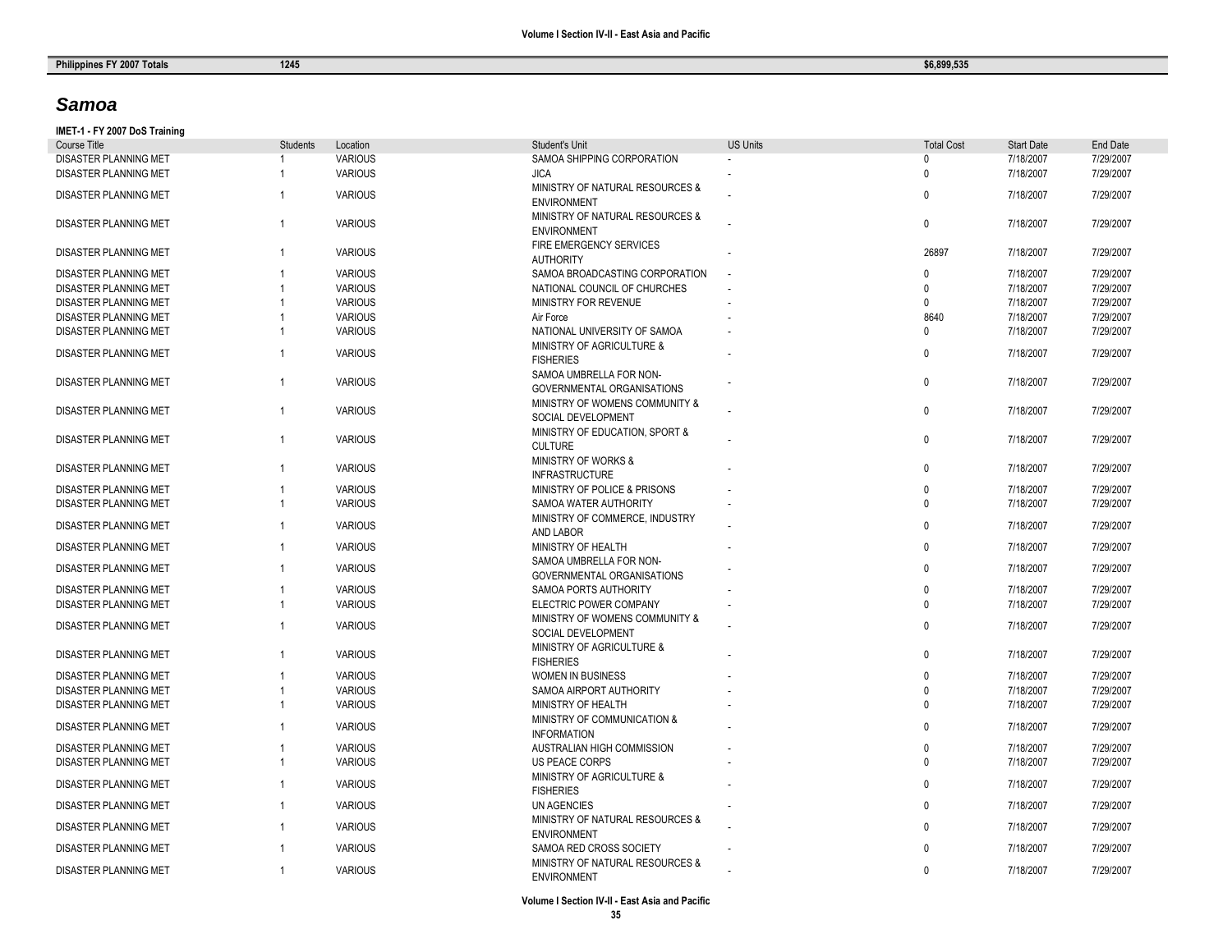## *Samoa*

### **IMET -1 - FY 2007 DoS Training**

| Course Title                 | <b>Students</b> | Location       | <b>Student's Unit</b>                                        | <b>US Units</b> | <b>Total Cost</b> | <b>Start Date</b> | <b>End Date</b> |
|------------------------------|-----------------|----------------|--------------------------------------------------------------|-----------------|-------------------|-------------------|-----------------|
| DISASTER PLANNING MET        |                 | <b>VARIOUS</b> | SAMOA SHIPPING CORPORATION                                   |                 | $\Omega$          | 7/18/2007         | 7/29/2007       |
| DISASTER PLANNING MET        | $\mathbf{1}$    | <b>VARIOUS</b> | <b>JICA</b>                                                  |                 | $\Omega$          | 7/18/2007         | 7/29/2007       |
| <b>DISASTER PLANNING MET</b> | $\overline{1}$  | <b>VARIOUS</b> | MINISTRY OF NATURAL RESOURCES &<br><b>ENVIRONMENT</b>        |                 | $\Omega$          | 7/18/2007         | 7/29/2007       |
| DISASTER PLANNING MET        | $\mathbf{1}$    | <b>VARIOUS</b> | MINISTRY OF NATURAL RESOURCES &<br><b>ENVIRONMENT</b>        |                 | $\mathbf 0$       | 7/18/2007         | 7/29/2007       |
| DISASTER PLANNING MET        | $\overline{1}$  | <b>VARIOUS</b> | FIRE EMERGENCY SERVICES<br><b>AUTHORITY</b>                  |                 | 26897             | 7/18/2007         | 7/29/2007       |
| <b>DISASTER PLANNING MET</b> |                 | <b>VARIOUS</b> | SAMOA BROADCASTING CORPORATION                               |                 | <sup>n</sup>      | 7/18/2007         | 7/29/2007       |
| DISASTER PLANNING MET        |                 | <b>VARIOUS</b> | NATIONAL COUNCIL OF CHURCHES                                 |                 | $\Omega$          | 7/18/2007         | 7/29/2007       |
| DISASTER PLANNING MET        |                 | <b>VARIOUS</b> | MINISTRY FOR REVENUE                                         |                 | $\Omega$          | 7/18/2007         | 7/29/2007       |
| <b>DISASTER PLANNING MET</b> |                 | <b>VARIOUS</b> | Air Force                                                    |                 | 8640              | 7/18/2007         | 7/29/2007       |
| <b>DISASTER PLANNING MET</b> |                 | <b>VARIOUS</b> | NATIONAL UNIVERSITY OF SAMOA                                 |                 | $\Omega$          | 7/18/2007         | 7/29/2007       |
| DISASTER PLANNING MET        | $\overline{1}$  | <b>VARIOUS</b> | MINISTRY OF AGRICULTURE &<br><b>FISHERIES</b>                |                 | $\Omega$          | 7/18/2007         | 7/29/2007       |
| <b>DISASTER PLANNING MET</b> | $\overline{1}$  | <b>VARIOUS</b> | SAMOA UMBRELLA FOR NON-<br><b>GOVERNMENTAL ORGANISATIONS</b> |                 | $\mathbf{0}$      | 7/18/2007         | 7/29/2007       |
| DISASTER PLANNING MET        | $\overline{1}$  | <b>VARIOUS</b> | MINISTRY OF WOMENS COMMUNITY &<br>SOCIAL DEVELOPMENT         |                 | $\mathbf{0}$      | 7/18/2007         | 7/29/2007       |
| DISASTER PLANNING MET        | $\overline{1}$  | <b>VARIOUS</b> | MINISTRY OF EDUCATION, SPORT &<br><b>CULTURE</b>             |                 | $\mathbf 0$       | 7/18/2007         | 7/29/2007       |
| DISASTER PLANNING MET        | $\overline{1}$  | <b>VARIOUS</b> | <b>MINISTRY OF WORKS &amp;</b><br><b>INFRASTRUCTURE</b>      |                 | $\mathbf 0$       | 7/18/2007         | 7/29/2007       |
| <b>DISASTER PLANNING MET</b> | $\mathbf{1}$    | <b>VARIOUS</b> | MINISTRY OF POLICE & PRISONS                                 |                 | $\Omega$          | 7/18/2007         | 7/29/2007       |
| <b>DISASTER PLANNING MET</b> | 1               | <b>VARIOUS</b> | SAMOA WATER AUTHORITY                                        |                 | $\Omega$          | 7/18/2007         | 7/29/2007       |
| <b>DISASTER PLANNING MET</b> | $\overline{1}$  | <b>VARIOUS</b> | MINISTRY OF COMMERCE, INDUSTRY<br><b>AND LABOR</b>           |                 | $\Omega$          | 7/18/2007         | 7/29/2007       |
| DISASTER PLANNING MET        | $\overline{1}$  | <b>VARIOUS</b> | MINISTRY OF HEALTH                                           |                 | 0                 | 7/18/2007         | 7/29/2007       |
| <b>DISASTER PLANNING MET</b> | $\overline{1}$  | <b>VARIOUS</b> | SAMOA UMBRELLA FOR NON-<br>GOVERNMENTAL ORGANISATIONS        |                 | $\mathbf{0}$      | 7/18/2007         | 7/29/2007       |
| DISASTER PLANNING MET        | -1              | <b>VARIOUS</b> | SAMOA PORTS AUTHORITY                                        |                 | $\Omega$          | 7/18/2007         | 7/29/2007       |
| DISASTER PLANNING MET        | $\overline{1}$  | <b>VARIOUS</b> | ELECTRIC POWER COMPANY                                       |                 | $\Omega$          | 7/18/2007         | 7/29/2007       |
|                              |                 |                | MINISTRY OF WOMENS COMMUNITY &                               |                 |                   |                   |                 |
| DISASTER PLANNING MET        | $\overline{1}$  | <b>VARIOUS</b> | SOCIAL DEVELOPMENT                                           |                 | $\mathbf{0}$      | 7/18/2007         | 7/29/2007       |
| DISASTER PLANNING MET        | $\overline{1}$  | <b>VARIOUS</b> | MINISTRY OF AGRICULTURE &<br><b>FISHERIES</b>                |                 | $\mathbf{0}$      | 7/18/2007         | 7/29/2007       |
| DISASTER PLANNING MET        |                 | <b>VARIOUS</b> | <b>WOMEN IN BUSINESS</b>                                     |                 | $\Omega$          | 7/18/2007         | 7/29/2007       |
| <b>DISASTER PLANNING MET</b> |                 | <b>VARIOUS</b> | SAMOA AIRPORT AUTHORITY                                      |                 | $\Omega$          | 7/18/2007         | 7/29/2007       |
| <b>DISASTER PLANNING MET</b> |                 | <b>VARIOUS</b> | MINISTRY OF HEALTH                                           |                 | $\mathbf{0}$      | 7/18/2007         | 7/29/2007       |
| DISASTER PLANNING MET        |                 | <b>VARIOUS</b> | MINISTRY OF COMMUNICATION &<br><b>INFORMATION</b>            |                 | $\Omega$          | 7/18/2007         | 7/29/2007       |
| <b>DISASTER PLANNING MET</b> |                 | <b>VARIOUS</b> | AUSTRALIAN HIGH COMMISSION                                   |                 | $\Omega$          | 7/18/2007         | 7/29/2007       |
| DISASTER PLANNING MET        | 1               | <b>VARIOUS</b> | <b>US PEACE CORPS</b>                                        |                 | $\Omega$          | 7/18/2007         | 7/29/2007       |
| DISASTER PLANNING MET        | $\overline{1}$  | <b>VARIOUS</b> | MINISTRY OF AGRICULTURE &<br><b>FISHERIES</b>                |                 | $\Omega$          | 7/18/2007         | 7/29/2007       |
| DISASTER PLANNING MET        | $\overline{1}$  | <b>VARIOUS</b> | <b>UN AGENCIES</b>                                           |                 | $\mathbf{0}$      | 7/18/2007         | 7/29/2007       |
| DISASTER PLANNING MET        | $\overline{1}$  | <b>VARIOUS</b> | MINISTRY OF NATURAL RESOURCES &<br><b>ENVIRONMENT</b>        |                 | $\mathbf{0}$      | 7/18/2007         | 7/29/2007       |
| DISASTER PLANNING MET        | -1              | <b>VARIOUS</b> | SAMOA RED CROSS SOCIETY                                      |                 | $\Omega$          | 7/18/2007         | 7/29/2007       |
| <b>DISASTER PLANNING MET</b> | $\overline{1}$  | <b>VARIOUS</b> | MINISTRY OF NATURAL RESOURCES &<br><b>ENVIRONMENT</b>        |                 | $\Omega$          | 7/18/2007         | 7/29/2007       |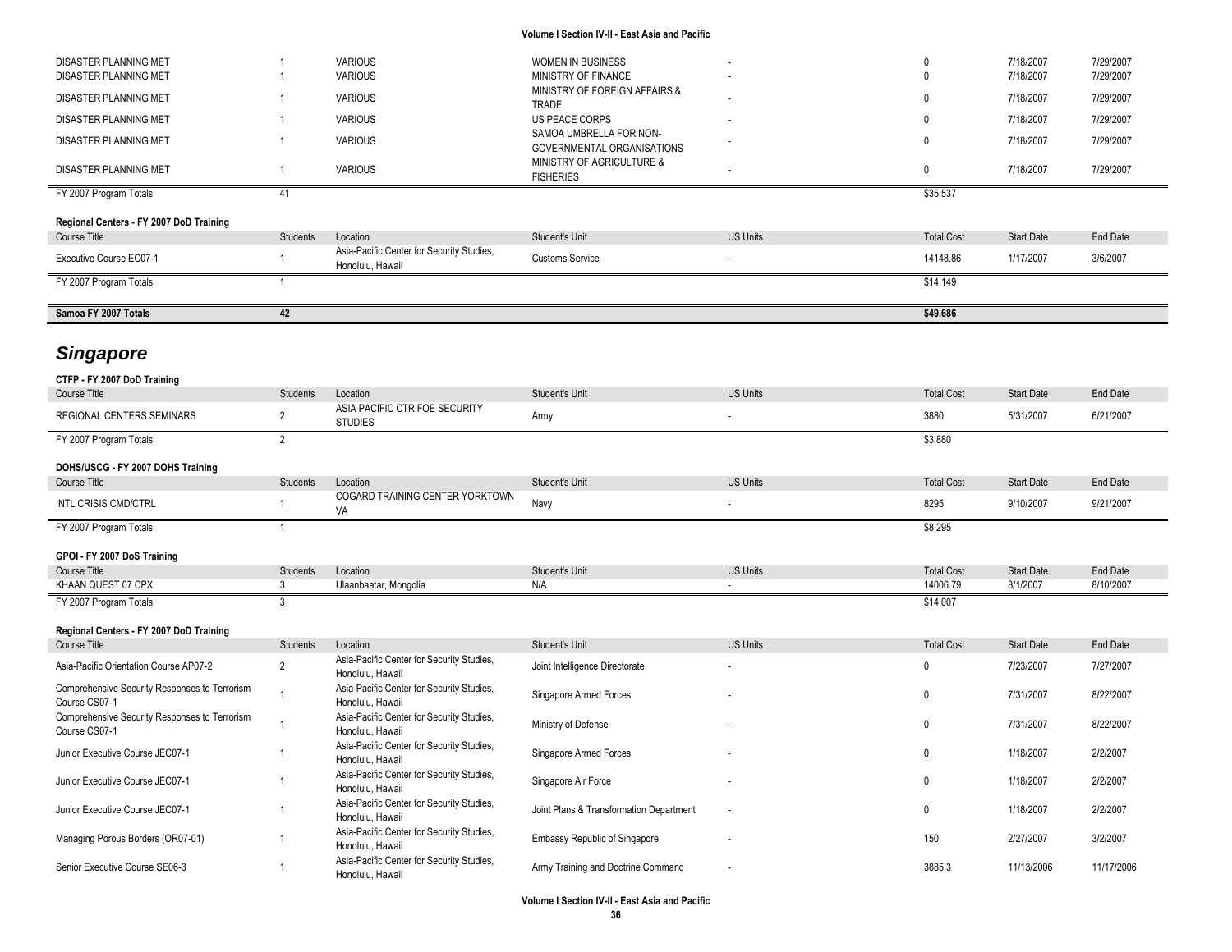| <b>DISASTER PLANNING MET</b>                                   |                 | <b>VARIOUS</b>                                                | <b>WOMEN IN BUSINESS</b>                              |                 | $\mathbf 0$       | 7/18/2007         | 7/29/2007  |
|----------------------------------------------------------------|-----------------|---------------------------------------------------------------|-------------------------------------------------------|-----------------|-------------------|-------------------|------------|
| DISASTER PLANNING MET                                          |                 | <b>VARIOUS</b>                                                | MINISTRY OF FINANCE<br>MINISTRY OF FOREIGN AFFAIRS &  |                 | $\mathbf{0}$      | 7/18/2007         | 7/29/2007  |
| DISASTER PLANNING MET                                          |                 | <b>VARIOUS</b>                                                | TRADE                                                 |                 | 0                 | 7/18/2007         | 7/29/2007  |
| DISASTER PLANNING MET                                          |                 | <b>VARIOUS</b>                                                | US PEACE CORPS                                        |                 | 0                 | 7/18/2007         | 7/29/2007  |
| DISASTER PLANNING MET                                          |                 | <b>VARIOUS</b>                                                | SAMOA UMBRELLA FOR NON-<br>GOVERNMENTAL ORGANISATIONS |                 | 0                 | 7/18/2007         | 7/29/2007  |
| DISASTER PLANNING MET                                          | $\overline{1}$  | <b>VARIOUS</b>                                                | MINISTRY OF AGRICULTURE &<br><b>FISHERIES</b>         |                 | $\mathbf 0$       | 7/18/2007         | 7/29/2007  |
| FY 2007 Program Totals                                         | 41              |                                                               |                                                       |                 | \$35,537          |                   |            |
| Regional Centers - FY 2007 DoD Training                        |                 |                                                               |                                                       |                 |                   |                   |            |
| <b>Course Title</b>                                            | Students        | Location                                                      | Student's Unit                                        | <b>US Units</b> | <b>Total Cost</b> | <b>Start Date</b> | End Date   |
| Executive Course EC07-1                                        | -1              | Asia-Pacific Center for Security Studies,<br>Honolulu, Hawaii | <b>Customs Service</b>                                |                 | 14148.86          | 1/17/2007         | 3/6/2007   |
| FY 2007 Program Totals                                         | -1              |                                                               |                                                       |                 | \$14,149          |                   |            |
| Samoa FY 2007 Totals                                           | 42              |                                                               |                                                       |                 | \$49,686          |                   |            |
|                                                                |                 |                                                               |                                                       |                 |                   |                   |            |
| <b>Singapore</b>                                               |                 |                                                               |                                                       |                 |                   |                   |            |
| CTFP - FY 2007 DoD Training                                    |                 |                                                               |                                                       |                 |                   |                   |            |
| <b>Course Title</b>                                            | <b>Students</b> | Location                                                      | Student's Unit                                        | <b>US Units</b> | <b>Total Cost</b> | <b>Start Date</b> | End Date   |
| REGIONAL CENTERS SEMINARS                                      | $\overline{2}$  | ASIA PACIFIC CTR FOE SECURITY<br><b>STUDIES</b>               | Army                                                  |                 | 3880              | 5/31/2007         | 6/21/2007  |
| FY 2007 Program Totals                                         | $\overline{2}$  |                                                               |                                                       |                 | \$3,880           |                   |            |
| DOHS/USCG - FY 2007 DOHS Training                              |                 |                                                               |                                                       |                 |                   |                   |            |
| <b>Course Title</b>                                            | <b>Students</b> | Location                                                      | Student's Unit                                        | <b>US Units</b> | <b>Total Cost</b> | <b>Start Date</b> | End Date   |
| INTL CRISIS CMD/CTRL                                           |                 | COGARD TRAINING CENTER YORKTOWN<br>VA                         | Navy                                                  |                 | 8295              | 9/10/2007         | 9/21/2007  |
| FY 2007 Program Totals                                         |                 |                                                               |                                                       |                 | \$8,295           |                   |            |
|                                                                |                 |                                                               |                                                       |                 |                   |                   |            |
| GPOI - FY 2007 DoS Training<br><b>Course Title</b>             | <b>Students</b> | Location                                                      | Student's Unit                                        | <b>US Units</b> | <b>Total Cost</b> | <b>Start Date</b> | End Date   |
| KHAAN QUEST 07 CPX                                             | 3               | Ulaanbaatar, Mongolia                                         | N/A                                                   |                 | 14006.79          | 8/1/2007          | 8/10/2007  |
| FY 2007 Program Totals                                         | 3               |                                                               |                                                       |                 | \$14,007          |                   |            |
|                                                                |                 |                                                               |                                                       |                 |                   |                   |            |
| Regional Centers - FY 2007 DoD Training<br>Course Title        | <b>Students</b> | Location                                                      | Student's Unit                                        | <b>US Units</b> | <b>Total Cost</b> | <b>Start Date</b> | End Date   |
|                                                                |                 | Asia-Pacific Center for Security Studies,                     |                                                       |                 |                   |                   |            |
| Asia-Pacific Orientation Course AP07-2                         | $\overline{2}$  | Honolulu, Hawaii                                              | Joint Intelligence Directorate                        |                 | $\mathbf 0$       | 7/23/2007         | 7/27/2007  |
| Comprehensive Security Responses to Terrorism<br>Course CS07-1 | -1              | Asia-Pacific Center for Security Studies,<br>Honolulu, Hawaii | Singapore Armed Forces                                |                 | 0                 | 7/31/2007         | 8/22/2007  |
| Comprehensive Security Responses to Terrorism<br>Course CS07-1 |                 | Asia-Pacific Center for Security Studies,<br>Honolulu, Hawaii | Ministry of Defense                                   |                 | 0                 | 7/31/2007         | 8/22/2007  |
| Junior Executive Course JEC07-1                                |                 | Asia-Pacific Center for Security Studies,<br>Honolulu, Hawaii | Singapore Armed Forces                                |                 | 0                 | 1/18/2007         | 2/2/2007   |
| Junior Executive Course JEC07-1                                |                 | Asia-Pacific Center for Security Studies,<br>Honolulu, Hawaii | Singapore Air Force                                   |                 | $\mathbf 0$       | 1/18/2007         | 2/2/2007   |
| Junior Executive Course JEC07-1                                |                 | Asia-Pacific Center for Security Studies,                     | Joint Plans & Transformation Department               |                 | $\mathbf 0$       | 1/18/2007         | 2/2/2007   |
| Managing Porous Borders (OR07-01)                              | $\overline{1}$  | Honolulu, Hawaii<br>Asia-Pacific Center for Security Studies, | <b>Embassy Republic of Singapore</b>                  |                 | 150               | 2/27/2007         | 3/2/2007   |
|                                                                |                 | Honolulu, Hawaii<br>Asia-Pacific Center for Security Studies, |                                                       |                 |                   |                   |            |
| Senior Executive Course SE06-3                                 | 1               | Honolulu, Hawaii                                              | Army Training and Doctrine Command                    |                 | 3885.3            | 11/13/2006        | 11/17/2006 |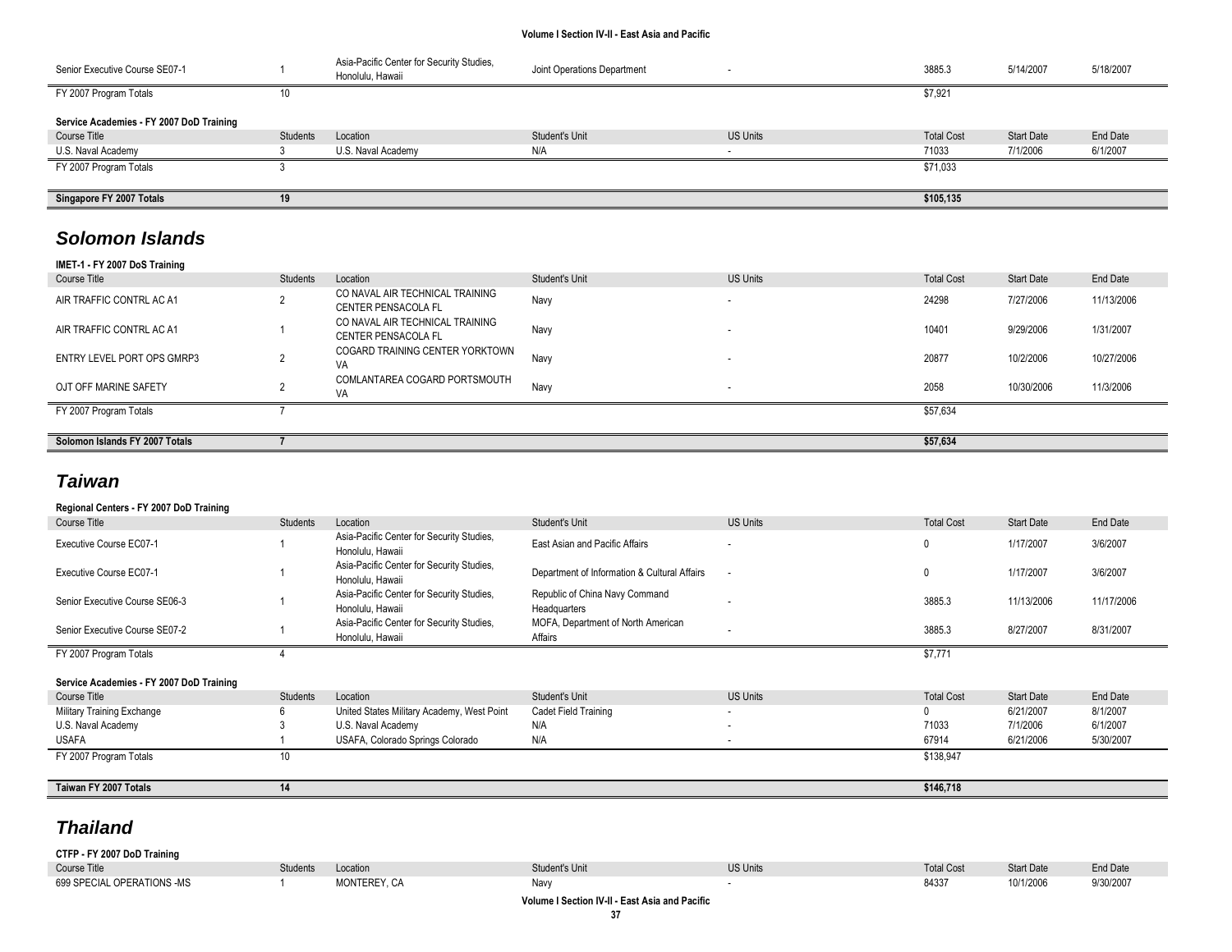| Senior Executive Course SE07-1           |                 | Asia-Pacific Center for Security Studies,<br>Honolulu, Hawaii | Joint Operations Department |                 | 3885.3            | 5/14/2007         | 5/18/2007 |
|------------------------------------------|-----------------|---------------------------------------------------------------|-----------------------------|-----------------|-------------------|-------------------|-----------|
| FY 2007 Program Totals                   | ΙU              |                                                               |                             |                 | \$7,921           |                   |           |
| Service Academies - FY 2007 DoD Training |                 |                                                               |                             |                 |                   |                   |           |
| Course Title                             | <b>Students</b> | Location                                                      | Student's Unit              | <b>US Units</b> | <b>Total Cost</b> | <b>Start Date</b> | End Date  |
| U.S. Naval Academy                       |                 | U.S. Naval Academy                                            | N/A                         | . .             | 71033             | 7/1/2006          | 6/1/2007  |
| FY 2007 Program Totals                   |                 |                                                               |                             |                 | \$71,033          |                   |           |
| Singapore FY 2007 Totals                 | 19              |                                                               |                             |                 | \$105,135         |                   |           |

# *Solomon Islands*

| IMET-1 - FY 2007 DoS Training |  |
|-------------------------------|--|
|-------------------------------|--|

| Course Title                   | Students | Location                                                      | Student's Unit | <b>US Units</b> | <b>Total Cost</b> | <b>Start Date</b> | End Date   |
|--------------------------------|----------|---------------------------------------------------------------|----------------|-----------------|-------------------|-------------------|------------|
| AIR TRAFFIC CONTRL AC A1       |          | CO NAVAL AIR TECHNICAL TRAINING<br><b>CENTER PENSACOLA FL</b> | Navy           |                 | 24298             | 7/27/2006         | 11/13/2006 |
| AIR TRAFFIC CONTRL AC A1       |          | CO NAVAL AIR TECHNICAL TRAINING<br><b>CENTER PENSACOLA FL</b> | Navy           |                 | 10401             | 9/29/2006         | 1/31/2007  |
| ENTRY LEVEL PORT OPS GMRP3     |          | COGARD TRAINING CENTER YORKTOWN<br>VA                         | Navy           |                 | 20877             | 10/2/2006         | 10/27/2006 |
| OJT OFF MARINE SAFETY          |          | COMLANTAREA COGARD PORTSMOUTH<br>VA                           | Navy           |                 | 2058              | 10/30/2006        | 11/3/2006  |
| FY 2007 Program Totals         |          |                                                               |                |                 | \$57,634          |                   |            |
|                                |          |                                                               |                |                 |                   |                   |            |
| Solomon Islands FY 2007 Totals |          |                                                               |                |                 | \$57,634          |                   |            |

# *Taiwan*

| Regional Centers - FY 2007 DoD Training  |          |                                                               |                                                |                          |                   |                   |            |
|------------------------------------------|----------|---------------------------------------------------------------|------------------------------------------------|--------------------------|-------------------|-------------------|------------|
| Course Title                             | Students | Location                                                      | Student's Unit                                 | <b>US Units</b>          | <b>Total Cost</b> | <b>Start Date</b> | End Date   |
| Executive Course EC07-1                  |          | Asia-Pacific Center for Security Studies,<br>Honolulu, Hawaii | East Asian and Pacific Affairs                 | ۰                        | 0                 | 1/17/2007         | 3/6/2007   |
| Executive Course EC07-1                  |          | Asia-Pacific Center for Security Studies,<br>Honolulu, Hawaii | Department of Information & Cultural Affairs   | $\overline{\phantom{a}}$ | $\mathbf{0}$      | 1/17/2007         | 3/6/2007   |
| Senior Executive Course SE06-3           |          | Asia-Pacific Center for Security Studies,<br>Honolulu, Hawaii | Republic of China Navy Command<br>Headquarters |                          | 3885.3            | 11/13/2006        | 11/17/2006 |
| Senior Executive Course SE07-2           |          | Asia-Pacific Center for Security Studies,<br>Honolulu, Hawaii | MOFA, Department of North American<br>Affairs  |                          | 3885.3            | 8/27/2007         | 8/31/2007  |
| FY 2007 Program Totals                   |          |                                                               |                                                |                          | \$7,771           |                   |            |
| Service Academies - FY 2007 DoD Training |          |                                                               |                                                |                          |                   |                   |            |
| <b>Course Title</b>                      | Students | Location                                                      | <b>Student's Unit</b>                          | <b>US Units</b>          | <b>Total Cost</b> | <b>Start Date</b> | End Date   |
| Military Training Exchange               |          | United States Military Academy, West Point                    | Cadet Field Training                           | $\overline{\phantom{a}}$ | 0                 | 6/21/2007         | 8/1/2007   |
| U.S. Naval Academy                       |          | U.S. Naval Academy                                            | N/A                                            | ٠                        | 71033             | 7/1/2006          | 6/1/2007   |
| <b>USAFA</b>                             |          | USAFA, Colorado Springs Colorado                              | N/A                                            |                          | 67914             | 6/21/2006         | 5/30/2007  |
| FY 2007 Program Totals                   | 10       |                                                               |                                                |                          | \$138,947         |                   |            |
| Taiwan FY 2007 Totals                    | 11       |                                                               |                                                |                          | \$146,718         |                   |            |
|                                          |          |                                                               |                                                |                          |                   |                   |            |

# *Thailand*

| - FY 2007 DoD Training<br>$CTFP -$ |         |                              |               |          |                   |                   |           |
|------------------------------------|---------|------------------------------|---------------|----------|-------------------|-------------------|-----------|
| <b>Course Title</b>                | tudent, | ccation                      | tudent's Unit | US Units | <b>Total Cost</b> | <b>Start Date</b> | End Date  |
| 699 SPECIAL OPERATIONS -MS         |         | MONTEREY CA<br>$\sim$ $\sim$ | Navy          |          | 84337             | 10/1/2006         | 9/30/2007 |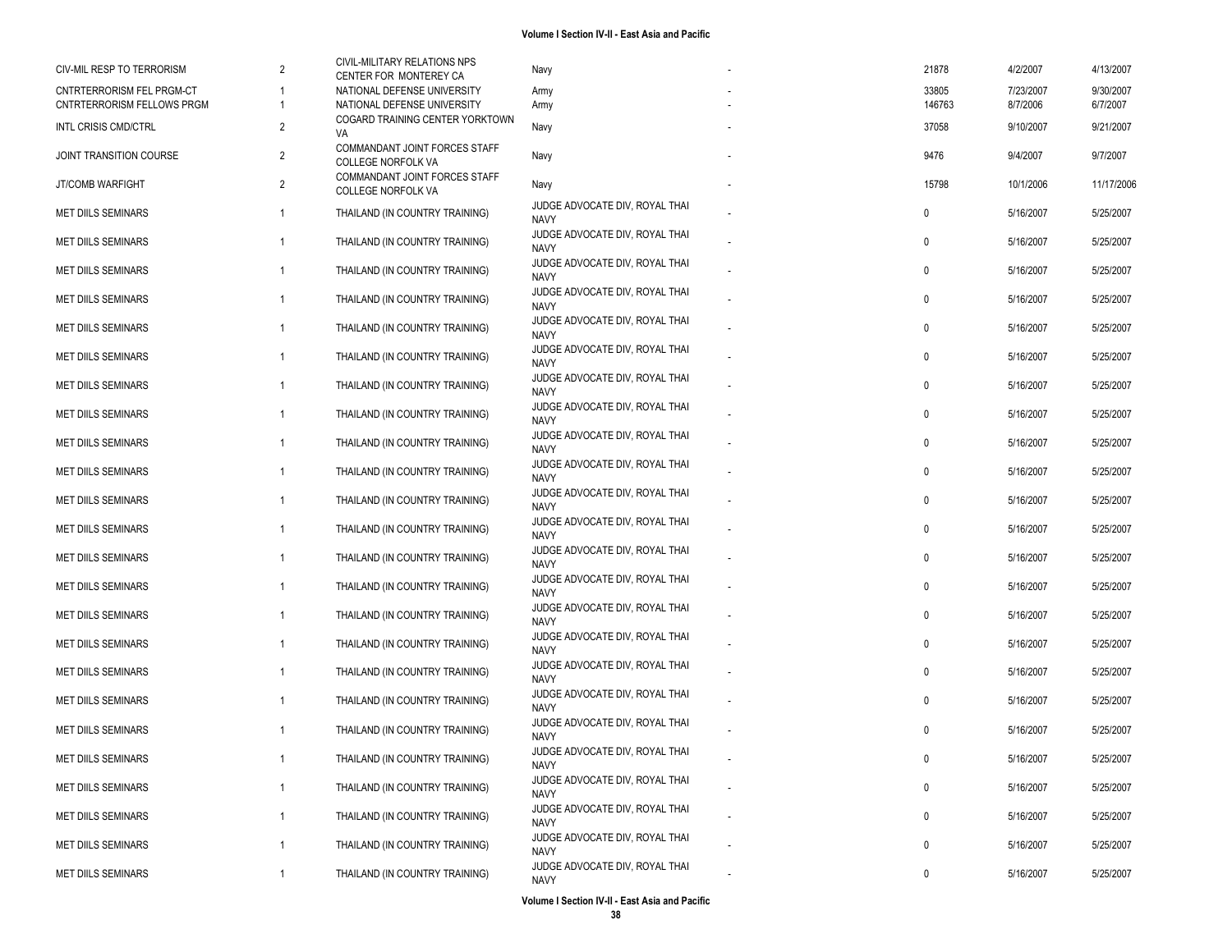| CIV-MIL RESP TO TERRORISM                               | 2              | CIVIL-MILITARY RELATIONS NPS                               | Navy                                                                            | 21878           | 4/2/2007              | 4/13/2007             |
|---------------------------------------------------------|----------------|------------------------------------------------------------|---------------------------------------------------------------------------------|-----------------|-----------------------|-----------------------|
|                                                         |                | CENTER FOR MONTEREY CA                                     |                                                                                 |                 |                       |                       |
| CNTRTERRORISM FEL PRGM-CT<br>CNTRTERRORISM FELLOWS PRGM | 1              | NATIONAL DEFENSE UNIVERSITY<br>NATIONAL DEFENSE UNIVERSITY | Army<br>Army                                                                    | 33805<br>146763 | 7/23/2007<br>8/7/2006 | 9/30/2007<br>6/7/2007 |
|                                                         |                | COGARD TRAINING CENTER YORKTOWN                            |                                                                                 |                 |                       |                       |
| <b>INTL CRISIS CMD/CTRL</b>                             | $\overline{2}$ | VA                                                         | Navy                                                                            | 37058           | 9/10/2007             | 9/21/2007             |
| JOINT TRANSITION COURSE                                 | 2              | COMMANDANT JOINT FORCES STAFF<br><b>COLLEGE NORFOLK VA</b> | Navy                                                                            | 9476            | 9/4/2007              | 9/7/2007              |
| JT/COMB WARFIGHT                                        | 2              | COMMANDANT JOINT FORCES STAFF<br><b>COLLEGE NORFOLK VA</b> | Navy                                                                            | 15798           | 10/1/2006             | 11/17/2006            |
| <b>MET DIILS SEMINARS</b>                               | $\mathbf{1}$   | THAILAND (IN COUNTRY TRAINING)                             | JUDGE ADVOCATE DIV, ROYAL THAI<br><b>NAVY</b>                                   | 0               | 5/16/2007             | 5/25/2007             |
| <b>MET DIILS SEMINARS</b>                               | $\mathbf{1}$   | THAILAND (IN COUNTRY TRAINING)                             | JUDGE ADVOCATE DIV, ROYAL THAI<br><b>NAVY</b>                                   | 0               | 5/16/2007             | 5/25/2007             |
| <b>MET DIILS SEMINARS</b>                               | $\mathbf{1}$   | THAILAND (IN COUNTRY TRAINING)                             | JUDGE ADVOCATE DIV, ROYAL THAI<br><b>NAVY</b>                                   | 0               | 5/16/2007             | 5/25/2007             |
| <b>MET DIILS SEMINARS</b>                               | $\mathbf{1}$   | THAILAND (IN COUNTRY TRAINING)                             | JUDGE ADVOCATE DIV, ROYAL THAI<br><b>NAVY</b>                                   | 0               | 5/16/2007             | 5/25/2007             |
| <b>MET DIILS SEMINARS</b>                               | $\mathbf{1}$   | THAILAND (IN COUNTRY TRAINING)                             | JUDGE ADVOCATE DIV, ROYAL THAI<br><b>NAVY</b>                                   | 0               | 5/16/2007             | 5/25/2007             |
| <b>MET DIILS SEMINARS</b>                               | $\mathbf{1}$   | THAILAND (IN COUNTRY TRAINING)                             | JUDGE ADVOCATE DIV, ROYAL THAI<br><b>NAVY</b>                                   | 0               | 5/16/2007             | 5/25/2007             |
| <b>MET DIILS SEMINARS</b>                               | 1              | THAILAND (IN COUNTRY TRAINING)                             | JUDGE ADVOCATE DIV, ROYAL THAI<br><b>NAVY</b>                                   | 0               | 5/16/2007             | 5/25/2007             |
| <b>MET DIILS SEMINARS</b>                               | $\mathbf{1}$   | THAILAND (IN COUNTRY TRAINING)                             | JUDGE ADVOCATE DIV, ROYAL THAI<br><b>NAVY</b>                                   | 0               | 5/16/2007             | 5/25/2007             |
| <b>MET DIILS SEMINARS</b>                               | 1              | THAILAND (IN COUNTRY TRAINING)                             | JUDGE ADVOCATE DIV, ROYAL THAI<br><b>NAVY</b>                                   | 0               | 5/16/2007             | 5/25/2007             |
| <b>MET DIILS SEMINARS</b>                               | $\mathbf{1}$   | THAILAND (IN COUNTRY TRAINING)                             | JUDGE ADVOCATE DIV, ROYAL THAI<br><b>NAVY</b>                                   | 0               | 5/16/2007             | 5/25/2007             |
| <b>MET DIILS SEMINARS</b>                               | $\mathbf{1}$   | THAILAND (IN COUNTRY TRAINING)                             | JUDGE ADVOCATE DIV, ROYAL THAI<br><b>NAVY</b>                                   | 0               | 5/16/2007             | 5/25/2007             |
| <b>MET DIILS SEMINARS</b>                               | $\mathbf{1}$   | THAILAND (IN COUNTRY TRAINING)                             | JUDGE ADVOCATE DIV, ROYAL THAI<br><b>NAVY</b>                                   | 0               | 5/16/2007             | 5/25/2007             |
| <b>MET DIILS SEMINARS</b>                               | $\mathbf{1}$   | THAILAND (IN COUNTRY TRAINING)                             | JUDGE ADVOCATE DIV, ROYAL THAI<br><b>NAVY</b><br>JUDGE ADVOCATE DIV, ROYAL THAI | $\mathbf 0$     | 5/16/2007             | 5/25/2007             |
| <b>MET DIILS SEMINARS</b>                               | $\mathbf{1}$   | THAILAND (IN COUNTRY TRAINING)                             | <b>NAVY</b><br>JUDGE ADVOCATE DIV, ROYAL THAI                                   | 0               | 5/16/2007             | 5/25/2007             |
| <b>MET DIILS SEMINARS</b>                               | $\mathbf{1}$   | THAILAND (IN COUNTRY TRAINING)                             | <b>NAVY</b><br>JUDGE ADVOCATE DIV, ROYAL THAI                                   | 0               | 5/16/2007             | 5/25/2007             |
| <b>MET DIILS SEMINARS</b>                               | $\mathbf{1}$   | THAILAND (IN COUNTRY TRAINING)                             | <b>NAVY</b><br>JUDGE ADVOCATE DIV, ROYAL THAI                                   | 0               | 5/16/2007             | 5/25/2007             |
| <b>MET DIILS SEMINARS</b>                               | $\mathbf{1}$   | THAILAND (IN COUNTRY TRAINING)                             | <b>NAVY</b><br>JUDGE ADVOCATE DIV, ROYAL THAI                                   | 0               | 5/16/2007             | 5/25/2007             |
| <b>MET DIILS SEMINARS</b>                               | $\mathbf{1}$   | THAILAND (IN COUNTRY TRAINING)                             | <b>NAVY</b><br>JUDGE ADVOCATE DIV, ROYAL THAI                                   | 0               | 5/16/2007             | 5/25/2007             |
| <b>MET DIILS SEMINARS</b>                               | $\mathbf{1}$   | THAILAND (IN COUNTRY TRAINING)                             | <b>NAVY</b><br>JUDGE ADVOCATE DIV, ROYAL THAI                                   | $\mathbf{0}$    | 5/16/2007             | 5/25/2007             |
| MET DIILS SEMINARS                                      |                | THAILAND (IN COUNTRY TRAINING)                             | <b>NAVY</b><br>JUDGE ADVOCATE DIV, ROYAL THAI                                   | 0               | 5/16/2007             | 5/25/2007             |
| <b>MET DIILS SEMINARS</b>                               | $\mathbf{1}$   | THAILAND (IN COUNTRY TRAINING)                             | <b>NAVY</b><br>JUDGE ADVOCATE DIV, ROYAL THAI                                   | 0               | 5/16/2007             | 5/25/2007             |
| <b>MET DIILS SEMINARS</b>                               | $\mathbf{1}$   | THAILAND (IN COUNTRY TRAINING)                             | <b>NAVY</b><br>JUDGE ADVOCATE DIV, ROYAL THAI                                   | 0               | 5/16/2007             | 5/25/2007             |
| <b>MET DIILS SEMINARS</b>                               | $\mathbf{1}$   | THAILAND (IN COUNTRY TRAINING)                             | <b>NAVY</b><br>JUDGE ADVOCATE DIV, ROYAL THAI                                   | 0               | 5/16/2007             | 5/25/2007             |
| <b>MET DIILS SEMINARS</b>                               | $\mathbf{1}$   | THAILAND (IN COUNTRY TRAINING)                             | <b>NAVY</b>                                                                     | 0               | 5/16/2007             | 5/25/2007             |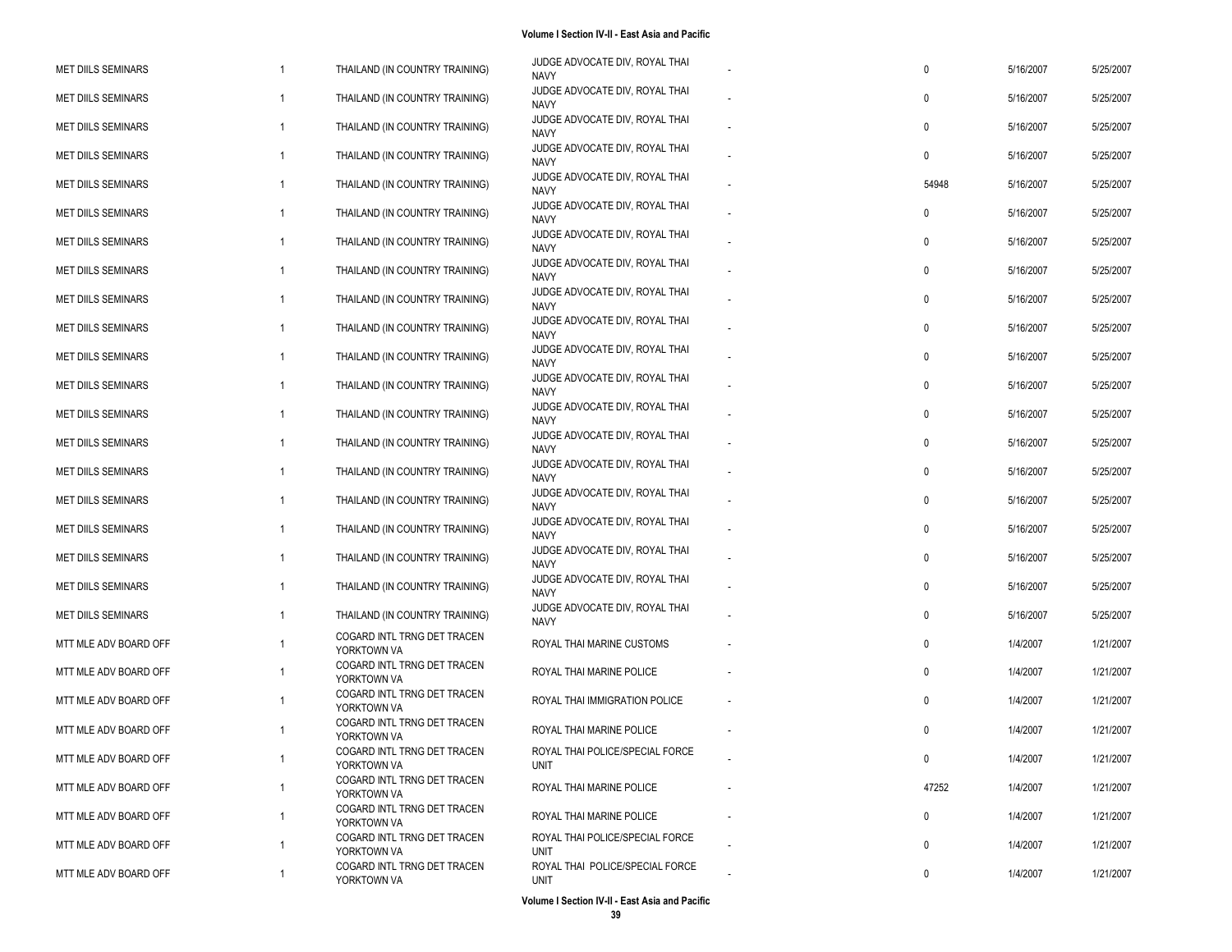| <b>MET DIILS SEMINARS</b> | $\mathbf{1}$ | THAILAND (IN COUNTRY TRAINING)             | JUDGE ADVOCATE DIV, ROYAL THAI<br><b>NAVY</b>  | 0            | 5/16/2007 | 5/25/2007 |
|---------------------------|--------------|--------------------------------------------|------------------------------------------------|--------------|-----------|-----------|
| <b>MET DIILS SEMINARS</b> | 1            | THAILAND (IN COUNTRY TRAINING)             | JUDGE ADVOCATE DIV, ROYAL THAI<br><b>NAVY</b>  | 0            | 5/16/2007 | 5/25/2007 |
| <b>MET DIILS SEMINARS</b> | 1            | THAILAND (IN COUNTRY TRAINING)             | JUDGE ADVOCATE DIV, ROYAL THAI<br><b>NAVY</b>  | 0            | 5/16/2007 | 5/25/2007 |
| <b>MET DIILS SEMINARS</b> | $\mathbf{1}$ | THAILAND (IN COUNTRY TRAINING)             | JUDGE ADVOCATE DIV, ROYAL THAI<br><b>NAVY</b>  | $\mathbf{0}$ | 5/16/2007 | 5/25/2007 |
| <b>MET DIILS SEMINARS</b> | $\mathbf{1}$ | THAILAND (IN COUNTRY TRAINING)             | JUDGE ADVOCATE DIV, ROYAL THAI<br><b>NAVY</b>  | 54948        | 5/16/2007 | 5/25/2007 |
| <b>MET DIILS SEMINARS</b> | 1            | THAILAND (IN COUNTRY TRAINING)             | JUDGE ADVOCATE DIV, ROYAL THAI<br><b>NAVY</b>  | 0            | 5/16/2007 | 5/25/2007 |
| <b>MET DIILS SEMINARS</b> | 1            | THAILAND (IN COUNTRY TRAINING)             | JUDGE ADVOCATE DIV, ROYAL THAI<br><b>NAVY</b>  | 0            | 5/16/2007 | 5/25/2007 |
| <b>MET DIILS SEMINARS</b> | 1            | THAILAND (IN COUNTRY TRAINING)             | JUDGE ADVOCATE DIV, ROYAL THAI<br><b>NAVY</b>  | 0            | 5/16/2007 | 5/25/2007 |
| <b>MET DIILS SEMINARS</b> | $\mathbf{1}$ | THAILAND (IN COUNTRY TRAINING)             | JUDGE ADVOCATE DIV, ROYAL THAI<br><b>NAVY</b>  | 0            | 5/16/2007 | 5/25/2007 |
| <b>MET DIILS SEMINARS</b> | $\mathbf{1}$ | THAILAND (IN COUNTRY TRAINING)             | JUDGE ADVOCATE DIV, ROYAL THAI<br><b>NAVY</b>  | 0            | 5/16/2007 | 5/25/2007 |
| <b>MET DIILS SEMINARS</b> | $\mathbf{1}$ | THAILAND (IN COUNTRY TRAINING)             | JUDGE ADVOCATE DIV, ROYAL THAI<br><b>NAVY</b>  | 0            | 5/16/2007 | 5/25/2007 |
| <b>MET DIILS SEMINARS</b> | 1            | THAILAND (IN COUNTRY TRAINING)             | JUDGE ADVOCATE DIV, ROYAL THAI<br><b>NAVY</b>  | 0            | 5/16/2007 | 5/25/2007 |
| <b>MET DIILS SEMINARS</b> | 1            | THAILAND (IN COUNTRY TRAINING)             | JUDGE ADVOCATE DIV, ROYAL THAI<br><b>NAVY</b>  | 0            | 5/16/2007 | 5/25/2007 |
| <b>MET DIILS SEMINARS</b> | 1            | THAILAND (IN COUNTRY TRAINING)             | JUDGE ADVOCATE DIV, ROYAL THAI<br><b>NAVY</b>  | 0            | 5/16/2007 | 5/25/2007 |
| <b>MET DIILS SEMINARS</b> | $\mathbf{1}$ | THAILAND (IN COUNTRY TRAINING)             | JUDGE ADVOCATE DIV, ROYAL THAI<br><b>NAVY</b>  | 0            | 5/16/2007 | 5/25/2007 |
| <b>MET DIILS SEMINARS</b> | 1            | THAILAND (IN COUNTRY TRAINING)             | JUDGE ADVOCATE DIV, ROYAL THAI<br><b>NAVY</b>  | 0            | 5/16/2007 | 5/25/2007 |
| <b>MET DIILS SEMINARS</b> | $\mathbf{1}$ | THAILAND (IN COUNTRY TRAINING)             | JUDGE ADVOCATE DIV, ROYAL THAI<br><b>NAVY</b>  | 0            | 5/16/2007 | 5/25/2007 |
| <b>MET DIILS SEMINARS</b> | $\mathbf{1}$ | THAILAND (IN COUNTRY TRAINING)             | JUDGE ADVOCATE DIV, ROYAL THAI<br><b>NAVY</b>  | $\mathbf 0$  | 5/16/2007 | 5/25/2007 |
| <b>MET DIILS SEMINARS</b> | 1            | THAILAND (IN COUNTRY TRAINING)             | JUDGE ADVOCATE DIV, ROYAL THAI<br><b>NAVY</b>  | 0            | 5/16/2007 | 5/25/2007 |
| <b>MET DIILS SEMINARS</b> | 1            | THAILAND (IN COUNTRY TRAINING)             | JUDGE ADVOCATE DIV, ROYAL THAI<br><b>NAVY</b>  | 0            | 5/16/2007 | 5/25/2007 |
| MTT MLE ADV BOARD OFF     | 1            | COGARD INTL TRNG DET TRACEN<br>YORKTOWN VA | ROYAL THAI MARINE CUSTOMS                      | 0            | 1/4/2007  | 1/21/2007 |
| MTT MLE ADV BOARD OFF     |              | COGARD INTL TRNG DET TRACEN<br>YORKTOWN VA | ROYAL THAI MARINE POLICE                       | 0            | 1/4/2007  | 1/21/2007 |
| MTT MLE ADV BOARD OFF     | 1            | COGARD INTL TRNG DET TRACEN<br>YORKTOWN VA | ROYAL THAI IMMIGRATION POLICE                  | 0            | 1/4/2007  | 1/21/2007 |
| MTT MLE ADV BOARD OFF     |              | COGARD INTL TRNG DET TRACEN<br>YORKTOWN VA | ROYAL THAI MARINE POLICE                       | $\mathbf{0}$ | 1/4/2007  | 1/21/2007 |
| MTT MLE ADV BOARD OFF     |              | COGARD INTL TRNG DET TRACEN<br>YORKTOWN VA | ROYAL THAI POLICE/SPECIAL FORCE<br><b>UNIT</b> | $\mathbf 0$  | 1/4/2007  | 1/21/2007 |
| MTT MLE ADV BOARD OFF     | 1            | COGARD INTL TRNG DET TRACEN<br>YORKTOWN VA | ROYAL THAI MARINE POLICE                       | 47252        | 1/4/2007  | 1/21/2007 |
| MTT MLE ADV BOARD OFF     | $\mathbf{1}$ | COGARD INTL TRNG DET TRACEN<br>YORKTOWN VA | ROYAL THAI MARINE POLICE                       | 0            | 1/4/2007  | 1/21/2007 |
| MTT MLE ADV BOARD OFF     | 1            | COGARD INTL TRNG DET TRACEN<br>YORKTOWN VA | ROYAL THAI POLICE/SPECIAL FORCE<br><b>UNIT</b> | 0            | 1/4/2007  | 1/21/2007 |
| MTT MLE ADV BOARD OFF     | 1            | COGARD INTL TRNG DET TRACEN<br>YORKTOWN VA | ROYAL THAI POLICE/SPECIAL FORCE<br><b>UNIT</b> | 0            | 1/4/2007  | 1/21/2007 |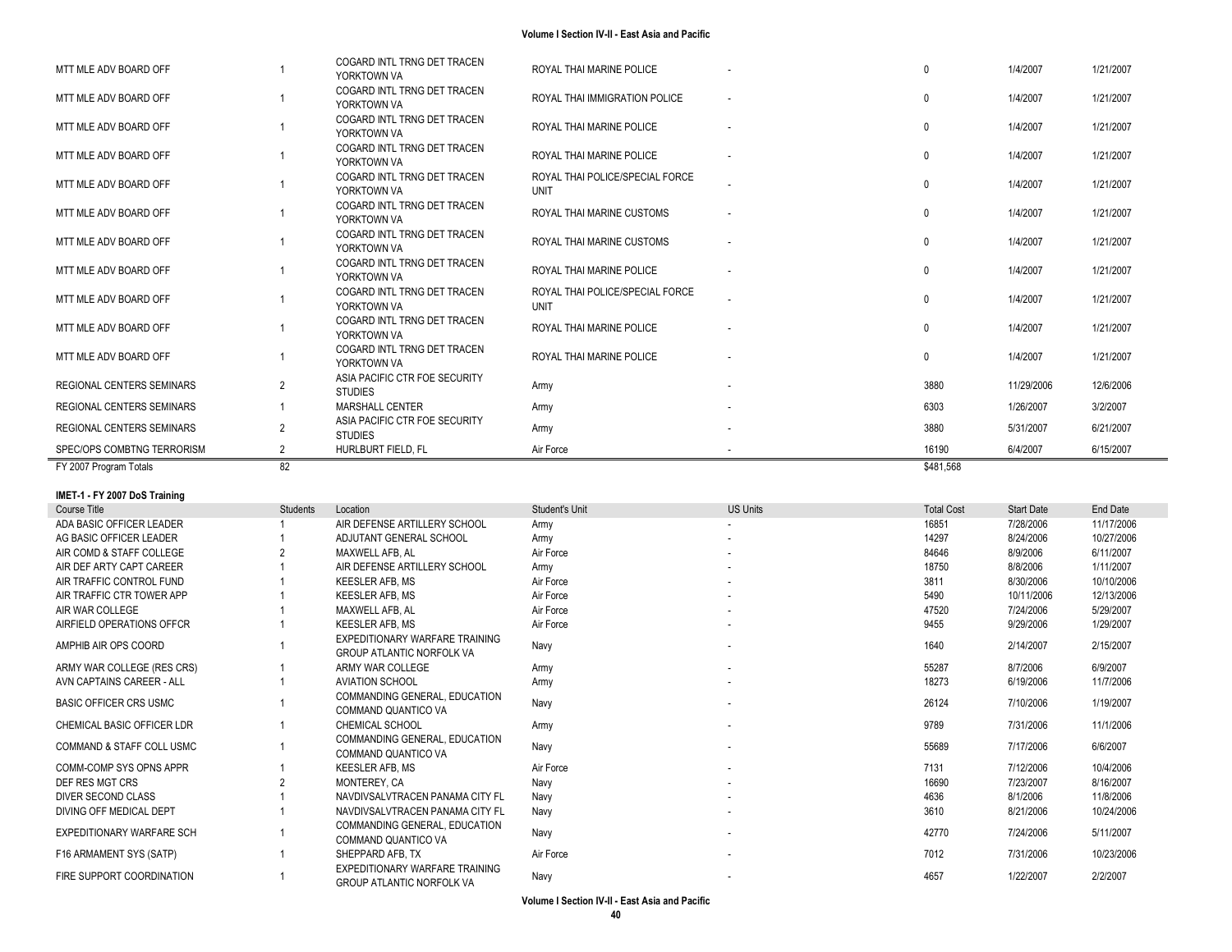| FY 2007 Program Totals           | 82             |                                                 |                                                | \$481,568    |            |           |
|----------------------------------|----------------|-------------------------------------------------|------------------------------------------------|--------------|------------|-----------|
| SPEC/OPS COMBTNG TERRORISM       |                | HURLBURT FIELD. FL                              | Air Force                                      | 16190        | 6/4/2007   | 6/15/2007 |
| <b>REGIONAL CENTERS SEMINARS</b> | $\overline{2}$ | ASIA PACIFIC CTR FOE SECURITY<br><b>STUDIES</b> | Army                                           | 3880         | 5/31/2007  | 6/21/2007 |
| <b>REGIONAL CENTERS SEMINARS</b> |                | <b>MARSHALL CENTER</b>                          | Army                                           | 6303         | 1/26/2007  | 3/2/2007  |
| <b>REGIONAL CENTERS SEMINARS</b> | $\overline{2}$ | ASIA PACIFIC CTR FOE SECURITY<br><b>STUDIES</b> | Army                                           | 3880         | 11/29/2006 | 12/6/2006 |
| MTT MLE ADV BOARD OFF            |                | COGARD INTL TRNG DET TRACEN<br>YORKTOWN VA      | ROYAL THAI MARINE POLICE                       | $\mathbf{0}$ | 1/4/2007   | 1/21/2007 |
| MTT MLE ADV BOARD OFF            |                | COGARD INTL TRNG DET TRACEN<br>YORKTOWN VA      | ROYAL THAI MARINE POLICE                       | $\Omega$     | 1/4/2007   | 1/21/2007 |
| MTT MLE ADV BOARD OFF            |                | COGARD INTL TRNG DET TRACEN<br>YORKTOWN VA      | ROYAL THAI POLICE/SPECIAL FORCE<br><b>UNIT</b> | $\Omega$     | 1/4/2007   | 1/21/2007 |
| MTT MLE ADV BOARD OFF            |                | COGARD INTL TRNG DET TRACEN<br>YORKTOWN VA      | ROYAL THAI MARINE POLICE                       | $\Omega$     | 1/4/2007   | 1/21/2007 |
| MTT MLE ADV BOARD OFF            |                | COGARD INTL TRNG DET TRACEN<br>YORKTOWN VA      | ROYAL THAI MARINE CUSTOMS                      | $\Omega$     | 1/4/2007   | 1/21/2007 |
| MTT MLE ADV BOARD OFF            |                | COGARD INTL TRNG DET TRACEN<br>YORKTOWN VA      | ROYAL THAI MARINE CUSTOMS                      | $\mathbf{0}$ | 1/4/2007   | 1/21/2007 |
| MTT MLE ADV BOARD OFF            |                | COGARD INTL TRNG DET TRACEN<br>YORKTOWN VA      | ROYAL THAI POLICE/SPECIAL FORCE<br>UNIT        | $\mathbf{0}$ | 1/4/2007   | 1/21/2007 |
| MTT MLE ADV BOARD OFF            |                | COGARD INTL TRNG DET TRACEN<br>YORKTOWN VA      | ROYAL THAI MARINE POLICE                       | $\Omega$     | 1/4/2007   | 1/21/2007 |
| MTT MLE ADV BOARD OFF            |                | COGARD INTL TRNG DET TRACEN<br>YORKTOWN VA      | ROYAL THAI MARINE POLICE                       | $\Omega$     | 1/4/2007   | 1/21/2007 |
| MTT MLE ADV BOARD OFF            |                | COGARD INTL TRNG DET TRACEN<br>YORKTOWN VA      | ROYAL THAI IMMIGRATION POLICE                  | $\Omega$     | 1/4/2007   | 1/21/2007 |
| MTT MLE ADV BOARD OFF            |                | COGARD INTL TRNG DET TRACEN<br>YORKTOWN VA      | ROYAL THAI MARINE POLICE                       | $\Omega$     | 1/4/2007   | 1/21/2007 |

### **IMET -1 - FY 2007 DoS Training**

| Course Title                         | <b>Students</b> | Location                                                           | Student's Unit | <b>US Units</b>          | <b>Total Cost</b> | <b>Start Date</b> | End Date   |
|--------------------------------------|-----------------|--------------------------------------------------------------------|----------------|--------------------------|-------------------|-------------------|------------|
| ADA BASIC OFFICER LEADER             |                 | AIR DEFENSE ARTILLERY SCHOOL                                       | Army           |                          | 16851             | 7/28/2006         | 11/17/2006 |
| AG BASIC OFFICER LEADER              |                 | ADJUTANT GENERAL SCHOOL                                            | Army           | $\sim$                   | 14297             | 8/24/2006         | 10/27/2006 |
| AIR COMD & STAFF COLLEGE             |                 | MAXWELL AFB. AL                                                    | Air Force      |                          | 84646             | 8/9/2006          | 6/11/2007  |
| AIR DEF ARTY CAPT CAREER             |                 | AIR DEFENSE ARTILLERY SCHOOL                                       | Army           | $\sim$                   | 18750             | 8/8/2006          | 1/11/2007  |
| AIR TRAFFIC CONTROL FUND             |                 | KEESLER AFB. MS                                                    | Air Force      |                          | 3811              | 8/30/2006         | 10/10/2006 |
| AIR TRAFFIC CTR TOWER APP            |                 | <b>KEESLER AFB. MS</b>                                             | Air Force      |                          | 5490              | 10/11/2006        | 12/13/2006 |
| AIR WAR COLLEGE                      |                 | MAXWELL AFB. AL                                                    | Air Force      | $\sim$                   | 47520             | 7/24/2006         | 5/29/2007  |
| AIRFIELD OPERATIONS OFFCR            |                 | <b>KEESLER AFB. MS</b>                                             | Air Force      |                          | 9455              | 9/29/2006         | 1/29/2007  |
| AMPHIB AIR OPS COORD                 |                 | EXPEDITIONARY WARFARE TRAINING<br><b>GROUP ATLANTIC NORFOLK VA</b> | Navy           |                          | 1640              | 2/14/2007         | 2/15/2007  |
| ARMY WAR COLLEGE (RES CRS)           |                 | ARMY WAR COLLEGE                                                   | Army           |                          | 55287             | 8/7/2006          | 6/9/2007   |
| AVN CAPTAINS CAREER - ALL            |                 | <b>AVIATION SCHOOL</b>                                             | Army           |                          | 18273             | 6/19/2006         | 11/7/2006  |
| <b>BASIC OFFICER CRS USMC</b>        |                 | COMMANDING GENERAL, EDUCATION<br>COMMAND QUANTICO VA               | Navy           | $\sim$                   | 26124             | 7/10/2006         | 1/19/2007  |
| CHEMICAL BASIC OFFICER LDR           |                 | <b>CHEMICAL SCHOOL</b>                                             | Army           | $\sim$                   | 9789              | 7/31/2006         | 11/1/2006  |
| <b>COMMAND &amp; STAFF COLL USMC</b> |                 | COMMANDING GENERAL, EDUCATION<br>COMMAND QUANTICO VA               | Navy           |                          | 55689             | 7/17/2006         | 6/6/2007   |
| COMM-COMP SYS OPNS APPR              |                 | KEESLER AFB. MS                                                    | Air Force      |                          | 7131              | 7/12/2006         | 10/4/2006  |
| DEF RES MGT CRS                      |                 | MONTEREY, CA                                                       | Navv           | $\overline{\phantom{a}}$ | 16690             | 7/23/2007         | 8/16/2007  |
| DIVER SECOND CLASS                   |                 | NAVDIVSALVTRACEN PANAMA CITY FL                                    | Navv           |                          | 4636              | 8/1/2006          | 11/8/2006  |
| DIVING OFF MEDICAL DEPT              |                 | NAVDIVSALVTRACEN PANAMA CITY FL                                    | Navy           |                          | 3610              | 8/21/2006         | 10/24/2006 |
| EXPEDITIONARY WARFARE SCH            |                 | COMMANDING GENERAL, EDUCATION<br>COMMAND QUANTICO VA               | Navy           |                          | 42770             | 7/24/2006         | 5/11/2007  |
| F16 ARMAMENT SYS (SATP)              |                 | SHEPPARD AFB. TX                                                   | Air Force      |                          | 7012              | 7/31/2006         | 10/23/2006 |
| FIRE SUPPORT COORDINATION            |                 | EXPEDITIONARY WARFARE TRAINING<br><b>GROUP ATLANTIC NORFOLK VA</b> | Navy           |                          | 4657              | 1/22/2007         | 2/2/2007   |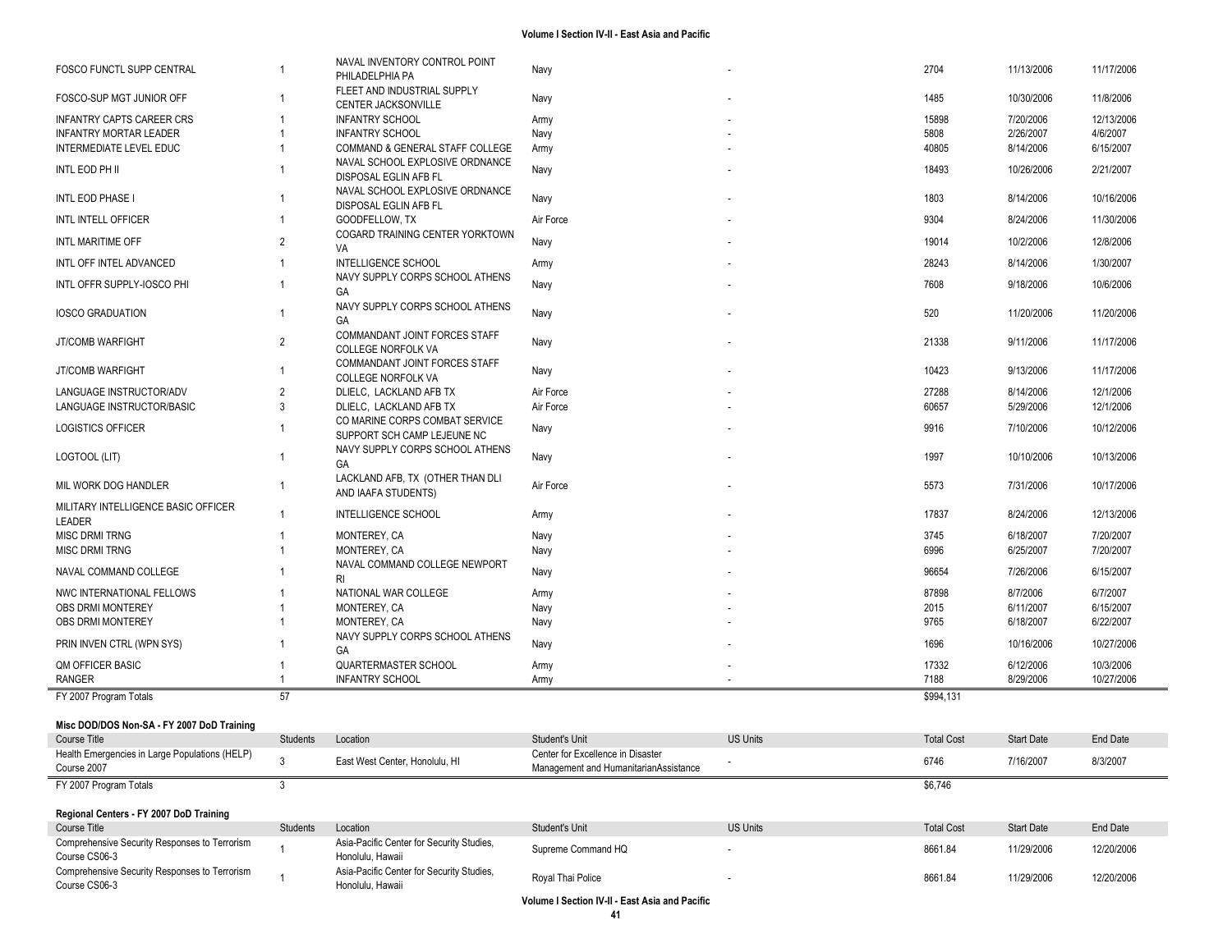| <b>FOSCO FUNCTL SUPP CENTRAL</b>                               | $\overline{1}$ | NAVAL INVENTORY CONTROL POINT                                 | Navy                                           |                 | 2704              | 11/13/2006        | 11/17/2006 |
|----------------------------------------------------------------|----------------|---------------------------------------------------------------|------------------------------------------------|-----------------|-------------------|-------------------|------------|
|                                                                |                | PHILADELPHIA PA<br>FLEET AND INDUSTRIAL SUPPLY                |                                                |                 |                   |                   |            |
| FOSCO-SUP MGT JUNIOR OFF                                       | $\overline{1}$ | CENTER JACKSONVILLE                                           | Navy                                           |                 | 1485              | 10/30/2006        | 11/8/2006  |
| <b>INFANTRY CAPTS CAREER CRS</b>                               | $\overline{1}$ | <b>INFANTRY SCHOOL</b>                                        | Army                                           |                 | 15898             | 7/20/2006         | 12/13/2006 |
| <b>INFANTRY MORTAR LEADER</b>                                  | $\overline{1}$ | <b>INFANTRY SCHOOL</b>                                        | Navy                                           |                 | 5808              | 2/26/2007         | 4/6/2007   |
| INTERMEDIATE LEVEL EDUC                                        | $\overline{1}$ | COMMAND & GENERAL STAFF COLLEGE                               | Army                                           |                 | 40805             | 8/14/2006         | 6/15/2007  |
| INTL EOD PH II                                                 |                | NAVAL SCHOOL EXPLOSIVE ORDNANCE                               |                                                |                 | 18493             | 10/26/2006        | 2/21/2007  |
|                                                                |                | DISPOSAL EGLIN AFB FL                                         | Navy                                           |                 |                   |                   |            |
| INTL EOD PHASE I                                               | $\overline{1}$ | NAVAL SCHOOL EXPLOSIVE ORDNANCE                               | Navy                                           |                 | 1803              | 8/14/2006         | 10/16/2006 |
|                                                                |                | DISPOSAL EGLIN AFB FL                                         |                                                |                 |                   |                   |            |
| INTL INTELL OFFICER                                            | $\overline{1}$ | GOODFELLOW, TX                                                | Air Force                                      |                 | 9304              | 8/24/2006         | 11/30/2006 |
| INTL MARITIME OFF                                              | $\overline{2}$ | COGARD TRAINING CENTER YORKTOWN<br>VA                         | Navy                                           |                 | 19014             | 10/2/2006         | 12/8/2006  |
| INTL OFF INTEL ADVANCED                                        | $\overline{1}$ | <b>INTELLIGENCE SCHOOL</b>                                    | Army                                           |                 | 28243             | 8/14/2006         | 1/30/2007  |
|                                                                |                | NAVY SUPPLY CORPS SCHOOL ATHENS                               |                                                |                 |                   |                   |            |
| INTL OFFR SUPPLY-IOSCO PHI                                     | $\overline{1}$ | GA                                                            | Navy                                           |                 | 7608              | 9/18/2006         | 10/6/2006  |
|                                                                |                | NAVY SUPPLY CORPS SCHOOL ATHENS                               |                                                |                 |                   |                   |            |
| <b>IOSCO GRADUATION</b>                                        | $\overline{1}$ | GA                                                            | Navy                                           |                 | 520               | 11/20/2006        | 11/20/2006 |
|                                                                | $\overline{2}$ | COMMANDANT JOINT FORCES STAFF                                 |                                                |                 | 21338             |                   |            |
| <b>JT/COMB WARFIGHT</b>                                        |                | <b>COLLEGE NORFOLK VA</b>                                     | Navy                                           |                 |                   | 9/11/2006         | 11/17/2006 |
| <b>JT/COMB WARFIGHT</b>                                        | $\overline{1}$ | COMMANDANT JOINT FORCES STAFF                                 | Navy                                           |                 | 10423             | 9/13/2006         | 11/17/2006 |
|                                                                |                | <b>COLLEGE NORFOLK VA</b>                                     |                                                |                 |                   |                   |            |
| LANGUAGE INSTRUCTOR/ADV                                        | $\overline{2}$ | DLIELC, LACKLAND AFB TX                                       | Air Force                                      |                 | 27288             | 8/14/2006         | 12/1/2006  |
| LANGUAGE INSTRUCTOR/BASIC                                      | 3              | DLIELC, LACKLAND AFB TX                                       | Air Force                                      |                 | 60657             | 5/29/2006         | 12/1/2006  |
| <b>LOGISTICS OFFICER</b>                                       |                | CO MARINE CORPS COMBAT SERVICE<br>SUPPORT SCH CAMP LEJEUNE NC | Navy                                           |                 | 9916              | 7/10/2006         | 10/12/2006 |
|                                                                |                | NAVY SUPPLY CORPS SCHOOL ATHENS                               |                                                |                 |                   |                   |            |
| LOGTOOL (LIT)                                                  | $\overline{1}$ | GA                                                            | Navy                                           |                 | 1997              | 10/10/2006        | 10/13/2006 |
|                                                                |                | LACKLAND AFB, TX (OTHER THAN DLI                              |                                                |                 |                   |                   |            |
| MIL WORK DOG HANDLER                                           | $\mathbf 1$    | AND IAAFA STUDENTS)                                           | Air Force                                      |                 | 5573              | 7/31/2006         | 10/17/2006 |
| MILITARY INTELLIGENCE BASIC OFFICER                            | $\overline{1}$ | <b>INTELLIGENCE SCHOOL</b>                                    | Army                                           |                 | 17837             | 8/24/2006         | 12/13/2006 |
| LEADER                                                         |                |                                                               |                                                |                 |                   |                   |            |
| <b>MISC DRMI TRNG</b>                                          | $\mathbf 1$    | MONTEREY, CA                                                  | Navy                                           |                 | 3745              | 6/18/2007         | 7/20/2007  |
| <b>MISC DRMI TRNG</b>                                          | $\overline{1}$ | MONTEREY, CA                                                  | Navy                                           |                 | 6996              | 6/25/2007         | 7/20/2007  |
| NAVAL COMMAND COLLEGE                                          |                | NAVAL COMMAND COLLEGE NEWPORT                                 | Navy                                           |                 | 96654             | 7/26/2006         | 6/15/2007  |
|                                                                |                | <b>RI</b>                                                     |                                                |                 |                   |                   |            |
| NWC INTERNATIONAL FELLOWS                                      |                | NATIONAL WAR COLLEGE                                          | Army                                           |                 | 87898             | 8/7/2006          | 6/7/2007   |
| OBS DRMI MONTEREY                                              |                | MONTEREY, CA                                                  | Navy                                           |                 | 2015              | 6/11/2007         | 6/15/2007  |
| OBS DRMI MONTEREY                                              |                | MONTEREY, CA                                                  | Navy                                           |                 | 9765              | 6/18/2007         | 6/22/2007  |
| PRIN INVEN CTRL (WPN SYS)                                      |                | NAVY SUPPLY CORPS SCHOOL ATHENS<br>GA                         | Navy                                           |                 | 1696              | 10/16/2006        | 10/27/2006 |
| <b>QM OFFICER BASIC</b>                                        | -1             | QUARTERMASTER SCHOOL                                          |                                                |                 | 17332             | 6/12/2006         | 10/3/2006  |
| <b>RANGER</b>                                                  | -1             | <b>INFANTRY SCHOOL</b>                                        | Army<br>Army                                   |                 | 7188              | 8/29/2006         | 10/27/2006 |
| FY 2007 Program Totals                                         | 57             |                                                               |                                                |                 | \$994,131         |                   |            |
|                                                                |                |                                                               |                                                |                 |                   |                   |            |
| Misc DOD/DOS Non-SA - FY 2007 DoD Training                     |                |                                                               |                                                |                 |                   |                   |            |
| Course Title                                                   | Students       | Location                                                      | <b>Student's Unit</b>                          | <b>US Units</b> | <b>Total Cost</b> | <b>Start Date</b> | End Date   |
| Health Emergencies in Large Populations (HELP)                 | 3              | East West Center, Honolulu, HI                                | Center for Excellence in Disaster              |                 | 6746              | 7/16/2007         | 8/3/2007   |
| Course 2007                                                    |                |                                                               | Management and HumanitarianAssistance          |                 |                   |                   |            |
| FY 2007 Program Totals                                         | 3              |                                                               |                                                |                 | \$6,746           |                   |            |
|                                                                |                |                                                               |                                                |                 |                   |                   |            |
| Regional Centers - FY 2007 DoD Training                        |                |                                                               |                                                |                 |                   |                   |            |
| Course Title                                                   | Students       | Location                                                      | Student's Unit                                 | <b>US Units</b> | <b>Total Cost</b> | Start Date        | End Date   |
| Comprehensive Security Responses to Terrorism                  |                | Asia-Pacific Center for Security Studies,                     | Supreme Command HQ                             |                 | 8661.84           | 11/29/2006        | 12/20/2006 |
| Course CS06-3                                                  |                | Honolulu. Hawaii                                              |                                                |                 |                   |                   |            |
| Comprehensive Security Responses to Terrorism<br>Course CS06-3 |                | Asia-Pacific Center for Security Studies,<br>Honolulu, Hawaii | Royal Thai Police                              |                 | 8661.84           | 11/29/2006        | 12/20/2006 |
|                                                                |                |                                                               | Volume I Section IV-II - East Asia and Pacific |                 |                   |                   |            |
|                                                                |                |                                                               |                                                |                 |                   |                   |            |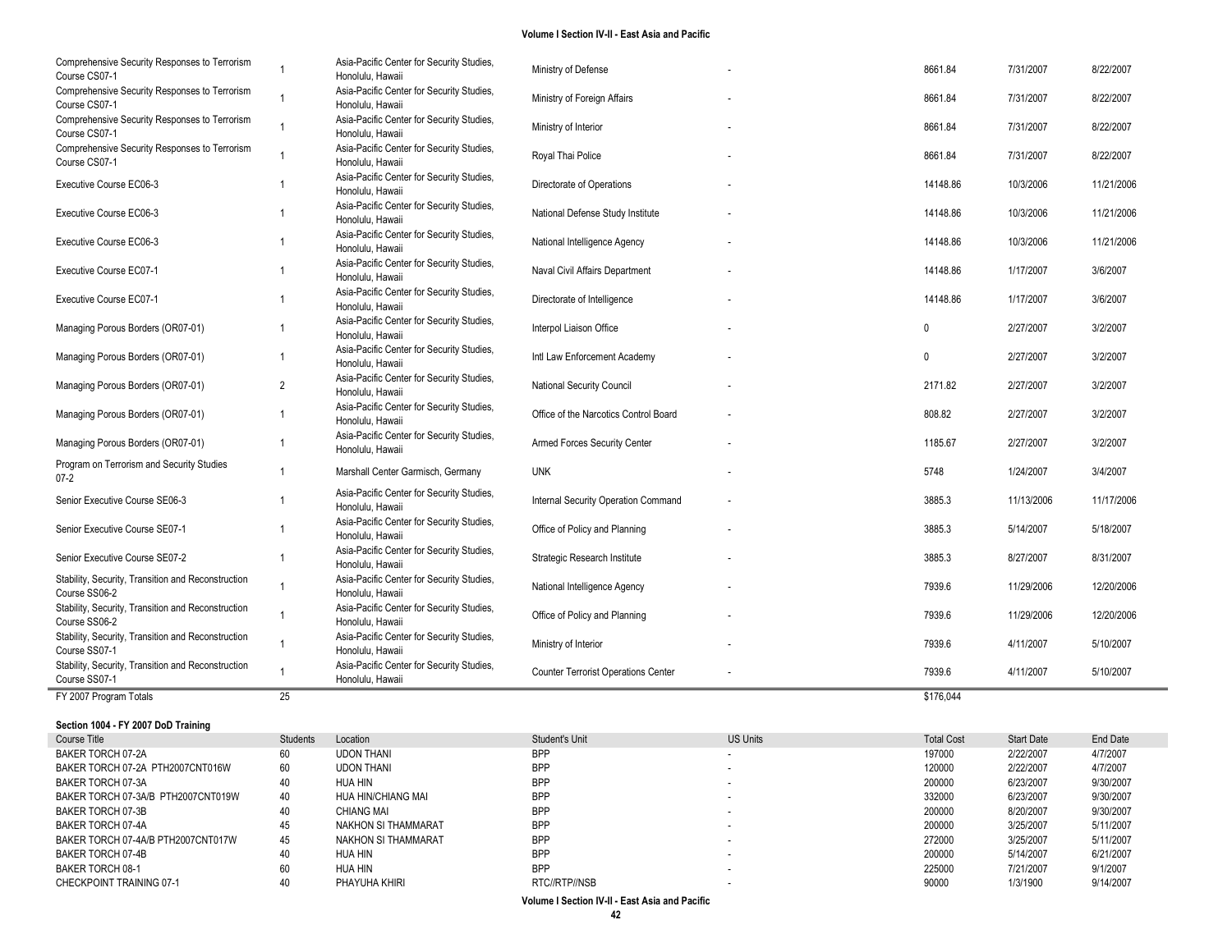| Comprehensive Security Responses to Terrorism<br>Course CS07-1      | $\overline{1}$ | Asia-Pacific Center for Security Studies,<br>Honolulu, Hawaii | Ministry of Defense                        | 8661.84      | 7/31/2007  | 8/22/2007  |
|---------------------------------------------------------------------|----------------|---------------------------------------------------------------|--------------------------------------------|--------------|------------|------------|
| Comprehensive Security Responses to Terrorism<br>Course CS07-1      |                | Asia-Pacific Center for Security Studies,<br>Honolulu, Hawaii | Ministry of Foreign Affairs                | 8661.84      | 7/31/2007  | 8/22/2007  |
| Comprehensive Security Responses to Terrorism<br>Course CS07-1      | $\overline{1}$ | Asia-Pacific Center for Security Studies,<br>Honolulu, Hawaii | Ministry of Interior                       | 8661.84      | 7/31/2007  | 8/22/2007  |
| Comprehensive Security Responses to Terrorism<br>Course CS07-1      | $\overline{1}$ | Asia-Pacific Center for Security Studies,<br>Honolulu, Hawaii | Royal Thai Police                          | 8661.84      | 7/31/2007  | 8/22/2007  |
| Executive Course EC06-3                                             |                | Asia-Pacific Center for Security Studies,<br>Honolulu, Hawaii | Directorate of Operations                  | 14148.86     | 10/3/2006  | 11/21/2006 |
| Executive Course EC06-3                                             |                | Asia-Pacific Center for Security Studies,<br>Honolulu, Hawaii | National Defense Study Institute           | 14148.86     | 10/3/2006  | 11/21/2006 |
| Executive Course EC06-3                                             |                | Asia-Pacific Center for Security Studies,<br>Honolulu. Hawaii | National Intelligence Agency               | 14148.86     | 10/3/2006  | 11/21/2006 |
| Executive Course EC07-1                                             |                | Asia-Pacific Center for Security Studies,<br>Honolulu, Hawaii | Naval Civil Affairs Department             | 14148.86     | 1/17/2007  | 3/6/2007   |
| <b>Executive Course EC07-1</b>                                      |                | Asia-Pacific Center for Security Studies,<br>Honolulu, Hawaii | Directorate of Intelligence                | 14148.86     | 1/17/2007  | 3/6/2007   |
| Managing Porous Borders (OR07-01)                                   |                | Asia-Pacific Center for Security Studies,<br>Honolulu, Hawaii | Interpol Liaison Office                    | $\Omega$     | 2/27/2007  | 3/2/2007   |
| Managing Porous Borders (OR07-01)                                   |                | Asia-Pacific Center for Security Studies,<br>Honolulu, Hawaii | Intl Law Enforcement Academy               | $\mathbf{0}$ | 2/27/2007  | 3/2/2007   |
| Managing Porous Borders (OR07-01)                                   | $\overline{2}$ | Asia-Pacific Center for Security Studies,<br>Honolulu, Hawaii | National Security Council                  | 2171.82      | 2/27/2007  | 3/2/2007   |
| Managing Porous Borders (OR07-01)                                   |                | Asia-Pacific Center for Security Studies,<br>Honolulu, Hawaii | Office of the Narcotics Control Board      | 808.82       | 2/27/2007  | 3/2/2007   |
| Managing Porous Borders (OR07-01)                                   | -1             | Asia-Pacific Center for Security Studies,<br>Honolulu, Hawaii | Armed Forces Security Center               | 1185.67      | 2/27/2007  | 3/2/2007   |
| Program on Terrorism and Security Studies<br>07-2                   | $\overline{1}$ | Marshall Center Garmisch, Germany                             | <b>UNK</b>                                 | 5748         | 1/24/2007  | 3/4/2007   |
| Senior Executive Course SE06-3                                      |                | Asia-Pacific Center for Security Studies,<br>Honolulu, Hawaii | Internal Security Operation Command        | 3885.3       | 11/13/2006 | 11/17/2006 |
| Senior Executive Course SE07-1                                      |                | Asia-Pacific Center for Security Studies,<br>Honolulu, Hawaii | Office of Policy and Planning              | 3885.3       | 5/14/2007  | 5/18/2007  |
| Senior Executive Course SE07-2                                      | -1             | Asia-Pacific Center for Security Studies,<br>Honolulu, Hawaii | Strategic Research Institute               | 3885.3       | 8/27/2007  | 8/31/2007  |
| Stability, Security, Transition and Reconstruction<br>Course SS06-2 | $\overline{1}$ | Asia-Pacific Center for Security Studies,<br>Honolulu, Hawaii | National Intelligence Agency               | 7939.6       | 11/29/2006 | 12/20/2006 |
| Stability, Security, Transition and Reconstruction<br>Course SS06-2 |                | Asia-Pacific Center for Security Studies,<br>Honolulu, Hawaii | Office of Policy and Planning              | 7939.6       | 11/29/2006 | 12/20/2006 |
| Stability, Security, Transition and Reconstruction<br>Course SS07-1 | $\overline{1}$ | Asia-Pacific Center for Security Studies,<br>Honolulu, Hawaii | Ministry of Interior                       | 7939.6       | 4/11/2007  | 5/10/2007  |
| Stability, Security, Transition and Reconstruction<br>Course SS07-1 | $\overline{1}$ | Asia-Pacific Center for Security Studies,<br>Honolulu, Hawaii | <b>Counter Terrorist Operations Center</b> | 7939.6       | 4/11/2007  | 5/10/2007  |
| FY 2007 Program Totals                                              | 25             |                                                               |                                            | \$176,044    |            |            |

**Section 1004 - FY 2007 DoD Training**

| Course Title                       | Students | Location            | Student's Unit | <b>US Units</b> | <b>Total Cost</b> | <b>Start Date</b> | End Date  |
|------------------------------------|----------|---------------------|----------------|-----------------|-------------------|-------------------|-----------|
| BAKER TORCH 07-2A                  | 60       | <b>UDON THANI</b>   | <b>BPP</b>     |                 | 197000            | 2/22/2007         | 4/7/2007  |
| BAKER TORCH 07-2A PTH2007CNT016W   | 60       | <b>UDON THANI</b>   | <b>BPP</b>     |                 | 120000            | 2/22/2007         | 4/7/2007  |
| BAKER TORCH 07-3A                  | 40       | HUA HIN             | <b>BPP</b>     |                 | 200000            | 6/23/2007         | 9/30/2007 |
| BAKER TORCH 07-3A/B PTH2007CNT019W | 40       | HUA HIN/CHIANG MAI  | <b>BPP</b>     |                 | 332000            | 6/23/2007         | 9/30/2007 |
| BAKER TORCH 07-3B                  | 40       | <b>CHIANG MAI</b>   | <b>BPP</b>     |                 | 200000            | 8/20/2007         | 9/30/2007 |
| BAKER TORCH 07-4A                  | 45       | NAKHON SI THAMMARAT | <b>BPP</b>     |                 | 200000            | 3/25/2007         | 5/11/2007 |
| BAKER TORCH 07-4A/B PTH2007CNT017W | 45       | NAKHON SI THAMMARAT | <b>BPP</b>     |                 | 272000            | 3/25/2007         | 5/11/2007 |
| BAKER TORCH 07-4B                  | 40       | HUA HIN             | <b>BPP</b>     |                 | 200000            | 5/14/2007         | 6/21/2007 |
| BAKER TORCH 08-1                   | 60       | HUA HIN             | <b>BPP</b>     |                 | 225000            | 7/21/2007         | 9/1/2007  |
| CHECKPOINT TRAINING 07-1           |          | PHAYUHA KHIRI       | RTC//RTP//NSB  |                 | 90000             | 1/3/1900          | 9/14/2007 |
|                                    |          |                     |                |                 |                   |                   |           |

a.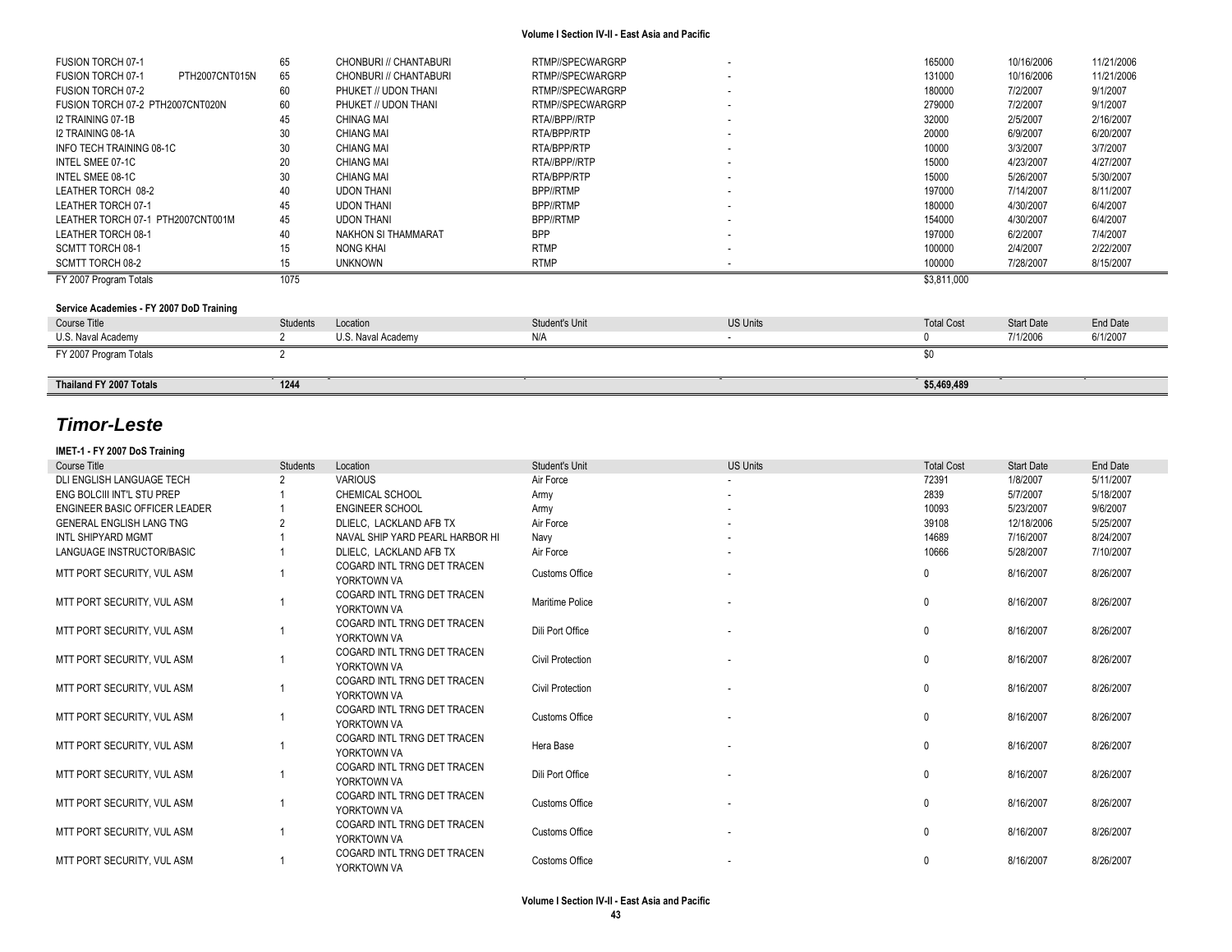| FUSION TORCH 07-1                        | 65              | CHONBURI // CHANTABURI | RTMP//SPECWARGRP | ٠               | 165000            | 10/16/2006        | 11/21/2006 |
|------------------------------------------|-----------------|------------------------|------------------|-----------------|-------------------|-------------------|------------|
| PTH2007CNT015N<br>FUSION TORCH 07-1      | 65              | CHONBURI // CHANTABURI | RTMP//SPECWARGRP |                 | 131000            | 10/16/2006        | 11/21/2006 |
| <b>FUSION TORCH 07-2</b>                 | 60              | PHUKET // UDON THANI   | RTMP//SPECWARGRP | ٠               | 180000            | 7/2/2007          | 9/1/2007   |
| FUSION TORCH 07-2 PTH2007CNT020N         | 60              | PHUKET // UDON THANI   | RTMP//SPECWARGRP | ٠               | 279000            | 7/2/2007          | 9/1/2007   |
| I2 TRAINING 07-1B                        | 45              | <b>CHINAG MAI</b>      | RTA//BPP//RTP    | ٠               | 32000             | 2/5/2007          | 2/16/2007  |
| I2 TRAINING 08-1A                        | 30              | <b>CHIANG MAI</b>      | RTA/BPP/RTP      | ۰.              | 20000             | 6/9/2007          | 6/20/2007  |
| INFO TECH TRAINING 08-1C                 | 30              | <b>CHIANG MAI</b>      | RTA/BPP/RTP      | ۰               | 10000             | 3/3/2007          | 3/7/2007   |
| INTEL SMEE 07-1C                         | 20              | <b>CHIANG MAI</b>      | RTA//BPP//RTP    | ٠               | 15000             | 4/23/2007         | 4/27/2007  |
| INTEL SMEE 08-1C                         | 30              | <b>CHIANG MAI</b>      | RTA/BPP/RTP      | ٠               | 15000             | 5/26/2007         | 5/30/2007  |
| LEATHER TORCH 08-2                       | 40              | <b>UDON THANI</b>      | BPP//RTMP        |                 | 197000            | 7/14/2007         | 8/11/2007  |
| LEATHER TORCH 07-1                       | 45              | <b>UDON THANI</b>      | BPP//RTMP        | ٠               | 180000            | 4/30/2007         | 6/4/2007   |
| LEATHER TORCH 07-1 PTH2007CNT001M        | 45              | <b>UDON THANI</b>      | BPP//RTMP        | ٠               | 154000            | 4/30/2007         | 6/4/2007   |
| LEATHER TORCH 08-1                       | 40              | NAKHON SI THAMMARAT    | <b>BPP</b>       |                 | 197000            | 6/2/2007          | 7/4/2007   |
| SCMTT TORCH 08-1                         | 15              | NONG KHAI              | <b>RTMP</b>      |                 | 100000            | 2/4/2007          | 2/22/2007  |
| SCMTT TORCH 08-2                         | 15              | <b>UNKNOWN</b>         | <b>RTMP</b>      |                 | 100000            | 7/28/2007         | 8/15/2007  |
| FY 2007 Program Totals                   | 1075            |                        |                  |                 | \$3,811,000       |                   |            |
|                                          |                 |                        |                  |                 |                   |                   |            |
| Service Academies - FY 2007 DoD Training |                 |                        |                  |                 |                   |                   |            |
| Course Title                             | <b>Students</b> | Location               | Student's Unit   | <b>US Units</b> | <b>Total Cost</b> | <b>Start Date</b> | End Date   |
| U.S. Naval Academy                       |                 | U.S. Naval Academy     | N/A              |                 |                   | 7/1/2006          | 6/1/2007   |
| FY 2007 Program Totals                   |                 |                        |                  |                 | \$0               |                   |            |
|                                          |                 |                        |                  |                 |                   |                   |            |

**Thailand FY 2007 Totals 1244 1244 1244 125,469,489 125,469,489 126,469,489 126,469,489 126,469,489** 

# *Timor-Leste*

### **IMET-1 - FY 2007 DoS Training**

| <b>Course Title</b>             | Students | Location                                   | <b>Student's Unit</b>   | <b>US Units</b> | <b>Total Cost</b> | <b>Start Date</b> | End Date  |
|---------------------------------|----------|--------------------------------------------|-------------------------|-----------------|-------------------|-------------------|-----------|
| DLI ENGLISH LANGUAGE TECH       |          | <b>VARIOUS</b>                             | Air Force               |                 | 72391             | 1/8/2007          | 5/11/2007 |
| ENG BOLCIII INT'L STU PREP      |          | <b>CHEMICAL SCHOOL</b>                     | Army                    |                 | 2839              | 5/7/2007          | 5/18/2007 |
| ENGINEER BASIC OFFICER LEADER   |          | <b>ENGINEER SCHOOL</b>                     | Army                    |                 | 10093             | 5/23/2007         | 9/6/2007  |
| <b>GENERAL ENGLISH LANG TNG</b> |          | DLIELC. LACKLAND AFB TX                    | Air Force               |                 | 39108             | 12/18/2006        | 5/25/2007 |
| INTL SHIPYARD MGMT              |          | NAVAL SHIP YARD PEARL HARBOR HI            | Navy                    |                 | 14689             | 7/16/2007         | 8/24/2007 |
| LANGUAGE INSTRUCTOR/BASIC       |          | DLIELC. LACKLAND AFB TX                    | Air Force               |                 | 10666             | 5/28/2007         | 7/10/2007 |
| MTT PORT SECURITY, VUL ASM      |          | COGARD INTL TRNG DET TRACEN<br>YORKTOWN VA | <b>Customs Office</b>   |                 | 0                 | 8/16/2007         | 8/26/2007 |
| MTT PORT SECURITY. VUL ASM      |          | COGARD INTL TRNG DET TRACEN<br>YORKTOWN VA | Maritime Police         |                 | $\Omega$          | 8/16/2007         | 8/26/2007 |
| MTT PORT SECURITY. VUL ASM      |          | COGARD INTL TRNG DET TRACEN<br>YORKTOWN VA | Dili Port Office        |                 | $\Omega$          | 8/16/2007         | 8/26/2007 |
| MTT PORT SECURITY, VUL ASM      |          | COGARD INTL TRNG DET TRACEN<br>YORKTOWN VA | <b>Civil Protection</b> |                 | $\Omega$          | 8/16/2007         | 8/26/2007 |
| MTT PORT SECURITY. VUL ASM      |          | COGARD INTL TRNG DET TRACEN<br>YORKTOWN VA | <b>Civil Protection</b> |                 | $\mathbf{0}$      | 8/16/2007         | 8/26/2007 |
| MTT PORT SECURITY, VUL ASM      |          | COGARD INTL TRNG DET TRACEN<br>YORKTOWN VA | Customs Office          |                 | $\mathbf{0}$      | 8/16/2007         | 8/26/2007 |
| MTT PORT SECURITY, VUL ASM      |          | COGARD INTL TRNG DET TRACEN<br>YORKTOWN VA | Hera Base               |                 | $\mathbf{0}$      | 8/16/2007         | 8/26/2007 |
| MTT PORT SECURITY, VUL ASM      |          | COGARD INTL TRNG DET TRACEN<br>YORKTOWN VA | Dili Port Office        |                 | 0                 | 8/16/2007         | 8/26/2007 |
| MTT PORT SECURITY. VUL ASM      |          | COGARD INTL TRNG DET TRACEN<br>YORKTOWN VA | <b>Customs Office</b>   |                 | $\Omega$          | 8/16/2007         | 8/26/2007 |
| MTT PORT SECURITY. VUL ASM      |          | COGARD INTL TRNG DET TRACEN<br>YORKTOWN VA | <b>Customs Office</b>   |                 | $\mathbf{0}$      | 8/16/2007         | 8/26/2007 |
| MTT PORT SECURITY, VUL ASM      |          | COGARD INTL TRNG DET TRACEN<br>YORKTOWN VA | Costoms Office          |                 |                   | 8/16/2007         | 8/26/2007 |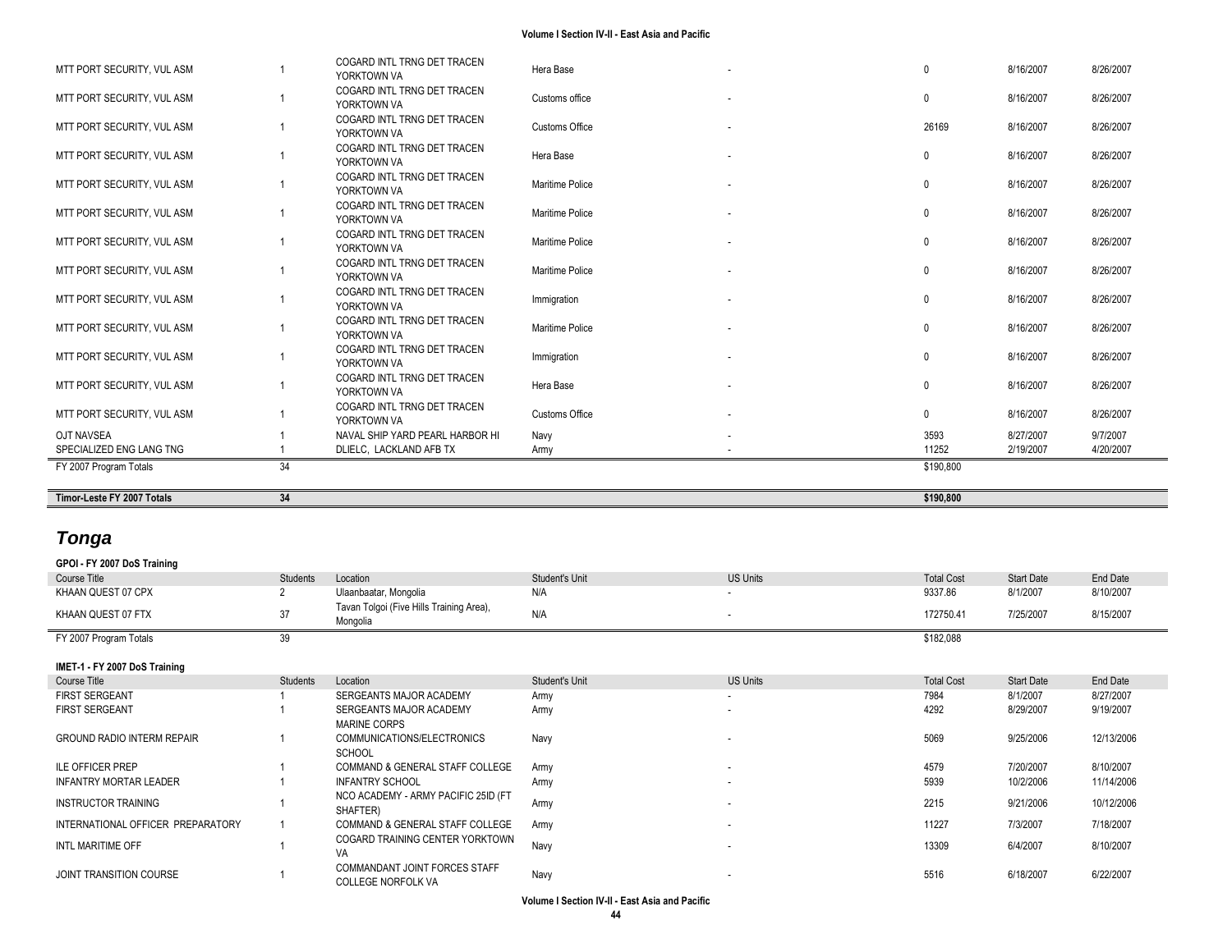| Timor-Leste FY 2007 Totals | 34 |                                            |                       | \$190,800 |           |           |
|----------------------------|----|--------------------------------------------|-----------------------|-----------|-----------|-----------|
| FY 2007 Program Totals     | 34 |                                            |                       | \$190,800 |           |           |
| SPECIALIZED ENG LANG TNG   |    | DLIELC. LACKLAND AFB TX                    | Army                  | 11252     | 2/19/2007 | 4/20/2007 |
| <b>OJT NAVSEA</b>          |    | NAVAL SHIP YARD PEARL HARBOR HI            | Navy                  | 3593      | 8/27/2007 | 9/7/2007  |
| MTT PORT SECURITY, VUL ASM |    | COGARD INTL TRNG DET TRACEN<br>YORKTOWN VA | <b>Customs Office</b> | $\Omega$  | 8/16/2007 | 8/26/2007 |
| MTT PORT SECURITY, VUL ASM |    | COGARD INTL TRNG DET TRACEN<br>YORKTOWN VA | Hera Base             |           | 8/16/2007 | 8/26/2007 |
| MTT PORT SECURITY, VUL ASM |    | COGARD INTL TRNG DET TRACEN<br>YORKTOWN VA | Immigration           | $\Omega$  | 8/16/2007 | 8/26/2007 |
| MTT PORT SECURITY, VUL ASM |    | COGARD INTL TRNG DET TRACEN<br>YORKTOWN VA | Maritime Police       |           | 8/16/2007 | 8/26/2007 |
| MTT PORT SECURITY, VUL ASM |    | COGARD INTL TRNG DET TRACEN<br>YORKTOWN VA | Immigration           | $\Omega$  | 8/16/2007 | 8/26/2007 |
| MTT PORT SECURITY, VUL ASM |    | COGARD INTL TRNG DET TRACEN<br>YORKTOWN VA | Maritime Police       |           | 8/16/2007 | 8/26/2007 |
| MTT PORT SECURITY, VUL ASM |    | COGARD INTL TRNG DET TRACEN<br>YORKTOWN VA | Maritime Police       |           | 8/16/2007 | 8/26/2007 |
| MTT PORT SECURITY, VUL ASM |    | COGARD INTL TRNG DET TRACEN<br>YORKTOWN VA | Maritime Police       |           | 8/16/2007 | 8/26/2007 |
| MTT PORT SECURITY, VUL ASM |    | COGARD INTL TRNG DET TRACEN<br>YORKTOWN VA | Maritime Police       |           | 8/16/2007 | 8/26/2007 |
| MTT PORT SECURITY, VUL ASM |    | COGARD INTL TRNG DET TRACEN<br>YORKTOWN VA | Hera Base             | $\Omega$  | 8/16/2007 | 8/26/2007 |
| MTT PORT SECURITY, VUL ASM |    | COGARD INTL TRNG DET TRACEN<br>YORKTOWN VA | <b>Customs Office</b> | 26169     | 8/16/2007 | 8/26/2007 |
| MTT PORT SECURITY, VUL ASM |    | COGARD INTL TRNG DET TRACEN<br>YORKTOWN VA | Customs office        | $\Omega$  | 8/16/2007 | 8/26/2007 |
| MTT PORT SECURITY, VUL ASM |    | COGARD INTL TRNG DET TRACEN<br>YORKTOWN VA | Hera Base             | $\Omega$  | 8/16/2007 | 8/26/2007 |

# *Tonga*

|  |  |  |  | GPOI - FY 2007 DoS Training |
|--|--|--|--|-----------------------------|
|--|--|--|--|-----------------------------|

| Course Title                      | Students | Location                                             | Student's Unit | <b>US Units</b>          | <b>Total Cost</b> | Start Date        | End Date   |
|-----------------------------------|----------|------------------------------------------------------|----------------|--------------------------|-------------------|-------------------|------------|
| KHAAN QUEST 07 CPX                |          | Ulaanbaatar, Mongolia                                | N/A            | $\overline{\phantom{a}}$ | 9337.86           | 8/1/2007          | 8/10/2007  |
| KHAAN QUEST 07 FTX                | 37       | Tavan Tolgoi (Five Hills Training Area),<br>Mongolia | N/A            | ٠                        | 172750.41         | 7/25/2007         | 8/15/2007  |
| FY 2007 Program Totals            | 39       |                                                      |                |                          | \$182,088         |                   |            |
| IMET-1 - FY 2007 DoS Training     |          |                                                      |                |                          |                   |                   |            |
| Course Title                      | Students | Location                                             | Student's Unit | <b>US Units</b>          | <b>Total Cost</b> | <b>Start Date</b> | End Date   |
| <b>FIRST SERGEANT</b>             |          | SERGEANTS MAJOR ACADEMY                              | Army           | $\overline{\phantom{a}}$ | 7984              | 8/1/2007          | 8/27/2007  |
| <b>FIRST SERGEANT</b>             |          | SERGEANTS MAJOR ACADEMY                              | Army           | ٠                        | 4292              | 8/29/2007         | 9/19/2007  |
|                                   |          | <b>MARINE CORPS</b>                                  |                |                          |                   |                   |            |
| <b>GROUND RADIO INTERM REPAIR</b> |          | COMMUNICATIONS/ELECTRONICS                           | Navy           | ٠                        | 5069              | 9/25/2006         | 12/13/2006 |
|                                   |          | <b>SCHOOL</b>                                        |                |                          |                   |                   |            |
| <b>ILE OFFICER PREP</b>           |          | COMMAND & GENERAL STAFF COLLEGE                      | Army           | $\overline{\phantom{a}}$ | 4579              | 7/20/2007         | 8/10/2007  |
| <b>INFANTRY MORTAR LEADER</b>     |          | <b>INFANTRY SCHOOL</b>                               | Army           |                          | 5939              | 10/2/2006         | 11/14/2006 |
|                                   |          | NCO ACADEMY - ARMY PACIFIC 25ID (FT                  |                |                          |                   |                   |            |
| <b>INSTRUCTOR TRAINING</b>        |          | SHAFTER)                                             | Army           | ٠                        | 2215              | 9/21/2006         | 10/12/2006 |
| INTERNATIONAL OFFICER PREPARATORY |          | COMMAND & GENERAL STAFF COLLEGE                      | Army           |                          | 11227             | 7/3/2007          | 7/18/2007  |
|                                   |          | COGARD TRAINING CENTER YORKTOWN                      |                |                          |                   |                   |            |
| INTL MARITIME OFF                 |          | VA                                                   | Navy           | $\overline{\phantom{a}}$ | 13309             | 6/4/2007          | 8/10/2007  |
|                                   |          | COMMANDANT JOINT FORCES STAFF                        |                |                          |                   |                   |            |
| JOINT TRANSITION COURSE           |          | <b>COLLEGE NORFOLK VA</b>                            | Navy           |                          | 5516              | 6/18/2007         | 6/22/2007  |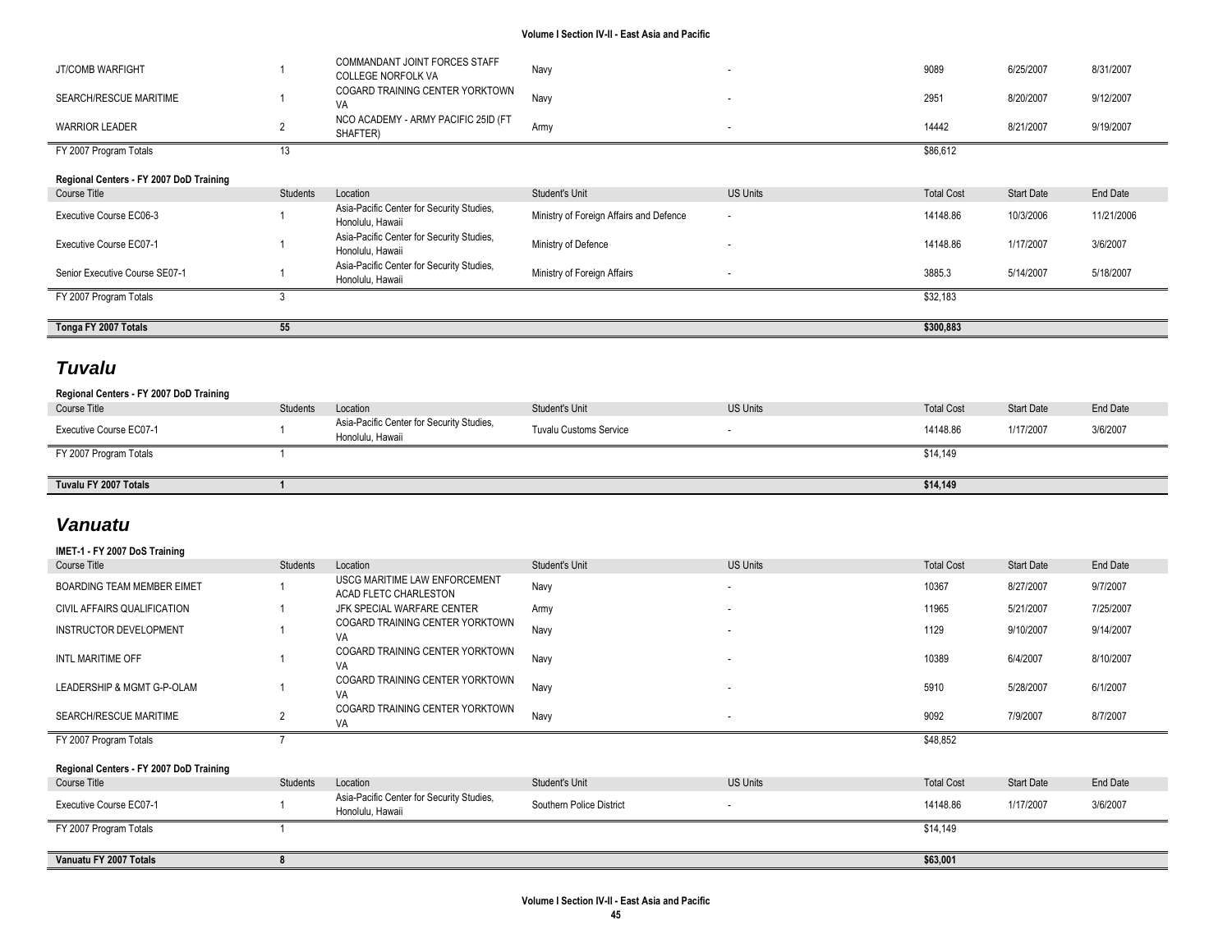| JT/COMB WARFIGHT                        |          | COMMANDANT JOINT FORCES STAFF<br><b>COLLEGE NORFOLK VA</b>    | Navy                                    | ۰.                       | 9089              | 6/25/2007         | 8/31/2007  |
|-----------------------------------------|----------|---------------------------------------------------------------|-----------------------------------------|--------------------------|-------------------|-------------------|------------|
| SEARCH/RESCUE MARITIME                  |          | COGARD TRAINING CENTER YORKTOWN<br>VA                         | Navy                                    | $\overline{\phantom{a}}$ | 2951              | 8/20/2007         | 9/12/2007  |
| <b>WARRIOR LEADER</b>                   |          | NCO ACADEMY - ARMY PACIFIC 25ID (FT<br>SHAFTER)               | Army                                    | $\overline{\phantom{a}}$ | 14442             | 8/21/2007         | 9/19/2007  |
| FY 2007 Program Totals                  | 13       |                                                               |                                         |                          | \$86,612          |                   |            |
| Regional Centers - FY 2007 DoD Training |          |                                                               |                                         |                          |                   |                   |            |
| Course Title                            | Students | Location                                                      | Student's Unit                          | <b>US Units</b>          | <b>Total Cost</b> | <b>Start Date</b> | End Date   |
| Executive Course EC06-3                 |          | Asia-Pacific Center for Security Studies,<br>Honolulu, Hawaii | Ministry of Foreign Affairs and Defence | $\overline{\phantom{a}}$ | 14148.86          | 10/3/2006         | 11/21/2006 |
| Executive Course EC07-1                 |          | Asia-Pacific Center for Security Studies,<br>Honolulu, Hawaii | Ministry of Defence                     | $\sim$                   | 14148.86          | 1/17/2007         | 3/6/2007   |
| Senior Executive Course SE07-1          |          | Asia-Pacific Center for Security Studies,<br>Honolulu, Hawaii | Ministry of Foreign Affairs             | $\overline{\phantom{a}}$ | 3885.3            | 5/14/2007         | 5/18/2007  |
| FY 2007 Program Totals                  |          |                                                               |                                         |                          | \$32,183          |                   |            |
| Tonga FY 2007 Totals                    | 55       |                                                               |                                         |                          | \$300,883         |                   |            |

# *Tuvalu*

| Regional Centers - FY 2007 DoD Training |                 |                                                               |                               |                 |                   |                   |          |
|-----------------------------------------|-----------------|---------------------------------------------------------------|-------------------------------|-----------------|-------------------|-------------------|----------|
| Course Title                            | <b>Students</b> | Location                                                      | Student's Unit                | <b>US Units</b> | <b>Total Cost</b> | <b>Start Date</b> | End Date |
| Executive Course EC07-1                 |                 | Asia-Pacific Center for Security Studies,<br>Honolulu, Hawaii | <b>Tuvalu Customs Service</b> |                 | 14148.86          | 1/17/2007         | 3/6/2007 |
| FY 2007 Program Totals                  |                 |                                                               |                               |                 | \$14,149          |                   |          |
|                                         |                 |                                                               |                               |                 |                   |                   |          |
| Tuvalu FY 2007 Totals                   |                 |                                                               |                               |                 | \$14,149          |                   |          |

## *Vanuatu*

| IMET-1 - FY 2007 DoS Training           |                 |                                                               |                          |                 |                   |                   |           |
|-----------------------------------------|-----------------|---------------------------------------------------------------|--------------------------|-----------------|-------------------|-------------------|-----------|
| Course Title                            | Students        | Location                                                      | Student's Unit           | <b>US Units</b> | <b>Total Cost</b> | <b>Start Date</b> | End Date  |
| BOARDING TEAM MEMBER EIMET              |                 | USCG MARITIME LAW ENFORCEMENT<br>ACAD FLETC CHARLESTON        | Navy                     | ۰               | 10367             | 8/27/2007         | 9/7/2007  |
| CIVIL AFFAIRS QUALIFICATION             |                 | JFK SPECIAL WARFARE CENTER                                    | Army                     |                 | 11965             | 5/21/2007         | 7/25/2007 |
| <b>INSTRUCTOR DEVELOPMENT</b>           |                 | COGARD TRAINING CENTER YORKTOWN<br>VA                         | Navy                     |                 | 1129              | 9/10/2007         | 9/14/2007 |
| INTL MARITIME OFF                       |                 | COGARD TRAINING CENTER YORKTOWN<br>VA                         | Navy                     |                 | 10389             | 6/4/2007          | 8/10/2007 |
| LEADERSHIP & MGMT G-P-OLAM              |                 | COGARD TRAINING CENTER YORKTOWN<br>VA                         | Navy                     |                 | 5910              | 5/28/2007         | 6/1/2007  |
| SEARCH/RESCUE MARITIME                  |                 | COGARD TRAINING CENTER YORKTOWN<br>VA                         | Navy                     | ۰               | 9092              | 7/9/2007          | 8/7/2007  |
| FY 2007 Program Totals                  |                 |                                                               |                          |                 | \$48,852          |                   |           |
| Regional Centers - FY 2007 DoD Training |                 |                                                               |                          |                 |                   |                   |           |
| Course Title                            | <b>Students</b> | Location                                                      | Student's Unit           | <b>US Units</b> | <b>Total Cost</b> | <b>Start Date</b> | End Date  |
| Executive Course EC07-1                 |                 | Asia-Pacific Center for Security Studies,<br>Honolulu, Hawaii | Southern Police District | ٠               | 14148.86          | 1/17/2007         | 3/6/2007  |
| FY 2007 Program Totals                  |                 |                                                               |                          |                 | \$14,149          |                   |           |
| Vanuatu FY 2007 Totals                  |                 |                                                               |                          |                 | \$63,001          |                   |           |